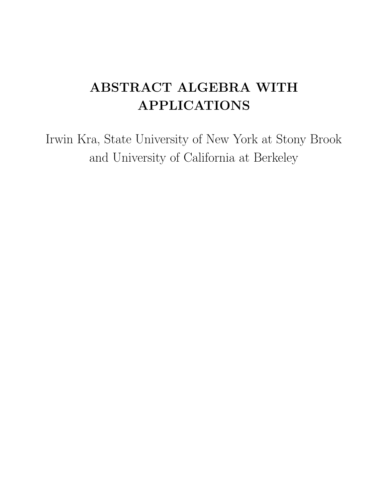# ABSTRACT ALGEBRA WITH APPLICATIONS

Irwin Kra, State University of New York at Stony Brook and University of California at Berkeley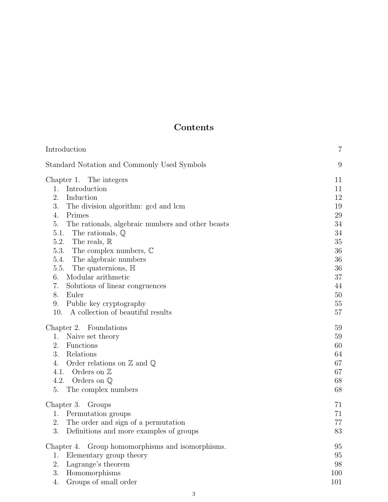# Contents

| Introduction                                            | $\overline{7}$ |
|---------------------------------------------------------|----------------|
| Standard Notation and Commonly Used Symbols             | 9              |
| Chapter 1. The integers                                 | 11             |
| Introduction<br>1.                                      | 11             |
| 2.<br>Induction                                         | 12             |
| 3.<br>The division algorithm: gcd and lcm               | 19             |
| Primes<br>4.                                            | 29             |
| 5.<br>The rationals, algebraic numbers and other beasts | 34             |
| 5.1.<br>The rationals, $\mathbb Q$                      | 34             |
| 5.2.<br>The reals, $\mathbb R$                          | 35             |
| 5.3.<br>The complex numbers, $\mathbb C$                | 36             |
| 5.4. The algebraic numbers                              | 36             |
| 5.5.<br>The quaternions, HI                             | 36             |
| Modular arithmetic<br>6.                                | 37             |
| Solutions of linear congruences<br>7.                   | 44             |
| Euler<br>8.                                             | 50             |
| Public key cryptography<br>9.                           | $55\,$         |
| A collection of beautiful results<br>10.                | 57             |
| Chapter 2. Foundations                                  | 59             |
| Naive set theory<br>1.                                  | 59             |
| 2.<br>Functions                                         | 60             |
| 3.<br>Relations                                         | 64             |
| Order relations on $\mathbb Z$ and $\mathbb Q$<br>4.    | 67             |
| Orders on $\mathbb Z$<br>4.1.                           | 67             |
| 4.2.<br>Orders on $\mathbb Q$                           | 68             |
| 5.<br>The complex numbers                               | 68             |
| Chapter 3. Groups                                       | 71             |
| Permutation groups<br>1.                                | 71             |
| The order and sign of a permutation<br>2.               | 77             |
| 3.<br>Definitions and more examples of groups           | 83             |
| Group homomorphisms and isomorphisms.<br>Chapter 4.     | 95             |
| Elementary group theory<br>1.                           | 95             |
| Lagrange's theorem<br>2.                                | 98             |
| 3.<br>Homomorphisms                                     | 100            |
| Groups of small order<br>4.                             | 101            |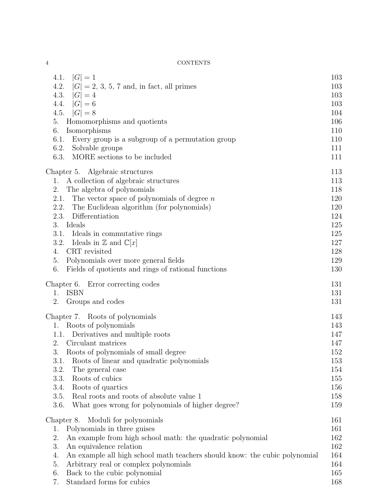4 CONTENTS

| 4.1.<br>$ G =1$                                                                  | 103 |
|----------------------------------------------------------------------------------|-----|
| 4.2. $ G  = 2, 3, 5, 7$ and, in fact, all primes                                 | 103 |
| 4.3.<br>$ G =4$                                                                  | 103 |
| 4.4.<br>$ G  = 6$                                                                | 103 |
| $ G  = 8$<br>4.5.                                                                | 104 |
| Homomorphisms and quotients<br>5.                                                | 106 |
| Isomorphisms<br>6.                                                               | 110 |
| 6.1.<br>Every group is a subgroup of a permutation group                         | 110 |
| 6.2.<br>Solvable groups                                                          | 111 |
| 6.3.<br>MORE sections to be included                                             | 111 |
| Chapter 5. Algebraic structures                                                  | 113 |
| A collection of algebraic structures<br>1.                                       | 113 |
| The algebra of polynomials<br>2.                                                 | 118 |
| 2.1.<br>The vector space of polynomials of degree $n$                            | 120 |
| 2.2.<br>The Euclidean algorithm (for polynomials)                                | 120 |
| 2.3.<br>Differentiation                                                          | 124 |
| 3.<br>Ideals                                                                     | 125 |
| 3.1.<br>Ideals in commutative rings                                              | 125 |
| 3.2. Ideals in $\mathbb Z$ and $\mathbb C[x]$                                    | 127 |
| CRT revisited<br>4.                                                              | 128 |
| 5.<br>Polynomials over more general fields                                       | 129 |
| 6.<br>Fields of quotients and rings of rational functions                        | 130 |
| Chapter 6. Error correcting codes                                                | 131 |
| <b>ISBN</b><br>1.                                                                | 131 |
| 2.<br>Groups and codes                                                           | 131 |
| Chapter 7. Roots of polynomials                                                  | 143 |
| Roots of polynomials<br>1.                                                       | 143 |
| Derivatives and multiple roots<br>1.1.                                           | 147 |
| 2.<br>Circulant matrices                                                         | 147 |
| 3.<br>Roots of polynomials of small degree                                       | 152 |
| 3.1.<br>Roots of linear and quadratic polynomials                                | 153 |
| 3.2.<br>The general case                                                         | 154 |
| 3.3.<br>Roots of cubics                                                          | 155 |
| Roots of quartics<br>3.4.                                                        | 156 |
| 3.5.<br>Real roots and roots of absolute value 1                                 | 158 |
| 3.6.<br>What goes wrong for polynomials of higher degree?                        | 159 |
| Moduli for polynomials<br>Chapter 8.                                             | 161 |
| Polynomials in three guises<br>1.                                                | 161 |
| 2.<br>An example from high school math: the quadratic polynomial                 | 162 |
| 3.<br>An equivalence relation                                                    | 162 |
| An example all high school math teachers should know: the cubic polynomial<br>4. | 164 |
| 5.<br>Arbitrary real or complex polynomials                                      | 164 |
| 6.<br>Back to the cubic polynomial                                               | 165 |
| Standard forms for cubics<br>7.                                                  | 168 |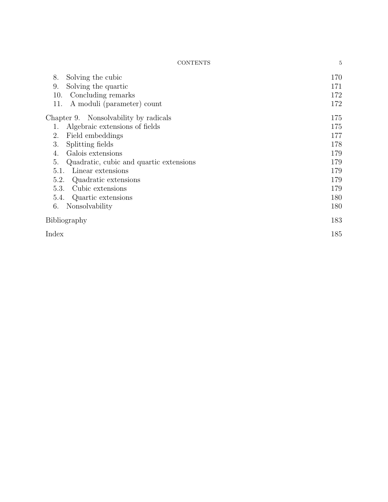| <b>CONTENTS</b>                                                                                                                                                                                                                                                                                        | 5                                                           |
|--------------------------------------------------------------------------------------------------------------------------------------------------------------------------------------------------------------------------------------------------------------------------------------------------------|-------------------------------------------------------------|
| Solving the cubic<br>8.<br>Solving the quartic<br>9.<br>Concluding remarks<br>10.<br>A moduli (parameter) count<br>11.                                                                                                                                                                                 | 170<br>171<br>172<br>172                                    |
| Chapter 9. Nonsolvability by radicals<br>Algebraic extensions of fields<br>1.<br>Field embeddings<br>2.<br>3.<br>Splitting fields<br>Galois extensions<br>4.<br>5.<br>Quadratic, cubic and quartic extensions<br>Linear extensions<br>5.1.<br>5.2.<br>Quadratic extensions<br>5.3.<br>Cubic extensions | 175<br>175<br>177<br>178<br>179<br>179<br>179<br>179<br>179 |
| Quartic extensions<br>5.4.<br>Nonsolvability<br>6.                                                                                                                                                                                                                                                     | 180<br>180                                                  |
| Bibliography                                                                                                                                                                                                                                                                                           | 183                                                         |
| Index                                                                                                                                                                                                                                                                                                  | 185                                                         |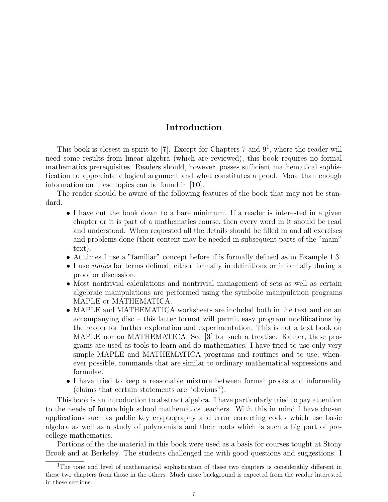# Introduction

This book is closest in spirit to  $[7]$ . Except for Chapters 7 and  $9<sup>1</sup>$ , where the reader will need some results from linear algebra (which are reviewed), this book requires no formal mathematics prerequisites. Readers should, however, posses sufficient mathematical sophistication to appreciate a logical argument and what constitutes a proof. More than enough information on these topics can be found in [10].

The reader should be aware of the following features of the book that may not be standard.

- I have cut the book down to a bare minimum. If a reader is interested in a given chapter or it is part of a mathematics course, then every word in it should be read and understood. When requested all the details should be filled in and all exercises and problems done (their content may be needed in subsequent parts of the "main" text).
- At times I use a "familiar" concept before if is formally defined as in Example 1.3.
- I use *italics* for terms defined, either formally in definitions or informally during a proof or discussion.
- Most nontrivial calculations and nontrivial management of sets as well as certain algebraic manipulations are performed using the symbolic manipulation programs MAPLE or MATHEMATICA.
- MAPLE and MATHEMATICA worksheets are included both in the text and on an accompanying disc – this latter format will permit easy program modifications by the reader for further exploration and experimentation. This is not a text book on MAPLE nor on MATHEMATICA. See [3] for such a treatise. Rather, these programs are used as tools to learn and do mathematics. I have tried to use only very simple MAPLE and MATHEMATICA programs and routines and to use, whenever possible, commands that are similar to ordinary mathematical expressions and formulae.
- I have tried to keep a reasonable mixture between formal proofs and informality (claims that certain statements are "obvious").

This book is an introduction to abstract algebra. I have particularly tried to pay attention to the needs of future high school mathematics teachers. With this in mind I have chosen applications such as public key cryptography and error correcting codes which use basic algebra as well as a study of polynomials and their roots which is such a big part of precollege mathematics.

Portions of the the material in this book were used as a basis for courses tought at Stony Brook and at Berkeley. The students challenged me with good questions and suggestions. I

<sup>&</sup>lt;sup>1</sup>The tone and level of mathematical sophistication of these two chapters is considerably different in these two chapters from those in the others. Much more background is expected from the reader interested in these sections.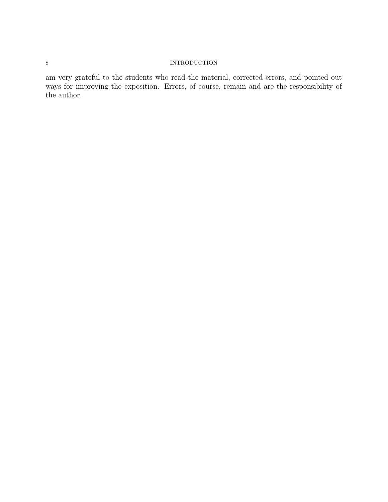# 8 INTRODUCTION

am very grateful to the students who read the material, corrected errors, and pointed out ways for improving the exposition. Errors, of course, remain and are the responsibility of the author.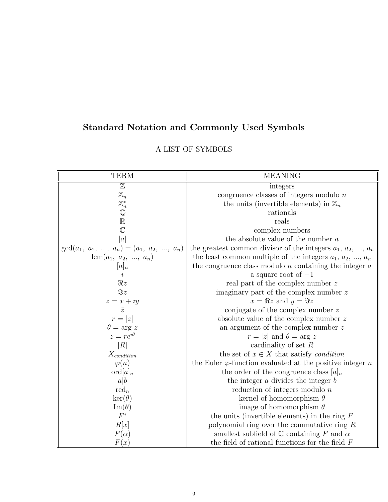# Standard Notation and Commonly Used Symbols

| A LIST OF SYMBOLS |
|-------------------|
|-------------------|

| <b>MEANING</b><br><b>TERM</b>                         |                                                                   |  |
|-------------------------------------------------------|-------------------------------------------------------------------|--|
| $\overline{\mathbb{Z}}$                               | integers                                                          |  |
| $\mathbb{Z}_n$                                        | congruence classes of integers modulo $n$                         |  |
| $\mathbb{Z}_n^*$                                      | the units (invertible elements) in $\mathbb{Z}_n$                 |  |
| $\mathbb Q$                                           | rationals                                                         |  |
| $\mathbb R$                                           | reals                                                             |  |
| $\overline{C}$                                        | complex numbers                                                   |  |
| a                                                     | the absolute value of the number $a$                              |  |
| $gcd(a_1, a_2, , a_n) = (a_1, a_2, , a_n)$            | the greatest common divisor of the integers $a_1, a_2, , a_n$     |  |
| $\operatorname{lcm}(a_1, a_2, , a_n)$                 | the least common multiple of the integers $a_1, a_2, , a_n$       |  |
| $[a]_n$                                               | the congruence class modulo $n$ containing the integer $a$        |  |
| $\imath$                                              | a square root of $-1$                                             |  |
| $\Re z$                                               | real part of the complex number z                                 |  |
| $\Im z$                                               | imaginary part of the complex number $z$                          |  |
| $x = \Re z$ and $y = \Im z$<br>$z = x + y$            |                                                                   |  |
| $\overline{z}$<br>conjugate of the complex number $z$ |                                                                   |  |
| $r= z $<br>absolute value of the complex number $z$   |                                                                   |  |
| $\theta = \arg z$                                     | an argument of the complex number $z$                             |  |
| $z = re^{i\theta}$<br>$r =  z $ and $\theta = \arg z$ |                                                                   |  |
| R                                                     | cardinality of set $R$                                            |  |
| $X_{condition}$                                       | the set of $x \in X$ that satisfy <i>condition</i>                |  |
| $\varphi(n)$                                          | the Euler $\varphi$ -function evaluated at the positive integer n |  |
| $\operatorname{ord}[a]_n$                             | the order of the congruence class $[a]_n$                         |  |
| a b                                                   | the integer $a$ divides the integer $b$                           |  |
| $\mathrm{red}_n$                                      | reduction of integers modulo $n$                                  |  |
| $\ker(\theta)$                                        | kernel of homomorphism $\theta$                                   |  |
| $\text{Im}(\theta)$                                   | image of homomorphism $\theta$                                    |  |
| $F^*$                                                 | the units (invertible elements) in the ring $F$                   |  |
| R[x]                                                  | polynomial ring over the commutative ring $R$                     |  |
| $F(\alpha)$                                           | smallest subfield of $\mathbb C$ containing F and $\alpha$        |  |
| F(x)                                                  | the field of rational functions for the field $F$                 |  |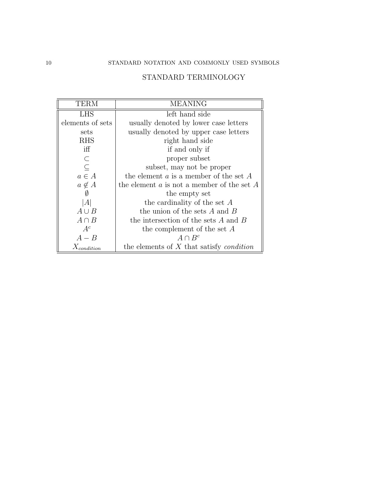# STANDARD TERMINOLOGY

| <b>TERM</b>      | MEANING                                           |  |  |
|------------------|---------------------------------------------------|--|--|
| <b>LHS</b>       | left hand side                                    |  |  |
| elements of sets | usually denoted by lower case letters             |  |  |
| sets             | usually denoted by upper case letters             |  |  |
| <b>RHS</b>       | right hand side                                   |  |  |
| iff              | if and only if                                    |  |  |
| $\subset$        | proper subset                                     |  |  |
| $\subseteq$      | subset, may not be proper                         |  |  |
| $a \in A$        | the element $a$ is a member of the set $A$        |  |  |
| $a \notin A$     | the element $a$ is not a member of the set $A$    |  |  |
| Ø                | the empty set                                     |  |  |
| A                | the cardinality of the set $A$                    |  |  |
| $A \cup B$       | the union of the sets $A$ and $B$                 |  |  |
| $A \cap B$       | the intersection of the sets $A$ and $B$          |  |  |
| $A^c$            | the complement of the set $A$                     |  |  |
| $A - B$          | $A \cap B^c$                                      |  |  |
| $X_{condition}$  | the elements of $X$ that satisfy <i>condition</i> |  |  |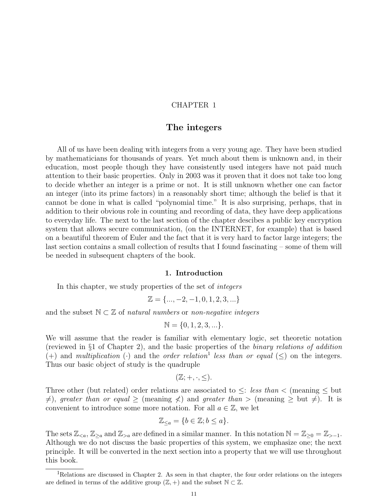# CHAPTER 1

# The integers

All of us have been dealing with integers from a very young age. They have been studied by mathematicians for thousands of years. Yet much about them is unknown and, in their education, most people though they have consistently used integers have not paid much attention to their basic properties. Only in 2003 was it proven that it does not take too long to decide whether an integer is a prime or not. It is still unknown whether one can factor an integer (into its prime factors) in a reasonably short time; although the belief is that it cannot be done in what is called "polynomial time." It is also surprising, perhaps, that in addition to their obvious role in counting and recording of data, they have deep applications to everyday life. The next to the last section of the chapter descibes a public key encryption system that allows secure communication, (on the INTERNET, for example) that is based on a beautiful theorem of Euler and the fact that it is very hard to factor large integers; the last section contains a small collection of results that I found fascinating – some of them will be needed in subsequent chapters of the book.

# 1. Introduction

In this chapter, we study properties of the set of integers

$$
\mathbb{Z} = \{..., -2, -1, 0, 1, 2, 3, ...\}
$$

and the subset  $\mathbb{N} \subset \mathbb{Z}$  of natural numbers or non-negative integers

$$
\mathbb{N} = \{0, 1, 2, 3, \ldots\}.
$$

We will assume that the reader is familiar with elementary logic, set theoretic notation (reviewed in  $\S1$  of Chapter 2), and the basic properties of the *binary relations of addition* (+) and multiplication ( $\cdot$ ) and the *order relation*<sup>1</sup> less than or equal ( $\leq$ ) on the integers. Thus our basic object of study is the quadruple

$$
(\mathbb{Z};+, \cdot, \leq).
$$

Three other (but related) order relations are associated to  $\leq$ : less than  $\lt$  (meaning  $\leq$  but  $f(\neq)$ , greater than or equal  $\geq$  (meaning  $\neq$ ) and greater than  $\geq$  (meaning  $\geq$  but  $\neq$ ). It is convenient to introduce some more notation. For all  $a \in \mathbb{Z}$ , we let

$$
\mathbb{Z}_{\leq a} = \{b \in \mathbb{Z}; b \leq a\}.
$$

The sets  $\mathbb{Z}_{\leq a}, \mathbb{Z}_{\geq a}$  and  $\mathbb{Z}_{\geq a}$  are defined in a similar manner. In this notation  $\mathbb{N} = \mathbb{Z}_{\geq 0} = \mathbb{Z}_{\geq -1}$ . Although we do not discuss the basic properties of this system, we emphasize one; the next principle. It will be converted in the next section into a property that we will use throughout this book.

<sup>&</sup>lt;sup>1</sup>Relations are discussed in Chapter 2. As seen in that chapter, the four order relations on the integers are defined in terms of the additive group  $(\mathbb{Z}, +)$  and the subset  $\mathbb{N} \subset \mathbb{Z}$ .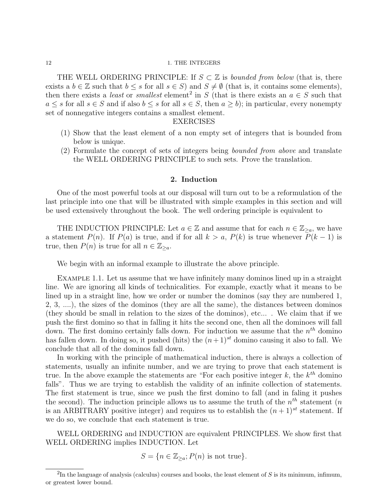#### 12 1. THE INTEGERS

THE WELL ORDERING PRINCIPLE: If  $S \subset \mathbb{Z}$  is bounded from below (that is, there exists a  $b \in \mathbb{Z}$  such that  $b \leq s$  for all  $s \in S$ ) and  $S \neq \emptyset$  (that is, it contains some elements), then there exists a *least* or *smallest* element<sup>2</sup> in S (that is there exists an  $a \in S$  such that  $a \leq s$  for all  $s \in S$  and if also  $b \leq s$  for all  $s \in S$ , then  $a \geq b$ ); in particular, every nonempty set of nonnegative integers contains a smallest element.

#### EXERCISES

- (1) Show that the least element of a non empty set of integers that is bounded from below is unique.
- (2) Formulate the concept of sets of integers being bounded from above and translate the WELL ORDERING PRINCIPLE to such sets. Prove the translation.

#### 2. Induction

One of the most powerful tools at our disposal will turn out to be a reformulation of the last principle into one that will be illustrated with simple examples in this section and will be used extensively throughout the book. The well ordering principle is equivalent to

THE INDUCTION PRINCIPLE: Let  $a \in \mathbb{Z}$  and assume that for each  $n \in \mathbb{Z}_{\geq a}$ , we have a statement P(n). If P(a) is true, and if for all  $k > a$ , P(k) is true whenever P(k - 1) is true, then  $P(n)$  is true for all  $n \in \mathbb{Z}_{\geq a}$ .

We begin with an informal example to illustrate the above principle.

Example 1.1. Let us assume that we have infinitely many dominos lined up in a straight line. We are ignoring all kinds of technicalities. For example, exactly what it means to be lined up in a straight line, how we order or number the dominos (say they are numbered 1, 2, 3, ....), the sizes of the dominos (they are all the same), the distances between dominos (they should be small in relation to the sizes of the dominos), etc... . We claim that if we push the first domino so that in falling it hits the second one, then all the dominoes will fall down. The first domino certainly falls down. For induction we assume that the  $n<sup>th</sup>$  domino has fallen down. In doing so, it pushed (hits) the  $(n+1)^{st}$  domino causing it also to fall. We conclude that all of the dominos fall down.

In working with the principle of mathematical induction, there is always a collection of statements, usually an infinite number, and we are trying to prove that each statement is true. In the above example the statements are "For each positive integer  $k$ , the  $k^{th}$  domino falls". Thus we are trying to establish the validity of an infinite collection of statements. The first statement is true, since we push the first domino to fall (and in faling it pushes the second). The induction principle allows us to assume the truth of the  $n<sup>th</sup>$  statement (*n* is an ARBITRARY positive integer) and requires us to establish the  $(n+1)^{st}$  statement. If we do so, we conclude that each statement is true.

WELL ORDERING and INDUCTION are equivalent PRINCIPLES. We show first that WELL ORDERING implies INDUCTION. Let

$$
S = \{ n \in \mathbb{Z}_{\geq a}; P(n) \text{ is not true} \}.
$$

<sup>&</sup>lt;sup>2</sup>In the language of analysis (calculus) courses and books, the least element of S is its minimum, infimum, or greatest lower bound.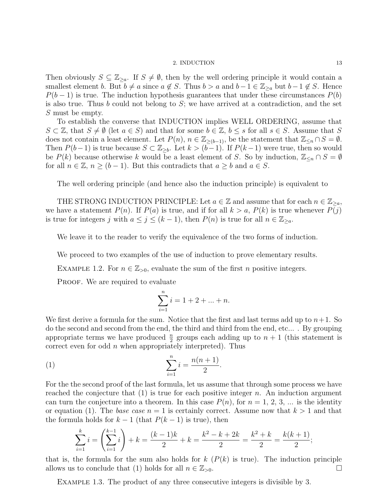#### 2. INDUCTION 13

Then obviously  $S \subseteq \mathbb{Z}_{\geq a}$ . If  $S \neq \emptyset$ , then by the well ordering principle it would contain a smallest element b. But  $b \neq a$  since  $a \notin S$ . Thus  $b > a$  and  $b-1 \in \mathbb{Z}_{\geq a}$  but  $b-1 \notin S$ . Hence  $P(b-1)$  is true. The induction hypothesis guarantees that under these circumstances  $P(b)$ is also true. Thus b could not belong to  $S$ ; we have arrived at a contradiction, and the set S must be empty.

To establish the converse that INDUCTION implies WELL ORDERING, assume that  $S \subset \mathbb{Z}$ , that  $S \neq \emptyset$  (let  $a \in S$ ) and that for some  $b \in \mathbb{Z}$ ,  $b \leq s$  for all  $s \in S$ . Assume that S does not contain a least element. Let  $P(n)$ ,  $n \in \mathbb{Z}_{\geq (b-1)}$ , be the statement that  $\mathbb{Z}_{\leq n} \cap S = \emptyset$ . Then  $P(b-1)$  is true because  $S \subset \mathbb{Z}_{\geq b}$ . Let  $k > (b-1)$ . If  $P(k-1)$  were true, then so would be  $P(k)$  because otherwise k would be a least element of S. So by induction,  $\mathbb{Z}_{\leq n} \cap S = \emptyset$ for all  $n \in \mathbb{Z}$ ,  $n \ge (b-1)$ . But this contradicts that  $a \ge b$  and  $a \in S$ .

The well ordering principle (and hence also the induction principle) is equivalent to

THE STRONG INDUCTION PRINCIPLE: Let  $a \in \mathbb{Z}$  and assume that for each  $n \in \mathbb{Z}_{\geq a}$ , we have a statement  $P(n)$ . If  $P(a)$  is true, and if for all  $k > a$ ,  $P(k)$  is true whenever  $P(j)$ is true for integers j with  $a \leq j \leq (k-1)$ , then  $P(n)$  is true for all  $n \in \mathbb{Z}_{\geq a}$ .

We leave it to the reader to verify the equivalence of the two forms of induction.

We proceed to two examples of the use of induction to prove elementary results.

EXAMPLE 1.2. For  $n \in \mathbb{Z}_{>0}$ , evaluate the sum of the first n positive integers.

PROOF. We are required to evaluate

$$
\sum_{i=1}^{n} i = 1 + 2 + \dots + n.
$$

We first derive a formula for the sum. Notice that the first and last terms add up to  $n+1$ . So do the second and second from the end, the third and third from the end, etc... . By grouping appropriate terms we have produced  $\frac{n}{2}$  groups each adding up to  $n + 1$  (this statement is correct even for odd  $n$  when appropriately interpreted). Thus

(1) 
$$
\sum_{i=1}^{n} i = \frac{n(n+1)}{2}.
$$

For the the second proof of the last formula, let us assume that through some process we have reached the conjecture that  $(1)$  is true for each positive integer n. An induction argument can turn the conjecture into a theorem. In this case  $P(n)$ , for  $n = 1, 2, 3, ...$  is the identity or equation (1). The base case  $n = 1$  is certainly correct. Assume now that  $k > 1$  and that the formula holds for  $k-1$  (that  $P(k-1)$ ) is true), then

$$
\sum_{i=1}^{k} i = \left(\sum_{i=1}^{k-1} i\right) + k = \frac{(k-1)k}{2} + k = \frac{k^2 - k + 2k}{2} = \frac{k^2 + k}{2} = \frac{k(k+1)}{2};
$$

that is, the formula for the sum also holds for  $k$  ( $P(k)$  is true). The induction principle allows us to conclude that (1) holds for all  $n \in \mathbb{Z}_{>0}$ .

Example 1.3. The product of any three consecutive integers is divisible by 3.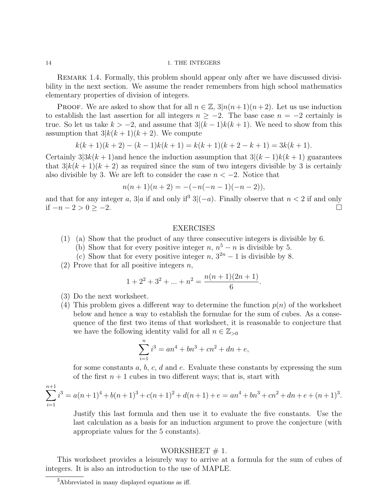REMARK 1.4. Formally, this problem should appear only after we have discussed divisibility in the next section. We assume the reader remembers from high school mathematics elementary properties of division of integers.

**PROOF.** We are asked to show that for all  $n \in \mathbb{Z}$ ,  $3|n(n+1)(n+2)$ . Let us use induction to establish the last assertion for all integers  $n > -2$ . The base case  $n = -2$  certainly is true. So let us take  $k > -2$ , and assume that  $3|(k-1)k(k+1)$ . We need to show from this assumption that  $3|k(k+1)(k+2)$ . We compute

$$
k(k+1)(k+2) - (k-1)k(k+1) = k(k+1)(k+2-k+1) = 3k(k+1).
$$

Certainly  $3|3k(k+1)$  and hence the induction assumption that  $3|(k-1)k(k+1)$  guarantees that  $3|k(k+1)(k+2)$  as required since the sum of two integers divisible by 3 is certainly also divisible by 3. We are left to consider the case  $n < -2$ . Notice that

$$
n(n+1)(n+2) = -(-n(-n-1)(-n-2)),
$$

and that for any integer a,  $3|a$  if and only if<sup>3</sup>  $3|(-a)$ . Finally observe that  $n < 2$  if and only if  $-n-2 > 0 \ge -2$ . □

#### EXERCISES

- (1) (a) Show that the product of any three consecutive integers is divisible by 6.
	- (b) Show that for every positive integer  $n, n^5 n$  is divisible by 5.
	- (c) Show that for every positive integer  $n, 3^{2n} 1$  is divisible by 8.
- (2) Prove that for all positive integers  $n$ ,

$$
1 + 22 + 32 + ... + n2 = \frac{n(n + 1)(2n + 1)}{6}.
$$

- (3) Do the next worksheet.
- (4) This problem gives a different way to determine the function  $p(n)$  of the worksheet below and hence a way to establish the formulae for the sum of cubes. As a consequence of the first two items of that worksheet, it is reasonable to conjecture that we have the following identity valid for all  $n \in \mathbb{Z}_{>0}$

$$
\sum_{i=1}^{n} i^3 = an^4 + bn^3 + cn^2 + dn + e,
$$

for some constants  $a, b, c, d$  and  $e$ . Evaluate these constants by expressing the sum of the first  $n+1$  cubes in two different ways; that is, start with

$$
\sum_{i=1}^{n+1} i^3 = a(n+1)^4 + b(n+1)^3 + c(n+1)^2 + d(n+1) + e = an^4 + bn^3 + cn^2 + dn + e + (n+1)^3.
$$

Justify this last formula and then use it to evaluate the five constants. Use the last calculation as a basis for an induction argument to prove the conjecture (with appropriate values for the 5 constants).

#### WORKSHEET  $# 1$ .

This worksheet provides a leisurely way to arrive at a formula for the sum of cubes of integers. It is also an introduction to the use of MAPLE.

<sup>3</sup>Abbreviated in many displayed equations as iff.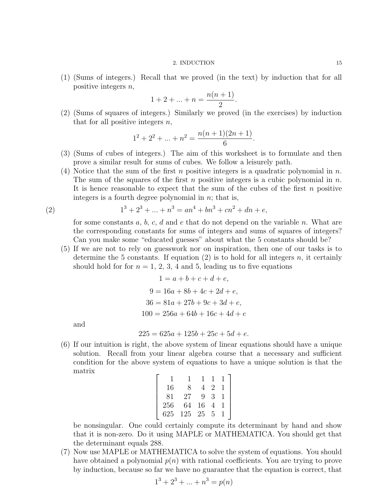#### 2. INDUCTION 15

(1) (Sums of integers.) Recall that we proved (in the text) by induction that for all positive integers  $n$ ,

$$
1 + 2 + \dots + n = \frac{n(n+1)}{2}.
$$

(2) (Sums of squares of integers.) Similarly we proved (in the exercises) by induction that for all positive integers  $n$ ,

$$
1^{2} + 2^{2} + \dots + n^{2} = \frac{n(n+1)(2n+1)}{6}.
$$

- (3) (Sums of cubes of integers.) The aim of this worksheet is to formulate and then prove a similar result for sums of cubes. We follow a leisurely path.
- (4) Notice that the sum of the first n positive integers is a quadratic polynomial in n. The sum of the squares of the first n positive integers is a cubic polynomial in  $n$ . It is hence reasonable to expect that the sum of the cubes of the first  $n$  positive integers is a fourth degree polynomial in  $n$ ; that is,

(2) 
$$
1^3 + 2^3 + \dots + n^3 = an^4 + bn^3 + cn^2 + dn + e,
$$

for some constants  $a, b, c, d$  and  $e$  that do not depend on the variable n. What are the corresponding constants for sums of integers and sums of squares of integers? Can you make some "educated guesses" about what the 5 constants should be?

(5) If we are not to rely on guesswork nor on inspiration, then one of our tasks is to determine the 5 constants. If equation  $(2)$  is to hold for all integers n, it certainly should hold for for  $n = 1, 2, 3, 4$  and 5, leading us to five equations

$$
1 = a + b + c + d + e,
$$
  
\n
$$
9 = 16a + 8b + 4c + 2d + e,
$$
  
\n
$$
36 = 81a + 27b + 9c + 3d + e,
$$
  
\n
$$
100 = 256a + 64b + 16c + 4d + e
$$

and

$$
225 = 625a + 125b + 25c + 5d + e.
$$

(6) If our intuition is right, the above system of linear equations should have a unique solution. Recall from your linear algebra course that a necessary and sufficient condition for the above system of equations to have a unique solution is that the matrix

| 16  |     |    |   |  |
|-----|-----|----|---|--|
| 81  | 27  | 9  | 3 |  |
| 256 | 64  | 16 |   |  |
| 625 | 125 | 25 |   |  |

be nonsingular. One could certainly compute its determinant by hand and show that it is non-zero. Do it using MAPLE or MATHEMATICA. You should get that the determinant equals 288.

(7) Now use MAPLE or MATHEMATICA to solve the system of equations. You should have obtained a polynomial  $p(n)$  with rational coefficients. You are trying to prove by induction, because so far we have no guarantee that the equation is correct, that

$$
1^3 + 2^3 + \dots + n^3 = p(n)
$$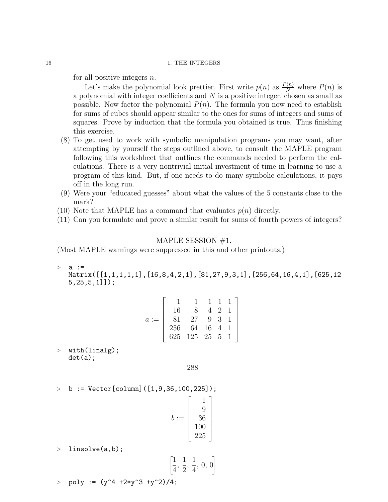for all positive integers  $n$ .

Let's make the polynomial look prettier. First write  $p(n)$  as  $\frac{P(n)}{N}$  where  $P(n)$  is a polynomial with integer coefficients and  $N$  is a positive integer, chosen as small as possible. Now factor the polynomial  $P(n)$ . The formula you now need to establish for sums of cubes should appear similar to the ones for sums of integers and sums of squares. Prove by induction that the formula you obtained is true. Thus finishing this exercise.

- (8) To get used to work with symbolic manipulation programs you may want, after attempting by yourself the steps outlined above, to consult the MAPLE program following this workshheet that outlines the commands needed to perform the calculations. There is a very nontrivial initial investment of time in learning to use a program of this kind. But, if one needs to do many symbolic calculations, it pays off in the long run.
- (9) Were your "educated guesses" about what the values of the 5 constants close to the mark?
- (10) Note that MAPLE has a command that evaluates  $p(n)$  directly.
- (11) Can you formulate and prove a similar result for sums of fourth powers of integers?

#### MAPLE SESSION  $#1$ .

(Most MAPLE warnings were suppressed in this and other printouts.)

<sup>&</sup>gt; a := Matrix([[1,1,1,1,1],[16,8,4,2,1],[81,27,9,3,1],[256,64,16,4,1],[625,12 5,25,5,1]]);

$$
a := \left[\begin{array}{rrrr} 1 & 1 & 1 & 1 & 1 \\ 16 & 8 & 4 & 2 & 1 \\ 81 & 27 & 9 & 3 & 1 \\ 256 & 64 & 16 & 4 & 1 \\ 625 & 125 & 25 & 5 & 1 \end{array}\right]
$$

<sup>&</sup>gt; with(linalg); det(a);

288

 $> b := Vector[column] ([1, 9, 36, 100, 225])$ ;

$$
b := \left[\begin{array}{c}1\\9\\36\\100\\225\end{array}\right]
$$

<sup>&</sup>gt; linsolve(a,b);

$$
\left[\frac{1}{4},\,\frac{1}{2},\,\frac{1}{4},\,0,\,0\right]
$$

 $poly := (y^4 +2*y^3 +y^2)/4;$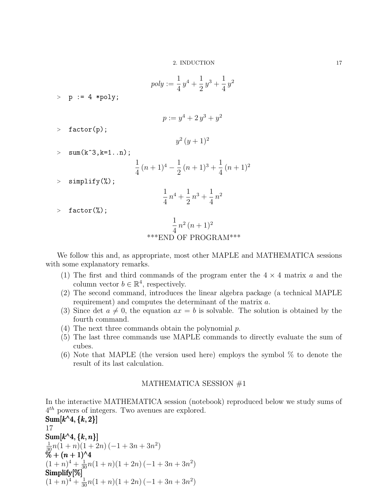$$
poly := \frac{1}{4}y^4 + \frac{1}{2}y^3 + \frac{1}{4}y^2
$$

 $>$  p := 4 \*poly;

 $>$  factor(p);

$$
p := y^4 + 2y^3 + y^2
$$

 $y^2(y+1)^2$ 

- $>$  sum(k<sup>-2</sup>3, k=1..n); 1  $\frac{1}{4}(n+1)^4 - \frac{1}{2}$ 2  $(n+1)^3 + \frac{1}{4}$ 4  $(n+1)^2$  $>$  simplify(%); 1 4  $n^4 + \frac{1}{2}$ 2  $n^3 + \frac{1}{4}$ 4  $n^2$
- $>$  factor $(\%)$ ;

$$
\frac{1}{4}n^2 (n+1)^2
$$
  
\*\*\*END OF PROGRAM\*\*\*

We follow this and, as appropriate, most other MAPLE and MATHEMATICA sessions with some explanatory remarks.

- (1) The first and third commands of the program enter the  $4 \times 4$  matrix a and the column vector  $b \in \mathbb{R}^4$ , respectively.
- (2) The second command, introduces the linear algebra package (a technical MAPLE requirement) and computes the determinant of the matrix a.
- (3) Since det  $a \neq 0$ , the equation  $ax = b$  is solvable. The solution is obtained by the fourth command.
- (4) The next three commands obtain the polynomial  $p$ .
- (5) The last three commands use MAPLE commands to directly evaluate the sum of cubes.
- (6) Note that MAPLE (the version used here) employs the symbol % to denote the result of its last calculation.

# MATHEMATICA SESSION #1

In the interactive MATHEMATICA session (notebook) reproduced below we study sums of  $4<sup>th</sup>$  powers of integers. Two avenues are explored.

```
\text{Sum}[k^{\wedge}4, \{k,2\}]17
Sum[k^{\wedge}4, \{k, n\}]\frac{\text{Sum}[k^{\mathsf{A}}4, \{k,n\}]}{\frac{1}{30}n(1+n)(1+2n)(-1+3n+3n^2)}%+(n+1)^{2}\left(1+n\right)^4 + \frac{1}{30}n(1+n)(1+2n)(-1+3n+3n^2)Simplify[%]
(1+n)^4 + \frac{1}{30}n(1+n)(1+2n)(-1+3n+3n^2)
```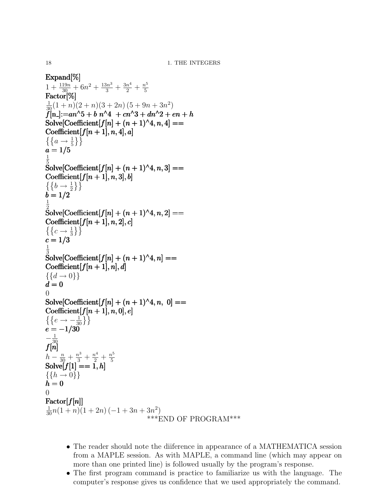# Expand[%]  $\frac{1}{30} + \frac{119n}{30} + 6n^2 + \frac{13n^3}{3} + \frac{3n^4}{2} + \frac{n^5}{5}$  $\frac{1}{2}$   $\frac{30}{2}$   $\frac{5}{2}$   $\frac{1}{2}$   $\frac{3}{2}$   $\frac{1}{2}$   $\frac{3}{2}$  $\frac{1}{30}(1+n)(2+n)(3+2n)(5+9n+3n^2)$  $f[{\rm{n}}\_]{:=} an^{\wedge}5 + b\; n^{\wedge}4\; + cn^{\wedge}3 + dn^{\wedge}2 + en + h$  $\text{Solve}[\text{Coefficient}[f[n] + (n+1)^A 4, n, 4] ==$ Coefficient $[f[n+1], n, 4], a]$  $\left\{ \left\{ a\rightarrow\frac{1}{5}\right\} \right\}$  $a = 1/5$ 1  $\text{\AA}^5$ olve[Coefficient $[f[n]+(n+1)^{\wedge}4,n,3] ==$ Coefficient $[f[n+1], n, 3], b]$  $\left\{ \left\{ b \rightarrow \frac{1}{2} \right\} \right\}$  $b = 1/2$ 1  $\stackrel{2}{\text{Solve}}[\text{Coefficient}[f[n]+(n+1)^{\wedge}4,n,2] ==$ Coefficient $[f[n+1], n, 2], c]$  $\left\{ \left\{ c\rightarrow\frac{1}{3}\right\} \right\}$  $c = 1/3$ 1  $\stackrel{3}{\text{Solve}}[\text{Coefficient}[f[n]+(n+1)^\wedge 4,n] ==$ Coefficient $[f[n+1], n], d$  $\{\{d \rightarrow 0\}\}\$  $d = 0$ 0  $Solve[Coefficient[f[n] + (n+1)^{n}, n, 0] ==$ Coefficient $[f[n+1], n, 0], e]$  $\left\{ \left\{ e \rightarrow -\frac{1}{30} \right\} \right\}$  $e = -1/30$  $-\frac{1}{30}$  $f[\stackrel{30}{n}]$  $h - \frac{n}{30} + \frac{n^3}{3} + \frac{n^4}{2} + \frac{n^5}{5}$  $\overset{\cdot\cdot\cdot}{\text{Solve}}[\overset{\cdot\cdot}{f[1]}\overset{\cdot\cdot\cdot}{=}\overset{\cdot\cdot}{1},\overset{\cdot\cdot}{h]}\overset{\cdot\cdot\cdot}{]}$  $\{ \{ h \to 0 \} \}$  $h = 0$ 0  $\mathrm{Factor}[f[n]]$

 $\frac{1}{30}n(1+n)(1+2n)(-1+3n+3n^2)$ \*\*\*END OF PROGRAM\*\*\*

- The reader should note the diiference in appearance of a MATHEMATICA session from a MAPLE session. As with MAPLE, a command line (which may appear on more than one printed line) is followed usually by the program's response.
- The first program command is practice to familiarize us with the language. The computer's response gives us confidence that we used appropriately the command.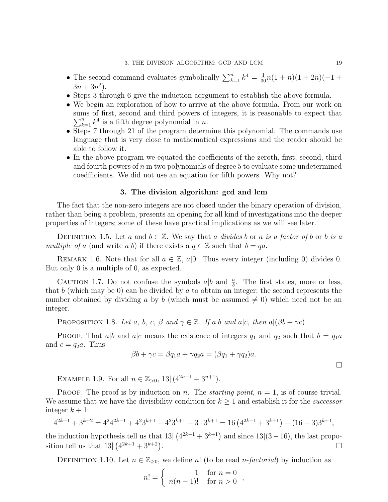- The second command evaluates symbolically  $\sum_{k=1}^{n} k^4 = \frac{1}{30}n(1+n)(1+2n)(-1+$  $3n + 3n^2$ ).
- Steps 3 through 6 give the induction aqrgument to establish the above formula.
- We begin an exploration of how to arrive at the above formula. From our work on  $\sum_{k=1}^{n} k^4$  is a fifth degree polynomial in *n*. sums of first, second and third powers of integers, it is reasonable to expect that
- Steps 7 through 21 of the program determine this polynomial. The commands use language that is very close to mathematical expressions and the reader should be able to follow it.
- In the above program we equated the coefficients of the zeroth, first, second, third and fourth powers of  $n$  in two polynomials of degree 5 to evaluate some undetermined coedfficients. We did not use an equation for fifth powers. Why not?

# 3. The division algorithm: gcd and lcm

The fact that the non-zero integers are not closed under the binary operation of division, rather than being a problem, presents an opening for all kind of investigations into the deeper properties of integers; some of these have practical implications as we will see later.

DEFINITION 1.5. Let a and  $b \in \mathbb{Z}$ . We say that a divides b or a is a factor of b or b is a multiple of a (and write a|b) if there exists a  $q \in \mathbb{Z}$  such that  $b = qa$ .

REMARK 1.6. Note that for all  $a \in \mathbb{Z}$ ,  $a|0$ . Thus every integer (including 0) divides 0. But only 0 is a multiple of 0, as expected.

CAUTION 1.7. Do not confuse the symbols  $a|b$  and  $\frac{a}{b}$ . The first states, more or less, that b (which may be 0) can be divided by a to obtain an integer; the second represents the number obtained by dividing a by b (which must be assumed  $\neq 0$ ) which need not be an integer.

PROPOSITION 1.8. Let a, b, c,  $\beta$  and  $\gamma \in \mathbb{Z}$ . If a|b and a|c, then a|( $\beta b + \gamma c$ ).

**PROOF.** That a|b and a|c means the existence of integers  $q_1$  and  $q_2$  such that  $b = q_1a$ and  $c = q_2a$ . Thus

$$
\beta b + \gamma c = \beta q_1 a + \gamma q_2 a = (\beta q_1 + \gamma q_2)a.
$$

EXAMPLE 1.9. For all  $n \in \mathbb{Z}_{>0}$ , 13 $\left|\right. (4^{2n-1} + 3^{n+1})$ .

**PROOF.** The proof is by induction on n. The *starting point*,  $n = 1$ , is of course trivial. We assume that we have the divisibility condition for  $k \geq 1$  and establish it for the successor integer  $k + 1$ :

$$
4^{2k+1} + 3^{k+2} = 4^2 4^{2k-1} + 4^2 3^{k+1} - 4^2 3^{k+1} + 3 \cdot 3^{k+1} = 16 \left( 4^{2k-1} + 3^{k+1} \right) - (16-3)3^{k+1};
$$

the induction hypothesis tell us that  $13|$   $(4^{2k-1} + 3^{k+1})$  and since  $13|(3-16)$ , the last proposition tell us that  $13 \left( 4^{2k+1} + 3^{k+2} \right)$ .

DEFINITION 1.10. Let  $n \in \mathbb{Z}_{\geq 0}$ , we define n! (to be read *n-factorial*) by induction as

$$
n! = \begin{cases} 1 & \text{for } n = 0 \\ n(n-1)! & \text{for } n > 0 \end{cases}
$$

 $\Box$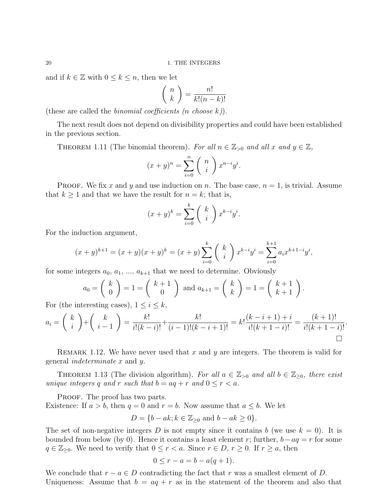and if  $k \in \mathbb{Z}$  with  $0 \leq k \leq n$ , then we let

$$
\left(\begin{array}{c}n\\k\end{array}\right)=\frac{n!}{k!(n-k)!}
$$

(these are called the *binomial coefficients*  $(n \; choose \; k)$ ).

The next result does not depend on divisibility properties and could have been established in the previous section.

THEOREM 1.11 (The binomial theorem). For all  $n \in \mathbb{Z}_{>0}$  and all x and  $y \in \mathbb{Z}$ ,

$$
(x+y)^n = \sum_{i=0}^n \binom{n}{i} x^{n-i} y^i.
$$

**PROOF.** We fix x and y and use induction on n. The base case,  $n = 1$ , is trivial. Assume that  $k \geq 1$  and that we have the result for  $n = k$ ; that is,

$$
(x+y)^k = \sum_{i=0}^k \binom{k}{i} x^{k-i} y^i.
$$

For the induction argument,

$$
(x+y)^{k+1} = (x+y)(x+y)^k = (x+y)\sum_{i=0}^k \binom{k}{i} x^{k-i} y^i = \sum_{i=0}^{k+1} a_i x^{k+1-i} y^i,
$$

for some integers  $a_0, a_1, ..., a_{k+1}$  that we need to determine. Obviously

$$
a_0 = \begin{pmatrix} k \\ 0 \end{pmatrix} = 1 = \begin{pmatrix} k+1 \\ 0 \end{pmatrix} \text{ and } a_{k+1} = \begin{pmatrix} k \\ k \end{pmatrix} = 1 = \begin{pmatrix} k+1 \\ k+1 \end{pmatrix}.
$$

For (the interesting cases),  $1 \leq i \leq k$ ,

$$
a_i = \binom{k}{i} + \binom{k}{i-1} = \frac{k!}{i!(k-i)!} + \frac{k!}{(i-1)!(k-i+1)!} = k! \frac{(k-i+1)+i}{i!(k+1-i)!} = \frac{(k+1)!}{i!(k+1-i)!}.
$$

REMARK 1.12. We have never used that x and y are integers. The theorem is valid for general indeterminate x and y.

THEOREM 1.13 (The division algorithm). For all  $a \in \mathbb{Z}_{>0}$  and all  $b \in \mathbb{Z}_{\geq 0}$ , there exist unique integers q and r such that  $b = aq + r$  and  $0 \le r < a$ .

PROOF. The proof has two parts.

Existence: If  $a > b$ , then  $q = 0$  and  $r = b$ . Now assume that  $a \leq b$ . We let

$$
D = \{b - ak; k \in \mathbb{Z}_{\geq 0} \text{ and } b - ak \geq 0\}.
$$

The set of non-negative integers D is not empty since it contains b (we use  $k = 0$ ). It is bounded from below (by 0). Hence it contains a least element r; further,  $b-aq = r$  for some  $q \in \mathbb{Z}_{\geq 0}$ . We need to verify that  $0 \leq r < a$ . Since  $r \in D$ ,  $r \geq 0$ . If  $r \geq a$ , then

$$
0 \le r - a = b - a(q+1).
$$

We conclude that  $r - a \in D$  contradicting the fact that r was a smallest element of D. Uniqueness: Assume that  $b = aq + r$  as in the statement of the theorem and also that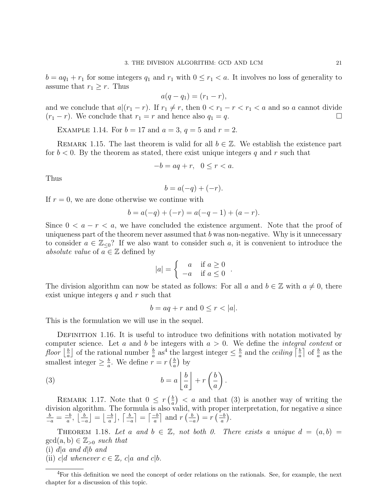$b = aq_1 + r_1$  for some integers  $q_1$  and  $r_1$  with  $0 \le r_1 < a$ . It involves no loss of generality to assume that  $r_1 \geq r$ . Thus

$$
a(q-q_1)=(r_1-r),
$$

and we conclude that  $a|(r_1 - r)$ . If  $r_1 \neq r$ , then  $0 < r_1 - r < r_1 < a$  and so a cannot divide  $(r_1 - r)$ . We conclude that  $r_1 = r$  and hence also  $q_1 = q$ .  $(r_1 - r)$ . We conclude that  $r_1 = r$  and hence also  $q_1 = q$ .

EXAMPLE 1.14. For  $b = 17$  and  $a = 3$ ,  $q = 5$  and  $r = 2$ .

REMARK 1.15. The last theorem is valid for all  $b \in \mathbb{Z}$ . We establish the existence part for  $b < 0$ . By the theorem as stated, there exist unique integers q and r such that

$$
-b = aq + r, \ \ 0 \le r < a.
$$

Thus

$$
b = a(-q) + (-r).
$$

If  $r = 0$ , we are done otherwise we continue with

$$
b = a(-q) + (-r) = a(-q - 1) + (a - r).
$$

Since  $0 < a - r < a$ , we have concluded the existence argument. Note that the proof of uniqueness part of the theorem never assumed that  $b$  was non-negative. Why is it unnecessary to consider  $a \in \mathbb{Z}_{\leq 0}$ ? If we also want to consider such a, it is convenient to introduce the absolute value of  $a \in \mathbb{Z}$  defined by

$$
|a| = \begin{cases} a & \text{if } a \ge 0 \\ -a & \text{if } a \le 0 \end{cases}
$$

.

The division algorithm can now be stated as follows: For all a and  $b \in \mathbb{Z}$  with  $a \neq 0$ , there exist unique integers  $q$  and  $r$  such that

 $b = aa + r$  and  $0 \leq r \leq |a|$ .

This is the formulation we will use in the sequel.

DEFINITION 1.16. It is useful to introduce two definitions with notation motivated by computer science. Let a and b be integers with  $a > 0$ . We define the *integral content* or floor  $\frac{b}{a}$  $\frac{b}{a}$  of the rational number  $\frac{b}{a}$  as<sup>4</sup> the largest integer  $\leq \frac{b}{a}$  $\frac{b}{a}$  and the *ceiling*  $\left\lceil \frac{b}{a} \right\rceil$  $\frac{b}{a}$  of  $\frac{b}{a}$  as the smallest integer  $\geq \frac{b}{a}$  $\frac{b}{a}$ . We define  $r = r \left(\frac{b}{a}\right)$  $rac{b}{a}$ ) by

(3) 
$$
b = a \left\lfloor \frac{b}{a} \right\rfloor + r \left( \frac{b}{a} \right).
$$

REMARK 1.17. Note that  $0 \leq r \left( \frac{b}{a} \right)$  $\frac{b}{a}$   $\left( \alpha \right)$  and that (3) is another way of writing the division algorithm. The formula is also valid, with proper interpretation, for negative a since  $\frac{b}{-a} = \frac{-b}{a}, \lfloor \frac{b}{-a} \rfloor$  $\left\lfloor \frac{b}{-a} \right\rfloor = \left\lfloor \frac{-b}{a} \right\rfloor, \left\lceil \frac{b}{-a} \right\rfloor$  $\left\lfloor \frac{b}{-a} \right\rfloor = \left\lceil \frac{-b}{a} \right\rceil$  and  $r \left( \frac{b}{-a} \right)$  $\frac{b}{-a}$ ) =  $r\left(\frac{-b}{a}\right)$ .

THEOREM 1.18. Let a and  $b \in \mathbb{Z}$ , not both 0. There exists a unique  $d = (a, b) =$  $gcd(a, b) \in \mathbb{Z}_{\geq 0}$  such that

(i)  $d|a$  and  $d|b$  and

(ii) c|d whenever  $c \in \mathbb{Z}$ , c|a and c|b.

<sup>&</sup>lt;sup>4</sup>For this definition we need the concept of order relations on the rationals. See, for example, the next chapter for a discussion of this topic.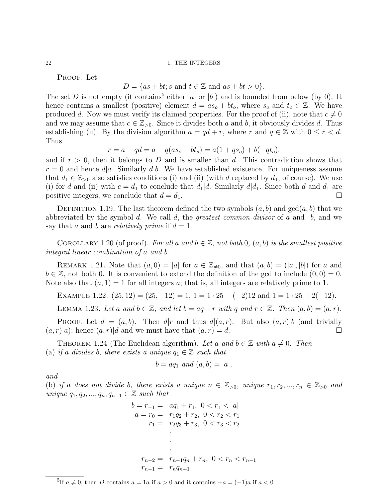#### 22 1. THE INTEGERS

PROOF. Let

# $D = \{as + bt; s \text{ and } t \in \mathbb{Z} \text{ and } as + bt > 0\}.$

The set D is not empty (it contains<sup>5</sup> either |a| or |b|) and is bounded from below (by 0). It hence contains a smallest (positive) element  $d = as_o + bt_o$ , where  $s_o$  and  $t_o \in \mathbb{Z}$ . We have produced d. Now we must verify its claimed properties. For the proof of (ii), note that  $c \neq 0$ and we may assume that  $c \in \mathbb{Z}_{>0}$ . Since it divides both a and b, it obviously divides d. Thus establishing (ii). By the division algorithm  $a = qd + r$ , where r and  $q \in \mathbb{Z}$  with  $0 \le r < d$ . Thus

$$
r = a - qd = a - q(as_o + bt_o) = a(1 + qs_o) + b(-qt_o),
$$

and if  $r > 0$ , then it belongs to D and is smaller than d. This contradiction shows that  $r = 0$  and hence  $d|a$ . Similarly  $d|b$ . We have established existence. For uniqueness assume that  $d_1 \in \mathbb{Z}_{>0}$  also satisfies conditions (i) and (ii) (with d replaced by  $d_1$ , of course). We use (i) for d and (ii) with  $c = d_1$  to conclude that  $d_1|d$ . Similarly  $d|d_1$ . Since both d and  $d_1$  are nositive integers we conclude that  $d = d_1$ positive integers, we conclude that  $d = d_1$ .

DEFINITION 1.19. The last theorem defined the two symbols  $(a, b)$  and  $gcd(a, b)$  that we abbreviated by the symbol d. We call d, the *greatest common divisor* of a and b, and we say that a and b are relatively prime if  $d = 1$ .

COROLLARY 1.20 (of proof). For all a and  $b \in \mathbb{Z}$ , not both 0,  $(a, b)$  is the smallest positive integral linear combination of a and b.

REMARK 1.21. Note that  $(a, 0) = |a|$  for  $a \in \mathbb{Z}_{\neq 0}$ , and that  $(a, b) = (|a|, |b|)$  for a and  $b \in \mathbb{Z}$ , not both 0. It is convenient to extend the definition of the gcd to include  $(0, 0) = 0$ . Note also that  $(a, 1) = 1$  for all integers a; that is, all integers are relatively prime to 1.

EXAMPLE 1.22.  $(25, 12) = (25, -12) = 1$ ,  $1 = 1 \cdot 25 + (-2)12$  and  $1 = 1 \cdot 25 + 2(-12)$ .

LEMMA 1.23. Let a and  $b \in \mathbb{Z}$ , and let  $b = aq + r$  with q and  $r \in \mathbb{Z}$ . Then  $(a, b) = (a, r)$ .

**PROOF.** Let  $d = (a, b)$ . Then  $d|r$  and thus  $d|(a, r)$ . But also  $(a, r)|b$  (and trivially  $r||a|$ ): hence  $(a, r)|d$  and we must have that  $(a, r) = d$ .  $(a, r)|a$ ; hence  $(a, r)|d$  and we must have that  $(a, r) = d$ .

THEOREM 1.24 (The Euclidean algorithm). Let a and  $b \in \mathbb{Z}$  with  $a \neq 0$ . Then (a) if a divides b, there exists a unique  $q_1 \in \mathbb{Z}$  such that

$$
b = aq_1 \ and \ (a, b) = |a|,
$$

and

(b) if a does not divide b, there exists a unique  $n \in \mathbb{Z}_{>0}$ , unique  $r_1, r_2, ..., r_n \in \mathbb{Z}_{>0}$  and unique  $q_1, q_2, ..., q_n, q_{n+1} \in \mathbb{Z}$  such that

$$
b = r_{-1} = aq_1 + r_1, \ 0 < r_1 < |a|
$$
\n
$$
a = r_0 = r_1 q_2 + r_2, \ 0 < r_2 < r_1
$$
\n
$$
r_1 = r_2 q_3 + r_3, \ 0 < r_3 < r_2
$$
\n
$$
\vdots
$$
\n
$$
r_{n-2} = r_{n-1} q_n + r_n, \ 0 < r_n < r_{n-1}
$$
\n
$$
r_{n-1} = r_n q_{n+1}
$$

<sup>5</sup>If  $a \neq 0$ , then D contains  $a = 1a$  if  $a > 0$  and it contains  $-a = (-1)a$  if  $a < 0$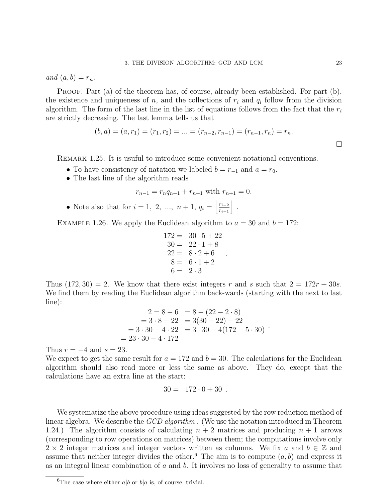and  $(a, b) = r_n$ .

PROOF. Part (a) of the theorem has, of course, already been established. For part (b), the existence and uniqueness of  $n$ , and the collections of  $r_i$  and  $q_i$  follow from the division algorithm. The form of the last line in the list of equations follows from the fact that the  $r_i$ are strictly decreasing. The last lemma tells us that

$$
(b, a) = (a, r_1) = (r_1, r_2) = \dots = (r_{n-2}, r_{n-1}) = (r_{n-1}, r_n) = r_n.
$$

Remark 1.25. It is usuful to introduce some convenient notational conventions.

- To have consistency of natation we labeled  $b = r_{-1}$  and  $a = r_0$ .
- The last line of the algorithm reads

$$
r_{n-1} = r_n q_{n+1} + r_{n+1} \text{ with } r_{n+1} = 0.
$$

• Note also that for  $i = 1, 2, ..., n + 1, q_i = \left| \frac{r_{i-2}}{r_{i-1}} \right|$  $r_{i-1}$  $\vert$  .

EXAMPLE 1.26. We apply the Euclidean algorithm to  $a = 30$  and  $b = 172$ :

$$
172 = 30 \cdot 5 + 22 \n30 = 22 \cdot 1 + 8 \n22 = 8 \cdot 2 + 6 \n8 = 6 \cdot 1 + 2 \n6 = 2 \cdot 3
$$

.

Thus  $(172, 30) = 2$ . We know that there exist integers r and s such that  $2 = 172r + 30s$ . We find them by reading the Euclidean algorithm back-wards (starting with the next to last line):

$$
2 = 8 - 6 = 8 - (22 - 2 \cdot 8)
$$
  
= 3 \cdot 8 - 22 = 3(30 - 22) - 22  
= 3 \cdot 30 - 4 \cdot 22 = 3 \cdot 30 - 4(172 - 5 \cdot 30)

Thus  $r = -4$  and  $s = 23$ .

We expect to get the same result for  $a = 172$  and  $b = 30$ . The calculations for the Euclidean algorithm should also read more or less the same as above. They do, except that the calculations have an extra line at the start:

$$
30 = 172 \cdot 0 + 30.
$$

We systematize the above procedure using ideas suggested by the row reduction method of linear algebra. We describe the *GCD algorithm*. (We use the notation introduced in Theorem 1.24.) The algorithm consists of calculating  $n + 2$  matrices and producing  $n + 1$  arrows (corresponding to row operations on matrices) between them; the computations involve only  $2 \times 2$  integer matrices and integer vectors written as columns. We fix a and  $b \in \mathbb{Z}$  and assume that neither integer divides the other.<sup>6</sup> The aim is to compute  $(a, b)$  and express it as an integral linear combination of  $a$  and  $b$ . It involves no loss of generality to assume that

 $\Box$ 

<sup>&</sup>lt;sup>6</sup>The case where either a|b or b|a is, of course, trivial.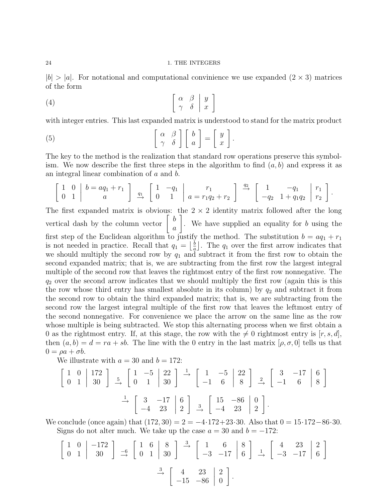$|b| > |a|$ . For notational and computational convinience we use expanded  $(2 \times 3)$  matrices of the form

$$
\begin{bmatrix} \alpha & \beta & y \\ \gamma & \delta & x \end{bmatrix}
$$

with integer entries. This last expanded matrix is understood to stand for the matrix product

(5) 
$$
\begin{bmatrix} \alpha & \beta \\ \gamma & \delta \end{bmatrix} \begin{bmatrix} b \\ a \end{bmatrix} = \begin{bmatrix} y \\ x \end{bmatrix}.
$$

The key to the method is the realization that standard row operations preserve this symbolism. We now describe the first three steps in the algorithm to find  $(a, b)$  and express it as an integral linear combination of a and b.

$$
\left[\begin{array}{cc|c}1 & 0 & b = aq_1 + r_1 \\ 0 & 1 & a \end{array}\right] \xrightarrow{q_1} \left[\begin{array}{cc|c}1 & -q_1 & r_1 \\ 0 & 1 & a = r_1q_2 + r_2 \end{array}\right] \xrightarrow{q_2} \left[\begin{array}{cc|c}1 & -q_1 & r_1 \\ -q_2 & 1 + q_1q_2 & r_2 \end{array}\right].
$$

The first expanded matrix is obvious: the  $2 \times 2$  identity matrix followed after the long vertical dash by the column vector  $\begin{bmatrix} b \\ a \end{bmatrix}$ a 1 . We have supplied an equality for  $b$  using the first step of the Euclidean algorithm to justify the method. The substitution  $b = aq_1 + r_1$ is not needed in practice. Recall that  $q_1 = \left\lfloor \frac{b}{a} \right\rfloor$  $\frac{b}{a}$ . The  $q_1$  over the first arrow indicates that we should multiply the second row by  $q_1$  and subtract it from the first row to obtain the second expanded matrix; that is, we are subtracting from the first row the largest integral multiple of the second row that leaves the rightmost entry of the first row nonnegative. The  $q_2$  over the second arrow indicates that we should multiply the first row (again this is this the row whose third entry has smallest absolute in its column) by  $q_2$  and subtract it from the second row to obtain the third expanded matrix; that is, we are subtracting from the second row the largest integral multiple of the first row that leaves the leftmost entry of the second nonnegative. For convenience we place the arrow on the same line as the row whose multiple is being subtracted. We stop this alternating process when we first obtain a 0 as the rightmost entry. If, at this stage, the row with the  $\neq 0$  rightmost entry is  $[r, s, d]$ , then  $(a, b) = d = ra + sb$ . The line with the 0 entry in the last matrix  $[\rho, \sigma, 0]$  tells us that  $0 = \rho a + \sigma b.$ 

We illustrate with  $a = 30$  and  $b = 172$ :

$$
\begin{bmatrix} 1 & 0 & | & 172 \\ 0 & 1 & | & 30 \end{bmatrix} \xrightarrow{5} \begin{bmatrix} 1 & -5 & | & 22 \\ 0 & 1 & | & 30 \end{bmatrix} \xrightarrow{1} \begin{bmatrix} 1 & -5 & | & 22 \\ -1 & 6 & | & 8 \end{bmatrix} \xrightarrow{2} \begin{bmatrix} 3 & -17 & | & 6 \\ -1 & 6 & | & 8 \end{bmatrix}
$$

$$
\xrightarrow{1} \begin{bmatrix} 3 & -17 & | & 6 \\ -4 & 23 & | & 2 \end{bmatrix} \xrightarrow{3} \begin{bmatrix} 15 & -86 & | & 0 \\ -4 & 23 & | & 2 \end{bmatrix}.
$$

We conclude (once again) that  $(172, 30) = 2 = -4.172 + 23.30$ . Also that  $0 = 15.172 - 86.30$ . Signs do not alter much. We take up the case  $a = 30$  and  $b = -172$ :

$$
\begin{bmatrix} 1 & 0 & | & -172 \\ 0 & 1 & | & 30 \end{bmatrix} \xrightarrow{-6} \begin{bmatrix} 1 & 6 & | & 8 \\ 0 & 1 & | & 30 \end{bmatrix} \xrightarrow{3} \begin{bmatrix} 1 & 6 & | & 8 \\ -3 & -17 & | & 6 \end{bmatrix} \xrightarrow{1}{\xrightarrow{4}} \begin{bmatrix} 4 & 23 & | & 2 \\ -3 & -17 & | & 6 \end{bmatrix}
$$
\n
$$
\xrightarrow{3} \begin{bmatrix} 4 & 23 & | & 2 \\ -15 & -86 & | & 0 \end{bmatrix}.
$$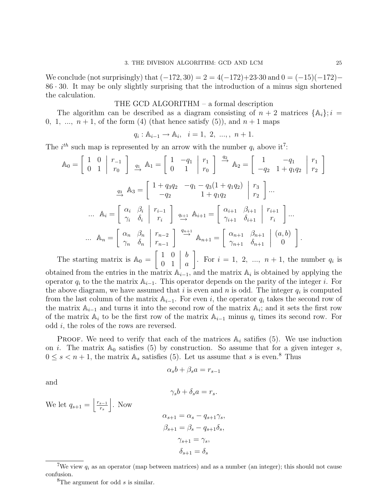We conclude (not surprisingly) that  $(-172, 30) = 2 = 4(-172)+23.30$  and  $0 = (-15)(-172)$ 86 · 30. It may be only slightly surprising that the introduction of a minus sign shortened the calculation.

THE GCD ALGORITHM – a formal description

The algorithm can be described as a diagram consisting of  $n + 2$  matrices  $\{A_i\}$ ;  $i =$ 0, 1, ...,  $n+1$ , of the form (4) (that hence satisfy (5)), and  $n+1$  maps

$$
q_i: \mathbb{A}_{i-1} \to \mathbb{A}_i, \quad i = 1, 2, ..., n+1.
$$

The  $i^{th}$  such map is represented by an arrow with the number  $q_i$  above it.<sup>7</sup>:

$$
\mathbb{A}_{0} = \begin{bmatrix} 1 & 0 & r_{-1} \\ 0 & 1 & r_{0} \end{bmatrix} \xrightarrow{q_{1}} \mathbb{A}_{1} = \begin{bmatrix} 1 & -q_{1} & r_{1} \\ 0 & 1 & r_{0} \end{bmatrix} \xrightarrow{q_{2}} \mathbb{A}_{2} = \begin{bmatrix} 1 & -q_{1} & r_{1} \\ -q_{2} & 1 + q_{1}q_{2} & r_{2} \end{bmatrix}
$$
\n
$$
\xrightarrow{q_{3}} \mathbb{A}_{3} = \begin{bmatrix} 1 + q_{3}q_{2} & -q_{1} - q_{3}(1 + q_{1}q_{2}) & r_{3} \\ -q_{2} & 1 + q_{1}q_{2} & r_{2} \end{bmatrix} \cdots
$$
\n
$$
\dots \mathbb{A}_{i} = \begin{bmatrix} \alpha_{i} & \beta_{i} & r_{i-1} \\ \gamma_{i} & \delta_{i} & r_{i} \end{bmatrix} \xrightarrow{q_{i+1}} \mathbb{A}_{i+1} = \begin{bmatrix} \alpha_{i+1} & \beta_{i+1} & r_{i+1} \\ \gamma_{i+1} & \delta_{i+1} & r_{i} \end{bmatrix} \cdots
$$
\n
$$
\dots \mathbb{A}_{n} = \begin{bmatrix} \alpha_{n} & \beta_{n} & r_{n-2} \\ \gamma_{n} & \delta_{n} & r_{n-1} \end{bmatrix} \xrightarrow{q_{n+1}} \mathbb{A}_{n+1} = \begin{bmatrix} \alpha_{n+1} & \beta_{n+1} & (\alpha_{i}, b) \\ \gamma_{n+1} & \delta_{n+1} & 0 \end{bmatrix}.
$$
\n
$$
\text{The starting matrix is } \mathbb{A} \qquad \begin{bmatrix} 1 & 0 & | & b \end{bmatrix} \qquad \text{For } i = 1, 2, \ldots, n+1 \text{ the number}
$$

The starting matrix is  $\mathbb{A}_0 = \begin{bmatrix} 1 & 0 \\ 0 & 1 \end{bmatrix}$ 0 1 a For  $i = 1, 2, ..., n+1$ , the number  $q_i$  is obtained from the entries in the matrix  $\mathbb{A}_{i-1}$ , and the matrix  $\mathbb{A}_i$  is obtained by applying the operator  $q_i$  to the the matrix  $\mathbb{A}_{i-1}$ . This operator depends on the parity of the integer i. For the above diagram, we have assumed that  $i$  is even and  $n$  is odd. The integer  $q_i$  is computed from the last column of the matrix  $\mathbb{A}_{i-1}$ . For even i, the operator  $q_i$  takes the second row of the matrix  $\mathbb{A}_{i-1}$  and turns it into the second row of the matrix  $\mathbb{A}_i$ ; and it sets the first row of the matrix  $\mathbb{A}_i$  to be the first row of the matrix  $\mathbb{A}_{i-1}$  minus  $q_i$  times its second row. For odd i, the roles of the rows are reversed.

**PROOF.** We need to verify that each of the matrices  $\mathbb{A}_i$  satifies (5). We use induction on *i*. The matrix  $\mathbb{A}_0$  satisfies (5) by construction. So assume that for a given integer *s*,  $0 \leq s < n+1$ , the matrix  $\mathbb{A}_s$  satisfies (5). Let us assume that s is even.<sup>8</sup> Thus

$$
\alpha_s b + \beta_s a = r_{s-1}
$$

and

$$
\gamma_s b + \delta_s a = r_s.
$$

We let  $q_{s+1} = \left\lfloor \frac{r_{s-1}}{r_s} \right\rfloor$  $r_s$  $\vert$ . Now

$$
\alpha_{s+1} = \alpha_s - q_{s+1}\gamma_s,
$$
  
\n
$$
\beta_{s+1} = \beta_s - q_{s+1}\delta_s,
$$
  
\n
$$
\gamma_{s+1} = \gamma_s,
$$
  
\n
$$
\delta_{s+1} = \delta_s
$$

<sup>&</sup>lt;sup>7</sup>We view  $q_i$  as an operator (map between matrices) and as a number (an integer); this should not cause confusion.

<sup>&</sup>lt;sup>8</sup>The argument for odd  $s$  is similar.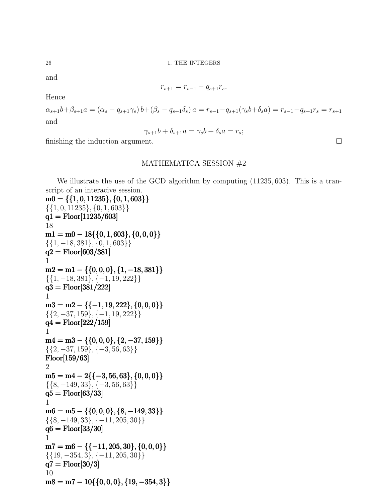and

$$
r_{s+1}=r_{s-1}-q_{s+1}r_s.
$$

Hence

 $\alpha_{s+1}b+\beta_{s+1}a = (\alpha_s - q_{s+1}\gamma_s)\,b+(\beta_s - q_{s+1}\delta_s)\,a = r_{s-1}-q_{s+1}(\gamma_s b+\delta_s a) = r_{s-1}-q_{s+1}r_s = r_{s+1}$ and

$$
\gamma_{s+1}b + \delta_{s+1}a = \gamma_s b + \delta_s a = r_s;
$$

finishing the induction argument.

## MATHEMATICA SESSION #2

We illustrate the use of the GCD algorithm by computing  $(11235, 603)$ . This is a transcript of an interacive session.

```
m0 = \{\{1, 0, 11235\}, \{0, 1, 603\}\}\\{\{1, 0, 11235\}, \{0, 1, 603\}\}\q1 = Floor[11235/603]18
m1 = m0 - 18\{\{0, 1, 603\}, \{0, 0, 0\}\}\\{\{1, -18, 381\}, \{0, 1, 603\}\}\q2 = Floor[603/381]1
m2 = m1 - \{\{0,0,0\},\{1,-18,381\}\}\\{\{1, -18, 381\}, \{-1, 19, 222\}\}\q3 = Floor[381/222]1
m3 = m2 - \{(-1, 19, 222\}, \{0, 0, 0\}\}\\{\{2, -37, 159\}, \{-1, 19, 222\}\}\q4 = Floor[222/159]1
m4 = m3 - \{\{0,0,0\},\{2,-37,159\}\}\\{\{2, -37, 159\}, \{-3, 56, 63\}\}\Floor[159/63]
2
m5 = m4 - 2{(-3, 56, 63}, {0, 0, 0})\{\{8, -149, 33\}, \{-3, 56, 63\}\}\q5 = Floor[63/33]1
m6 = m5 - \{\{0, 0, 0\}, \{8, -149, 33\}\}\\{\{8, -149, 33\}, \{-11, 205, 30\}\}\q6 = Floor[33/30]1
m7 = m6 - \{(-11, 205, 30\}, \{0, 0, 0\}\}\\{\{19, -354, 3\}, \{-11, 205, 30\}\}\q7 = Floor [30/3]
10
m8 = m7 - 10\{\{0, 0, 0\}, \{19, -354, 3\}\}\
```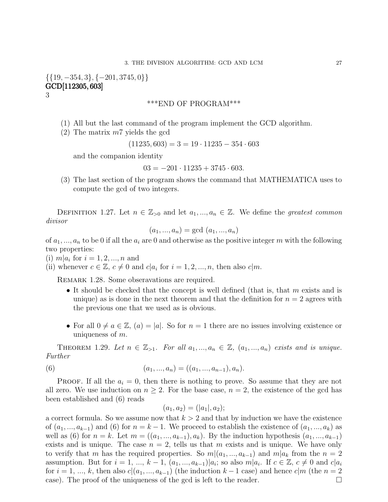$\{\{19, -354, 3\}, \{-201, 3745, 0\}\}\$ GCD[112305, 603] 3

# \*\*\*END OF PROGRAM\*\*\*

- (1) All but the last command of the program implement the GCD algorithm.
- (2) The matrix  $m<sub>7</sub>$  yields the gcd

 $(11235, 603) = 3 = 19 \cdot 11235 - 354 \cdot 603$ 

and the companion identity

$$
03 = -201 \cdot 11235 + 3745 \cdot 603.
$$

(3) The last section of the program shows the command that MATHEMATICA uses to compute the gcd of two integers.

DEFINITION 1.27. Let  $n \in \mathbb{Z}_{>0}$  and let  $a_1, ..., a_n \in \mathbb{Z}$ . We define the greatest common divisor

$$
(a_1, ..., a_n) = \gcd(a_1, ..., a_n)
$$

of  $a_1, ..., a_n$  to be 0 if all the  $a_i$  are 0 and otherwise as the positive integer m with the following two properties:

(i)  $m|a_i$  for  $i = 1, 2, ..., n$  and

(ii) whenever  $c \in \mathbb{Z}$ ,  $c \neq 0$  and  $c|a_i$  for  $i = 1, 2, ..., n$ , then also  $c|m$ .

REMARK 1.28. Some obseravations are required.

- It should be checked that the concept is well defined (that is, that  $m$  exists and is unique) as is done in the next theorem and that the definition for  $n = 2$  agrees with the previous one that we used as is obvious.
- For all  $0 \neq a \in \mathbb{Z}$ ,  $(a) = |a|$ . So for  $n = 1$  there are no issues involving existence or uniqueness of  $m$ .

THEOREM 1.29. Let  $n \in \mathbb{Z}_{>1}$ . For all  $a_1, ..., a_n \in \mathbb{Z}$ ,  $(a_1, ..., a_n)$  exists and is unique. Further

(6) 
$$
(a_1, ..., a_n) = ((a_1, ..., a_{n-1}), a_n).
$$

**PROOF.** If all the  $a_i = 0$ , then there is nothing to prove. So assume that they are not all zero. We use induction on  $n \geq 2$ . For the base case,  $n = 2$ , the existence of the gcd has been established and (6) reads

$$
(a_1, a_2) = (|a_1|, a_2);
$$

a correct formula. So we assume now that  $k > 2$  and that by induction we have the existence of  $(a_1, ..., a_{k-1})$  and (6) for  $n = k-1$ . We proceed to establish the existence of  $(a_1, ..., a_k)$  as well as (6) for  $n = k$ . Let  $m = ((a_1, ..., a_{k-1}), a_k)$ . By the induction hypothesis  $(a_1, ..., a_{k-1})$ exists and is unique. The case  $n = 2$ , tells us that m exists and is unique. We have only to verify that m has the required properties. So  $m|(a_1, ..., a_{k-1})$  and  $m|a_k$  from the  $n = 2$ assumption. But for  $i = 1, ..., k - 1, (a_1, ..., a_{k-1})|a_i$ ; so also  $m|a_i$ . If  $c \in \mathbb{Z}$ ,  $c \neq 0$  and  $c|a_i$ for  $i = 1, ..., k$ , then also  $c|(a_1, ..., a_{k-1})$  (the induction  $k-1$  case) and hence  $c|m$  (the  $n = 2$  case). The proof of the uniqueness of the gcd is left to the reader. case). The proof of the uniqueness of the gcd is left to the reader.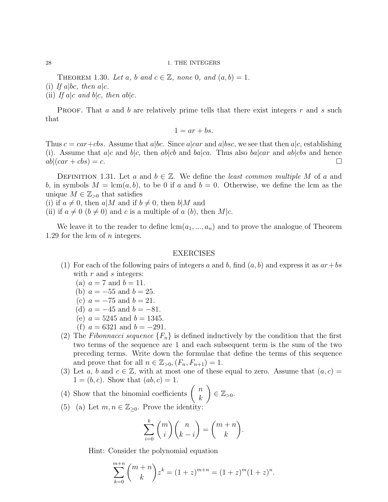#### 28 1. THE INTEGERS

THEOREM 1.30. Let a, b and  $c \in \mathbb{Z}$ , none 0, and  $(a, b) = 1$ . (i) If a|bc, then a|c.

(ii) If a|c and b|c, then ab|c.

**PROOF.** That a and b are relatively prime tells that there exist integers r and s such that

$$
1 = ar + bs.
$$

Thus  $c = car + cbs$ . Assume that a bc. Since a car and a bsc, we see that then a c, establishing (i). Assume that  $a|c$  and  $b|c$ , then  $ab|cb$  and  $ba|ca$ . Thus also  $ba|car$  and  $ab|cbs$  and hence  $ab|(car + cbs) = c$ .  $ab|(car + cbs) = c.$ 

DEFINITION 1.31. Let a and  $b \in \mathbb{Z}$ . We define the least common multiple M of a and b, in symbols  $M = \text{lcm}(a, b)$ , to be 0 if a and  $b = 0$ . Otherwise, we define the lcm as the unique  $M \in \mathbb{Z}_{>0}$  that satisfies

(i) if  $a \neq 0$ , then  $a|M$  and if  $b \neq 0$ , then  $b|M$  and

(ii) if  $a \neq 0$   $(b \neq 0)$  and c is a multiple of a  $(b)$ , then M|c.

We leave it to the reader to define  $lcm(a_1, ..., a_n)$  and to prove the analogue of Theorem 1.29 for the lcm of  $n$  integers.

#### EXERCISES

- (1) For each of the following pairs of integers a and b, find  $(a, b)$  and express it as  $ar + bs$ with  $r$  and  $s$  integers:
	- (a)  $a = 7$  and  $b = 11$ .
	- (b)  $a = -55$  and  $b = 25$ .
	- (c)  $a = -75$  and  $b = 21$ .
	- (d)  $a = -45$  and  $b = -81$ .
	- (e)  $a = 5245$  and  $b = 1345$ .
	- (f)  $a = 6321$  and  $b = -291$ .
- (2) The Fibonnacci sequence  ${F_n}$  is defined inductively by the condition that the first two terms of the sequence are 1 and each subsequent term is the sum of the two preceding terms. Write down the formulae that define the terms of this sequence and prove that for all  $n \in \mathbb{Z}_{>0}$ ,  $(F_n, F_{n+1}) = 1$ .
- (3) Let a, b and  $c \in \mathbb{Z}$ , with at most one of these equal to zero. Assume that  $(a, c)$  $1 = (b, c)$ . Show that  $(ab, c) = 1$ .

(4) Show that the binomial coefficients  $\begin{pmatrix} n \\ k \end{pmatrix}$ k  $\Big) \in \mathbb{Z}_{>0}.$ 

(5) (a) Let  $m, n \in \mathbb{Z}_{\geq 0}$ . Prove the identity:

$$
\sum_{i=0}^{k} \binom{m}{i} \binom{n}{k-i} = \binom{m+n}{k}.
$$

Hint: Consider the polynomial equation

$$
\sum_{k=0}^{m+n} \binom{m+n}{k} z^k = (1+z)^{m+n} = (1+z)^m (1+z)^n.
$$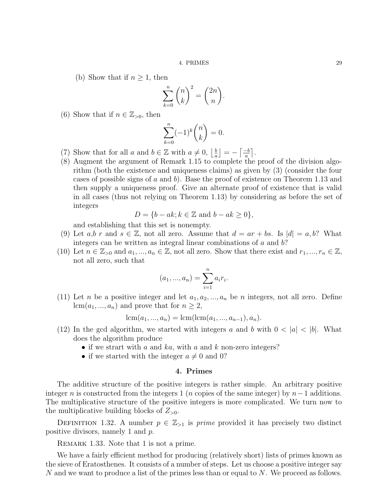(b) Show that if  $n \geq 1$ , then

$$
\sum_{k=0}^{n} \binom{n}{k}^2 = \binom{2n}{n}.
$$

(6) Show that if  $n \in \mathbb{Z}_{>0}$ , then

$$
\sum_{k=0}^{n}(-1)^{k}\binom{n}{k} = 0.
$$

- (7) Show that for all a and  $b \in \mathbb{Z}$  with  $a \neq 0, \lfloor \frac{b}{a} \rfloor$  $\frac{b}{a}$  =  $\left\lceil \frac{-b}{a} \right\rceil$ .
- (8) Augment the argument of Remark 1.15 to complete the proof of the division algorithm (both the existence and uniqueness claims) as given by (3) (consider the four cases of possible signs of  $a$  and  $b$ ). Base the proof of existence on Theorem 1.13 and then supply a uniqueness proof. Give an alternate proof of existence that is valid in all cases (thus not relying on Theorem 1.13) by considering as before the set of integers

$$
D = \{b - ak; k \in \mathbb{Z} \text{ and } b - ak \ge 0\},\
$$

and establishing that this set is nonempty.

- (9) Let  $a,b \ r$  and  $s \in \mathbb{Z}$ , not all zero. Assume that  $d = ar + bs$ . Is  $|d| = a, b$ ? What integers can be written as integral linear combinations of  $a$  and  $b$ ?
- (10) Let  $n \in \mathbb{Z}_{>0}$  and  $a_1, ..., a_n \in \mathbb{Z}$ , not all zero. Show that there exist and  $r_1, ..., r_n \in \mathbb{Z}$ , not all zero, such that

$$
(a_1, ..., a_n) = \sum_{i=1}^n a_i r_i.
$$

(11) Let *n* be a positive integer and let  $a_1, a_2, ..., a_n$  be *n* integers, not all zero. Define  $lcm(a_1, ..., a_n)$  and prove that for  $n \geq 2$ ,

$$
lcm(a_1, ..., a_n) = lcm(lcm(a_1, ..., a_{n-1}), a_n).
$$

- (12) In the gcd algorithm, we started with integers a and b with  $0 < |a| < |b|$ . What does the algorithm produce
	- if we strart with a and ka, with a and k non-zero integers?
	- if we started with the integer  $a \neq 0$  and 0?

#### 4. Primes

The additive structure of the positive integers is rather simple. An arbitrary positive integer *n* is constructed from the integers 1 (*n* copies of the same integer) by  $n-1$  additions. The multiplicative structure of the positive integers is more complicated. We turn now to the multiplicative building blocks of  $Z_{>0}$ .

DEFINITION 1.32. A number  $p \in \mathbb{Z}_{\geq 1}$  is prime provided it has precisely two distinct positive divisors, namely 1 and p.

REMARK 1.33. Note that 1 is not a prime.

We have a fairly efficient method for producing (relatively short) lists of primes known as the sieve of Eratosthenes. It consists of a number of steps. Let us choose a positive integer say N and we want to produce a list of the primes less than or equal to N. We proceed as follows.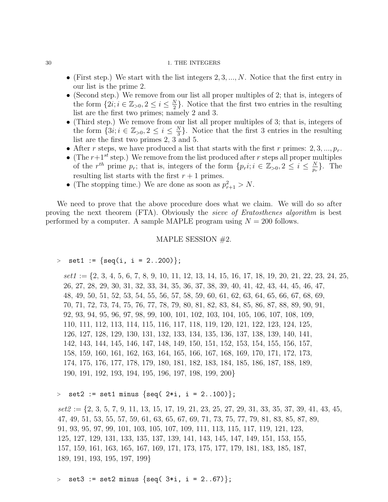#### 30 1. THE INTEGERS

- (First step.) We start with the list integers  $2, 3, ..., N$ . Notice that the first entry in our list is the prime 2.
- (Second step.) We remove from our list all proper multiples of 2; that is, integers of the form  $\{2i; i \in \mathbb{Z}_{>0}, 2 \leq i \leq \frac{N}{2}\}$  $\frac{N}{2}$ . Notice that the first two entries in the resulting list are the first two primes; namely 2 and 3.
- (Third step.) We remove from our list all proper multiples of 3; that is, integers of the form  $\{3i; i \in \mathbb{Z}_{>0}, 2 \leq i \leq \frac{N}{3}\}$  $\frac{N}{3}$ . Notice that the first 3 entries in the resulting list are the first two primes 2, 3 and 5.
- After r steps, we have produced a list that starts with the first r primes:  $2, 3, ..., p_r$ .
- (The  $r+1^{st}$  step.) We remove from the list produced after r steps all proper multiples of the  $r^{th}$  prime  $p_r$ ; that is, integers of the form  $\{p_r i; i \in \mathbb{Z}_{>0}, 2 \leq i \leq \frac{N}{p_r}\}$  $\frac{N}{p_r}$ . The resulting list starts with the first  $r + 1$  primes.
- (The stopping time.) We are done as soon as  $p_{r+1}^2 > N$ .

We need to prove that the above procedure does what we claim. We will do so after proving the next theorem (FTA). Obviously the sieve of Eratosthenes algorithm is best performed by a computer. A sample MAPLE program using  $N = 200$  follows.

#### MAPLE SESSION #2.

 $set1 := \{seq(i, i = 2..200) \};$ 

 $set1 := \{2, 3, 4, 5, 6, 7, 8, 9, 10, 11, 12, 13, 14, 15, 16, 17, 18, 19, 20, 21, 22, 23, 24, 25,$ , 27, 28, 29, 30, 31, 32, 33, 34, 35, 36, 37, 38, 39, 40, 41, 42, 43, 44, 45, 46, 47, , 49, 50, 51, 52, 53, 54, 55, 56, 57, 58, 59, 60, 61, 62, 63, 64, 65, 66, 67, 68, 69, , 71, 72, 73, 74, 75, 76, 77, 78, 79, 80, 81, 82, 83, 84, 85, 86, 87, 88, 89, 90, 91, , 93, 94, 95, 96, 97, 98, 99, 100, 101, 102, 103, 104, 105, 106, 107, 108, 109, , 111, 112, 113, 114, 115, 116, 117, 118, 119, 120, 121, 122, 123, 124, 125, , 127, 128, 129, 130, 131, 132, 133, 134, 135, 136, 137, 138, 139, 140, 141, , 143, 144, 145, 146, 147, 148, 149, 150, 151, 152, 153, 154, 155, 156, 157, , 159, 160, 161, 162, 163, 164, 165, 166, 167, 168, 169, 170, 171, 172, 173, , 175, 176, 177, 178, 179, 180, 181, 182, 183, 184, 185, 186, 187, 188, 189, , 191, 192, 193, 194, 195, 196, 197, 198, 199, 200}

 $>$  set2 := set1 minus {seq( 2\*i, i = 2..100)};

 $set2 := \{2, 3, 5, 7, 9, 11, 13, 15, 17, 19, 21, 23, 25, 27, 29, 31, 33, 35, 37, 39, 41, 43, 45,$ , 49, 51, 53, 55, 57, 59, 61, 63, 65, 67, 69, 71, 73, 75, 77, 79, 81, 83, 85, 87, 89, , 93, 95, 97, 99, 101, 103, 105, 107, 109, 111, 113, 115, 117, 119, 121, 123, , 127, 129, 131, 133, 135, 137, 139, 141, 143, 145, 147, 149, 151, 153, 155, , 159, 161, 163, 165, 167, 169, 171, 173, 175, 177, 179, 181, 183, 185, 187, , 191, 193, 195, 197, 199}

 $>$  set3 := set2 minus {seq( 3\*i, i = 2..67)};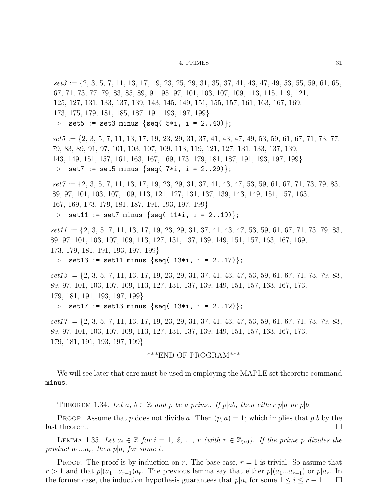$set3 := \{2, 3, 5, 7, 11, 13, 17, 19, 23, 25, 29, 31, 35, 37, 41, 43, 47, 49, 53, 55, 59, 61, 65,$ 67, 71, 73, 77, 79, 83, 85, 89, 91, 95, 97, 101, 103, 107, 109, 113, 115, 119, 121, 125, 127, 131, 133, 137, 139, 143, 145, 149, 151, 155, 157, 161, 163, 167, 169, 173, 175, 179, 181, 185, 187, 191, 193, 197, 199}  $>$  set5 := set3 minus {seq( 5\*i, i = 2..40)};  $set5 := \{2, 3, 5, 7, 11, 13, 17, 19, 23, 29, 31, 37, 41, 43, 47, 49, 53, 59, 61, 67, 71, 73, 77,$ 79, 83, 89, 91, 97, 101, 103, 107, 109, 113, 119, 121, 127, 131, 133, 137, 139, 143, 149, 151, 157, 161, 163, 167, 169, 173, 179, 181, 187, 191, 193, 197, 199}  $>$  set7 := set5 minus {seq( 7\*i, i = 2..29)};  $set7 := \{2, 3, 5, 7, 11, 13, 17, 19, 23, 29, 31, 37, 41, 43, 47, 53, 59, 61, 67, 71, 73, 79, 83,$ 89, 97, 101, 103, 107, 109, 113, 121, 127, 131, 137, 139, 143, 149, 151, 157, 163, 167, 169, 173, 179, 181, 187, 191, 193, 197, 199} > set11 := set7 minus  $\{seq( 11 * i, i = 2..19) \};$  $set11 := \{2, 3, 5, 7, 11, 13, 17, 19, 23, 29, 31, 37, 41, 43, 47, 53, 59, 61, 67, 71, 73, 79, 83,$ 89, 97, 101, 103, 107, 109, 113, 127, 131, 137, 139, 149, 151, 157, 163, 167, 169, 173, 179, 181, 191, 193, 197, 199} > set13 := set11 minus  $\{seq( 13*i, i = 2..17) \};$  $set13 := \{2, 3, 5, 7, 11, 13, 17, 19, 23, 29, 31, 37, 41, 43, 47, 53, 59, 61, 67, 71, 73, 79, 83,$ 89, 97, 101, 103, 107, 109, 113, 127, 131, 137, 139, 149, 151, 157, 163, 167, 173, 179, 181, 191, 193, 197, 199} > set17 := set13 minus  $\{seq( 13*i, i = 2..12) \};$  $set17 := \{2, 3, 5, 7, 11, 13, 17, 19, 23, 29, 31, 37, 41, 43, 47, 53, 59, 61, 67, 71, 73, 79, 83,$ 

89, 97, 101, 103, 107, 109, 113, 127, 131, 137, 139, 149, 151, 157, 163, 167, 173, 179, 181, 191, 193, 197, 199}

## \*\*\*END OF PROGRAM\*\*\*

We will see later that care must be used in employing the MAPLE set theoretic command minus.

THEOREM 1.34. Let a,  $b \in \mathbb{Z}$  and p be a prime. If p|ab, then either p|a or p|b.

**PROOF.** Assume that p does not divide a. Then  $(p, a) = 1$ ; which implies that p|b by the theorem. last theorem.

LEMMA 1.35. Let  $a_i \in \mathbb{Z}$  for  $i = 1, 2, ..., r$  (with  $r \in \mathbb{Z}_{>0}$ ). If the prime p divides the product  $a_1...a_r$ , then  $p|a_i$  for some i.

**PROOF.** The proof is by induction on r. The base case,  $r = 1$  is trivial. So assume that  $r > 1$  and that  $p|(a_1...a_{r-1})a_r$ . The previous lemma say that either  $p|(a_1...a_{r-1})$  or  $p|a_r$ . In the former case, the induction hypothesis guarantees that  $p|a_i$  for some  $1 \le i \le r-1$ . □ the former case, the induction hypothesis guarantees that  $p|a_i$  for some  $1 \leq i \leq r-1$ .  $\Box$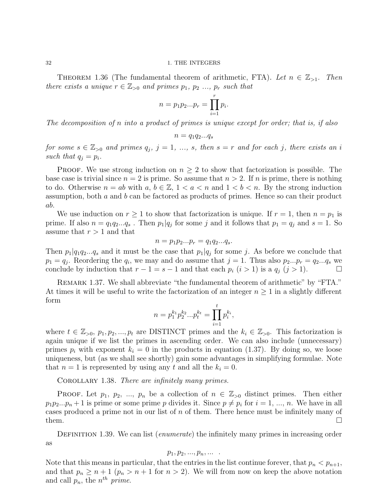THEOREM 1.36 (The fundamental theorem of arithmetic, FTA). Let  $n \in \mathbb{Z}_{\geq 1}$ . Then there exists a unique  $r \in \mathbb{Z}_{>0}$  and primes  $p_1, p_2, \ldots, p_r$  such that

$$
n = p_1 p_2 \dots p_r = \prod_{i=1}^r p_i.
$$

The decomposition of n into a product of primes is unique except for order; that is, if also

$$
n=q_1q_2...q_s\,
$$

for some  $s \in \mathbb{Z}_{>0}$  and primes  $q_j$ ,  $j = 1, ..., s$ , then  $s = r$  and for each j, there exists an i such that  $q_j = p_i$ .

**PROOF.** We use strong induction on  $n \geq 2$  to show that factorization is possible. The base case is trivial since  $n = 2$  is prime. So assume that  $n > 2$ . If n is prime, there is nothing to do. Otherwise  $n = ab$  with  $a, b \in \mathbb{Z}, 1 < a < n$  and  $1 < b < n$ . By the strong induction assumption, both  $a$  and  $b$  can be factored as products of primes. Hence so can their product ab.

We use induction on  $r \geq 1$  to show that factorization is unique. If  $r = 1$ , then  $n = p_1$  is prime. If also  $n = q_1 q_2 \dots q_s$ . Then  $p_1 | q_j$  for some j and it follows that  $p_1 = q_j$  and  $s = 1$ . So assume that  $r > 1$  and that

$$
n=p_1p_2...p_r=q_1q_2...q_s.
$$

Then  $p_1|q_1q_2...q_s$  and it must be the case that  $p_1|q_j$  for some j. As before we conclude that  $p_1 = q_j$ . Reordering the  $q_i$ , we may and do assume that  $j = 1$ . Thus also  $p_2...p_r = q_2...q_s$  we conclude by induction that  $r - 1 = s - 1$  and that each  $p_i$   $(i > 1)$  is a  $q_i$   $(j > 1)$ .

REMARK 1.37. We shall abbreviate "the fundamental theorem of arithmetic" by "FTA." At times it will be useful to write the factorization of an integer  $n \geq 1$  in a slightly different form

$$
n = p_1^{k_1} p_2^{k_2} \dots p_t^{k_t} = \prod_{i=1}^t p_i^{k_i},
$$

where  $t \in \mathbb{Z}_{>0}, p_1, p_2, ..., p_t$  are DISTINCT primes and the  $k_i \in \mathbb{Z}_{>0}$ . This factorization is again unique if we list the primes in ascending order. We can also include (unnecessary) primes  $p_i$  with exponent  $k_i = 0$  in the products in equation (1.37). By doing so, we loose uniqueness, but (as we shall see shortly) gain some advantages in simplifying formulae. Note that  $n = 1$  is represented by using any t and all the  $k_i = 0$ .

COROLLARY 1.38. There are infinitely many primes.

**PROOF.** Let  $p_1, p_2, ..., p_n$  be a collection of  $n \in \mathbb{Z}_{\geq 0}$  distinct primes. Then either  $p_1p_2...p_n+1$  is prime or some prime p divides it. Since  $p \neq p_i$  for  $i = 1, ..., n$ . We have in all cases produced a prime not in our list of  $n$  of them. There hence must be infinitely many of them.  $\square$ 

DEFINITION 1.39. We can list *(enumerate)* the infinitely many primes in increasing order as

#### $p_1, p_2, ..., p_n, ...$

Note that this means in particular, that the entries in the list continue forever, that  $p_n < p_{n+1}$ , and that  $p_n \geq n+1$   $(p_n > n+1$  for  $n > 2)$ . We will from now on keep the above notation and call  $p_n$ , the  $n^{th}$  prime.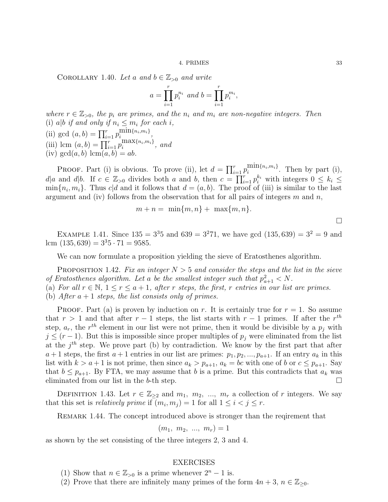COROLLARY 1.40. Let a and  $b \in \mathbb{Z}_{>0}$  and write

$$
a = \prod_{i=1}^{r} p_i^{n_i} \text{ and } b = \prod_{i=1}^{r} p_i^{m_i},
$$

where  $r \in \mathbb{Z}_{>0}$ , the  $p_i$  are primes, and the  $n_i$  and  $m_i$  are non-negative integers. Then (i) a|b if and only if  $n_i \leq m_i$  for each i,

(ii) gcd  $(a, b) = \prod_{i=1}^{r} p_i^{\min\{n_i, m_i\}},$ (iii) lcm  $(a, b) = \prod_{i=1}^{r} p_i^{\max\{n_i, m_i\}},$  and (iv)  $gcd(a, b)$  lcm $(a, b) = ab$ .

**PROOF.** Part (i) is obvious. To prove (ii), let  $d = \prod_{i=1}^r p_i^{\min\{n_i, m_i\}}$ . Then by part (i),  $d|a$  and  $d|b$ . If  $c \in \mathbb{Z}_{>0}$  divides both a and b, then  $c = \prod_{i=1}^r p_i^{k_i}$  with integers  $0 \leq k_i \leq$  $\min\{n_i, m_i\}$ . Thus c|d and it follows that  $d = (a, b)$ . The proof of (iii) is similar to the last argument and (iv) follows from the observation that for all pairs of integers m and  $n$ ,

$$
m + n = \min\{m, n\} + \max\{m, n\}.
$$

 $\Box$ 

EXAMPLE 1.41. Since  $135 = 3^35$  and  $639 = 3^271$ , we have gcd  $(135, 639) = 3^2 = 9$  and lcm  $(135, 639) = 3^35 \cdot 71 = 9585.$ 

We can now formulate a proposition yielding the sieve of Eratosthenes algorithm.

PROPOSITION 1.42. Fix an integer  $N > 5$  and consider the steps and the list in the sieve of Eratosthenes algorithm. Let a be the smallest integer such that  $p_{a+1}^2 < N$ . (a) For all  $r \in \mathbb{N}$ ,  $1 \le r \le a+1$ , after r steps, the first, r entries in our list are primes. (b) After  $a + 1$  steps, the list consists only of primes.

**PROOF.** Part (a) is proven by induction on r. It is certainly true for  $r = 1$ . So assume that  $r > 1$  and that after  $r - 1$  steps, the list starts with  $r - 1$  primes. If after the r<sup>th</sup> step,  $a_r$ , the  $r^{th}$  element in our list were not prime, then it would be divisible by a  $p_j$  with  $j \leq (r-1)$ . But this is impossible since proper multiples of  $p_j$  were eliminated from the list at the  $j<sup>th</sup>$  step. We prove part (b) by contradiction. We know by the first part that after  $a+1$  steps, the first  $a+1$  entries in our list are primes:  $p_1, p_2, ..., p_{a+1}$ . If an entry  $a_k$  in this list with  $k > a + 1$  is not prime, then since  $a_k > p_{a+1}$ ,  $a_k = bc$  with one of b or  $c \leq p_{a+1}$ . Say that  $b \leq p_{a+1}$ . By FTA, we may assume that b is a prime. But this contradicts that  $a_k$  was eliminated from our list in the b-th step.  $\Box$ 

DEFINITION 1.43. Let  $r \in \mathbb{Z}_{\geq 2}$  and  $m_1, m_2, ..., m_r$  a collection of r integers. We say that this set is *relatively prime* if  $(m_i, m_j) = 1$  for all  $1 \le i < j \le r$ .

Remark 1.44. The concept introduced above is stronger than the reqirement that

 $(m_1, m_2, ..., m_r) = 1$ 

as shown by the set consisting of the three integers 2, 3 and 4.

## EXERCISES

- (1) Show that  $n \in \mathbb{Z}_{>0}$  is a prime whenever  $2^n 1$  is.
- (2) Prove that there are infinitely many primes of the form  $4n + 3$ ,  $n \in \mathbb{Z}_{\geq 0}$ .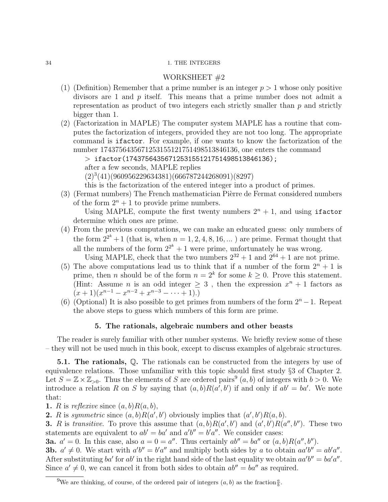#### 34 1. THE INTEGERS

# WORKSHEET #2

- (1) (Definition) Remember that a prime number is an integer  $p > 1$  whose only positive divisors are 1 and  $p$  itself. This means that a prime number does not admit a representation as product of two integers each strictly smaller than  $p$  and strictly bigger than 1.
- (2) (Factorization in MAPLE) The computer system MAPLE has a routine that computes the factorization of integers, provided they are not too long. The appropriate command is ifactor. For example, if one wants to know the factorization of the number 1743756435671253155121751498513846136, one enters the command

> ifactor(1743756435671253155121751498513846136);

after a few seconds, MAPLE replies

 $(2)^{3}(41)(960956229634381)(666787244268091)(8297)$ 

this is the factorization of the entered integer into a product of primes.

(3) (Fermat numbers) The French mathematician Pièrre de Fermat considered numbers of the form  $2^n + 1$  to provide prime numbers.

Using MAPLE, compute the first twenty numbers  $2^n + 1$ , and using ifactor determine which ones are prime.

(4) From the previous computations, we can make an educated guess: only numbers of the form  $2^{2^k} + 1$  (that is, when  $n = 1, 2, 4, 8, 16, ...$ ) are prime. Fermat thought that all the numbers of the form  $2^{2^k} + 1$  were prime, unfortunately he was wrong.

Using MAPLE, check that the two numbers  $2^{32} + 1$  and  $2^{64} + 1$  are not prime.

- (5) The above computations lead us to think that if a number of the form  $2^n + 1$  is prime, then *n* should be of the form  $n = 2<sup>k</sup>$  for some  $k \ge 0$ . Prove this statement. (Hint: Assume *n* is an odd integer  $\geq 3$ , then the expression  $x^n + 1$  factors as  $(x+1)(x^{n-1} - x^{n-2} + x^{n-3} - \cdots + 1).$
- (6) (Optional) It is also possible to get primes from numbers of the form  $2^n 1$ . Repeat the above steps to guess which numbers of this form are prime.

#### 5. The rationals, algebraic numbers and other beasts

The reader is surely familiar with other number systems. We briefly review some of these – they will not be used much in this book, except to discuss examples of algebraic structures.

5.1. The rationals, Q. The rationals can be constructed from the integers by use of equivalence relations. Those unfamiliar with this topic should first study §3 of Chapter 2. Let  $S = \mathbb{Z} \times \mathbb{Z}_{>0}$ . Thus the elements of S are ordered pairs<sup>9</sup>  $(a, b)$  of integers with  $b > 0$ . We introduce a relation R on S by saying that  $(a, b)R(a', b')$  if and only if  $ab' = ba'$ . We note that:

1. R is reflexive since  $(a, b)R(a, b)$ ,

**2.** R is symmetric since  $(a, b)R(a', b')$  obviously implies that  $(a', b')R(a, b)$ .

**3.** R is transitive. To prove this assume that  $(a, b)R(a', b')$  and  $(a', b')R(a'', b'')$ . These two statements are equivalent to  $ab' = ba'$  and  $a'b'' = b'a''$ . We consider cases:

**3a.**  $a' = 0$ . In this case, also  $a = 0 = a''$ . Thus certainly  $ab'' = ba''$  or  $(a, b)R(a'', b'')$ .

**3b.**  $a' \neq 0$ . We start with  $a'b'' = b'a''$  and multiply both sides by a to obtain  $aa'b'' = ab'a''$ . After substituting ba' for ab' in the right hand side of the last equality we obtain  $aa'b'' = ba'a''$ . Since  $a' \neq 0$ , we can cancel it from both sides to obtain  $ab'' = ba''$  as required.

<sup>&</sup>lt;sup>9</sup>We are thinking, of course, of the ordered pair of integers  $(a, b)$  as the fraction  $\frac{a}{b}$ .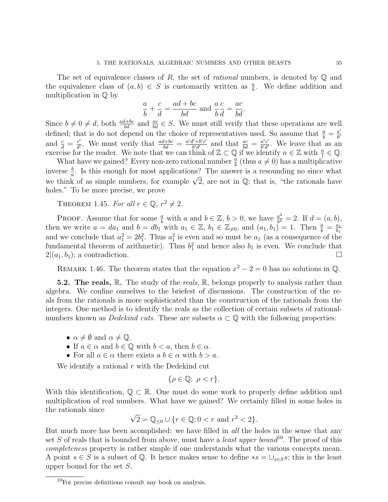The set of equivalence classes of R, the set of *rational* numbers, is denoted by  $\mathbb{Q}$  and the equivalence class of  $(a, b) \in S$  is customarily written as  $\frac{a}{b}$ . We define addition and multiplication in Q by

$$
\frac{a}{b} + \frac{c}{d} = \frac{ad + bc}{bd}
$$
 and 
$$
\frac{a}{b} \frac{c}{d} = \frac{ac}{bd}.
$$

Since  $b \neq 0 \neq d$ , both  $\frac{ad+bc}{bd}$  and  $\frac{ac}{bd} \in S$ . We must still verify that these operations are well defined; that is do not depend on the choice of representatives used. So assume that  $\frac{a}{b} = \frac{a'}{b'}$  $b^{\prime}$ and  $\frac{c}{d} = \frac{c'}{d'}$  $\frac{c'}{d'}$ . We must verify that  $\frac{ad+bc}{bd} = \frac{a'd'+b'c'}{b'd'}$  $\frac{d}{d}$  and that  $\frac{ac}{bd} = \frac{a'c'}{b'd'}$  $\frac{a'c'}{b'd'}$ . We leave that as an exercise for the reader. We note that we can think of  $\mathbb{Z} \subset \mathbb{Q}$  if we identify  $n \in \mathbb{Z}$  with  $\frac{n}{1} \in \mathbb{Q}$ .

What have we gained? Every non-zero rational number  $\frac{a}{b}$  (thus  $a \neq 0$ ) has a multiplicative inverse  $\frac{b}{a}$ . Is this enough for most applications? The answer is a resounding no since what we think of as simple numbers, for example  $\sqrt{2}$ , are not in  $\mathbb{Q}$ ; that is, "the rationals have holes." To be more precise, we prove

THEOREM 1.45. For all  $r \in \mathbb{Q}$ ,  $r^2 \neq 2$ .

**PROOF.** Assume that for some  $\frac{a}{b}$  with a and  $b \in \mathbb{Z}$ ,  $b > 0$ , we have  $\frac{a^2}{b^2}$  $\frac{a^2}{b^2} = 2$ . If  $d = (a, b)$ , then we write  $a = da_1$  and  $b = db_1$  with  $a_1 \in \mathbb{Z}$ ,  $b_1 \in \mathbb{Z}_{\neq 0}$ , and  $(a_1, b_1) = 1$ . Then  $\frac{a}{b} = \frac{a_1}{b_1}$  $b_1$ and we conclude that  $a_1^2 = 2b_1^2$ . Thus  $a_1^2$  is even and so must be  $a_1$  (as a consequence of the fundamental theorem of arithmetic). Thus  $b_1^2$  and hence also  $b_1$  is even. We conclude that  $2|(a_1, b_1);$  a contradiction.

REMARK 1.46. The theorem states that the equation  $x^2 - 2 = 0$  has no solutions in  $\mathbb{Q}$ .

**5.2.** The reals, R. The study of the reals, R, belongs properly to analysis rather than algebra. We confine ourselves to the briefest of discussions. The construction of the reals from the rationals is more sophisticated than the construction of the rationals from the integers. One method is to identify the reals as the collection of certain subsets of rationalnumbers known as *Dedekind cuts*. These are subsets  $\alpha \subset \mathbb{Q}$  with the following properties:

- $\alpha \neq \emptyset$  and  $\alpha \neq \mathbb{Q}$ .
- If  $a \in \alpha$  and  $b \in \mathbb{Q}$  with  $b < a$ , then  $b \in \alpha$ .
- For all  $a \in \alpha$  there exists a  $b \in \alpha$  with  $b > a$ .

We identify a rational  $r$  with the Dedekind cut

$$
\{\rho \in \mathbb{Q}; \ \rho < r\}.
$$

With this identification,  $\mathbb{Q} \subset \mathbb{R}$ . One must do some work to properly define addition and multiplication of real numbers. What have we gained? We certainly filled in some holes in the rationals since

$$
\sqrt{2} = \mathbb{Q}_{\leq 0} \cup \{r \in \mathbb{Q}; 0 < r \text{ and } r^2 < 2\}.
$$

But much more has been acomplished: we have filled in *all* the holes in the sense that any set S of reals that is bounded from above, must have a *least upper bound*<sup>10</sup>. The proof of this completeness property is rather simple if one understands what the various concepts mean. A point  $s \in S$  is a subset of Q. It hence makes sense to define  $*s = \bigcup_{s \in S} s$ ; this is the least upper bound for the set  $S$ .

<sup>10</sup>For precise definitions consult any book on analysis.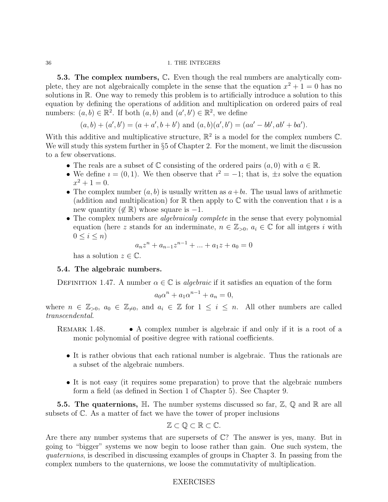## 36 1. THE INTEGERS

5.3. The complex numbers, C. Even though the real numbers are analytically complete, they are not algebraically complete in the sense that the equation  $x^2 + 1 = 0$  has no solutions in R. One way to remedy this problem is to artificially introduce a solution to this equation by defining the operations of addition and multiplication on ordered pairs of real numbers:  $(a, b) \in \mathbb{R}^2$ . If both  $(a, b)$  and  $(a', b') \in \mathbb{R}^2$ , we define

$$
(a, b) + (a', b') = (a + a', b + b')
$$
 and  $(a, b)(a', b') = (aa' - bb', ab' + ba').$ 

With this additive and multiplicative structure,  $\mathbb{R}^2$  is a model for the complex numbers  $\mathbb{C}$ . We will study this system further in §5 of Chapter 2. For the moment, we limit the discussion to a few observations.

- The reals are a subset of  $\mathbb C$  consisting of the ordered pairs  $(a, 0)$  with  $a \in \mathbb R$ .
- We define  $i = (0, 1)$ . We then observe that  $i^2 = -1$ ; that is,  $\pm i$  solve the equation  $x^2 + 1 = 0.$
- The complex number  $(a, b)$  is usually written as  $a + bi$ . The usual laws of arithmetic (addition and multiplication) for  $\mathbb R$  then apply to  $\mathbb C$  with the convention that *i* is a new quantity ( $\notin \mathbb{R}$ ) whose square is -1.
- The complex numbers are *algebraicaly complete* in the sense that every polynomial equation (here z stands for an inderminate,  $n \in \mathbb{Z}_{>0}$ ,  $a_i \in \mathbb{C}$  for all intgers i with  $0 \le i \le n$

$$
a_n z^n + a_{n-1} z^{n-1} + \dots + a_1 z + a_0 = 0
$$

has a solution  $z \in \mathbb{C}$ .

#### 5.4. The algebraic numbers.

DEFINITION 1.47. A number  $\alpha \in \mathbb{C}$  is *algebraic* if it satisfies an equation of the form

$$
a_0\alpha^n + a_1\alpha^{n-1} + a_n = 0,
$$

where  $n \in \mathbb{Z}_{>0}$ ,  $a_0 \in \mathbb{Z}_{\neq 0}$ , and  $a_i \in \mathbb{Z}$  for  $1 \leq i \leq n$ . All other numbers are called transcendental.

- REMARK 1.48. A complex number is algebraic if and only if it is a root of a monic polynomial of positive degree with rational coefficients.
	- It is rather obvious that each rational number is algebraic. Thus the rationals are a subset of the algebraic numbers.
	- It is not easy (it requires some preparation) to prove that the algebraic numbers form a field (as defined in Section 1 of Chapter 5). See Chapter 9.

**5.5. The quaternions, H.** The number systems discussed so far,  $\mathbb{Z}$ ,  $\mathbb{Q}$  and  $\mathbb{R}$  are all subsets of C. As a matter of fact we have the tower of proper inclusions

$$
\mathbb{Z} \subset \mathbb{Q} \subset \mathbb{R} \subset \mathbb{C}.
$$

Are there any number systems that are supersets of  $\mathbb{C}$ ? The answer is yes, many. But in going to "bigger" systems we now begin to loose rather than gain. One such system, the quaternions, is described in discussing examples of groups in Chapter 3. In passing from the complex numbers to the quaternions, we loose the commutativity of multiplication.

# EXERCISES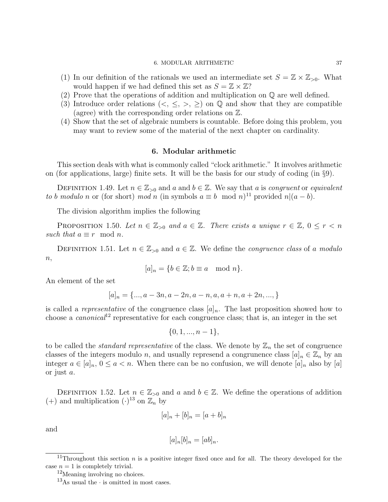#### 6. MODULAR ARITHMETIC 37

- (1) In our definition of the rationals we used an intermediate set  $S = \mathbb{Z} \times \mathbb{Z}_{>0}$ . What would happen if we had defined this set as  $S = \mathbb{Z} \times \mathbb{Z}$ ?
- (2) Prove that the operations of addition and multiplication on Q are well defined.
- (3) Introduce order relations  $(<, \leq, >, \geq)$  on Q and show that they are compatible (agree) with the corresponding order relations on  $\mathbb{Z}$ .
- (4) Show that the set of algebraic numbers is countable. Before doing this problem, you may want to review some of the material of the next chapter on cardinality.

# 6. Modular arithmetic

This section deals with what is commonly called "clock arithmetic." It involves arithmetic on (for applications, large) finite sets. It will be the basis for our study of coding (in §9).

DEFINITION 1.49. Let  $n \in \mathbb{Z}_{\geq 0}$  and a and  $b \in \mathbb{Z}$ . We say that a is congruent or equivalent to b modulo n or (for short) mod n (in symbols  $a \equiv b \mod n$ <sup>11</sup> provided  $n|(a - b)$ .

The division algorithm implies the following

PROPOSITION 1.50. Let  $n \in \mathbb{Z}_{>0}$  and  $a \in \mathbb{Z}$ . There exists a unique  $r \in \mathbb{Z}$ ,  $0 \le r < n$ such that  $a \equiv r \mod n$ .

DEFINITION 1.51. Let  $n \in \mathbb{Z}_{>0}$  and  $a \in \mathbb{Z}$ . We define the *congruence class* of a modulo  $n,$ 

$$
[a]_n = \{b \in \mathbb{Z}; b \equiv a \mod n\}.
$$

An element of the set

$$
[a]_n = \{..., a-3n, a-2n, a-n, a, a+n, a+2n, ..., \}
$$

is called a *representative* of the congruence class  $[a]_n$ . The last proposition showed how to choose a *canonical*<sup>12</sup> representative for each congruence class; that is, an integer in the set

$$
\{0, 1, ..., n-1\},\
$$

to be called the *standard representative* of the class. We denote by  $\mathbb{Z}_n$  the set of congruence classes of the integers modulo n, and usually represend a congrunence class  $[a]_n \in \mathbb{Z}_n$  by an integer  $a \in [a]_n$ ,  $0 \le a < n$ . When there can be no confusion, we will denote  $[a]_n$  also by  $[a]$ or just a.

DEFINITION 1.52. Let  $n \in \mathbb{Z}_{>0}$  and  $a$  and  $b \in \mathbb{Z}$ . We define the operations of addition (+) and multiplication  $(\cdot)^{13}$  on  $\mathbb{Z}_n$  by

$$
[a]_n + [b]_n = [a+b]_n
$$

and

$$
[a]_n [b]_n = [ab]_n.
$$

<sup>&</sup>lt;sup>11</sup>Throughout this section *n* is a positive integer fixed once and for all. The theory developed for the case  $n = 1$  is completely trivial.

<sup>12</sup>Meaning involving no choices.

<sup>&</sup>lt;sup>13</sup>As usual the  $\cdot$  is omitted in most cases.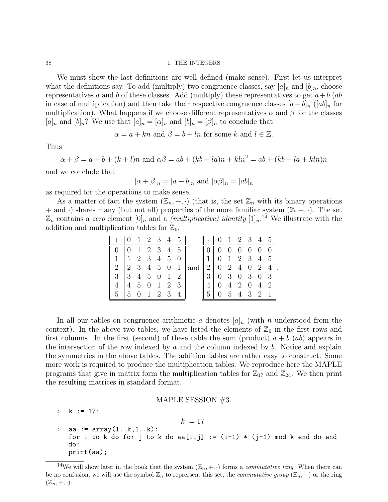We must show the last definitions are well defined (make sense). First let us interpret what the definitions say. To add (multiply) two congruence classes, say  $[a]_n$  and  $[b]_n$ , choose representatives a and b of these classes. Add (multiply) these representatives to get  $a+b$  (ab in case of multiplication) and then take their respective congruence classes  $[a + b]_n$  ( $[ab]_n$  for multiplication). What happens if we choose different representatives  $\alpha$  and  $\beta$  for the classes  $[a]_n$  and  $[b]_n$ ? We use that  $[a]_n = [\alpha]_n$  and  $[b]_n = [\beta]_n$  to conclude that

$$
\alpha = a + kn
$$
 and  $\beta = b + ln$  for some k and  $l \in \mathbb{Z}$ .

Thus

 $\alpha + \beta = a + b + (k + l)n$  and  $\alpha\beta = ab + (kb + la)n + kln^2 = ab + (kb + la + kln)n$ 

and we conclude that

$$
[\alpha + \beta]_n = [a + b]_n
$$
 and  $[\alpha \beta]_n = [ab]_n$ 

as required for the operations to make sense.

As a matter of fact the system  $(\mathbb{Z}_n, +, \cdot)$  (that is, the set  $\mathbb{Z}_n$  with its binary operations  $+$  and  $\cdot$ ) shares many (but not all) properties of the more familiar system  $(\mathbb{Z}, +, \cdot)$ . The set  $\mathbb{Z}_n$  contains a zero element  $[0]_n$  and a *(multiplicative) identity*  $[1]_n$ <sup>14</sup> We illustrate with the addition and multiplication tables for  $\mathbb{Z}_6$ .

| II             |   |   |   | 3              |                |          |     |                |                      |                |   |    |  |
|----------------|---|---|---|----------------|----------------|----------|-----|----------------|----------------------|----------------|---|----|--|
|                |   |   |   | 3              |                | G        |     |                |                      |                |   |    |  |
|                |   |   |   | $\overline{4}$ | G              |          |     |                |                      | $\overline{2}$ | 3 |    |  |
| $\overline{2}$ | റ | 3 | 4 | 5              |                |          | and | $\overline{2}$ | $\ddot{\phantom{0}}$ | $\pm$          |   | 61 |  |
| 3              |   |   |   | O              |                | $\Omega$ |     | 3              | IJ                   |                | 3 |    |  |
|                |   | G |   |                | $\overline{2}$ | 3        |     |                |                      | 2              |   |    |  |
| 5              |   |   |   | 2              | 3              |          |     | h              |                      |                | 3 | ິ  |  |

In all our tables on congruence arithmetic a denotes  $[a]_n$  (with n understood from the context). In the above two tables, we have listed the elements of  $\mathbb{Z}_6$  in the first rows and first columns. In the first (second) of these table the sum (product)  $a + b$  (ab) appears in the intersection of the row indexed by  $a$  and the column indexed by  $b$ . Notice and explain the symmetries in the above tables. The addition tables are rather easy to construct. Some more work is required to produce the multiplication tables. We reproduce here the MAPLE programs that give in matrix form the multiplication tables for  $\mathbb{Z}_{17}$  and  $\mathbb{Z}_{24}$ . We then print the resulting matrices in standard format.

#### MAPLE SESSION #3.

 $> k := 17;$  $k := 17$ <sup>&</sup>gt; aa := array(1..k,1..k): for i to k do for j to k do aa[i,j] :=  $(i-1)$  \*  $(j-1)$  mod k end do end do: print(aa);

<sup>&</sup>lt;sup>14</sup>We will show later in the book that the system  $(\mathbb{Z}_n, +, \cdot)$  forms a *commutative ring*. When there can be no confusion, we will use the symbol  $\mathbb{Z}_n$  to represent this set, the *commutative group*  $(\mathbb{Z}_n, +)$  or the ring  $(\mathbb{Z}_n, +, \cdot).$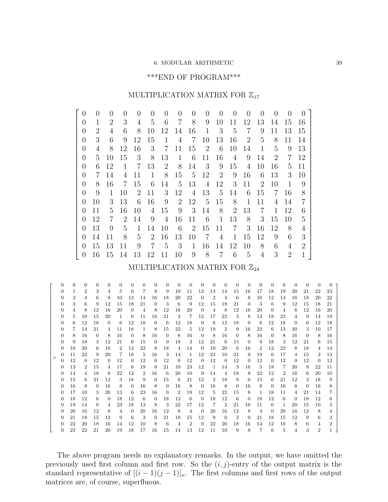# 6. MODULAR ARITHMETIC 39

# \*\*\*END OF PROGRAM\*\*\*

# MULTIPLICATION MATRIX FOR  $\mathbb{Z}_{17}$

| $\theta$         | 0              | $\left( \right)$ | $\left( \right)$ | 0  | $\theta$       | 0              | $\left( \right)$ | $\left( \right)$ | $\theta$       | 0              | 0              | $\left( \right)$ | $\left( \right)$ | 0              | $\theta$ |                |
|------------------|----------------|------------------|------------------|----|----------------|----------------|------------------|------------------|----------------|----------------|----------------|------------------|------------------|----------------|----------|----------------|
| $\theta$         | $\mathbf 1$    | 2                | 3                | 4  | 5              | 6              | 7                | 8                | 9              | 10             | 11             | 12               | 13               | 14             | 15       | 16             |
| $\left( \right)$ | $\overline{2}$ | 4                | 6                | 8  | 10             | 12             | 14               | 16               | $\mathbf{1}$   | 3              | 5              | 7                | 9                | 11             | 13       | 15             |
| $\left( \right)$ | 3              | 6                | 9                | 12 | 15             | 1              | 4                | 7                | 10             | 13             | 16             | $\overline{2}$   | 5                | 8              | 11       | 14             |
| $\theta$         | 4              | 8                | 12               | 16 | 3              | 7              | 11               | 15               | 2              | 6              | 10             | 14               | 1                | 5              | 9        | 13             |
| $\theta$         | 5              | 10               | 15               | 3  | 8              | 13             | 1                | 6                | 11             | 16             | $\overline{4}$ | 9                | 14               | $\overline{2}$ | 7        | 12             |
| $\theta$         | 6              | 12               | 1                | 7  | 13             | $\overline{2}$ | 8                | 14               | 3              | 9              | 15             | 4                | 10               | 16             | 5        | 11             |
| $\theta$         | 7              | 14               | 4                | 11 | 1              | 8              | 15               | 5                | 12             | $\overline{2}$ | 9              | 16               | 6                | 13             | 3        | 10             |
| $\theta$         | 8              | 16               | 7                | 15 | 6              | 14             | 5                | 13               | 4              | 12             | 3              | 11               | 2                | 10             | 1        | 9              |
| $\theta$         | 9              | 1                | 10               | 2  | 11             | 3              | 12               | 4                | 13             | 5              | 14             | 6                | 15               | 7              | 16       | 8              |
| $\theta$         | 10             | 3                | 13               | 6  | 16             | 9              | 2                | 12               | 5              | 15             | 8              | 1                | 11               | 4              | 14       | 7              |
| $\theta$         | 11             | 5                | 16               | 10 | 4              | 15             | 9                | 3                | 14             | 8              | $\overline{2}$ | 13               | 7                | 1              | 12       | 6              |
| $\theta$         | 12             | 7                | 2                | 14 | 9              | 4              | 16               | 11               | 6              | 1              | 13             | 8                | 3                | 15             | 10       | 5              |
| $\theta$         | 13             | 9                | 5                | 1  | 14             | 10             | 6                | 2                | 15             | 11             | $\overline{7}$ | 3                | 16               | 12             | 8        | 4              |
| 0                | 14             | 11               | 8                | 5  | $\overline{2}$ | 16             | 13               | 10               | $\overline{7}$ | 4              | 1              | 15               | 12               | 9              | 6        | 3              |
| $\left( \right)$ | 15             | 13               | 11               | 9  | $\overline{7}$ | 5              | 3                | 1                | 16             | 14             | 12             | 10               | 8                | 6              | 4        | $\overline{2}$ |
| $\theta$         | 16             | 15               | 14               | 13 | 12             | 11             | 10               | 9                | 8              | 7              | 6              | 5                | 4                | 3              | 2        | 1              |

MULTIPLICATION MATRIX FOR  $\mathbb{Z}_{24}$ 

|   | 0        | $\Omega$ | $\Omega$       | $\Omega$       | $\Omega$       | $\Omega$       | $\Omega$ | $\Omega$       | $\Omega$       | $\Omega$       | $\Omega$       | $\Omega$       | $\Omega$       | $\Omega$       | $\Omega$       | $\Omega$       | $\Omega$       | $\Omega$       | $\Omega$       | $\Omega$       | $\Omega$ | $\Omega$ | $\Omega$       | $\Omega$       |
|---|----------|----------|----------------|----------------|----------------|----------------|----------|----------------|----------------|----------------|----------------|----------------|----------------|----------------|----------------|----------------|----------------|----------------|----------------|----------------|----------|----------|----------------|----------------|
|   | 0        | 1        | $\overline{2}$ | 3              | $\overline{4}$ | 5              | 6        | 7              | 8              | 9              | 10             | 11             | 12             | 13             | 14             | 15             | 16             | 17             | 18             | 19             | 20       | 21       | 22             | 23             |
|   | 0        | 2        | 4              | 6              | 8              | 10             | 12       | 14             | 16             | 18             | 20             | 22             | $\Omega$       | $\overline{2}$ | 4              | 6              | 8              | 10             | 12             | 14             | 16       | 18       | 20             | 22             |
|   | 0        | 3        | 6              | 9              | 12             | 15             | 18       | 21             | $\Omega$       | 3              | 6              | 9              | 12             | 15             | 18             | 21             | $\Omega$       | 3              | 6              | 9              | 12       | 15       | 18             | 21             |
|   | 0        | 4        | 8              | 12             | 16             | 20             | $\Omega$ | $\overline{4}$ | 8              | 12             | 16             | 20             | $\theta$       | $\overline{4}$ | 8              | 12             | 16             | 20             | 0              | 4              | 8        | 12       | 16             | 20             |
|   | 0        | 5        | 10             | 15             | 20             | 1              | 6        | 11             | 16             | 21             | $\overline{2}$ | 7              | 12             | 17             | 22             | 3              | 8              | 13             | 18             | 23             | 4        | 9        | 14             | 19             |
|   | 0        | 6        | 12             | 18             | $\Omega$       | 6              | 12       | 18             | $\theta$       | 6              | 12             | 18             | $\overline{0}$ | 6              | 12             | 18             | $\Omega$       | 6              | 12             | 18             | $\Omega$ | 6        | 12             | 18             |
|   | 0        | 7        | 14             | 21             | 4              | 11             | 18       | 1              | 8              | 15             | 22             | 5              | 12             | 19             | $\overline{2}$ | 9              | 16             | 23             | 6              | 13             | 20       | 3        | 10             | 17             |
|   | 0        | 8        | 16             | $\overline{0}$ | 8              | 16             | $\theta$ | 8              | 16             | $\overline{0}$ | 8              | 16             | $\overline{0}$ | 8              | 16             | $\overline{0}$ | 8              | 16             | $\overline{0}$ | 8              | 16       | $\Omega$ | 8              | 16             |
|   | 0        | 9        | 18             | 3              | 12             | 21             | 6        | 15             | $\Omega$       | 9              | 18             | 3              | 12             | 21             | 6              | 15             | $\overline{0}$ | 9              | 18             | 3              | 12       | 21       | 6              | 15             |
|   | 0        | 10       | 20             | 6              | 16             | $\overline{2}$ | 12       | 22             | 8              | 18             | $\overline{4}$ | 14             | $\theta$       | 10             | 20             | 6              | 16             | $\overline{2}$ | 12             | 22             | 8        | 18       | 4              | 14             |
| > | 0        | 11       | 22             | 9              | 20             | 7              | 18       | 5              | 16             | 3              | 14             | 1              | 12             | 23             | 10             | 21             | 8              | 19             | 6              | 17             | 4        | 15       | 2              | 13             |
|   | $\theta$ | 12       | $\Omega$       | 12             | $\overline{0}$ | 12             | $\theta$ | 12             | $\overline{0}$ | 12             | 0              | 12             | $\theta$       | 12             | $\overline{0}$ | 12             | 0              | 12             | $\Omega$       | 12             | 0        | 12       | 0              | 12             |
|   | 0        | 13       | $\overline{2}$ | 15             | 4              | 17             | 6        | 19             | 8              | 21             | 10             | 23             | 12             | -1             | 14             | 3              | 16             | 5              | 18             | 7              | 20       | 9        | 22             | 11             |
|   | $\Omega$ | 14       | 4              | 18             | 8              | 22             | 12       | $\overline{2}$ | 16             | 6              | 20             | 10             | $\Omega$       | 14             | 4              | 18             | 8              | 22             | 12             | $\overline{2}$ | 16       | 6        | 20             | 10             |
|   | 0        | 15       | 6              | 21             | 12             | 3              | 18       | 9              | $\Omega$       | 15             | 6              | 21             | 12             | 3              | 18             | 9              | $\Omega$       | 15             | 6              | 21             | 12       | 3        | 18             | 9              |
|   | $\Omega$ | 16       | 8              | $\Omega$       | 16             | 8              | $\theta$ | 16             | 8              | $\Omega$       | 16             | 8              | $\overline{0}$ | 16             | 8              | $\Omega$       | 16             | 8              | $\overline{0}$ | 16             | 8        | $\Omega$ | 16             | 8              |
|   | $\Omega$ | 17       | 10             | 3              | 20             | 13             | 6        | 23             | 16             | 9              | $\overline{2}$ | 19             | 12             | 5              | 22             | 15             | 8              | $\mathbf{1}$   | 18             | 11             | 4        | 21       | 14             |                |
|   | $\Omega$ | 18       | 12             | 6              | $\Omega$       | 18             | 12       | 6              | $\theta$       | 18             | 12             | 6              | $\theta$       | 18             | 12             | 6              | $\Omega$       | 18             | 12             | 6              | $\Omega$ | 18       | 12             | 6              |
|   | $\Omega$ | 19       | 14             | 9              | 4              | 23             | 18       | 13             | 8              | 3              | 22             | 17             | 12             | 7              | $\overline{2}$ | 21             | 16             | 11             | 6              | -1             | 20       | 15       | 10             | 5              |
|   | $\Omega$ | 20       | 16             | 12             | 8              | 4              | $\Omega$ | 20             | 16             | 12             | 8              | 4              | $\Omega$       | 20             | 16             | 12             | 8              | 4              | $\Omega$       | 20             | 16       | 12       | 8              | 4              |
|   | $\Omega$ | 21       | 18             | 15             | 12             | 9              | 6        | 3              | $\Omega$       | 21             | 18             | 15             | 12             | 9              | 6              | 3              | $\Omega$       | 21             | 18             | 15             | 12       | 9        | 6              | 3              |
|   | 0        | 22       | 20             | 18             | 16             | 14             | 12       | 10             | 8              | 6              | $\overline{4}$ | $\overline{2}$ | $\Omega$       | 22             | 20             | 18             | 16             | 14             | 12             | 10             | 8        | 6        | 4              | $\overline{2}$ |
|   | $\Omega$ | 23       | 22             | 21             | 20             | 19             | 18       | 17             | 16             | 15             | 14             | 13             | 12             | 11             | 10             | 9              | 8              | 7              | 6              | 5              | 4        | 3        | $\overline{2}$ |                |

The above program needs no explanatory remarks. In the output, we have omitted the previously used first column and first row. So the  $(i, j)$ -entry of the output matrix is the standard representative of  $[(i-1)(j-1)]_n$ . The first columns and first rows of the output matrices are, of course, superfluous.

 $\overline{1}$  $\overline{a}$  $\overline{a}$  $\mathbf{I}$  $\frac{1}{2}$  $\overline{a}$  $\overline{a}$  $\overline{1}$  $\overline{1}$  $\overline{1}$  $\overline{1}$  $\mathbf{I}$  $\overline{a}$  $\overline{1}$  $\overline{1}$  $\overline{1}$  $\overline{1}$  $\overline{1}$  $\mathbf{I}$  $\overline{a}$  $\overline{a}$  $\overline{1}$  $\overline{1}$  $\overline{1}$  $\overline{1}$  $\overline{1}$  $\overline{a}$  $\overline{1}$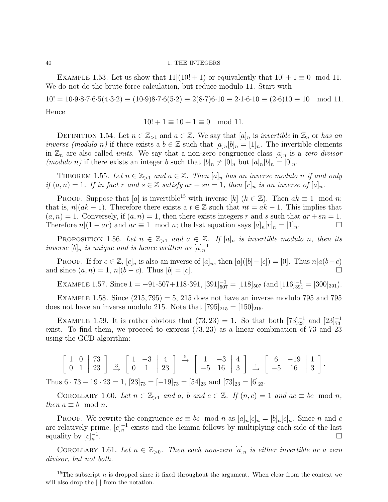EXAMPLE 1.53. Let us show that  $11/(10! + 1)$  or equivalently that  $10! + 1 \equiv 0 \mod 11$ . We do not do the brute force calculation, but reduce modulo 11. Start with

 $10! = 10.9.8.7.6.5(4.3.2) \equiv (10.9)8.7.6(5.2) \equiv 2(8.7)6.10 \equiv 2.1.6.10 \equiv (2.6)10 \equiv 10 \mod 11.$ Hence

$$
10! + 1 \equiv 10 + 1 \equiv 0 \mod 11.
$$

DEFINITION 1.54. Let  $n \in \mathbb{Z}_{\geq 1}$  and  $a \in \mathbb{Z}$ . We say that  $[a]_n$  is *invertible* in  $\mathbb{Z}_n$  or has an inverse (modulo n) if there exists a  $b \in \mathbb{Z}$  such that  $[a]_n[b]_n = [1]_n$ . The invertible elements in  $\mathbb{Z}_n$  are also called *units*. We say that a non-zero congruence class  $[a]_n$  is a zero divisor (modulo n) if there exists an integer b such that  $[b]_n \neq [0]_n$  but  $[a]_n[b]_n = [0]_n$ .

THEOREM 1.55. Let  $n \in \mathbb{Z}_{>1}$  and  $a \in \mathbb{Z}$ . Then  $[a]_n$  has an inverse modulo n if and only if  $(a, n) = 1$ . If in fact r and  $s \in \mathbb{Z}$  satisfy  $ar + sn = 1$ , then  $[r]_n$  is an inverse of  $[a]_n$ .

PROOF. Suppose that [a] is invertible<sup>15</sup> with inverse [k] ( $k \in \mathbb{Z}$ ). Then  $ak \equiv 1 \mod n$ ; that is,  $n|(ak-1)$ . Therefore there exists a  $t \in \mathbb{Z}$  such that  $nt = ak - 1$ . This implies that  $(a, n) = 1$ . Conversely, if  $(a, n) = 1$ , then there exists integers r and s such that  $ar + sn = 1$ . Therefore  $n|(1-ar)$  and  $ar \equiv 1 \mod n$ ; the last equation says  $[a]_n[r]_n=[1]_n$ .

PROPOSITION 1.56. Let  $n \in \mathbb{Z}_{>1}$  and  $a \in \mathbb{Z}$ . If  $[a]_n$  is invertible modulo n, then its inverse  $[b]_n$  is unique and is hence written as  $[a]_n^{-1}$ 

PROOF. If for  $c \in \mathbb{Z}$ ,  $[c]_n$  is also an inverse of  $[a]_n$ , then  $[a]([b]-[c]) = [0]$ . Thus  $n|a(b-c)$ <br>l since  $(a, n) = 1, n|(b-c)$  Thus  $[b] = [c]$ and since  $(a, n) = 1, n|(b - c)$ . Thus  $[b] = [c]$ .

EXAMPLE 1.57. Since  $1 = -91.507 + 118.391$ ,  $[391]_{507}^{-1} = [118]_{507}$  (and  $[116]_{391}^{-1} = [300]_{391}$ ).

EXAMPLE 1.58. Since  $(215, 795) = 5, 215$  does not have an inverse modulo 795 and 795 does not have an inverse modulo 215. Note that  $[795]_{215} = [150]_{215}$ .

EXAMPLE 1.59. It is rather obvious that  $(73, 23) = 1$ . So that both  $[73]_{23}^{-1}$  and  $[23]_{73}^{-1}$ exist. To find them, we proceed to express (73, 23) as a linear combination of 73 and 23 using the GCD algorithm:

$$
\left[\begin{array}{cc|c}1 & 0 & 73 \\ 0 & 1 & 23\end{array}\right] \xrightarrow{3} \left[\begin{array}{cc|c}1 & -3 & 4 \\ 0 & 1 & 23\end{array}\right] \xrightarrow{5} \left[\begin{array}{cc|c}1 & -3 & 4 \\ -5 & 16 & 3\end{array}\right] \xrightarrow{1}_{\rightarrow} \left[\begin{array}{cc|c}6 & -19 & 1 \\ -5 & 16 & 3\end{array}\right].
$$

Thus  $6 \cdot 73 - 19 \cdot 23 = 1$ ,  $[23]_{73} = [-19]_{73} = [54]_{23}$  and  $[73]_{23} = [6]_{23}$ .

COROLLARY 1.60. Let  $n \in \mathbb{Z}_{>1}$  and  $a, b$  and  $c \in \mathbb{Z}$ . If  $(n, c) = 1$  and  $ac \equiv bc \mod n$ , then  $a \equiv b \mod n$ .

**PROOF.** We rewrite the congruence  $ac \equiv bc \mod n$  as  $[a]_n[c]_n = [b]_n[c]_n$ . Since n and c are relatively prime,  $[c]_n^{-1}$  exists and the lemma follows by multiplying each side of the last equality by  $[c]_n^{-1}$ .

COROLLARY 1.61. Let  $n \in \mathbb{Z}_{>0}$ . Then each non-zero  $[a]_n$  is either invertible or a zero divisor, but not both.

<sup>&</sup>lt;sup>15</sup>The subscript n is dropped since it fixed throughout the argument. When clear from the context we will also drop the  $\lceil \cdot \rceil$  from the notation.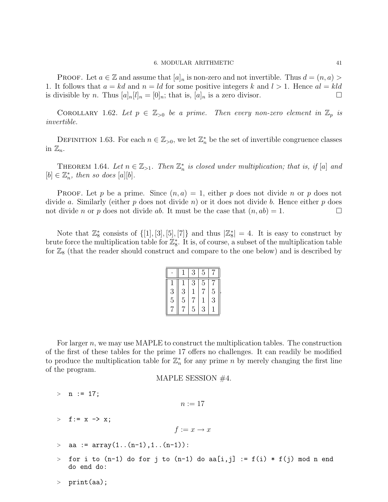**PROOF.** Let  $a \in \mathbb{Z}$  and assume that  $[a]_n$  is non-zero and not invertible. Thus  $d = (n, a) >$ 1. It follows that  $a = kd$  and  $n = ld$  for some positive integers k and  $l > 1$ . Hence  $al = kld$ is divisible by n. Thus  $[a]_n[l]_n = [0]_n$ ; that is,  $[a]_n$  is a zero divisor.

COROLLARY 1.62. Let  $p \in \mathbb{Z}_{>0}$  be a prime. Then every non-zero element in  $\mathbb{Z}_p$  is invertible.

DEFINITION 1.63. For each  $n \in \mathbb{Z}_{>0}$ , we let  $\mathbb{Z}_n^*$  be the set of invertible congruence classes in  $\mathbb{Z}_n$ .

THEOREM 1.64. Let  $n \in \mathbb{Z}_{>1}$ . Then  $\mathbb{Z}_n^*$  is closed under multiplication; that is, if [a] and  $[b] \in \mathbb{Z}_n^*$ , then so does  $[a][b]$ .

**PROOF.** Let p be a prime. Since  $(n, a) = 1$ , either p does not divide n or p does not divide a. Similarly (either  $p$  does not divide  $n$ ) or it does not divide b. Hence either  $p$  does not divide *n* or *p* does not divide *ab*. It must be the case that  $(n, ab) = 1$ .

Note that  $\mathbb{Z}_8^*$  consists of  $\{[1], [3], [5], [7]\}$  and thus  $|\mathbb{Z}_8^*| = 4$ . It is easy to construct by brute force the multiplication table for  $\mathbb{Z}_8^*$ . It is, of course, a subset of the multiplication table for  $\mathbb{Z}_8$  (that the reader should construct and compare to the one below) and is described by

|               |   | 3              | 5              |                |  |
|---------------|---|----------------|----------------|----------------|--|
|               |   | 3              | $\overline{5}$ | 7              |  |
| $\frac{3}{5}$ | 3 |                | 7              | $\overline{5}$ |  |
|               | 5 | $\overline{7}$ |                | 3              |  |
|               |   | 5              | 3              |                |  |

For larger  $n$ , we may use MAPLE to construct the multiplication tables. The construction of the first of these tables for the prime 17 offers no challenges. It can readily be modified to produce the multiplication table for  $\mathbb{Z}_n^*$  for any prime n by merely changing the first line of the program.

### MAPLE SESSION #4.

 $> n := 17;$  $n := 17$  $>$  f:= x -> x;  $f := x \rightarrow x$  $>$  aa := array(1..(n-1),1..(n-1)): > for i to  $(n-1)$  do for j to  $(n-1)$  do  $aa[i,j] := f(i) * f(j)$  mod n end do end do:

```
> print(aa);
```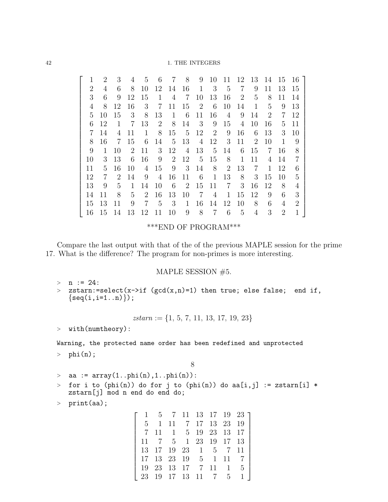| 1  | 2  | 3  | 4  | 5  | 6            | 7              | 8  | 9              | 10             | 11             | 12             | 13             | 14             | 15             | 16             |  |
|----|----|----|----|----|--------------|----------------|----|----------------|----------------|----------------|----------------|----------------|----------------|----------------|----------------|--|
| 2  | 4  | 6  | 8  | 10 | 12           | 14             | 16 | 1              | 3              | 5              | 7              | 9              | 11             | 13             | 15             |  |
| 3  | 6  | 9  | 12 | 15 | $\mathbf{1}$ | 4              | 7  | 10             | 13             | 16             | $\overline{2}$ | 5              | 8              | 11             | 14             |  |
| 4  | 8  | 12 | 16 | 3  | 7            | 11             | 15 | $\overline{2}$ | 6              | 10             | 14             | $\mathbf{1}$   | 5              | 9              | 13             |  |
| 5  | 10 | 15 | 3  | 8  | 13           | $\mathbf{1}$   | 6  | 11             | 16             | $\overline{4}$ | 9              | 14             | $\overline{2}$ | $\overline{7}$ | 12             |  |
| 6  | 12 | 1  | 7  | 13 | 2            | 8              | 14 | 3              | 9              | 15             | 4              | 10             | 16             | 5              | 11             |  |
| 7  | 14 | 4  | 11 | 1  | 8            | 15             | 5  | 12             | $\overline{2}$ | 9              | 16             | 6              | 13             | 3              | 10             |  |
| 8  | 16 | 7  | 15 | 6  | 14           | 5              | 13 | 4              | 12             | 3              | 11             | $\overline{2}$ | 10             | 1              | 9              |  |
| 9  | 1  | 10 | 2  | 11 | 3            | 12             | 4  | 13             | 5              | 14             | 6              | 15             | 7              | 16             | 8              |  |
| 10 | 3  | 13 | 6  | 16 | 9            | $\overline{2}$ | 12 | 5              | 15             | 8              | 1              | 11             | 4              | 14             | 7              |  |
| 11 | 5  | 16 | 10 | 4  | 15           | 9              | 3  | 14             | 8              | $\overline{2}$ | 13             | 7              | 1              | 12             | 6              |  |
| 12 | 7  | 2  | 14 | 9  | 4            | 16             | 11 | 6              | 1              | 13             | 8              | 3              | 15             | 10             | 5              |  |
| 13 | 9  | 5  | 1  | 14 | 10           | 6              | 2  | 15             | 11             | $\overline{7}$ | 3              | 16             | 12             | 8              | 4              |  |
| 14 | 11 | 8  | 5  | 2  | 16           | 13             | 10 | 7              | 4              | 1              | 15             | 12             | 9              | 6              | 3              |  |
| 15 | 13 | 11 | 9  | 7  | 5            | 3              | 1  | 16             | 14             | 12             | 10             | 8              | 6              | 4              | $\overline{2}$ |  |
| 16 | 15 | 14 | 13 | 12 | 11           | 10             | 9  | 8              | 7              | 6              | 5              | 4              | 3              | 2              | $\mathbf{1}$   |  |

\*\*\*END OF PROGRAM\*\*\*

Compare the last output with that of the of the previous MAPLE session for the prime 17. What is the difference? The program for non-primes is more interesting.

# MAPLE SESSION #5.

 $> n := 24$ : > zstarn:=select(x->if ( $gcd(x,n)=1$ ) then true; else false; end if,  $\{seq(i, i=1..n)\})$ ;

 $zstar := \{1, 5, 7, 11, 13, 17, 19, 23\}$ 

<sup>&</sup>gt; with(numtheory):

Warning, the protected name order has been redefined and unprotected

 $>$  phi(n);

8

- $>$  aa := array(1..phi(n),1..phi(n)):
- > for i to  $(\text{phi}(n))$  do for j to  $(\text{phi}(n))$  do  $\text{aa}[i,j]$  := zstarn[i] \* zstarn[j] mod n end do end do;
- $>$  print(aa);

|                 | $5\overline{)}$ | $7\overline{ }$ |      | 11 13 17             |                 | 19 23           |                |
|-----------------|-----------------|-----------------|------|----------------------|-----------------|-----------------|----------------|
| $5^{\circ}$     | $\mathbf{1}$    | 11              |      | 7 17                 |                 | 13 23 19        |                |
| $7\overline{ }$ | 11              |                 |      | $1 \quad 5 \quad 19$ |                 | 23 13           | 17             |
| 11              | 7               |                 |      | $5 \t1 \t23$         | 19              | 17              | 13             |
| 13              | 17              |                 |      | 19 23 1 5            |                 | $7\phantom{.0}$ | 11             |
|                 |                 |                 |      | 17 13 23 19 5 1 11   |                 |                 |                |
| 19              |                 | 23 13           | - 17 | $7\overline{ }$      | 11              | $\mathbf{1}$    | $\overline{5}$ |
| 23              | 19              | 17              | 13   | 11                   | $7\phantom{.0}$ | $5 -$           |                |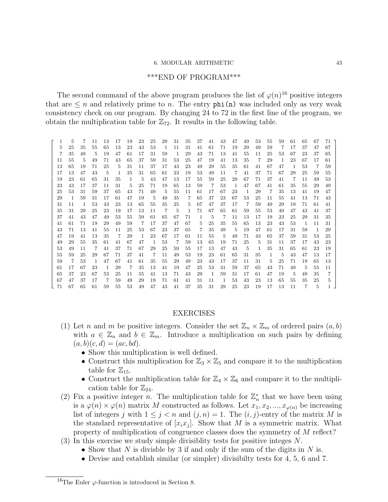### 6. MODULAR ARITHMETIC 43

### \*\*\*END OF PROGRAM\*\*\*

The second command of the above program produces the list of  $\varphi(n)^{16}$  positive integers that are  $\leq n$  and relatively prime to n. The entry phi(n) was included only as very weak consistency check on our program. By changing 24 to 72 in the first line of the program, we obtain the multiplication table for  $\mathbb{Z}_{72}$ . It results in the following table.

 $\Gamma$  $\overline{1}$  $\overline{1}$  $\overline{1}$  $\overline{1}$  $\overline{1}$  $\overline{1}$  $\overline{1}$  $\overline{1}$  $\overline{1}$  $\overline{1}$  $\overline{1}$  $\overline{1}$  $\overline{1}$  $\overline{1}$  $\overline{1}$  $\overline{1}$  $\overline{1}$  $\overline{1}$  $\overline{1}$  $\overline{1}$  $\overline{1}$  $\overline{1}$  $\overline{1}$  $\overline{1}$  $\overline{1}$  $\overline{1}$  $\overline{1}$  $\overline{1}$  $\overline{1}$  $\overline{1}$  $\overline{1}$  $\overline{1}$  $\overline{1}$  $\overline{1}$  $\overline{1}$  $\overline{1}$  $\overline{1}$  $\overline{1}$  $\overline{1}$  $\overline{1}$  $\overline{1}$  $\overline{1}$  $\overline{1}$ 4 1 5 7 11 13 17 19 23 25 29 31 35 37 41 43 47 49 53 55 59 61 65 67 71 5 25 35 55 65 13 23 43 53 1 11 31 41 61 71 19 29 49 59 7 17 37 47 67 7 35 49 5 19 47 61 17 31 59 1 29 43 71 13 41 55 11 25 53 67 23 37 65 11 55 5 49 71 43 65 37 59 31 53 25 47 19 41 13 35 7 29 1 23 67 17 61 13 65 19 71 25 5 31 11 37 17 43 23 49 29 55 35 61 41 67 47 1 53 7 59 17 13 47 43 5 1 35 31 65 61 23 19 53 49 11 7 41 37 71 67 29 25 59 55 19 23 61 65 31 35 1 5 43 47 13 17 55 59 25 29 67 71 37 41 7 11 49 53 23 43 17 37 11 31 5 25 71 19 65 13 59 7 53 1 47 67 41 61 35 55 29 49 25 53 31 59 37 65 43 71 49 5 55 11 61 17 67 23 1 29 7 35 13 41 19 47 29 1 59 31 17 61 47 19 5 49 35 7 65 37 23 67 53 25 11 55 41 13 71 43 31 11 1 53 43 23 13 65 55 35 25 5 67 47 37 17 7 59 49 29 19 71 61 41 35 31 29 25 23 19 17 13 11 7 5 1 71 67 65 61 59 55 53 49 47 43 41 37 37 41 43 47 49 53 55 59 61 65 67 71 1 5 7 11 13 17 19 23 25 29 31 35 41 61 71 19 29 49 59 7 17 37 47 67 5 25 35 55 65 13 23 43 53 1 11 31 43 71 13 41 55 11 25 53 67 23 37 65 7 35 49 5 19 47 61 17 31 59 1 29 47 19 41 13 35 7 29 1 23 67 17 61 11 55 5 49 71 43 65 37 59 31 53 25 49 29 55 35 61 41 67 47 1 53 7 59 13 65 19 71 25 5 31 11 37 17 43 23 53 49 11 7 41 37 71 67 29 25 59 55 17 13 47 43 5 1 35 31 65 61 23 19 55 59 25 29 67 71 37 41 7 11 49 53 19 23 61 65 31 35 1 5 43 47 13 17 59 7 53 1 47 67 41 61 35 55 29 49 23 43 17 37 11 31 5 25 71 19 65 13 61 17 67 23 1 29 7 35 13 41 19 47 25 53 31 59 37 65 43 71 49 5 55 11 65 37 23 67 53 25 11 55 41 13 71 43 29 1 59 31 17 61 47 19 5 49 35 7 67 47 37 17 7 59 49 29 19 71 61 41 31 11 1 53 43 23 13 65 55 35 25 5 71 67 65 61 59 55 53 49 47 43 41 37 35 31 29 25 23 19 17 13 11 7 5 1 1  $\overline{1}$  $\overline{1}$  $\overline{1}$  $\mathcal{I}$  $\overline{1}$  $\overline{1}$  $\overline{1}$  $\mathcal{I}$  $\overline{1}$  $\overline{1}$  $\overline{1}$  $\overline{1}$  $\overline{1}$  $\overline{1}$  $\overline{1}$  $\mathcal{I}$  $\overline{1}$  $\overline{1}$  $\overline{1}$  $\mathcal{I}$  $\overline{1}$  $\overline{1}$  $\overline{1}$  $\mathcal{I}$  $\overline{1}$  $\overline{1}$  $\overline{1}$  $\mathcal{I}$  $\overline{1}$  $\overline{1}$  $\overline{1}$  $\mathcal{I}$  $\overline{1}$  $\overline{1}$  $\overline{1}$  $\mathcal{I}$  $\overline{1}$  $\overline{1}$  $\overline{1}$  $\mathcal{I}$  $\overline{1}$  $\overline{1}$  $\overline{1}$  $\overline{1}$ 

### EXERCISES

- (1) Let n and m be positive integers. Consider the set  $\mathbb{Z}_n \times \mathbb{Z}_m$  of ordered pairs  $(a, b)$ with  $a \in \mathbb{Z}_n$  and  $b \in \mathbb{Z}_m$ . Introduce a multiplication on such pairs by defining  $(a, b)(c, d) = (ac, bd).$ 
	- Show this multiplication is well defined.
	- Construct this multiplication for  $\mathbb{Z}_3 \times \mathbb{Z}_5$  and compare it to the multiplication table for  $\mathbb{Z}_{15}$ .
	- Construct the multiplication table for  $\mathbb{Z}_4 \times \mathbb{Z}_6$  and compare it to the multiplication table for  $\mathbb{Z}_{24}$ .
- (2) Fix a positive integer *n*. The multiplication table for  $\mathbb{Z}_n^*$  that we have been using is a  $\varphi(n) \times \varphi(n)$  matrix M constructed as follows. Let  $x_1, x_2, ..., x_{\varphi(n)}$  be increasing list of integers j with  $1 \leq j < n$  and  $(j, n) = 1$ . The  $(i, j)$ -entry of the matrix M is the standard representative of  $[x_ix_j]$ . Show that M is a symmetric matrix. What property of multiplication of congruence classes does the symmetry of M reflect?
- (3) In this exercise we study simple divisiblity tests for positive integes N.
	- Show that N is divisble by 3 if and only if the sum of the digits in N is.
	- Devise and establish similar (or simpler) divisibilty tests for 4, 5, 6 and 7.

<sup>&</sup>lt;sup>16</sup>The Euler  $\varphi$ -function is introduced in Section 8.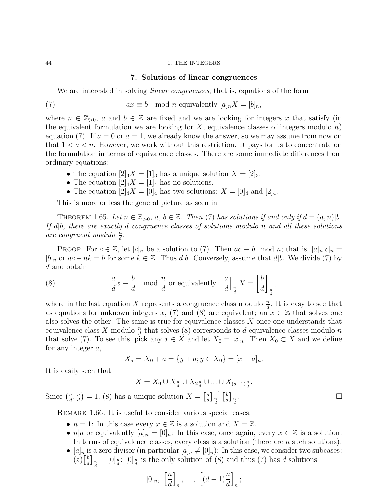### 7. Solutions of linear congruences

We are interested in solving *linear congruences*; that is, equations of the form

(7) 
$$
ax \equiv b \mod n \text{ equivalently } [a]_n X = [b]_n,
$$

where  $n \in \mathbb{Z}_{>0}$ , a and  $b \in \mathbb{Z}$  are fixed and we are looking for integers x that satisfy (in the equivalent formulation we are looking for X, equivalence classes of integers modulo  $n$ ) equation (7). If  $a = 0$  or  $a = 1$ , we already know the answer, so we may assume from now on that  $1 < a < n$ . However, we work without this restriction. It pays for us to concentrate on the formulation in terms of equivalence classes. There are some immediate differences from ordinary equations:

- The equation  $[2]_3X = [1]_3$  has a unique solution  $X = [2]_3$ .
- The equation  $[2]_4X=[1]_4$  has no solutions.
- The equation  $[2]_4X = [0]_4$  has two solutions:  $X = [0]_4$  and  $[2]_4$ .

This is more or less the general picture as seen in

THEOREM 1.65. Let  $n \in \mathbb{Z}_{>0}$ ,  $a, b \in \mathbb{Z}$ . Then (7) has solutions if and only if  $d = (a, n) \mid b$ . If d|b, there are exactly d congruence classes of solutions modulo n and all these solutions are congruent modulo  $\frac{n}{d}$ .

**PROOF.** For  $c \in \mathbb{Z}$ , let  $[c]_n$  be a solution to (7). Then  $ac \equiv b \mod n$ ; that is,  $[a]_n[c]_n =$  $[b]_n$  or  $ac - nk = b$  for some  $k \in \mathbb{Z}$ . Thus  $d|b$ . Conversely, assume that  $d|b$ . We divide (7) by d and obtain

(8) 
$$
\frac{a}{d}x \equiv \frac{b}{d} \mod \frac{n}{d} \text{ or equivalently } \left[\frac{a}{d}\right]_{\frac{n}{d}} X = \left[\frac{b}{d}\right]_{\frac{n}{d}},
$$

where in the last equation X represents a congruence class modulo  $\frac{n}{d}$ . It is easy to see that as equations for unknown integers x, (7) and (8) are equivalent; an  $x \in \mathbb{Z}$  that solves one also solves the other. The same is true for equivalence classes X once one understands that equivalence class X modulo  $\frac{n}{d}$  that solves (8) corresponds to d equivalence classes modulo n that solve (7). To see this, pick any  $x \in X$  and let  $X_0 = [x]_n$ . Then  $X_0 \subset X$  and we define for any integer a,

$$
X_a = X_0 + a = \{y + a; y \in X_0\} = [x + a]_n.
$$

It is easily seen that

$$
X = X_0 \cup X_{\frac{n}{d}} \cup X_{2\frac{n}{d}} \cup \dots \cup X_{(d-1)\frac{n}{d}}
$$

Since  $\left(\frac{a}{d}\right)$  $\frac{a}{d}$ ,  $\frac{n}{d}$  $\left(\frac{a}{d}\right) = 1$ , (8) has a unique solution  $X = \left[\frac{a}{d}\right]$  $\left[\frac{a}{d}\right]_{\frac{n}{d}}^{-1}$   $\left[\frac{b}{d}\right]$  $\frac{b}{d}$ <sub> $\frac{n}{d}$ </sub> . В последните поставите на примерение в поставите на примерение в поставите на примерение в собита на примере<br>В поставите на примерение в поставите на примерение в поставите на примерение в поставите на примерение в пост

REMARK 1.66. It is useful to consider various special cases.

- $n = 1$ : In this case every  $x \in \mathbb{Z}$  is a solution and  $X = \mathbb{Z}$ .
- $n|a$  or equivalently  $[a]_n = [0]_n$ : In this case, once again, every  $x \in \mathbb{Z}$  is a solution. In terms of equivalence classes, every class is a solution (there are *n* such solutions).

.

•  $[a]_n$  is a zero divisor (in particular  $[a]_n \neq [0]_n$ ): In this case, we consider two subcases:  $(a) \left[ \frac{b}{d} \right]$  $\frac{b}{d}$ <sub> $\frac{b}{d}$ </sub> =  $[0]$ <sub> $\frac{n}{d}$ </sub>:  $[0]$ <sub> $\frac{n}{d}$ </sub> is the only solution of (8) and thus (7) has d solutions

$$
[0]_n, \ \left[\frac{n}{d}\right]_n, \ \ldots, \ \left[(d-1)\frac{n}{d}\right]_n;
$$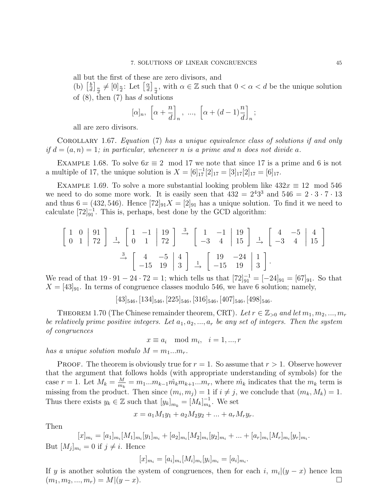all but the first of these are zero divisors, and

 $\left(\mathrm{b}\right)$   $\left[\frac{b}{d}\right]$  $\frac{b}{d}$ <sub> $\frac{n}{d}$ </sub>  $\neq$   $[0]$  $\frac{n}{d}$ : Let  $\left[\frac{\alpha}{d}\right]$  $\frac{\alpha}{d}$   $\frac{1}{a}$ , with  $\alpha \in \mathbb{Z}$  such that  $0 < \alpha < d$  be the unique solution of  $(8)$ , then  $(7)$  has d solutions

$$
[\alpha]_n, \ \left[\alpha + \frac{n}{d}\right]_n, \ \ldots, \ \left[\alpha + (d-1)\frac{n}{d}\right]_n;
$$

all are zero divisors.

Corollary 1.67. Equation (7) has a unique equivalence class of solutions if and only if  $d = (a, n) = 1$ ; in particular, whenever n is a prime and n does not divide a.

EXAMPLE 1.68. To solve  $6x \equiv 2 \mod 17$  we note that since 17 is a prime and 6 is not a multiple of 17, the unique solution is  $X = [6]_{17}^{-1}[2]_{17} = [3]_{17}[2]_{17} = [6]_{17}.$ 

EXAMPLE 1.69. To solve a more substantial looking problem like  $432x \equiv 12 \mod 546$ we need to do some more work. It is easily seen that  $432 = 2^43^3$  and  $546 = 2 \cdot 3 \cdot 7 \cdot 13$ and thus  $6 = (432, 546)$ . Hence  $[72]_{91}X = [2]_{91}$  has a unique solution. To find it we need to calculate  $[72]_{91}^{-1}$ . This is, perhaps, best done by the GCD algorithm:

$$
\begin{bmatrix} 1 & 0 & 91 \\ 0 & 1 & 72 \end{bmatrix} \xrightarrow{1} \begin{bmatrix} 1 & -1 & 19 \\ 0 & 1 & 72 \end{bmatrix} \xrightarrow{3} \begin{bmatrix} 1 & -1 & 19 \\ -3 & 4 & 15 \end{bmatrix} \xrightarrow{1}{\rightarrow} \begin{bmatrix} 4 & -5 & 4 \\ -3 & 4 & 15 \end{bmatrix}
$$

$$
\xrightarrow{3} \begin{bmatrix} 4 & -5 & 4 \\ -15 & 19 & 3 \end{bmatrix} \xrightarrow{1}{\rightarrow} \begin{bmatrix} 19 & -24 & 1 \\ -15 & 19 & 3 \end{bmatrix}.
$$

We read of that  $19 \cdot 91 - 24 \cdot 72 = 1$ ; which tells us that  $[72]_{91}^{-1} = [-24]_{91} = [67]_{91}$ . So that  $X = [43]_{91}$ . In terms of congruence classes modulo 546, we have 6 solution; namely,

 $[43]_{546}, [134]_{546}, [225]_{546}, [316]_{546}, [407]_{546}, [498]_{546}.$ 

THEOREM 1.70 (The Chinese remainder theorem, CRT). Let  $r \in \mathbb{Z}_{>0}$  and let  $m_1, m_2, ..., m_r$ be relatively prime positive integers. Let  $a_1, a_2, ..., a_r$  be any set of integers. Then the system of congruences

 $x \equiv a_i \mod m_i, \quad i = 1, ..., r$ 

has a unique solution modulo  $M = m_1...m_r$ .

**PROOF.** The theorem is obviously true for  $r = 1$ . So assume that  $r > 1$ . Observe however that the argument that follows holds (with appropriate understanding of symbols) for the case  $r=1$ . Let  $M_k = \frac{M}{m_k}$  $\frac{M}{m_k} = m_1...m_{k-1}m_k m_{k+1}...m_r$ , where  $\hat{m_k}$  indicates that the  $m_k$  term is missing from the product. Then since  $(m_i, m_j) = 1$  if  $i \neq j$ , we conclude that  $(m_k, M_k) = 1$ . Thus there exists  $y_k \in \mathbb{Z}$  such that  $[y_k]_{m_k} = [M_k]_{m_k}^{-1}$ . We set

$$
x = a_1 M_1 y_1 + a_2 M_2 y_2 + \dots + a_r M_r y_r.
$$

Then

$$
[x]_{m_i} = [a_1]_{m_i} [M_1]_{m_i} [y_1]_{m_i} + [a_2]_{m_i} [M_2]_{m_i} [y_2]_{m_i} + \dots + [a_r]_{m_i} [M_r]_{m_i} [y_r]_{m_i}.
$$
  
But  $[M_j]_{m_i} = 0$  if  $j \neq i$ . Hence

$$
[x]_{m_i} = [a_i]_{m_i} [M_i]_{m_i} [y_i]_{m_i} = [a_i]_{m_i}.
$$

If y is another solution the system of congruences, then for each i,  $m_i|(y-x)$  hence lcm  $(m_1, m_2, ..., m_r) = M|(y - x).$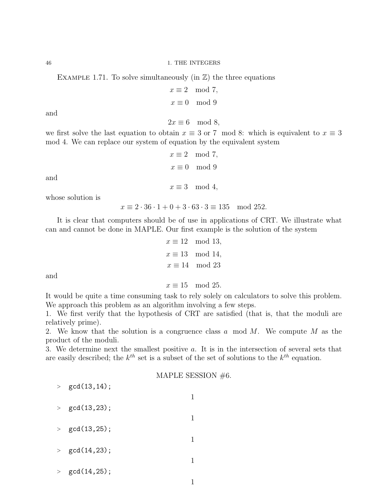EXAMPLE 1.71. To solve simultaneously (in  $\mathbb{Z}$ ) the three equations

$$
x \equiv 2 \mod 7,
$$
  

$$
x \equiv 0 \mod 9
$$

and

and

$$
2x \equiv 6 \mod 8,
$$

we first solve the last equation to obtain  $x \equiv 3$  or 7 mod 8: which is equivalent to  $x \equiv 3$ mod 4. We can replace our system of equation by the equivalent system

$$
x \equiv 2 \mod 7,
$$
  

$$
x \equiv 0 \mod 9
$$
  

$$
x \equiv 3 \mod 4,
$$

whose solution is

$$
x \equiv 2 \cdot 36 \cdot 1 + 0 + 3 \cdot 63 \cdot 3 \equiv 135 \mod 252.
$$

It is clear that computers should be of use in applications of CRT. We illustrate what can and cannot be done in MAPLE. Our first example is the solution of the system

$$
x \equiv 12 \mod 13,
$$
  
\n
$$
x \equiv 13 \mod 14,
$$
  
\n
$$
x \equiv 14 \mod 23
$$

and

It would be quite a time consuming task to rely solely on calculators to solve this problem. We approach this problem as an algorithm involving a few steps.

 $x \equiv 15 \mod 25$ .

1. We first verify that the hypothesis of CRT are satisfied (that is, that the moduli are relatively prime).

2. We know that the solution is a congruence class a mod  $M$ . We compute  $M$  as the product of the moduli.

3. We determine next the smallest positive a. It is in the intersection of several sets that are easily described; the  $k^{th}$  set is a subset of the set of solutions to the  $k^{th}$  equation.

# MAPLE SESSION #6.

| $> \gcd(13, 14);$       |   |
|-------------------------|---|
| $> \text{gcd}(13, 23);$ | 1 |
| $> \text{gcd}(13, 25);$ | 1 |
| $> \text{gcd}(14, 23);$ | 1 |
| $> \text{gcd}(14, 25);$ | 1 |
|                         |   |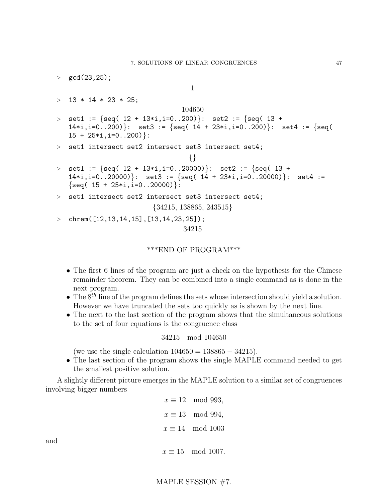```
> gcd(23,25);
                                      1
> 13 * 14 * 23 * 25;104650
> set1 := \{seq( 12 + 13 * i, i=0..200) \}: set2 := \{seq( 13 +14*i, i=0..200}: set3 := {seq( 14 + 23*i, i=0..200}: set4 := {seq(
   15 + 25 * i, i=0..200) }:
 set1 intersect set2 intersect set3 intersect set4;
                                     {}
> set1 := \{seq( 12 + 13 * i, i=0..20000) \}: set2 := \{seq( 13 + 13 * i, i=0..20000) \}14*i, i=0..20000) : set3 := {seq( 14 + 23*i, i=0..20000) : set4 :=
   \{seq( 15 + 25 * i, i=0..20000) \}:
> set1 intersect set2 intersect set3 intersect set4;
                           {34215, 138865, 243515}
\ge chrem([12, 13, 14, 15],[13, 14, 23, 25]);
                                    34215
```

```
***END OF PROGRAM***
```
- The first 6 lines of the program are just a check on the hypothesis for the Chinese remainder theorem. They can be combined into a single command as is done in the next program.
- The  $8<sup>th</sup>$  line of the program defines the sets whose intersection should yield a solution. However we have truncated the sets too quickly as is shown by the next line.
- The next to the last section of the program shows that the simultaneous solutions to the set of four equations is the congruence class

34215 mod 104650

(we use the single calculation  $104650 = 138865 - 34215$ ).

• The last section of the program shows the single MAPLE command needed to get the smallest positive solution.

A slightly different picture emerges in the MAPLE solution to a similar set of congruences involving bigger numbers

> $x \equiv 12 \mod 993$ ,  $x \equiv 13 \mod 994,$  $x \equiv 14 \mod 1003$  $x \equiv 15 \mod 1007$ .

and

# MAPLE SESSION #7.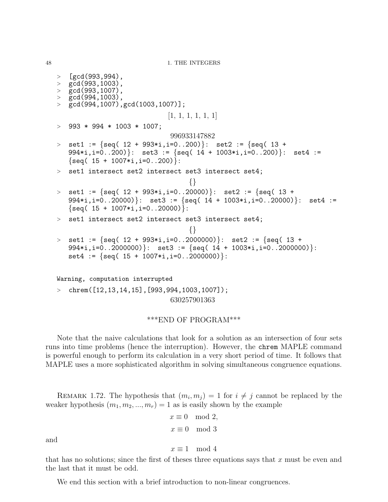```
> [gcd(993,994),
> gcd(993,1003),
> \gcd(993, 1007),
> \bar{\text{gcd}}(994, 1003),
> \text{gcd}(994, 1007), \text{gcd}(1003, 1007);
                                 [1, 1, 1, 1, 1, 1]> 993 * 994 * 1003 * 1007;
                                  996933147882
> set1 := \{seq( 12 + 993 * i, i=0..200) \}: set2 := \{seq( 13 +994*i,i=0..200)}: set3 := \{seq( 14 + 1003 * i, i=0..200) \}: set4 :=
   \{seq( 15 + 1007 * i, i=0..200) \}.> set1 intersect set2 intersect set3 intersect set4;
                                        {}
> set1 := \{seq( 12 + 993 * i, i=0..20000) \}: set2 := \{seq( 13 + 123 * i, i=0..20000) \}994*i, i=0..20000): set3 := {seq( 14 + 1003*i, i=0..20000)}: set4 :=
   \{seq( 15 + 1007 * i, i=0..20000) \}:
> set1 intersect set2 intersect set3 intersect set4;
                                        {}
> set1 := \{seq( 12 + 993 * i, i=0..2000000) \}: set2 := \{seq( 13 + 122 * i, i=0..2000000) \}994*i,i=0..2000000) }: set3 := \{seq( 14 + 1003*i, i=0..2000000) \}:
   set4 := \{seq( 15 + 1007 * i, i=0..2000000) \}:
Warning, computation interrupted
\text{chrem}([12, 13, 14, 15], [993, 994, 1003, 1007]);
```
630257901363

### \*\*\*END OF PROGRAM\*\*\*

Note that the naive calculations that look for a solution as an intersection of four sets runs into time problems (hence the interruption). However, the chrem MAPLE command is powerful enough to perform its calculation in a very short period of time. It follows that MAPLE uses a more sophisticated algorithm in solving simultaneous congruence equations.

REMARK 1.72. The hypothesis that  $(m_i, m_j) = 1$  for  $i \neq j$  cannot be replaced by the weaker hypothesis  $(m_1, m_2, ..., m_r) = 1$  as is easily shown by the example

```
x \equiv 0 \mod 2,
x \equiv 0 \mod 3
```
and

 $x \equiv 1 \mod 4$ 

that has no solutions; since the first of theses three equations says that  $x$  must be even and the last that it must be odd.

We end this section with a brief introduction to non-linear congruences.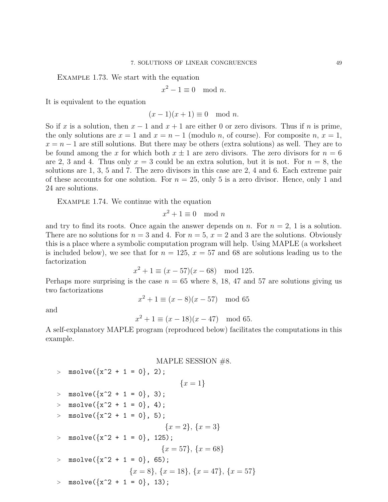Example 1.73. We start with the equation

$$
x^2 - 1 \equiv 0 \mod n.
$$

It is equivalent to the equation

$$
(x-1)(x+1) \equiv 0 \mod n.
$$

So if x is a solution, then  $x - 1$  and  $x + 1$  are either 0 or zero divisors. Thus if n is prime, the only solutions are  $x = 1$  and  $x = n - 1$  (modulo n, of course). For composite n,  $x = 1$ ,  $x = n - 1$  are still solutions. But there may be others (extra solutions) as well. They are to be found among the x for which both  $x \pm 1$  are zero divisors. The zero divisors for  $n = 6$ are 2, 3 and 4. Thus only  $x = 3$  could be an extra solution, but it is not. For  $n = 8$ , the solutions are 1, 3, 5 and 7. The zero divisors in this case are 2, 4 and 6. Each extreme pair of these accounts for one solution. For  $n = 25$ , only 5 is a zero divisor. Hence, only 1 and 24 are solutions.

Example 1.74. We continue with the equation

$$
x^2 + 1 \equiv 0 \mod n
$$

and try to find its roots. Once again the answer depends on n. For  $n = 2$ , 1 is a solution. There are no solutions for  $n = 3$  and 4. For  $n = 5$ ,  $x = 2$  and 3 are the solutions. Obviously this is a place where a symbolic computation program will help. Using MAPLE (a worksheet is included below), we see that for  $n = 125$ ,  $x = 57$  and 68 are solutions leading us to the factorization

$$
x^2 + 1 \equiv (x - 57)(x - 68) \mod 125.
$$

Perhaps more surprising is the case  $n = 65$  where 8, 18, 47 and 57 are solutions giving us two factorizations

$$
x^2 + 1 \equiv (x - 8)(x - 57) \mod 65
$$

and

$$
x^2 + 1 \equiv (x - 18)(x - 47) \mod 65.
$$

A self-explanatory MAPLE program (reproduced below) facilitates the computations in this example.

\n
$$
\text{MAPLE SESION} \#8.
$$
\n
$$
> \text{ msolve}(\{x^2 + 1 = 0\}, 2);
$$
\n
$$
\{x = 1\}
$$
\n
$$
\Rightarrow \text{ msolve}(\{x^2 + 1 = 0\}, 3);
$$
\n
$$
\Rightarrow \text{ msolve}(\{x^2 + 1 = 0\}, 4);
$$
\n
$$
\Rightarrow \text{ msolve}(\{x^2 + 1 = 0\}, 5);
$$
\n
$$
\{x = 2\}, \{x = 3\}
$$
\n
$$
\Rightarrow \text{ msolve}(\{x^2 + 1 = 0\}, 125);
$$
\n
$$
\{x = 57\}, \{x = 68\}
$$
\n
$$
\Rightarrow \text{ msolve}(\{x^2 + 1 = 0\}, 65);
$$
\n
$$
\{x = 8\}, \{x = 18\}, \{x = 47\}, \{x = 57\}
$$
\n
$$
\Rightarrow \text{ msolve}(\{x^2 + 1 = 0\}, 13);
$$
\n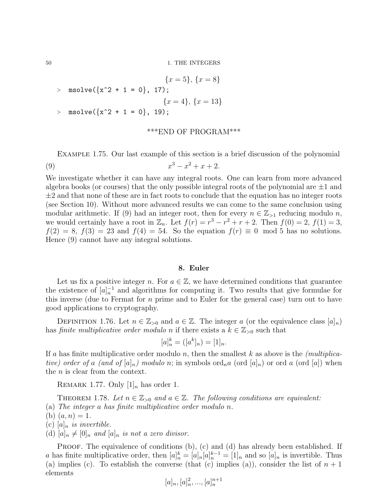$$
\{x = 5\}, \{x = 8\}
$$
\n
$$
\} \text{msolve}(\{x^2 + 1 = 0\}, 17);
$$
\n
$$
\{x = 4\}, \{x = 13\}
$$
\n
$$
\} \text{msolve}(\{x^2 + 1 = 0\}, 19);
$$

### \*\*\*END OF PROGRAM\*\*\*

Example 1.75. Our last example of this section is a brief discussion of the polynomial  $(x)$  x  $x^3 - x^2 + x + 2$ .

We investigate whether it can have any integral roots. One can learn from more advanced algebra books (or courses) that the only possible integral roots of the polynomial are  $\pm 1$  and  $\pm 2$  and that none of these are in fact roots to conclude that the equation has no integer roots (see Section 10). Without more advanced results we can come to the same conclusion using modular arithmetic. If (9) had an integer root, then for every  $n \in \mathbb{Z}_{\geq 1}$  reducing modulo n, we would certainly have a root in  $\mathbb{Z}_n$ . Let  $f(r) = r^3 - r^2 + r + 2$ . Then  $f(0) = 2$ ,  $f(1) = 3$ ,  $f(2) = 8$ ,  $f(3) = 23$  and  $f(4) = 54$ . So the equation  $f(r) \equiv 0 \mod 5$  has no solutions. Hence (9) cannot have any integral solutions.

## 8. Euler

Let us fix a positive integer n. For  $a \in \mathbb{Z}$ , we have determined conditions that guarantee the existence of  $[a]_n^{-1}$  and algorithms for computing it. Two results that give formulae for this inverse (due to Fermat for n prime and to Euler for the general case) turn out to have good applications to cryptography.

DEFINITION 1.76. Let  $n \in \mathbb{Z}_{>0}$  and  $a \in \mathbb{Z}$ . The integer a (or the equivalence class  $[a]_n$ ) has *finite multiplicative order modulo n* if there exists a  $k \in \mathbb{Z}_{>0}$  such that

$$
[a]_n^k = ([a^k]_n) = [1]_n.
$$

If a has finite multiplicative order modulo n, then the smallest k as above is the *(multiplica*tive) order of a (and of  $[a]_n$ ) modulo n; in symbols ord<sub>n</sub>a (ord  $[a]_n$ ) or ord a (ord  $[a]$ ) when the n is clear from the context.

REMARK 1.77. Only  $[1]_n$  has order 1.

THEOREM 1.78. Let  $n \in \mathbb{Z}_{>0}$  and  $a \in \mathbb{Z}$ . The following conditions are equivalent: (a) The integer a has finite multiplicative order modulo n.

(b)  $(a, n) = 1$ .

- (c)  $[a]_n$  is invertible.
- (d)  $[a]_n \neq [0]_n$  and  $[a]_n$  is not a zero divisor.

**PROOF.** The equivalence of conditions  $(b)$ ,  $(c)$  and  $(d)$  has already been established. If a has finite multiplicative order, then  $[a]_n^k = [a]_n [a]_n^{k-1} = [1]_n$  and so  $[a]_n$  is invertible. Thus (a) implies (c). To establish the converse (that (c) implies (a)), consider the list of  $n + 1$ elements

$$
[a]_n, [a]_n^2, ..., [a]_n^{n+1}
$$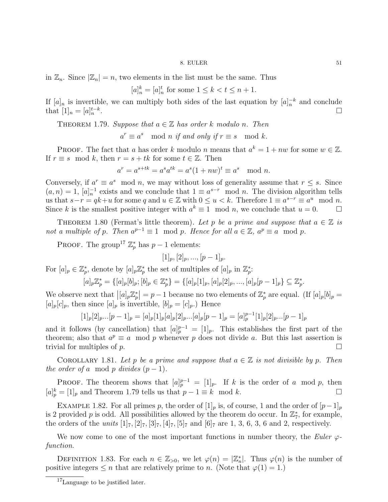#### 8. EULER 51

in  $\mathbb{Z}_n$ . Since  $|\mathbb{Z}_n| = n$ , two elements in the list must be the same. Thus

$$
[a]_n^k = [a]_n^t
$$
 for some  $1 \le k < t \le n+1$ .

If  $[a]_n$  is invertible, we can multiply both sides of the last equation by  $[a]_n^{-k}$  and conclude that  $[1]_n = [a]_n^{t-k}$ .

THEOREM 1.79. Suppose that  $a \in \mathbb{Z}$  has order k modulo n. Then

 $a^r \equiv a^s \mod n$  if and only if  $r \equiv s \mod k$ .

**PROOF.** The fact that a has order k modulo n means that  $a^k = 1 + nw$  for some  $w \in \mathbb{Z}$ . If  $r \equiv s \mod k$ , then  $r = s + tk$  for some  $t \in \mathbb{Z}$ . Then

$$
a^r = a^{s+tk} = a^s a^{tk} = a^s (1 + nw)^t \equiv a^s \mod n.
$$

Conversely, if  $a^r \equiv a^s \mod n$ , we may without loss of generality assume that  $r \leq s$ . Since  $(a, n) = 1$ ,  $[a]_n^{-1}$  exists and we conclude that  $1 \equiv a^{s-r} \mod n$ . The division algorithm tells us that  $s-r = qk+u$  for some q and  $u \in \mathbb{Z}$  with  $0 \le u < k$ . Therefore  $1 \equiv a^{s-r} \equiv a^u \mod n$ . Since k is the smallest positive integer with  $a^k \equiv 1 \mod n$ , we conclude that  $u = 0$ .  $\Box$ 

THEOREM 1.80 (Fermat's little theorem). Let p be a prime and suppose that  $a \in \mathbb{Z}$  is not a multiple of p. Then  $a^{p-1} \equiv 1 \mod p$ . Hence for all  $a \in \mathbb{Z}$ ,  $a^p \equiv a \mod p$ .

PROOF. The group<sup>17</sup>  $\mathbb{Z}_p^*$  has  $p-1$  elements:

$$
[1]_p, [2]_p, ..., [p-1]_p.
$$

For  $[a]_p \in \mathbb{Z}_p^*$ , denote by  $[a]_p \mathbb{Z}_p^*$  the set of multiples of  $[a]_p$  in  $\mathbb{Z}_p^*$ :

$$
[a]_p \mathbb{Z}_p^* = \{ [a]_p [b]_p; [b]_p \in \mathbb{Z}_p^* \} = \{ [a]_p [1]_p, [a]_p [2]_p, ..., [a]_p [p-1]_p \} \subseteq \mathbb{Z}_p^*.
$$

We observe next that  $|[a]_p \mathbb{Z}_p^*| = p-1$  because no two elements of  $\mathbb{Z}_p^*$  are equal. (If  $[a]_p [b]_p =$  $[a]_p[c]_p$ , then since  $[a]_p$  is invertible,  $[b]_p = [c]_p$ . Hence

$$
[1]_p[2]_p...[p-1]_p = [a]_p[1]_p[a]_p[2]_p...[a]_p[p-1]_p = [a]_p^{p-1}[1]_p[2]_p...[p-1]_p
$$

and it follows (by cancellation) that  $[a]_p^{p-1} = [1]_p$ . This establishes the first part of the theorem; also that  $a^p \equiv a \mod p$  whenever p does not divide a. But this last assertion is trivial for multiples of p.

COROLLARY 1.81. Let p be a prime and suppose that  $a \in \mathbb{Z}$  is not divisible by p. Then the order of a mod p divides  $(p-1)$ .

PROOF. The theorem shows that  $[a]_p^{p-1} = [1]_p$ . If k is the order of a mod p, then  $[a]_p^k = [1]_p$  and Theorem 1.79 tells us that  $p - 1 \equiv k \mod k$ .

EXAMPLE 1.82. For all primes p, the order of  $[1]_p$  is, of course, 1 and the order of  $[p-1]_p$ is 2 provided p is odd. All possibilities allowed by the theorem do occur. In  $\mathbb{Z}_7^*$ , for example, the orders of the units  $[1]_7$ ,  $[2]_7$ ,  $[3]_7$ ,  $[4]_7$ ,  $[5]_7$  and  $[6]_7$  are 1, 3, 6, 3, 6 and 2, respectively.

We now come to one of the most important functions in number theory, the Euler  $\varphi$ function.

DEFINITION 1.83. For each  $n \in \mathbb{Z}_{>0}$ , we let  $\varphi(n) = |\mathbb{Z}_{n}^{*}|$ . Thus  $\varphi(n)$  is the number of positive integers  $\leq n$  that are relatively prime to n. (Note that  $\varphi(1) = 1$ .)

<sup>&</sup>lt;sup>17</sup>Language to be justified later.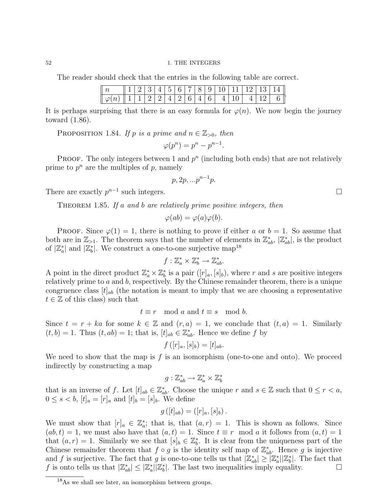The reader should check that the entries in the following table are correct.

|              |             |  |  |  |  |                  | $12 3 4 5 6 7 8 9 10 11 12 \overline{13 14 }$ |  |
|--------------|-------------|--|--|--|--|------------------|-----------------------------------------------|--|
| $\varphi(n)$ | 11122442646 |  |  |  |  | $4 \mid 10 \mid$ |                                               |  |

It is perhaps surprising that there is an easy formula for  $\varphi(n)$ . We now begin the journey toward (1.86).

PROPOSITION 1.84. If p is a prime and  $n \in \mathbb{Z}_{>0}$ , then

$$
\varphi(p^n) = p^n - p^{n-1}.
$$

**PROOF.** The only integers between 1 and  $p^n$  (including both ends) that are not relatively prime to  $p^n$  are the multiples of  $p$ , namely

$$
p, 2p, \ldots p^{n-1}p.
$$

There are exactly  $p^{n-1}$  such integers.  $\Box$ 

THEOREM 1.85. If a and b are relatively prime positive integers, then

$$
\varphi(ab) = \varphi(a)\varphi(b).
$$

**PROOF.** Since  $\varphi(1) = 1$ , there is nothing to prove if either a or  $b = 1$ . So assume that both are in  $\mathbb{Z}_{\geq 1}$ . The theorem says that the number of elements in  $\mathbb{Z}_{ab}^*$ ,  $|\mathbb{Z}_{ab}^*|$ , is the product of  $|\mathbb{Z}_{a}^{*}|$  and  $|\mathbb{Z}_{b}^{*}|$ . We construct a one-to-one surjective map<sup>18</sup>

$$
f: \mathbb{Z}_a^* \times \mathbb{Z}_b^* \to \mathbb{Z}_{ab}^*.
$$

A point in the direct product  $\mathbb{Z}_a^* \times \mathbb{Z}_b^*$  is a pair  $([r]_a, [s]_b)$ , where r and s are positive integers relatively prime to  $a$  and  $b$ , respectively. By the Chinese remainder theorem, there is a unique congruence class  $[t]_{ab}$  (the notation is meant to imply that we are choosing a representative  $t \in \mathbb{Z}$  of this class) such that

$$
t \equiv r \mod a \text{ and } t \equiv s \mod b.
$$

Since  $t = r + ka$  for some  $k \in \mathbb{Z}$  and  $(r, a) = 1$ , we conclude that  $(t, a) = 1$ . Similarly  $(t, b) = 1$ . Thus  $(t, ab) = 1$ ; that is,  $[t]_{ab} \in \mathbb{Z}_{ab}^*$ . Hence we define f by

$$
f([r]_a, [s]_b) = [t]_{ab}.
$$

We need to show that the map is  $f$  is an isomorphism (one-to-one and onto). We proceed indirectly by constructing a map

$$
g: \mathbb{Z}_{ab}^* \to \mathbb{Z}_a^* \times \mathbb{Z}_b^*
$$

that is an inverse of f. Let  $[t]_{ab} \in \mathbb{Z}_{ab}^*$ . Choose the unique r and  $s \in \mathbb{Z}$  such that  $0 \le r < a$ ,  $0 \le s < b$ ,  $[t]_a = [r]_a$  and  $[t]_b = [s]_b$ . We define

$$
g([t]_{ab}) = ([r]_a, [s]_b).
$$

We must show that  $[r]_a \in \mathbb{Z}_a^*$ ; that is, that  $(a, r) = 1$ . This is shown as follows. Since  $(ab, t) = 1$ , we must also have that  $(a, t) = 1$ . Since  $t \equiv r \mod a$  it follows from  $(a, t) = 1$ that  $(a, r) = 1$ . Similarly we see that  $[s]_b \in \mathbb{Z}_b^*$ . It is clear from the uniqueness part of the Chinese remainder theorem that  $f \circ g$  is the identity self map of  $\mathbb{Z}_{ab}^*$ . Hence g is injective and f is surjective. The fact that g is one-to-one tells us that  $|\mathbb{Z}_{ab}^*| \geq |\mathbb{Z}_a^*| |\mathbb{Z}_b^*|$ . The fact that f is onto tells us that  $|\mathbb{Z}_{ab}^*| \leq |\mathbb{Z}_a^*||\mathbb{Z}_b^*|$ . The last two inequalities imply equality.

 $^{18}$ As we shall see later, an isomorphism between groups.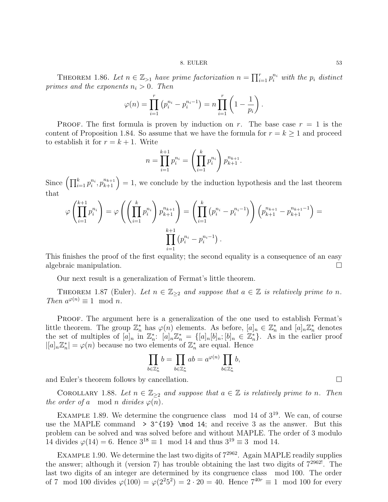THEOREM 1.86. Let  $n \in \mathbb{Z}_{\geq 1}$  have prime factorization  $n = \prod_{i=1}^r p_i^{n_i}$  with the  $p_i$  distinct primes and the exponents  $n_i > 0$ . Then

$$
\varphi(n) = \prod_{i=1}^r (p_i^{n_i} - p_i^{n_i-1}) = n \prod_{i=1}^r \left(1 - \frac{1}{p_i}\right).
$$

**PROOF.** The first formula is proven by induction on r. The base case  $r = 1$  is the content of Proposition 1.84. So assume that we have the formula for  $r = k \ge 1$  and proceed to establish it for  $r = k + 1$ . Write

$$
n = \prod_{i=1}^{k+1} p_i^{n_i} = \left(\prod_{i=1}^k p_i^{n_i}\right) p_{k+1}^{n_{k+1}}.
$$

Since  $\left(\prod_{i=1}^k p_i^{n_i}, p_{k+1}^{n_{k+1}}\right) = 1$ , we conclude by the induction hypothesis and the last theorem that

$$
\varphi\left(\prod_{i=1}^{k+1} p_i^{n_i}\right) = \varphi\left(\left(\prod_{i=1}^k p_i^{n_i}\right) p_{k+1}^{n_{k+1}}\right) = \left(\prod_{i=1}^k \left(p_i^{n_i} - p_i^{n_i - 1}\right)\right) \left(p_{k+1}^{n_{k+1}} - p_{k+1}^{n_{k+1}-1}\right) = \prod_{i=1}^{k+1} \left(p_i^{n_i} - p_i^{n_i - 1}\right).
$$

This finishes the proof of the first equality; the second equality is a consequence of an easy algebraic manipulation.

Our next result is a generalization of Fermat's little theorem.

THEOREM 1.87 (Euler). Let  $n \in \mathbb{Z}_{\geq 2}$  and suppose that  $a \in \mathbb{Z}$  is relatively prime to n. Then  $a^{\varphi(n)} \equiv 1 \mod n$ .

PROOF. The argument here is a generalization of the one used to establish Fermat's little theorem. The group  $\mathbb{Z}_n^*$  has  $\varphi(n)$  elements. As before,  $[a]_n \in \mathbb{Z}_n^*$  and  $[a]_n \mathbb{Z}_n^*$  denotes the set of multiples of  $[a]_n$  in  $\mathbb{Z}_n^*$ :  $[a]_n \mathbb{Z}_n^* = \{[a]_n [b]_n; [b]_n \in \mathbb{Z}_n^*\}$ . As in the earlier proof  $|[a]_n \mathbb{Z}_n^*| = \varphi(n)$  because no two elements of  $\mathbb{Z}_n^*$  are equal. Hence

$$
\prod_{b \in \mathbb{Z}_n^*} b = \prod_{b \in \mathbb{Z}_n^*} ab = a^{\varphi(n)} \prod_{b \in \mathbb{Z}_n^*} b,
$$

and Euler's theorem follows by cancellation.

COROLLARY 1.88. Let  $n \in \mathbb{Z}_{\geq 2}$  and suppose that  $a \in \mathbb{Z}$  is relatively prime to n. Then the order of a mod n divides  $\varphi(n)$ .

EXAMPLE 1.89. We determine the congruence class mod 14 of  $3^{19}$ . We can, of course use the MAPLE command  $\geq 3^{\{19\}} \mod 14$ ; and receive 3 as the answer. But this problem can be solved and was solved before and without MAPLE. The order of 3 modulo 14 divides  $\varphi(14) = 6$ . Hence  $3^{18} \equiv 1 \mod 14$  and thus  $3^{19} \equiv 3 \mod 14$ .

EXAMPLE 1.90. We determine the last two digits of  $7^{2962}$ . Again MAPLE readily supplies the answer; although it (version 7) has trouble obtaining the last two digits of  $7^{2962}$ . The last two digits of an integer are determined by its congruence class mod 100. The order of 7 mod 100 divides  $\varphi(100) = \varphi(2^2 5^2) = 2 \cdot 20 = 40$ . Hence  $7^{40r} \equiv 1 \mod 100$  for every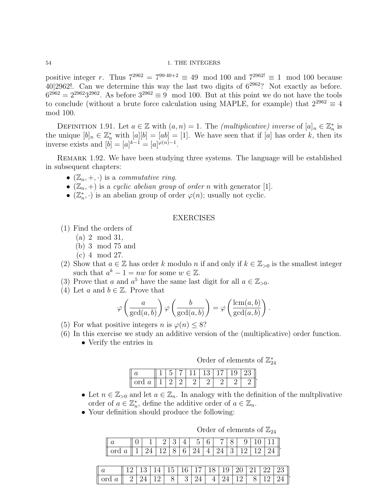positive integer r. Thus  $7^{2962} = 7^{99 \cdot 40 + 2} \equiv 49 \mod 100$  and  $7^{2962} \equiv 1 \mod 100$  because  $40|2962!$ . Can we determine this way the last two digits of  $6^{2962}$ ? Not exactly as before.  $6^{2962} = 2^{2962}3^{2962}$ . As before  $3^{2962} \equiv 9 \mod 100$ . But at this point we do not have the tools to conclude (without a brute force calculation using MAPLE, for example) that  $2^{2962} \equiv 4$ mod 100.

DEFINITION 1.91. Let  $a \in \mathbb{Z}$  with  $(a, n) = 1$ . The *(multiplicative) inverse* of  $[a]_n \in \mathbb{Z}_n^*$  is DEFINITION 1.91. Let  $u \in \mathbb{Z}$  with  $(u, n) = 1$ . The *(mattiplicative)* inverse of  $[u]_n \in \mathbb{Z}_n$  is<br>the unique  $[b]_n \in \mathbb{Z}_n^*$  with  $[a][b] = [ab] = [1]$ . We have seen that if  $[a]$  has order k, then its inverse exists and  $[b] = [a]^{k-1} = [a]^{\varphi(n)-1}$ .

Remark 1.92. We have been studying three systems. The language will be established in subsequent chapters:

- $(\mathbb{Z}_n, +, \cdot)$  is a commutative ring.
- $(\mathbb{Z}_n, +)$  is a cyclic abelian group of order n with generator [1].
- $(\mathbb{Z}_n^*, \cdot)$  is an abelian group of order  $\varphi(n)$ ; usually not cyclic.

### EXERCISES

- (1) Find the orders of
	- (a) 2 mod 31,
	- (b) 3 mod 75 and
	- (c) 4 mod 27.
- (2) Show that  $a \in \mathbb{Z}$  has order k modulo n if and only if  $k \in \mathbb{Z}_{>0}$  is the smallest integer such that  $a^k - 1 = nw$  for some  $w \in \mathbb{Z}$ .
- (3) Prove that a and  $a^5$  have the same last digit for all  $a \in \mathbb{Z}_{>0}$ .
- (4) Let a and  $b \in \mathbb{Z}$ . Prove that

$$
\varphi\left(\frac{a}{\gcd(a,b)}\right)\varphi\left(\frac{b}{\gcd(a,b)}\right) = \varphi\left(\frac{\operatorname{lcm}(a,b)}{\gcd(a,b)}\right).
$$

- (5) For what positive integers n is  $\varphi(n) \leq 8$ ?
- (6) In this exercise we study an additive version of the (multiplicative) order function.
	- Verify the entries in

Order of elements of  $\mathbb{Z}_{24}^*$ 

|                     |     |  |  | 7   11   13   17   19   23 |  |  |
|---------------------|-----|--|--|----------------------------|--|--|
| $\int$ ord $\alpha$ | 112 |  |  |                            |  |  |

- Let  $n \in \mathbb{Z}_{>0}$  and let  $a \in \mathbb{Z}_n$ . In analogy with the definition of the multplivative order of  $a \in \mathbb{Z}_n^*$ , define the additive order of  $a \in \mathbb{Z}_n$ .
- Your definition should produce the following:

Order of elements of  $\mathbb{Z}_{24}$ 

| $\begin{array}{ c c } \hline a \end{array}$<br>$\ 0\ 1\ 2\ 3\ 4\ 5\ 6\ 7\ 8\ 7\ 10\ 11\ $                                      |  |  |  |  |  |  |
|--------------------------------------------------------------------------------------------------------------------------------|--|--|--|--|--|--|
| $\boxed{ \text{ord } a \parallel 1 \mid 24 \mid 12 \mid 8 \mid 6 \mid 24 \mid 4 \mid 24 \mid 3 \mid 12 \mid 12 \mid 24 \mid }$ |  |  |  |  |  |  |

|                                                                                                                                                         | $\ 12\ 13\ 14\ 15\ 16\ 17\ 18\ 19\ 20\ 21\ 22\ 23\ $ |  |  |  |  |  |  |
|---------------------------------------------------------------------------------------------------------------------------------------------------------|------------------------------------------------------|--|--|--|--|--|--|
| $\lceil \text{ord } a \rceil \rceil 2 \rceil 24 \rceil 12 \rceil 8 \rceil 3 \rceil 24 \rceil 4 \rceil 24 \rceil 12 \rceil 8 \rceil 12 \rceil 24 \rceil$ |                                                      |  |  |  |  |  |  |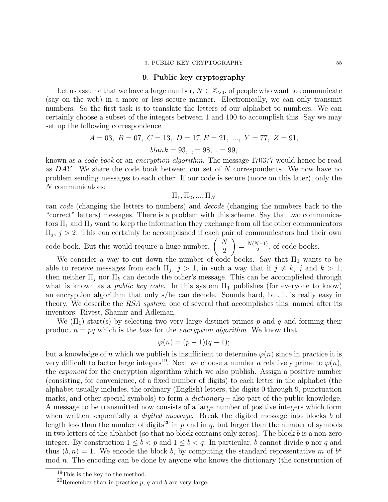#### 9. PUBLIC KEY CRYPTOGRAPHY 55

### 9. Public key cryptography

Let us assume that we have a large number,  $N \in \mathbb{Z}_{>0}$ , of people who want to communicate (say on the web) in a more or less secure manner. Electronically, we can only transmit numbers. So the first task is to translate the letters of our alphabet to numbers. We can certainly choose a subset of the integers between 1 and 100 to accomplish this. Say we may set up the following correspondence

$$
A = 03
$$
,  $B = 07$ ,  $C = 13$ ,  $D = 17$ ,  $E = 21$ , ...,  $Y = 77$ ,  $Z = 91$ ,  
 $blank = 93$ ,  $= 98$ ,  $= 99$ ,

known as a code book or an encryption algorithm. The message 170377 would hence be read as  $DAY$ . We share the code book between our set of N correspondents. We now have no problem sending messages to each other. If our code is secure (more on this later), only the N communicators:

# $\Pi_1, \Pi_2, ..., \Pi_N$

can code (changing the letters to numbers) and decode (changing the numbers back to the "correct" letters) messages. There is a problem with this scheme. Say that two communicators  $\Pi_1$  and  $\Pi_2$  want to keep the information they exchange from all the other communicators  $\Pi_j$ ,  $j > 2$ . This can certainly be accomplished if each pair of communicators had their own code book. But this would require a huge number,  $\begin{pmatrix} N & 0 \\ 0 & 0 \end{pmatrix}$ 2  $\setminus$  $=\frac{N(N-1)}{2}$ , of code books.

We consider a way to cut down the number of code books. Say that  $\Pi_1$  wants to be able to receive messages from each  $\Pi_j$ ,  $j > 1$ , in such a way that if  $j \neq k$ , j and  $k > 1$ , then neither  $\Pi_i$  nor  $\Pi_k$  can decode the other's message. This can be accomplished through what is known as a *public key code*. In this system  $\Pi_1$  publishes (for everyone to know) an encryption algorithm that only s/he can decode. Sounds hard, but it is really easy in theory. We describe the RSA system, one of several that accomplishes this, named after its inventors: Rivest, Shamir and Adleman.

We  $(\Pi_1)$  start(s) by selecting two very large distinct primes p and q and forming their product  $n = pq$  which is the base for the encryption algorithm. We know that

$$
\varphi(n) = (p-1)(q-1);
$$

but a knowledge of n which we publish is insufficient to determine  $\varphi(n)$  since in practice it is very difficult to factor large integers<sup>19</sup>. Next we choose a number a relatively prime to  $\varphi(n)$ , the exponent for the encryption algorithm which we also publish. Assign a positive number (consisting, for convenience, of a fixed number of digits) to each letter in the alphabet (the alphabet usually includes, the ordinary (English) letters, the digits 0 through 9, punctuation marks, and other special symbols) to form a *dictionary* – also part of the public knowledge. A message to be transmitted now consists of a large number of positive integers which form when written sequentially a *digited message*. Break the digited message into blocks b of length less than the number of digits<sup>20</sup> in p and in q, but larger than the number of symbols in two letters of the alphabet (so that no block contains only zeros). The block  $b$  is a non-zero integer. By construction  $1 \leq b < p$  and  $1 \leq b < q$ . In particular, b cannot divide p nor q and thus  $(b, n) = 1$ . We encode the block b, by computing the standard representative m of  $b^a$ mod n. The encoding can be done by anyone who knows the dictionary (the construction of

<sup>19</sup>This is the key to the method.

<sup>&</sup>lt;sup>20</sup>Remember than in practice p, q and b are very large.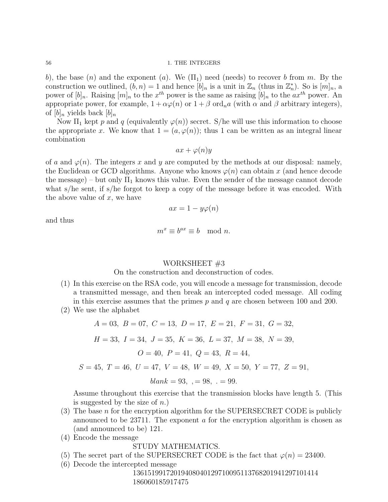b), the base (n) and the exponent (a). We  $(\Pi_1)$  need (needs) to recover b from m. By the construction we outlined,  $(b, n) = 1$  and hence  $[b]_n$  is a unit in  $\mathbb{Z}_n$  (thus in  $\mathbb{Z}_n^*$ ). So is  $[m]_n$ , a power of  $[b]_n$ . Raising  $[m]_n$  to the  $x^{th}$  power is the same as raising  $[b]_n$  to the  $ax^{th}$  power. An appropriate power, for example,  $1 + \alpha \varphi(n)$  or  $1 + \beta$  ord<sub>n</sub>a (with  $\alpha$  and  $\beta$  arbitrary integers), of  $[b]_n$  yields back  $[b]_n$ 

Now  $\Pi_1$  kept p and q (equivalently  $\varphi(n)$ ) secret. S/he will use this information to choose the appropriate x. We know that  $1 = (a, \varphi(n))$ ; thus 1 can be written as an integral linear combination

 $ax + \varphi(n)y$ 

of a and  $\varphi(n)$ . The integers x and y are computed by the methods at our disposal: namely, the Euclidean or GCD algorithms. Anyone who knows  $\varphi(n)$  can obtain x (and hence decode the message) – but only  $\Pi_1$  knows this value. Even the sender of the message cannot decode what s/he sent, if s/he forgot to keep a copy of the message before it was encoded. With the above value of  $x$ , we have

$$
ax = 1 - y\varphi(n)
$$

and thus

$$
m^x \equiv b^{ax} \equiv b \mod n.
$$

### WORKSHEET #3

On the construction and deconstruction of codes.

- (1) In this exercise on the RSA code, you will encode a message for transmission, decode a transmitted message, and then break an intercepted coded message. All coding in this exercise assumes that the primes  $p$  and  $q$  are chosen between 100 and 200.
- (2) We use the alphabet

$$
A = 03, B = 07, C = 13, D = 17, E = 21, F = 31, G = 32,
$$
  
\n
$$
H = 33, I = 34, J = 35, K = 36, L = 37, M = 38, N = 39,
$$
  
\n
$$
O = 40, P = 41, Q = 43, R = 44,
$$
  
\n
$$
S = 45, T = 46, U = 47, V = 48, W = 49, X = 50, Y = 77, Z = 91,
$$

 $blank = 93, \, \, . = 98, \, \, . = 99.$ 

Assume throughout this exercise that the transmission blocks have length 5. (This is suggested by the size of  $n$ .)

- (3) The base n for the encryption algorithm for the SUPERSECRET CODE is publicly announced to be 23711. The exponent a for the encryption algorithm is chosen as (and announced to be) 121.
- (4) Encode the message

STUDY MATHEMATICS.

- (5) The secret part of the SUPERSECRET CODE is the fact that  $\varphi(n) = 23400$ .
- (6) Decode the intercepted message

13615199172019408040129710095113768201941297101414 186060185917475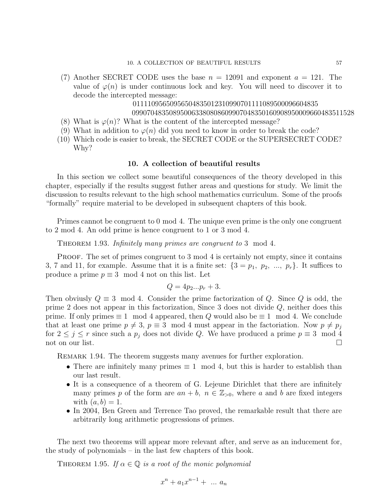(7) Another SECRET CODE uses the base  $n = 12091$  and exponent  $a = 121$ . The value of  $\varphi(n)$  is under continuous lock and key. You will need to discover it to decode the intercepted message:

01111095650956504835012310990701111089500096604835

# 099070483508950063380808609907048350160908950009660483511528

- (8) What is  $\varphi(n)$ ? What is the content of the intercepted message?
- (9) What in addition to  $\varphi(n)$  did you need to know in order to break the code?
- (10) Which code is easier to break, the SECRET CODE or the SUPERSECRET CODE? Why?

# 10. A collection of beautiful results

In this section we collect some beautiful consequences of the theory developed in this chapter, especially if the results suggest futher areas and questions for study. We limit the discussion to results relevant to the high school mathematics curriculum. Some of the proofs "formally" require material to be developed in subsequent chapters of this book.

Primes cannot be congruent to 0 mod 4. The unique even prime is the only one congruent to 2 mod 4. An odd prime is hence congruent to 1 or 3 mod 4.

THEOREM 1.93. Infinitely many primes are congruent to 3 mod 4.

PROOF. The set of primes congruent to 3 mod 4 is certainly not empty, since it contains 3, 7 and 11, for example. Assume that it is a finite set:  $\{3 = p_1, p_2, ..., p_r\}$ . It suffices to produce a prime  $p \equiv 3 \mod 4$  not on this list. Let

$$
Q=4p_2...p_r+3.
$$

Then obviusly  $Q \equiv 3 \mod 4$ . Consider the prime factorization of Q. Since Q is odd, the prime 2 does not appear in this factorization, Since 3 does not divide Q, neither does this prime. If only primes  $\equiv 1 \mod 4$  appeared, then Q would also be  $\equiv 1 \mod 4$ . We conclude that at least one prime  $p \neq 3$ ,  $p \equiv 3 \mod 4$  must appear in the factoriation. Now  $p \neq p_j$ for  $2 \le j \le r$  since such a  $p_j$  does not divide Q. We have produced a prime  $p \equiv 3 \mod 4$  not on our list. not on our list.  $\Box$ 

REMARK 1.94. The theorem suggests many avenues for further exploration.

- There are infinitely many primes  $\equiv 1 \mod 4$ , but this is harder to establish than our last result.
- It is a consequence of a theorem of G. Lejeune Dirichlet that there are infinitely many primes p of the form are  $an + b$ ,  $n \in \mathbb{Z}_{>0}$ , where a and b are fixed integers with  $(a, b) = 1$ .
- In 2004, Ben Green and Terrence Tao proved, the remarkable result that there are arbitrarily long arithmetic progressions of primes.

The next two theorems will appear more relevant after, and serve as an inducement for, the study of polynomials – in the last few chapters of this book.

THEOREM 1.95. If  $\alpha \in \mathbb{Q}$  is a root of the monic polynomial

$$
x^n + a_1 x^{n-1} + \dots a_n
$$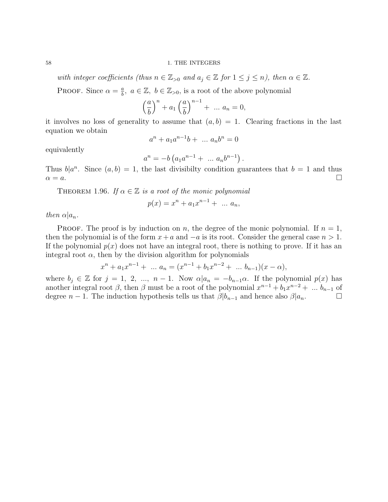with integer coefficients (thus  $n \in \mathbb{Z}_{>0}$  and  $a_j \in \mathbb{Z}$  for  $1 \leq j \leq n$ ), then  $\alpha \in \mathbb{Z}$ .

PROOF. Since  $\alpha = \frac{a}{b}$  $\frac{a}{b}$ ,  $a \in \mathbb{Z}$ ,  $b \in \mathbb{Z}_{>0}$ , is a root of the above polynomial

$$
\left(\frac{a}{b}\right)^n + a_1 \left(\frac{a}{b}\right)^{n-1} + \dots a_n = 0,
$$

it involves no loss of generality to assume that  $(a, b) = 1$ . Clearing fractions in the last equation we obtain

$$
a^n + a_1 a^{n-1}b + \dots a_n b^n = 0
$$

equivalently

$$
a^{n} = -b \left( a_1 a^{n-1} + \dots a_n b^{n-1} \right).
$$

Thus  $b|a^n$ . Since  $(a, b) = 1$ , the last divisibilty condition guarantees that  $b = 1$  and thus  $\alpha = a$ .

THEOREM 1.96. If  $\alpha \in \mathbb{Z}$  is a root of the monic polynomial

$$
p(x) = x^n + a_1 x^{n-1} + \dots a_n,
$$

then  $\alpha|a_n$ .

**PROOF.** The proof is by induction on n, the degree of the monic polynomial. If  $n = 1$ , then the polynomial is of the form  $x + a$  and  $-a$  is its root. Consider the general case  $n > 1$ . If the polynomial  $p(x)$  does not have an integral root, there is nothing to prove. If it has an integral root  $\alpha$ , then by the division algorithm for polynomials

$$
x^{n} + a_{1}x^{n-1} + \dots a_{n} = (x^{n-1} + b_{1}x^{n-2} + \dots b_{n-1})(x - \alpha),
$$

where  $b_j \in \mathbb{Z}$  for  $j = 1, 2, ..., n-1$ . Now  $\alpha | a_n = -b_{n-1} \alpha$ . If the polynomial  $p(x)$  has another integral root  $\beta$ , then  $\beta$  must be a root of the polynomial  $x^{n-1} + b_1 x^{n-2} + \dots + b_{n-1}$  of degree  $n-1$ . The induction hypothesis tells us that  $\beta|b_{n-1}$  and hence also  $\beta|a_n$ .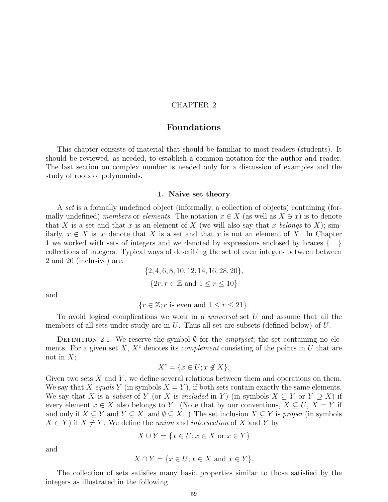## CHAPTER 2

# Foundations

This chapter consists of material that should be familiar to most readers (students). It should be reviewed, as needed, to establish a common notation for the author and reader. The last section on complex number is needed only for a discussion of examples and the study of roots of polynomials.

### 1. Naive set theory

A set is a formally undefined object (informally, a collection of objects) containing (formally undefined) members or elements. The notation  $x \in X$  (as well as  $X \ni x$ ) is to denote that X is a set and that x is an element of X (we will also say that x belongs to X); similarly,  $x \notin X$  is to denote that X is a set and that x is not an element of X. In Chapter 1 we worked with sets of integers and we denoted by expressions enclosed by braces {....} collections of integers. Typical ways of describing the set of even integers between between 2 and 20 (inclusive) are:

$$
\{2, 4, 6, 8, 10, 12, 14, 16, 28, 20\},\
$$

$$
\{2r; r \in \mathbb{Z} \text{ and } 1 \le r \le 10\}
$$

and

 $\{r \in \mathbb{Z}; r \text{ is even and } 1 \leq r \leq 21\}.$ 

To avoid logical complications we work in a *universal* set  $U$  and assume that all the members of all sets under study are in  $U$ . Thus all set are subsets (defined below) of  $U$ .

DEFINITION 2.1. We reserve the symbol  $\emptyset$  for the *emptyset*; the set containing no elements. For a given set X,  $X<sup>c</sup>$  denotes its *complement* consisting of the points in U that are not in  $X$ ;

$$
X^c = \{ x \in U; x \notin X \}.
$$

Given two sets  $X$  and  $Y$ , we define several relations between them and operations on them. We say that X equals Y (in symbols  $X = Y$ ), if both sets contain exactly the same elements. We say that X is a *subset* of Y (or X is included in Y) (in symbols  $X \subseteq Y$  or  $Y \supseteq X$ ) if every element  $x \in X$  also belongs to Y. (Note that by our conventions,  $X \subseteq U$ ,  $X = Y$  if and only if  $X \subseteq Y$  and  $Y \subseteq X$ , and  $\emptyset \subseteq X$ . ) The set inclusion  $X \subseteq Y$  is proper (in symbols  $X \subset Y$  if  $X \neq Y$ . We define the *union* and *intersection* of X and Y by

$$
X \cup Y = \{ x \in U; x \in X \text{ or } x \in Y \}
$$

and

$$
X \cap Y = \{ x \in U; x \in X \text{ and } x \in Y \}.
$$

The collection of sets satisfies many basic properties similar to those satisfied by the integers as illustrated in the following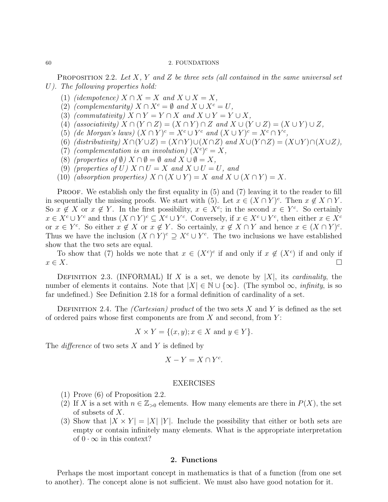#### 60 2. FOUNDATIONS

**PROPOSITION** 2.2. Let X, Y and Z be three sets (all contained in the same universal set U). The following properties hold:

- (1) (idempotence)  $X \cap X = X$  and  $X \cup X = X$ ,
- (2) (complementarity)  $X \cap X^c = \emptyset$  and  $X \cup X^c = U$ ,
- (3) (commutativity)  $X \cap Y = Y \cap X$  and  $X \cup Y = Y \cup X$ ,
- (4) (associativity)  $X \cap (Y \cap Z) = (X \cap Y) \cap Z$  and  $X \cup (Y \cup Z) = (X \cup Y) \cup Z$ ,
- (5) (de Morgan's laws)  $(X \cap Y)^c = X^c \cup Y^c$  and  $(X \cup Y)^c = X^c \cap Y^c$ ,
- (6) (distributivity)  $X \cap (Y \cup Z) = (X \cap Y) \cup (X \cap Z)$  and  $X \cup (Y \cap Z) = (X \cup Y) \cap (X \cup Z)$ ,
- (7) (complementation is an involution)  $(X^c)^c = X$ ,
- (8) (properties of  $\emptyset$ )  $X \cap \emptyset = \emptyset$  and  $X \cup \emptyset = X$ ,
- (9) (properties of U)  $X \cap U = X$  and  $X \cup U = U$ , and
- (10) (absorption properties)  $X \cap (X \cup Y) = X$  and  $X \cup (X \cap Y) = X$ .

**PROOF.** We establish only the first equality in  $(5)$  and  $(7)$  leaving it to the reader to fill in sequentially the missing proofs. We start with  $(5)$ . Let  $x \in (X \cap Y)^c$ . Then  $x \notin X \cap Y$ . So  $x \notin X$  or  $x \notin Y$ . In the first possibility,  $x \in X^c$ ; in the second  $x \in Y^c$ . So certainly  $x \in X^c \cup Y^c$  and thus  $(X \cap Y)^c \subseteq X^c \cup Y^c$ . Conversely, if  $x \in X^c \cup Y^c$ , then either  $x \in X^c$ or  $x \in Y^c$ . So either  $x \notin X$  or  $x \notin Y$ . So certainly,  $x \notin X \cap Y$  and hence  $x \in (X \cap Y)^c$ . Thus we have the inclusion  $(X \cap Y)^c \supseteq X^c \cup Y^c$ . The two inclusions we have established show that the two sets are equal.

To show that (7) holds we note that  $x \in (X^c)^c$  if and only if  $x \notin (X^c)$  if and only if  $x \in X$ .

DEFINITION 2.3. (INFORMAL) If X is a set, we denote by  $|X|$ , its *cardinality*, the number of elements it contains. Note that  $|X| \in \mathbb{N} \cup \{\infty\}$ . (The symbol  $\infty$ , *infinity*, is so far undefined.) See Definition 2.18 for a formal definition of cardinality of a set.

DEFINITION 2.4. The *(Cartesian)* product of the two sets X and Y is defined as the set of ordered pairs whose first components are from  $X$  and second, from  $Y$ :

$$
X \times Y = \{(x, y); x \in X \text{ and } y \in Y\}.
$$

The *difference* of two sets  $X$  and  $Y$  is defined by

$$
X - Y = X \cap Y^c.
$$

### EXERCISES

- (1) Prove (6) of Proposition 2.2.
- (2) If X is a set with  $n \in \mathbb{Z}_{>0}$  elements. How many elements are there in  $P(X)$ , the set of subsets of X.
- (3) Show that  $|X \times Y| = |X| |Y|$ . Include the possibility that either or both sets are empty or contain infinitely many elements. What is the appropriate interpretation of  $0 \cdot \infty$  in this context?

### 2. Functions

Perhaps the most important concept in mathematics is that of a function (from one set to another). The concept alone is not sufficient. We must also have good notation for it.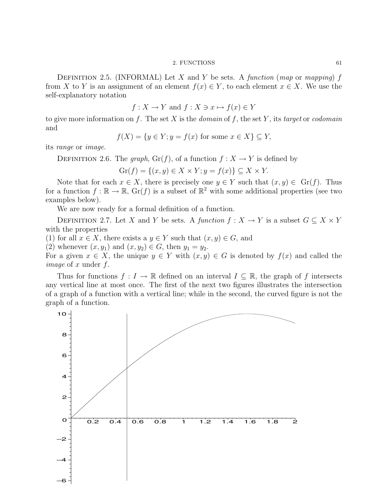#### 2. FUNCTIONS 61

DEFINITION 2.5. (INFORMAL) Let X and Y be sets. A function (map or mapping) f from X to Y is an assignment of an element  $f(x) \in Y$ , to each element  $x \in X$ . We use the self-explanatory notation

$$
f: X \to Y
$$
 and  $f: X \ni x \mapsto f(x) \in Y$ 

to give more information on f. The set X is the domain of f, the set Y, its target or codomain and

$$
f(X) = \{ y \in Y; y = f(x) \text{ for some } x \in X \} \subseteq Y,
$$

its range or image.

DEFINITION 2.6. The graph,  $\text{Gr}(f)$ , of a function  $f: X \to Y$  is defined by

$$
\operatorname{Gr}(f) = \{(x, y) \in X \times Y; y = f(x)\} \subseteq X \times Y.
$$

Note that for each  $x \in X$ , there is precisely one  $y \in Y$  such that  $(x, y) \in \mathbb{G}r(f)$ . Thus for a function  $f : \mathbb{R} \to \mathbb{R}$ ,  $\text{Gr}(f)$  is a subset of  $\mathbb{R}^2$  with some additional properties (see two examples below).

We are now ready for a formal definition of a function.

DEFINITION 2.7. Let X and Y be sets. A function  $f: X \to Y$  is a subset  $G \subseteq X \times Y$ with the properties

(1) for all  $x \in X$ , there exists a  $y \in Y$  such that  $(x, y) \in G$ , and

(2) whenever  $(x, y_1)$  and  $(x, y_2) \in G$ , then  $y_1 = y_2$ .

For a given  $x \in X$ , the unique  $y \in Y$  with  $(x, y) \in G$  is denoted by  $f(x)$  and called the *image* of x under  $f$ .

Thus for functions  $f: I \to \mathbb{R}$  defined on an interval  $I \subseteq \mathbb{R}$ , the graph of f intersects any vertical line at most once. The first of the next two figures illustrates the intersection of a graph of a function with a vertical line; while in the second, the curved figure is not the graph of a function.

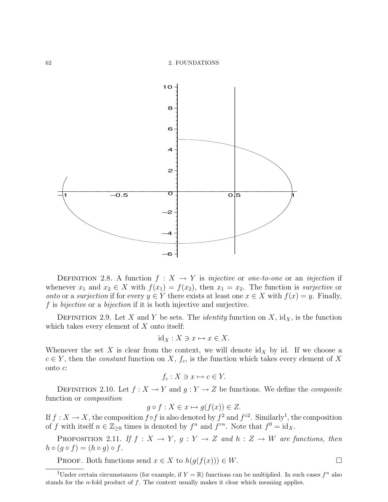62 2. FOUNDATIONS



DEFINITION 2.8. A function  $f: X \to Y$  is injective or one-to-one or an injection if whenever  $x_1$  and  $x_2 \in X$  with  $f(x_1) = f(x_2)$ , then  $x_1 = x_2$ . The function is *surjective* or onto or a surjection if for every  $y \in Y$  there exists at least one  $x \in X$  with  $f(x) = y$ . Finally, f is bijective or a bijection if it is both injective and surjective.

DEFINITION 2.9. Let X and Y be sets. The *identity* function on X,  $\mathrm{id}_X$ , is the function which takes every element of  $X$  onto itself:

$$
id_X: X \ni x \mapsto x \in X.
$$

Whenever the set X is clear from the context, we will denote  $\mathrm{id}_X$  by id. If we choose a  $c \in Y$ , then the *constant* function on X,  $f_c$ , is the function which takes every element of X onto c:

$$
f_c: X \ni x \mapsto c \in Y.
$$

DEFINITION 2.10. Let  $f : X \to Y$  and  $g : Y \to Z$  be functions. We define the *composite* function or composition

$$
g \circ f : X \in x \mapsto g(f(x)) \in Z.
$$

If  $f: X \to X$ , the composition  $f \circ f$  is also denoted by  $f^2$  and  $f^{\circ 2}$ . Similarly<sup>1</sup>, the composition of f with itself  $n \in \mathbb{Z}_{\geq 0}$  times is denoted by  $f^n$  and  $f^{\circ n}$ . Note that  $f^0 = id_X$ .

PROPOSITION 2.11. If  $f : X \to Y$ ,  $g : Y \to Z$  and  $h : Z \to W$  are functions, then  $h \circ (g \circ f) = (h \circ g) \circ f.$ 

PROOF. Both functions send  $x \in X$  to  $h(g(f(x))) \in W$ .

<sup>&</sup>lt;sup>1</sup>Under certain circumstances (for example, if  $Y = \mathbb{R}$ ) functions can be multiplied. In such cases  $f^n$  also stands for the n-fold product of f. The context usually makes it clear which meaning applies.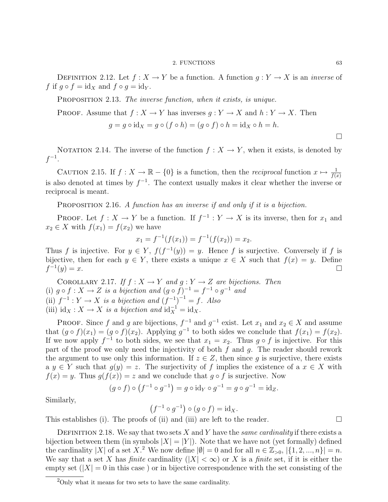#### 2. FUNCTIONS 63

DEFINITION 2.12. Let  $f: X \to Y$  be a function. A function  $g: Y \to X$  is an *inverse* of f if  $g \circ f = id_X$  and  $f \circ g = id_Y$ .

PROPOSITION 2.13. The inverse function, when it exists, is unique.

PROOF. Assume that  $f: X \to Y$  has inverses  $q: Y \to X$  and  $h: Y \to X$ . Then

$$
g = g \circ id_X = g \circ (f \circ h) = (g \circ f) \circ h = id_X \circ h = h.
$$

NOTATION 2.14. The inverse of the function  $f: X \to Y$ , when it exists, is denoted by  $f^{-1}.$ 

CAUTION 2.15. If  $f: X \to \mathbb{R} - \{0\}$  is a function, then the *reciprocal* function  $x \mapsto \frac{1}{f(x)}$ is also denoted at times by  $f^{-1}$ . The context usually makes it clear whether the inverse or reciprocal is meant.

PROPOSITION 2.16. A function has an inverse if and only if it is a bijection.

**PROOF.** Let  $f: X \to Y$  be a function. If  $f^{-1}: Y \to X$  is its inverse, then for  $x_1$  and  $x_2 \in X$  with  $f(x_1) = f(x_2)$  we have

$$
x_1 = f^{-1}(f(x_1)) = f^{-1}(f(x_2)) = x_2.
$$

Thus f is injective. For  $y \in Y$ ,  $f(f^{-1}(y)) = y$ . Hence f is surjective. Conversely if f is bijective, then for each  $y \in Y$ , there exists a unique  $x \in X$  such that  $f(x) = y$ . Define  $f^{-1}(y) = x$ .  $f^{-1}$  $(y) = x.$ 

COROLLARY 2.17. If  $f : X \to Y$  and  $g : Y \to Z$  are bijections. Then (i)  $g \circ f : X \to Z$  is a bijection and  $(g \circ f)^{-1} = f^{-1} \circ g^{-1}$  and (ii)  $f^{-1}: Y \to X$  is a bijection and  $(f^{-1})^{-1} = f$ . Also (iii)  $\mathrm{id}_X : X \to X$  is a bijection and  $\mathrm{id}_X^{-1} = \mathrm{id}_X$ .

PROOF. Since f and g are bijections,  $f^{-1}$  and  $g^{-1}$  exist. Let  $x_1$  and  $x_2 \in X$  and assume that  $(g \circ f)(x_1) = (g \circ f)(x_2)$ . Applying  $g^{-1}$  to both sides we conclude that  $f(x_1) = f(x_2)$ . If we now apply  $f^{-1}$  to both sides, we see that  $x_1 = x_2$ . Thus  $g \circ f$  is injective. For this part of the proof we only need the injectivity of both  $f$  and  $g$ . The reader should rework the argument to use only this information. If  $z \in Z$ , then since g is surjective, there exists a  $y \in Y$  such that  $g(y) = z$ . The surjectivity of f implies the existence of a  $x \in X$  with  $f(x) = y$ . Thus  $g(f(x)) = z$  and we conclude that  $g \circ f$  is surjective. Now

$$
(g \circ f) \circ (f^{-1} \circ g^{-1}) = g \circ id_Y \circ g^{-1} = g \circ g^{-1} = id_Z.
$$

Similarly,

 $(f^{-1} \circ g^{-1}) \circ (g \circ f) = id_X.$ 

This establishes (i). The proofs of (ii) and (iii) are left to the reader.  $\Box$ 

DEFINITION 2.18. We say that two sets X and Y have the *same cardinality* if there exists a bijection between them (in symbols  $|X| = |Y|$ ). Note that we have not (yet formally) defined the cardinality  $|X|$  of a set  $X$ .<sup>2</sup> We now define  $|\emptyset| = 0$  and for all  $n \in \mathbb{Z}_{>0}, |\{1, 2, ..., n\}| = n$ . We say that a set X has finite cardinality  $(|X| < \infty)$  or X is a finite set, if it is either the empty set  $(|X| = 0$  in this case) or in bijective correspondence with the set consisting of the

<sup>2</sup>Only what it means for two sets to have the same cardinality.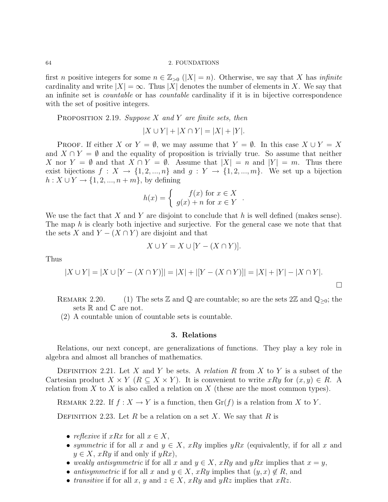#### 64 2. FOUNDATIONS

first n positive integers for some  $n \in \mathbb{Z}_{>0}$  ( $|X| = n$ ). Otherwise, we say that X has *infinite* cardinality and write  $|X| = \infty$ . Thus  $|X|$  denotes the number of elements in X. We say that an infinite set is countable or has countable cardinality if it is in bijective correspondence with the set of positive integers.

PROPOSITION 2.19. Suppose  $X$  and  $Y$  are finite sets, then

 $|X \cup Y| + |X \cap Y| = |X| + |Y|.$ 

**PROOF.** If either X or  $Y = \emptyset$ , we may assume that  $Y = \emptyset$ . In this case  $X \cup Y = X$ and  $X \cap Y = \emptyset$  and the equality of proposition is trivially true. So assume that neither X nor  $Y = \emptyset$  and that  $X \cap Y = \emptyset$ . Assume that  $|X| = n$  and  $|Y| = m$ . Thus there exist bijections  $f: X \to \{1, 2, ..., n\}$  and  $g: Y \to \{1, 2, ..., m\}$ . We set up a bijection  $h: X \cup Y \to \{1, 2, ..., n+m\}$ , by defining

$$
h(x) = \begin{cases} f(x) & \text{for } x \in X \\ g(x) + n & \text{for } x \in Y \end{cases}.
$$

We use the fact that X and Y are disjoint to conclude that h is well defined (makes sense). The map  $h$  is clearly both injective and surjective. For the general case we note that that the sets X and  $Y - (X \cap Y)$  are disjoint and that

$$
X \cup Y = X \cup [Y - (X \cap Y)].
$$

Thus

$$
|X \cup Y| = |X \cup [Y - (X \cap Y)]| = |X| + |[Y - (X \cap Y)]| = |X| + |Y| - |X \cap Y|.
$$

REMARK 2.20. (1) The sets Z and Q are countable; so are the sets  $2\mathbb{Z}$  and  $\mathbb{Q}_{\geq 0}$ ; the sets  $\mathbb R$  and  $\mathbb C$  are not.

(2) A countable union of countable sets is countable.

# 3. Relations

Relations, our next concept, are generalizations of functions. They play a key role in algebra and almost all branches of mathematics.

DEFINITION 2.21. Let X and Y be sets. A relation R from X to Y is a subset of the Cartesian product  $X \times Y$  ( $R \subseteq X \times Y$ ). It is convenient to write xRy for  $(x, y) \in R$ . A relation from X to X is also called a relation on X (these are the most common types).

REMARK 2.22. If  $f: X \to Y$  is a function, then  $\text{Gr}(f)$  is a relation from X to Y.

DEFINITION 2.23. Let R be a relation on a set X. We say that R is

- reflexive if  $xRx$  for all  $x \in X$ ,
- symmetric if for all x and  $y \in X$ , xRy implies yRx (equivalently, if for all x and  $y \in X$ , xRy if and only if  $yRx$ ),
- weakly antisymmetric if for all x and  $y \in X$ , xRy and yRx implies that  $x = y$ ,
- antisymmetric if for all x and  $y \in X$ , xRy implies that  $(y, x) \notin R$ , and
- transitive if for all x, y and  $z \in X$ , xRy and yRz implies that xRz.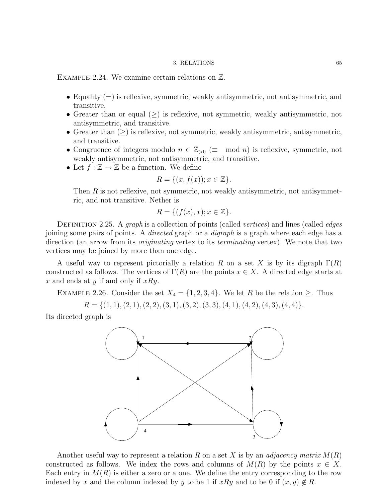#### 3. RELATIONS 65

EXAMPLE 2.24. We examine certain relations on  $\mathbb{Z}$ .

- Equality  $(=)$  is reflexive, symmetric, weakly antisymmetric, not antisymmetric, and transitive.
- Greater than or equal  $(\geq)$  is reflexive, not symmetric, weakly antisymmetric, not antisymmetric, and transitive.
- Greater than  $(\geq)$  is reflexive, not symmetric, weakly antisymmetric, antisymmetric, and transitive.
- Congruence of integers modulo  $n \in \mathbb{Z}_{>0}$  ( $\equiv \mod n$ ) is reflexive, symmetric, not weakly antisymmetric, not antisymmetric, and transitive.
- Let  $f : \mathbb{Z} \to \mathbb{Z}$  be a function. We define

$$
R = \{(x, f(x)); x \in \mathbb{Z}\}.
$$

Then  $R$  is not reflexive, not symmetric, not weakly antisymmetric, not antisymmetric, and not transitive. Nether is

$$
R = \{ (f(x), x); x \in \mathbb{Z} \}.
$$

DEFINITION 2.25. A graph is a collection of points (called vertices) and lines (called edges joining some pairs of points. A *directed* graph or a *digraph* is a graph where each edge has a direction (an arrow from its *originating* vertex to its *terminating* vertex). We note that two vertices may be joined by more than one edge.

A useful way to represent pictorially a relation R on a set X is by its digraph  $\Gamma(R)$ constructed as follows. The vertices of  $\Gamma(R)$  are the points  $x \in X$ . A directed edge starts at x and ends at y if and only if  $xRy$ .

EXAMPLE 2.26. Consider the set  $X_4 = \{1, 2, 3, 4\}$ . We let R be the relation  $\geq$ . Thus

 $R = \{(1, 1), (2, 1), (2, 2), (3, 1), (3, 2), (3, 3), (4, 1), (4, 2), (4, 3), (4, 4)\}.$ 

Its directed graph is



Another useful way to represent a relation R on a set X is by an *adjacency matrix*  $M(R)$ constructed as follows. We index the rows and columns of  $M(R)$  by the points  $x \in X$ . Each entry in  $M(R)$  is either a zero or a one. We define the entry corresponding to the row indexed by x and the column indexed by y to be 1 if  $xRy$  and to be 0 if  $(x, y) \notin R$ .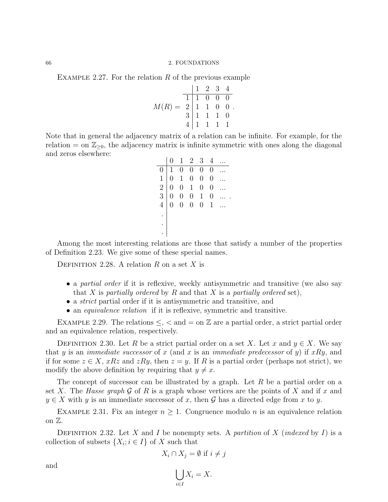66 2. FOUNDATIONS

EXAMPLE 2.27. For the relation R of the previous example

$$
M(R) = \begin{array}{c|cccc} & 1 & 2 & 3 & 4 \\ \hline 1 & 1 & 0 & 0 & 0 \\ 2 & 1 & 1 & 0 & 0 \\ 3 & 1 & 1 & 1 & 0 \\ 4 & 1 & 1 & 1 & 1 \end{array}
$$

Note that in general the adjacency matrix of a relation can be infinite. For example, for the relation = on  $\mathbb{Z}_{\geq 0}$ , the adjacency matrix is infinite symmetric with ones along the diagonal and zeros elsewhere:

|  |  |  | $\begin{array}{c cccccc} & 0 & 1 & 2 & 3 & 4 & \ldots \\ \hline 0 & 1 & 0 & 0 & 0 & 0 & \ldots \\ 1 & 0 & 1 & 0 & 0 & 0 & \ldots \\ 2 & 0 & 0 & 1 & 0 & 0 & \ldots \\ 3 & 0 & 0 & 0 & 1 & 0 & \ldots \\ 4 & 0 & 0 & 0 & 0 & 1 & \ldots \end{array}$ |
|--|--|--|-----------------------------------------------------------------------------------------------------------------------------------------------------------------------------------------------------------------------------------------------------|
|  |  |  |                                                                                                                                                                                                                                                     |
|  |  |  |                                                                                                                                                                                                                                                     |
|  |  |  |                                                                                                                                                                                                                                                     |
|  |  |  |                                                                                                                                                                                                                                                     |
|  |  |  |                                                                                                                                                                                                                                                     |
|  |  |  |                                                                                                                                                                                                                                                     |
|  |  |  |                                                                                                                                                                                                                                                     |
|  |  |  |                                                                                                                                                                                                                                                     |

Among the most interesting relations are those that satisfy a number of the properties of Definition 2.23. We give some of these special names.

DEFINITION 2.28. A relation  $R$  on a set  $X$  is

- a *partial order* if it is reflexive, weekly antisymmetric and transitive (we also say that X is partially ordered by R and that X is a partially ordered set),
- a strict partial order if it is antisymmetric and transitive, and
- an *equivalence relation* if it is reflexive, symmetric and transitive.

EXAMPLE 2.29. The relations  $\leq$ ,  $\lt$  and  $=$  on  $\mathbb Z$  are a partial order, a strict partial order and an equivalence relation, respectively.

DEFINITION 2.30. Let R be a strict partial order on a set X. Let x and  $y \in X$ . We say that y is an *immediate successor* of x (and x is an *immediate predecessor* of y) if xRy, and if for some  $z \in X$ , xRz and zRy, then  $z = y$ . If R is a partial order (perhaps not strict), we modify the above definition by requiring that  $y \neq x$ .

The concept of successor can be illustrated by a graph. Let R be a partial order on a set X. The Hasse graph G of R is a graph whose vertices are the points of X and if x and  $y \in X$  with y is an immediate successor of x, then G has a directed edge from x to y.

EXAMPLE 2.31. Fix an integer  $n \geq 1$ . Congruence modulo n is an equivalence relation on Z.

DEFINITION 2.32. Let X and I be nonempty sets. A partition of X (indexed by I) is a collection of subsets  $\{X_i; i \in I\}$  of X such that

$$
X_i \cap X_j = \emptyset \text{ if } i \neq j
$$

and

$$
\bigcup_{i\in I} X_i = X.
$$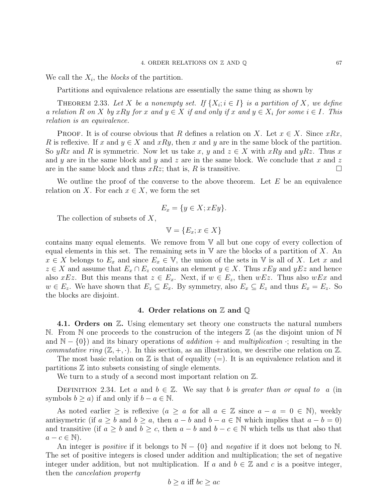We call the  $X_i$ , the *blocks* of the partition.

Partitions and equivalence relations are essentially the same thing as shown by

THEOREM 2.33. Let X be a nonempty set. If  $\{X_i; i \in I\}$  is a partition of X, we define a relation R on X by xRy for x and  $y \in X$  if and only if x and  $y \in X_i$  for some  $i \in I$ . This relation is an equivalence.

**PROOF.** It is of course obvious that R defines a relation on X. Let  $x \in X$ . Since  $xRx$ , R is reflexive. If x and  $y \in X$  and  $xRy$ , then x and y are in the same block of the partition. So yRx and R is symmetric. Now let us take x, y and  $z \in X$  with xRy and yRz. Thus x and y are in the same block and y and z are in the same block. We conclude that x and z are in the same block and thus  $xRz$ ; that is, R is transitive.

We outline the proof of the converse to the above theorem. Let  $E$  be an equivalence relation on X. For each  $x \in X$ , we form the set

$$
E_x = \{ y \in X; xEy \}.
$$

The collection of subsets of X,

$$
\mathbb{V} = \{E_x; x \in X\}
$$

contains many equal elements. We remove from V all but one copy of every collection of equal elements in this set. The remaining sets in  $V$  are the blocks of a partition of X. An  $x \in X$  belongs to  $E_x$  and since  $E_x \in V$ , the union of the sets in V is all of X. Let x and  $z \in X$  and assume that  $E_x \cap E_z$  contains an element  $y \in X$ . Thus  $xEy$  and  $yEz$  and hence also xEz. But this means that  $z \in E_x$ . Next, if  $w \in E_z$ , then  $wEz$ . Thus also  $wEx$  and  $w \in E_z$ . We have shown that  $E_z \subseteq E_x$ . By symmetry, also  $E_x \subseteq E_z$  and thus  $E_x = E_z$ . So the blocks are disjoint.

### 4. Order relations on  $\mathbb Z$  and  $\mathbb Q$

4.1. Orders on  $\mathbb{Z}$ . Using elementary set theory one constructs the natural numbers N. From N one proceeds to the construcion of the integers  $\mathbb Z$  (as the disjoint union of N and  $\mathbb{N} - \{0\}$  and its binary operations of *addition* + and *multiplication*  $\cdot$ ; resulting in the commutative ring  $(\mathbb{Z}, +, \cdot)$ . In this section, as an illustration, we describe one relation on  $\mathbb{Z}$ .

The most basic relation on  $\mathbb Z$  is that of equality (=). It is an equivalence relation and it partitions  $\mathbb Z$  into subsets consisting of single elements.

We turn to a study of a second most important relation on  $\mathbb{Z}$ .

DEFINITION 2.34. Let a and  $b \in \mathbb{Z}$ . We say that b is greater than or equal to a (in symbols  $b \ge a$ ) if and only if  $b - a \in \mathbb{N}$ .

As noted earlier  $\geq$  is reflexive  $(a \geq a$  for all  $a \in \mathbb{Z}$  since  $a - a = 0 \in \mathbb{N}$ , weekly antisymetric (if  $a \geq b$  and  $b \geq a$ , then  $a - b$  and  $b - a \in \mathbb{N}$  which implies that  $a - b = 0$ ) and transitive (if  $a \geq b$  and  $b \geq c$ , then  $a - b$  and  $b - c \in \mathbb{N}$  which tells us that also that  $a-c \in \mathbb{N}$ ).

An integer is *positive* if it belongs to  $\mathbb{N} - \{0\}$  and *negative* if it does not belong to  $\mathbb{N}$ . The set of positive integers is closed under addition and multiplication; the set of negative integer under addition, but not multiplication. If a and  $b \in \mathbb{Z}$  and c is a positve integer, then the cancelation property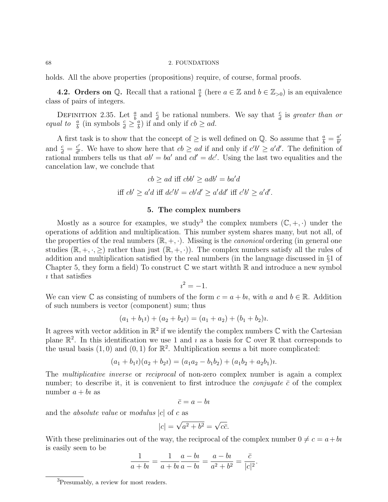#### 68 2. FOUNDATIONS

holds. All the above properties (propositions) require, of course, formal proofs.

**4.2. Orders on Q.** Recall that a rational  $\frac{a}{b}$  (here  $a \in \mathbb{Z}$  and  $b \in \mathbb{Z}_{>0}$ ) is an equivalence class of pairs of integers.

DEFINITION 2.35. Let  $\frac{a}{b}$  and  $\frac{c}{d}$  be rational numbers. We say that  $\frac{c}{d}$  is greater than or *equal to*  $\frac{a}{b}$  (in symbols  $\frac{c}{d} \geq \frac{a}{b}$  $\frac{a}{b}$ ) if and only if  $cb \geq ad$ .

A first task is to show that the concept of  $\geq$  is well defined on Q. So assume that  $\frac{a}{b} = \frac{a'}{b'}$  $b^{\prime}$ and  $\frac{c}{d} = \frac{c'}{d'}$  $\frac{c}{d'}$ . We have to show here that  $cb \ge ad$  if and only if  $c'b' \ge a'd'$ . The definition of rational numbers tells us that  $ab' = ba'$  and  $cd' = dc'$ . Using the last two equalities and the cancelation law, we conclude that

$$
cb \ge ad \text{ iff } cbb' \ge adb' = ba'd
$$
  
iff 
$$
cb' \ge a'd \text{ iff } dc'b' = cb'd' \ge a'dd' \text{ iff } c'b' \ge a'd'.
$$

# 5. The complex numbers

Mostly as a source for examples, we study<sup>3</sup> the complex numbers  $(\mathbb{C}, +, \cdot)$  under the operations of addition and multiplication. This number system shares many, but not all, of the properties of the real numbers  $(\mathbb{R}, +, \cdot)$ . Missing is the *canonical* ordering (in general one studies  $(\mathbb{R}, +, \cdot, \geq)$  rather than just  $(\mathbb{R}, +, \cdot)$ . The complex numbers satisfy all the rules of addition and multiplication satisfied by the real numbers (in the language discussed in §1 of Chapter 5, they form a field) To construct  $\mathbb C$  we start with R and introduce a new symbol ı that satisfies

$$
i^2 = -1.
$$

We can view  $\mathbb C$  as consisting of numbers of the form  $c = a + bi$ , with a and  $b \in \mathbb R$ . Addition of such numbers is vector (component) sum; thus

$$
(a_1 + b_1i) + (a_2 + b_2i) = (a_1 + a_2) + (b_1 + b_2)i.
$$

It agrees with vector addition in  $\mathbb{R}^2$  if we identify the complex numbers  $\mathbb C$  with the Cartesian plane  $\mathbb{R}^2$ . In this identification we use 1 and *i* as a basis for  $\mathbb C$  over  $\mathbb R$  that corresponds to the usual basis  $(1,0)$  and  $(0,1)$  for  $\mathbb{R}^2$ . Multiplication seems a bit more complicated:

$$
(a_1 + b_1i)(a_2 + b_2i) = (a_1a_2 - b_1b_2) + (a_1b_2 + a_2b_1)i.
$$

The *multiplicative inverse* or *reciprocal* of non-zero complex number is again a complex number; to describe it, it is convenient to first introduce the *conjugate*  $\bar{c}$  of the complex number  $a + bi$  as

$$
\bar{c} = a - bi
$$

and the absolute value or modulus |c| of c as

$$
|c| = \sqrt{a^2 + b^2} = \sqrt{c\bar{c}}.
$$

With these preliminaries out of the way, the reciprocal of the complex number  $0 \neq c = a+b$ is easily seen to be

$$
\frac{1}{a+bi} = \frac{1}{a+bi} \frac{a-bi}{a-bi} = \frac{a-bi}{a^2+b^2} = \frac{\bar{c}}{|c|^2}.
$$

<sup>3</sup>Presumably, a review for most readers.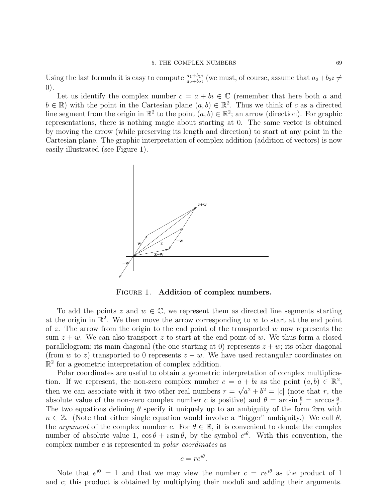Using the last formula it is easy to compute  $\frac{a_1+b_1i}{a_2+b_2i}$  (we must, of course, assume that  $a_2+b_2i \neq$ 0).

Let us identify the complex number  $c = a + bi \in \mathbb{C}$  (remember that here both a and  $b \in \mathbb{R}$ ) with the point in the Cartesian plane  $(a, b) \in \mathbb{R}^2$ . Thus we think of c as a directed line segment from the origin in  $\mathbb{R}^2$  to the point  $(a, b) \in \mathbb{R}^2$ ; an arrow (direction). For graphic representations, there is nothing magic about starting at 0. The same vector is obtained by moving the arrow (while preserving its length and direction) to start at any point in the Cartesian plane. The graphic interpretation of complex addition (addition of vectors) is now easily illustrated (see Figure 1).



FIGURE 1. Addition of complex numbers.

To add the points z and  $w \in \mathbb{C}$ , we represent them as directed line segments starting at the origin in  $\mathbb{R}^2$ . We then move the arrow corresponding to w to start at the end point of z. The arrow from the origin to the end point of the transported  $w$  now represents the sum  $z + w$ . We can also transport z to start at the end point of w. We thus form a closed parallelogram; its main diagonal (the one starting at 0) represents  $z + w$ ; its other diagonal (from w to z) transported to 0 represents  $z - w$ . We have used rectangular coordinates on  $\mathbb{R}^2$  for a geometric interpretation of complex addition.

Polar coordinates are useful to obtain a geometric interpretation of complex multiplication. If we represent, the non-zero complex number  $c = a + bi$  as the point  $(a, b) \in \mathbb{R}^2$ , then we can associate with it two other real numbers  $r = \sqrt{a^2 + b^2} = |c|$  (note that r, the absolute value of the non-zero complex number c is positive) and  $\theta = \arcsin \frac{b}{r} = \arccos \frac{a}{r}$ . The two equations defining  $\theta$  specify it uniquely up to an ambiguity of the form  $2\pi n$  with  $n \in \mathbb{Z}$ . (Note that either single equation would involve a "bigger" ambiguity.) We call  $\theta$ , the *argument* of the complex number c. For  $\theta \in \mathbb{R}$ , it is convenient to denote the complex number of absolute value 1,  $\cos\theta + i\sin\theta$ , by the symbol  $e^{i\theta}$ . With this convention, the complex number c is represented in polar coordinates as

$$
c=re^{i\theta}.
$$

Note that  $e^{i\theta} = 1$  and that we may view the number  $c = re^{i\theta}$  as the product of 1 and c; this product is obtained by multiplying their moduli and adding their arguments.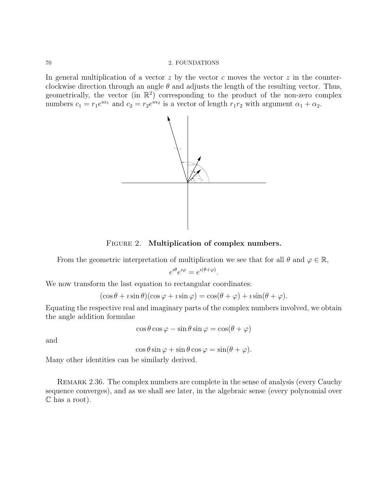#### 70 2. FOUNDATIONS

In general multiplication of a vector  $z$  by the vector  $c$  moves the vector  $z$  in the counterclockwise direction through an angle  $\theta$  and adjusts the length of the resulting vector. Thus, geometrically, the vector (in  $\mathbb{R}^2$ ) corresponding to the product of the non-zero complex numbers  $c_1 = r_1 e^{i\alpha_1}$  and  $c_2 = r_2 e^{i\alpha_2}$  is a vector of length  $r_1 r_2$  with argument  $\alpha_1 + \alpha_2$ .



FIGURE 2. Multiplication of complex numbers.

From the geometric interpretation of multiplication we see that for all  $\theta$  and  $\varphi \in \mathbb{R}$ ,  $e^{i\theta}e^{i\varphi}=e^{i(\theta+\varphi)}.$ 

We now transform the last equation to rectangular coordinates:

 $(\cos \theta + i \sin \theta)(\cos \varphi + i \sin \varphi) = \cos(\theta + \varphi) + i \sin(\theta + \varphi).$ 

Equating the respective real and imaginary parts of the complex numbers involved, we obtain the angle addition formulae

$$
\cos\theta\cos\varphi - \sin\theta\sin\varphi = \cos(\theta + \varphi)
$$

and

$$
\cos\theta\sin\varphi + \sin\theta\cos\varphi = \sin(\theta + \varphi).
$$

Many other identities can be similarly derived.

Remark 2.36. The complex numbers are complete in the sense of analysis (every Cauchy sequence converges), and as we shall see later, in the algebraic sense (every polynomial over C has a root).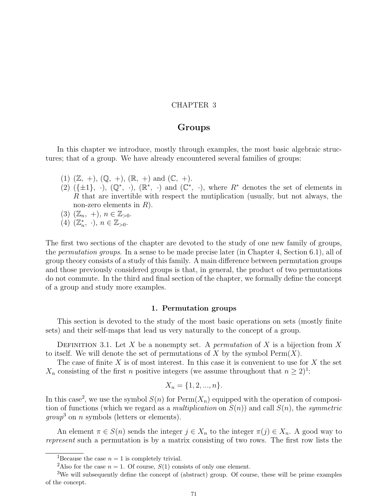# CHAPTER 3

# Groups

In this chapter we introduce, mostly through examples, the most basic algebraic structures; that of a group. We have already encountered several families of groups:

- (1)  $(\mathbb{Z}, +), (\mathbb{Q}, +), (\mathbb{R}, +) \text{ and } (\mathbb{C}, +).$
- (2)  $({\pm 1}, \cdot)$ ,  $(\mathbb{Q}^*, \cdot)$ ,  $(\mathbb{R}^*, \cdot)$  and  $(\mathbb{C}^*, \cdot)$ , where  $R^*$  denotes the set of elements in R that are invertible with respect the mutiplication (usually, but not always, the non-zero elements in  $R$ ).
- (3)  $(\mathbb{Z}_n, +), n \in \mathbb{Z}_{>0}$ .
- (4)  $(\mathbb{Z}_n^*, \cdot), n \in \mathbb{Z}_{>0}.$

The first two sections of the chapter are devoted to the study of one new family of groups, the permutation groups. In a sense to be made precise later (in Chapter 4, Section 6.1), all of group theory consists of a study of this family. A main difference between permutation groups and those previously considered groups is that, in general, the product of two permutations do not commute. In the third and final section of the chapter, we formally define the concept of a group and study more examples.

## 1. Permutation groups

This section is devoted to the study of the most basic operations on sets (mostly finite sets) and their self-maps that lead us very naturally to the concept of a group.

DEFINITION 3.1. Let X be a nonempty set. A *permutation* of X is a bijection from X to itself. We will denote the set of permutations of X by the symbol  $\text{Perm}(X)$ .

The case of finite X is of most interest. In this case it is convenient to use for X the set  $X_n$  consisting of the first *n* positive integers (we assume throughout that  $n \geq 2$ )<sup>1</sup>:

$$
X_n = \{1, 2, ..., n\}.
$$

In this case<sup>2</sup>, we use the symbol  $S(n)$  for  $\text{Perm}(X_n)$  equipped with the operation of composition of functions (which we regard as a *multiplication* on  $S(n)$ ) and call  $S(n)$ , the *symmetric*  $group<sup>3</sup>$  on *n* symbols (letters or elements).

An element  $\pi \in S(n)$  sends the integer  $j \in X_n$  to the integer  $\pi(j) \in X_n$ . A good way to represent such a permutation is by a matrix consisting of two rows. The first row lists the

<sup>&</sup>lt;sup>1</sup>Because the case  $n = 1$  is completely trivial.

<sup>&</sup>lt;sup>2</sup>Also for the case  $n = 1$ . Of course,  $S(1)$  consists of only one element.

<sup>&</sup>lt;sup>3</sup>We will subsequently define the concept of (abstract) group. Of course, these will be prime examples of the concept.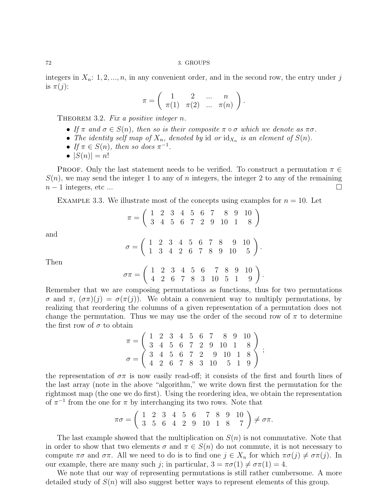integers in  $X_n$ : 1, 2, ..., n, in any convenient order, and in the second row, the entry under j is  $\pi(j)$ :

$$
\pi = \left( \begin{array}{cccc} 1 & 2 & \dots & n \\ \pi(1) & \pi(2) & \dots & \pi(n) \end{array} \right).
$$

THEOREM 3.2. Fix a positive integer  $n$ .

- If  $\pi$  and  $\sigma \in S(n)$ , then so is their composite  $\pi \circ \sigma$  which we denote as  $\pi \sigma$ .
- The identity self map of  $X_n$ , denoted by id or  $id_{X_n}$  is an element of  $S(n)$ .
- If  $\pi \in S(n)$ , then so does  $\pi^{-1}$ .
- $|S(n)| = n!$

PROOF. Only the last statement needs to be verified. To construct a permutation  $\pi \in$  $S(n)$ , we may send the integer 1 to any of n integers, the integer 2 to any of the remaining  $n-1$  integers, etc...

EXAMPLE 3.3. We illustrate most of the concepts using examples for  $n = 10$ . Let

$$
\pi = \begin{pmatrix} 1 & 2 & 3 & 4 & 5 & 6 & 7 & 8 & 9 & 10 \\ 3 & 4 & 5 & 6 & 7 & 2 & 9 & 10 & 1 & 8 \end{pmatrix}
$$

$$
\sigma = \begin{pmatrix} 1 & 2 & 3 & 4 & 5 & 6 & 7 & 8 & 9 & 10 \\ 1 & 3 & 4 & 2 & 6 & 7 & 8 & 9 & 10 & 5 \end{pmatrix}.
$$

Then

and

σπ = 4 2 6 7 8 3 10 5 1 9 . Remember that we are composing permutations as functions, thus for two permutations σ and π, (σπ)(j) = σ(π(j)). We obtain a convenient way to multiply permutations, by

realizing that reordering the columns of a given representation of a permutation does not change the permutation. Thus we may use the order of the second row of  $\pi$  to determine the first row of  $\sigma$  to obtain

$$
\pi = \begin{pmatrix}\n1 & 2 & 3 & 4 & 5 & 6 & 7 & 8 & 9 & 10 \\
3 & 4 & 5 & 6 & 7 & 2 & 9 & 10 & 1 & 8 \\
3 & 4 & 5 & 6 & 7 & 2 & 9 & 10 & 1 & 8 \\
4 & 2 & 6 & 7 & 8 & 3 & 10 & 5 & 1 & 9\n\end{pmatrix};
$$

the representation of  $\sigma\pi$  is now easily read-off; it consists of the first and fourth lines of the last array (note in the above "algorithm," we write down first the permutation for the rightmost map (the one we do first). Using the reordering idea, we obtain the representation of  $\pi^{-1}$  from the one for  $\pi$  by interchanging its two rows. Note that

$$
\pi\sigma = \left(\begin{array}{rrrrrr} 1 & 2 & 3 & 4 & 5 & 6 & 7 & 8 & 9 & 10 \\ 3 & 5 & 6 & 4 & 2 & 9 & 10 & 1 & 8 & 7 \end{array}\right) \neq \sigma\pi.
$$

The last example showed that the multiplication on  $S(n)$  is not commutative. Note that in order to show that two elements  $\sigma$  and  $\pi \in S(n)$  do not commute, it is not necessary to compute  $\pi\sigma$  and  $\sigma\pi$ . All we need to do is to find one  $j \in X_n$  for which  $\pi\sigma(j) \neq \sigma\pi(j)$ . In our example, there are many such j; in particular,  $3 = \pi \sigma(1) \neq \sigma \pi(1) = 4$ .

We note that our way of representing permutations is still rather cumbersome. A more detailed study of  $S(n)$  will also suggest better ways to represent elements of this group.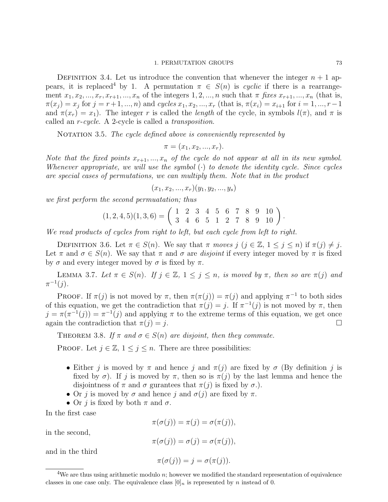DEFINITION 3.4. Let us introduce the convention that whenever the integer  $n + 1$  appears, it is replaced<sup>4</sup> by 1. A permutation  $\pi \in S(n)$  is cyclic if there is a rearrangement  $x_1, x_2, \ldots, x_r, x_{r+1}, \ldots, x_n$  of the integers  $1, 2, \ldots, n$  such that  $\pi$  fixes  $x_{r+1}, \ldots, x_n$  (that is,  $\pi(x_j) = x_j$  for  $j = r+1, ..., n$ ) and cycles  $x_1, x_2, ..., x_r$  (that is,  $\pi(x_i) = x_{i+1}$  for  $i = 1, ..., r-1$ and  $\pi(x_r) = x_1$ ). The integer r is called the *length* of the cycle, in symbols  $l(\pi)$ , and  $\pi$  is called an r-cycle. A 2-cycle is called a transposition.

NOTATION 3.5. The cycle defined above is conveniently represented by

$$
\pi = (x_1, x_2, ..., x_r).
$$

Note that the fixed points  $x_{r+1},...,x_n$  of the cycle do not appear at all in its new symbol. Whenever appropriate, we will use the symbol  $(\cdot)$  to denote the identity cycle. Since cycles are special cases of permutations, we can multiply them. Note that in the product

$$
(x_1, x_2, ..., x_r)(y_1, y_2, ..., y_s)
$$

we first perform the second permuatation; thus

$$
(1,2,4,5)(1,3,6) = \left(\begin{array}{cccccc} 1 & 2 & 3 & 4 & 5 & 6 & 7 & 8 & 9 & 10 \\ 3 & 4 & 6 & 5 & 1 & 2 & 7 & 8 & 9 & 10 \end{array}\right).
$$

We read products of cycles from right to left, but each cycle from left to right.

DEFINITION 3.6. Let  $\pi \in S(n)$ . We say that  $\pi$  moves  $j$   $(j \in \mathbb{Z}, 1 \leq j \leq n)$  if  $\pi(j) \neq j$ . Let  $\pi$  and  $\sigma \in S(n)$ . We say that  $\pi$  and  $\sigma$  are *disjoint* if every integer moved by  $\pi$  is fixed by  $\sigma$  and every integer moved by  $\sigma$  is fixed by  $\pi$ .

LEMMA 3.7. Let  $\pi \in S(n)$ . If  $j \in \mathbb{Z}$ ,  $1 \leq j \leq n$ , is moved by  $\pi$ , then so are  $\pi(j)$  and  $\pi^{-1}(j)$ .

**PROOF.** If  $\pi(j)$  is not moved by  $\pi$ , then  $\pi(\pi(j)) = \pi(j)$  and applying  $\pi^{-1}$  to both sides of this equation, we get the contradiction that  $\pi(j) = j$ . If  $\pi^{-1}(j)$  is not moved by  $\pi$ , then  $j = \pi(\pi^{-1}(j)) = \pi^{-1}(j)$  and applying  $\pi$  to the extreme terms of this equation, we get once again the contradiction that  $\pi(j) = j$ .

THEOREM 3.8. If  $\pi$  and  $\sigma \in S(n)$  are disjoint, then they commute.

PROOF. Let  $j \in \mathbb{Z}$ ,  $1 \leq j \leq n$ . There are three possibilities:

- Either j is moved by  $\pi$  and hence j and  $\pi(j)$  are fixed by  $\sigma$  (By definition j is fixed by  $\sigma$ ). If j is moved by  $\pi$ , then so is  $\pi(j)$  by the last lemma and hence the disjointness of  $\pi$  and  $\sigma$  gurantees that  $\pi(j)$  is fixed by  $\sigma$ .).
- Or j is moved by  $\sigma$  and hence j and  $\sigma(j)$  are fixed by  $\pi$ .
- Or *j* is fixed by both  $\pi$  and  $\sigma$ .

In the first case

$$
\pi(\sigma(j)) = \pi(j) = \sigma(\pi(j)),
$$

in the second,

$$
\pi(\sigma(j)) = \sigma(j) = \sigma(\pi(j)),
$$

and in the third

$$
\pi(\sigma(j)) = j = \sigma(\pi(j)).
$$

<sup>&</sup>lt;sup>4</sup>We are thus using arithmetic modulo  $n$ ; however we modified the standard representation of equivalence classes in one case only. The equivalence class  $[0]_n$  is represented by n instead of 0.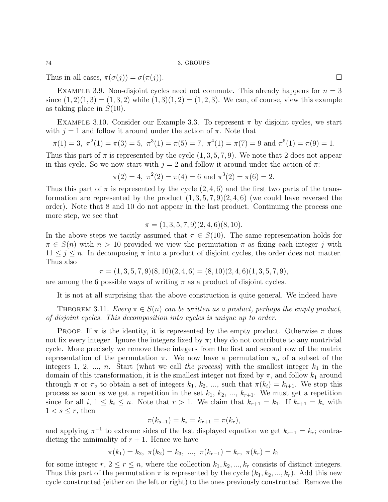Thus in all cases,  $\pi(\sigma(j)) = \sigma(\pi(j)).$ 

EXAMPLE 3.9. Non-disjoint cycles need not commute. This already happens for  $n = 3$ since  $(1, 2)(1, 3) = (1, 3, 2)$  while  $(1, 3)(1, 2) = (1, 2, 3)$ . We can, of course, view this example as taking place in  $S(10)$ .

EXAMPLE 3.10. Consider our Example 3.3. To represent  $\pi$  by disjoint cycles, we start with  $j = 1$  and follow it around under the action of  $\pi$ . Note that

$$
\pi(1) = 3
$$
,  $\pi^2(1) = \pi(3) = 5$ ,  $\pi^3(1) = \pi(5) = 7$ ,  $\pi^4(1) = \pi(7) = 9$  and  $\pi^5(1) = \pi(9) = 1$ .

Thus this part of  $\pi$  is represented by the cycle  $(1, 3, 5, 7, 9)$ . We note that 2 does not appear in this cycle. So we now start with  $j = 2$  and follow it around under the action of  $\pi$ :

$$
\pi(2) = 4
$$
,  $\pi^2(2) = \pi(4) = 6$  and  $\pi^3(2) = \pi(6) = 2$ .

Thus this part of  $\pi$  is represented by the cycle  $(2, 4, 6)$  and the first two parts of the transformation are represented by the product  $(1, 3, 5, 7, 9)(2, 4, 6)$  (we could have reversed the order). Note that 8 and 10 do not appear in the last product. Continuing the process one more step, we see that

$$
\pi = (1, 3, 5, 7, 9)(2, 4, 6)(8, 10).
$$

In the above steps we tacitly assumed that  $\pi \in S(10)$ . The same representation holds for  $\pi \in S(n)$  with  $n > 10$  provided we view the permutation  $\pi$  as fixing each integer j with  $11 \leq j \leq n$ . In decomposing  $\pi$  into a product of disjoint cycles, the order does not matter. Thus also

$$
\pi = (1, 3, 5, 7, 9)(8, 10)(2, 4, 6) = (8, 10)(2, 4, 6)(1, 3, 5, 7, 9),
$$

are among the 6 possible ways of writing  $\pi$  as a product of disjoint cycles.

It is not at all surprising that the above construction is quite general. We indeed have

THEOREM 3.11. Every  $\pi \in S(n)$  can be written as a product, perhaps the empty product, of disjoint cycles. This decomposition into cycles is unique up to order.

**PROOF.** If  $\pi$  is the identity, it is represented by the empty product. Otherwise  $\pi$  does not fix every integer. Ignore the integers fixed by  $\pi$ ; they do not contribute to any nontrivial cycle. More precisely we remove these integers from the first and second row of the matrix representation of the permutation  $\pi$ . We now have a permutation  $\pi_o$  of a subset of the integers 1, 2, ..., n. Start (what we call the process) with the smallest integer  $k_1$  in the domain of this transformation, it is the smallest integer not fixed by  $\pi$ , and follow  $k_1$  around through  $\pi$  or  $\pi_o$  to obtain a set of integers  $k_1, k_2, ...,$  such that  $\pi(k_i) = k_{i+1}$ . We stop this process as soon as we get a repetition in the set  $k_1, k_2, ..., k_{r+1}$ . We must get a repetition since for all  $i, 1 \leq k_i \leq n$ . Note that  $r > 1$ . We claim that  $k_{r+1} = k_1$ . If  $k_{r+1} = k_s$  with  $1 < s \leq r$ , then

$$
\pi(k_{s-1}) = k_s = k_{r+1} = \pi(k_r),
$$

and applying  $\pi^{-1}$  to extreme sides of the last displayed equation we get  $k_{s-1} = k_r$ ; contradicting the minimality of  $r + 1$ . Hence we have

$$
\pi(k_1) = k_2, \ \pi(k_2) = k_3, \ \dots, \ \pi(k_{r-1}) = k_r, \ \pi(k_r) = k_1
$$

for some integer r,  $2 \le r \le n$ , where the collection  $k_1, k_2, ..., k_r$  consists of distinct integers. Thus this part of the permutation  $\pi$  is represented by the cycle  $(k_1, k_2, ..., k_r)$ . Add this new cycle constructed (either on the left or right) to the ones previously constructed. Remove the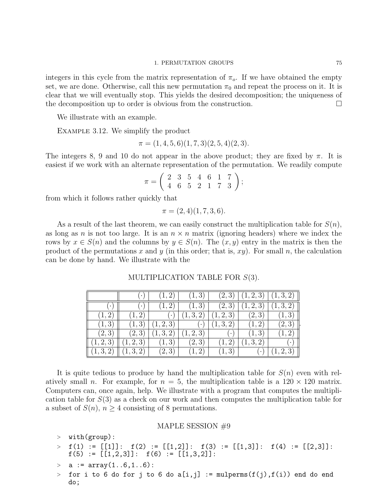integers in this cycle from the matrix representation of  $\pi_{o}$ . If we have obtained the empty set, we are done. Otherwise, call this new permutation  $\pi_0$  and repeat the process on it. It is clear that we will eventually stop. This yields the desired decomposition; the uniqueness of the decomposition up to order is obvious from the construction.

We illustrate with an example.

EXAMPLE 3.12. We simplify the product

$$
\pi = (1, 4, 5, 6)(1, 7, 3)(2, 5, 4)(2, 3).
$$

The integers 8, 9 and 10 do not appear in the above product; they are fixed by  $\pi$ . It is easiest if we work with an alternate representation of the permutation. We readily compute

$$
\pi = \left(\begin{array}{cccccc} 2 & 3 & 5 & 4 & 6 & 1 & 7 \\ 4 & 6 & 5 & 2 & 1 & 7 & 3 \end{array}\right);
$$

from which it follows rather quickly that

$$
\pi = (2, 4)(1, 7, 3, 6).
$$

As a result of the last theorem, we can easily construct the multiplication table for  $S(n)$ , as long as n is not too large. It is an  $n \times n$  matrix (ignoring headers) where we index the rows by  $x \in S(n)$  and the columns by  $y \in S(n)$ . The  $(x, y)$  entry in the matrix is then the product of the permutations x and y (in this order; that is, xy). For small n, the calculation can be done by hand. We illustrate with the

### MULTIPLICATION TABLE FOR  $S(3)$ .

|        |         |           | (1,3)                      | (2,3)     | (1, 2, 3) | (1,3,2)   |
|--------|---------|-----------|----------------------------|-----------|-----------|-----------|
|        |         | (1, 2)    | (1,3)                      | (2, 3)    | 1, 2, 3   | (1, 3, 2) |
|        | (1, 2)  |           | (1,3,2)                    | (1, 2, 3) | (2,3)     |           |
|        | (1,3)   | (1, 2, 3) | $\left( \ \cdot \ \right)$ | (1,3,2)   | (1, 2)    | (2,3)     |
| (2, 3) | (2, 3)  | (1, 3,    | (1, 2, 3)                  |           | (1, 3)    |           |
| 1.2    | 1, 2, 3 | (1,3)     | (2, 3)                     |           | 1, 3,     |           |
| 1, 3,  | (1,3,2) | (2,3)     |                            | 1,3       |           | (1, 2, 3) |

It is quite tedious to produce by hand the multiplication table for  $S(n)$  even with relatively small n. For example, for  $n = 5$ , the multiplication table is a  $120 \times 120$  matrix. Computers can, once again, help. We illustrate with a program that computes the multiplication table for  $S(3)$  as a check on our work and then computes the multiplication table for a subset of  $S(n)$ ,  $n \geq 4$  consisting of 8 permutations.

### MAPLE SESSION #9

```
> with(group):
```
- $> f(1) := [[1]]: f(2) := [[1,2]]: f(3) := [[1,3]]: f(4) := [[2,3]]:$  $f(5) := [[1,2,3]]: f(6) := [[1,3,2]]:$
- $> a := array(1..6,1..6)$ :
- > for i to 6 do for j to 6 do a[i,j] := mulperms(f(j),f(i)) end do end do;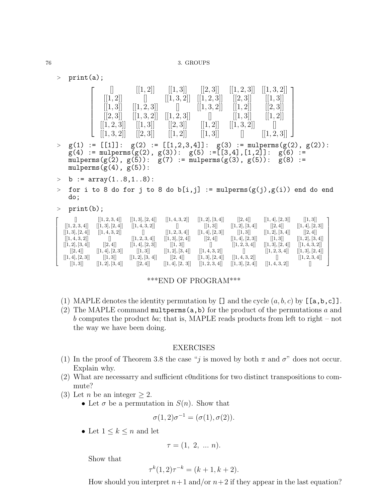|   | $>$ print(a); |                                                                                                                                                                                                                                                                                                                                                                                   |                                                                                                                                                                                                                                                                                                                                                                                             |                                                                                                                                                                            |                |                                                                                                                                                          |                                                                                             |                                                                               |  |
|---|---------------|-----------------------------------------------------------------------------------------------------------------------------------------------------------------------------------------------------------------------------------------------------------------------------------------------------------------------------------------------------------------------------------|---------------------------------------------------------------------------------------------------------------------------------------------------------------------------------------------------------------------------------------------------------------------------------------------------------------------------------------------------------------------------------------------|----------------------------------------------------------------------------------------------------------------------------------------------------------------------------|----------------|----------------------------------------------------------------------------------------------------------------------------------------------------------|---------------------------------------------------------------------------------------------|-------------------------------------------------------------------------------|--|
|   |               |                                                                                                                                                                                                                                                                                                                                                                                   | $[1,2] \qquad [[1,2]] \qquad [[1,3]] \qquad [[2,3]] \qquad [[1,2,3]] \quad [[1,3,2]]$<br>$[[1,2]]$ $[1,3,2]$ $[[1,2,3]$ $[[2,3]]$ $[[1,3]]$<br>$[[1,3]]$ $[[1,2,3]]$ $[[1,3,2]]$ $[[1,2]]$ $[[2,3]]$<br>$[[2,3]]$ $[[1,3,2]]$ $[[1,2,3]]$ $[1,3]]$ $[[1,3]]$ $[[1,2]]$<br>$[[1,2,3]]$ $[[1,3]]$ $[[2,3]]$ $[[1,2]]$ $[[1,3,2]]$ $[]$<br>$[1,3,2]$ $[2,3]$ $[1,2]$ $[1,3]$ $[1,3]$ $[1,3,3]$ |                                                                                                                                                                            |                |                                                                                                                                                          |                                                                                             |                                                                               |  |
|   |               | $g(4) := \text{mulperms}(g(2), g(3)): g(5) := [[3,4],[1,2]]: g(6) :=$<br>mulperms(g(2), g(5)): g(7) := mulperms(g(3), g(5)): g(8) :=<br>$mulperms(g(4), g(5))$ :                                                                                                                                                                                                                  |                                                                                                                                                                                                                                                                                                                                                                                             |                                                                                                                                                                            |                |                                                                                                                                                          |                                                                                             | > $g(1) := [[1]]: g(2) := [[1,2,3,4]]: g(3) := \text{mulperms}(g(2), g(2))$ : |  |
|   |               | > b := $array(18,18)$ :                                                                                                                                                                                                                                                                                                                                                           |                                                                                                                                                                                                                                                                                                                                                                                             |                                                                                                                                                                            |                |                                                                                                                                                          |                                                                                             |                                                                               |  |
| > | do;           |                                                                                                                                                                                                                                                                                                                                                                                   |                                                                                                                                                                                                                                                                                                                                                                                             |                                                                                                                                                                            |                |                                                                                                                                                          |                                                                                             | for i to 8 do for j to 8 do b[i,j] := mulperms( $g(j)$ , $g(i)$ ) end do end  |  |
|   | $>$ print(b); |                                                                                                                                                                                                                                                                                                                                                                                   |                                                                                                                                                                                                                                                                                                                                                                                             |                                                                                                                                                                            |                |                                                                                                                                                          |                                                                                             |                                                                               |  |
|   | [[1,3]]       | $\begin{bmatrix} 1, 2, 3, 4 \end{bmatrix}$<br>$[[1, 2, 3, 4]]$ $[[1, 3], [2, 4]]$<br>$[[1,3],[2,4]]$ $[[1,4,3,2]]$<br>$[[1,4,3,2]]$ $[[1,2,3,4]]$ $[[1,3],[2,4]]$<br>$[[1,2],[3,4]]$ $[[2,4]]$ $[[1,4],[2,3]]$ $[[1,3]]$ $[[1,3]]$ $[[1,2,3,4]]$<br>$[[2,4]]$ $[[1,4],[2,3]]$ $[[1,3]]$ $[[1,2],[3,4]]$ $[[1,4,3,2]]$ $[[1,4,3,4]]$<br>$[[1,4],[2,3]]$ $[[1,3]]$<br>[[1,2],[3,4]] | $[[2,4]]$ $[[1,4],[2,3]]$                                                                                                                                                                                                                                                                                                                                                                   | $[[1,3],[2,4]]$ $[[1,4,3,2]]$<br>$[[1,4,3,2]]$ $[[1,3]]$ $[[1,2],[3,4]]$ $[[2,4]]$ $[[1,4],[2,3]]$<br>$[[1,2,3,4]]$ $[[1,4],[2,3]]$ $[[1,3]]$<br>$[[1,2],[3,4]]$ $[[2,4]]$ | [[1, 2, 3, 4]] | $[[1,2],[3,4]]$ $[[2,4]]$ $[[1,4],[2,3]]$ $[[1,3]]$<br>$[[2,4]]$ $[[1,4],[2,3]]$ $[[1,3]]$ $[[1,2],[3,4]]$<br>$[[1,3],[2,4]]$ $[[1,4,3,2]]$ $[1,2,3,4]]$ | $[[1,2],[3,4]]$ $[[2,4]]$<br>$[[1,3],[2,4]]$ $[[1,4,3,2]]$<br>$[[1,3],[2,4]]$ $[[1,4,3,2]]$ | [[1,3],[2,4]]                                                                 |  |

# \*\*\*END OF PROGRAM\*\*\*

- (1) MAPLE denotes the identity permutation by [] and the cycle  $(a, b, c)$  by [[a,b,c]].
- (2) The MAPLE command multperms  $(a, b)$  for the product of the permutations a and b computes the product ba; that is, MAPLE reads products from left to right – not the way we have been doing.

### EXERCISES

- (1) In the proof of Theorem 3.8 the case "j is moved by both  $\pi$  and  $\sigma$ " does not occur. Explain why.
- (2) What are necessarry and sufficient c0nditions for two distinct transpositions to commute?
- (3) Let *n* be an integer  $> 2$ .
	- Let  $\sigma$  be a permutation in  $S(n)$ . Show that

$$
\sigma(1,2)\sigma^{-1} = (\sigma(1), \sigma(2)).
$$

• Let  $1\leq k\leq n$  and let

$$
\tau=(1, 2, \ldots n).
$$

Show that

$$
\tau^k(1,2)\tau^{-k} = (k+1,k+2).
$$

How should you interpret  $n+1$  and/or  $n+2$  if they appear in the last equation?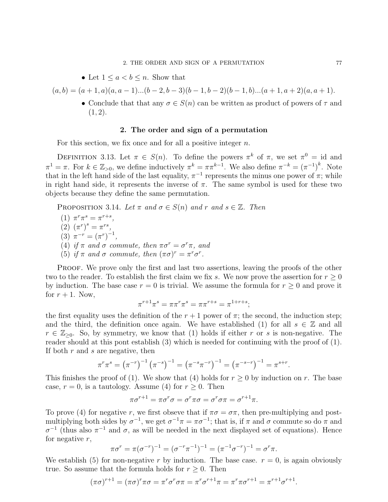### 2. THE ORDER AND SIGN OF A PERMUTATION 77

• Let  $1 \leq a < b \leq n$ . Show that

$$
(a,b)=(a+1,a)(a,a-1)...(b-2,b-3)(b-1,b-2)(b-1,b)...(a+1,a+2)(a,a+1).
$$

• Conclude that that any  $\sigma \in S(n)$  can be written as product of powers of  $\tau$  and  $(1, 2)$ .

# 2. The order and sign of a permutation

For this section, we fix once and for all a positive integer  $n$ .

DEFINITION 3.13. Let  $\pi \in S(n)$ . To define the powers  $\pi^k$  of  $\pi$ , we set  $\pi^0 = id$  and  $\pi^1 = \pi$ . For  $k \in \mathbb{Z}_{>0}$ , we define inductively  $\pi^k = \pi \pi^{k-1}$ . We also define  $\pi^{-k} = (\pi^{-1})^k$ . Note that in the left hand side of the last equality,  $\pi^{-1}$  represents the minus one power of  $\pi$ ; while in right hand side, it represents the inverse of  $\pi$ . The same symbol is used for these two objects because they define the same permutation.

PROPOSITION 3.14. Let  $\pi$  and  $\sigma \in S(n)$  and  $r$  and  $s \in \mathbb{Z}$ . Then

(1)  $\pi^r \pi^s = \pi^{r+s}$ , (2)  $(\pi^r)^s = \pi^{rs}$ , (3)  $\pi^{-r} = (\pi^r)^{-1}$ , (4) if  $\pi$  and  $\sigma$  commute, then  $\pi \sigma^r = \sigma^r \pi$ , and (5) if  $\pi$  and  $\sigma$  commute, then  $(\pi \sigma)^r = \pi^r \sigma^r$ .

PROOF. We prove only the first and last two assertions, leaving the proofs of the other two to the reader. To establish the first claim we fix s. We now prove the assertion for  $r \geq 0$ by induction. The base case  $r = 0$  is trivial. We assume the formula for  $r \geq 0$  and prove it for  $r + 1$ . Now,

$$
\pi^{r+1}\pi^s = \pi\pi^r\pi^s = \pi\pi^{r+s} = \pi^{1+r+s};
$$

the first equality uses the definition of the  $r + 1$  power of  $\pi$ ; the second, the induction step; and the third, the definition once again. We have established (1) for all  $s \in \mathbb{Z}$  and all  $r \in \mathbb{Z}_{\geq 0}$ . So, by symmetry, we know that (1) holds if either r or s is non-negative. The reader should at this pont establish (3) which is needed for continuing with the proof of (1). If both  $r$  and  $s$  are negative, then

$$
\pi^r \pi^s = (\pi^{-r})^{-1} (\pi^{-s})^{-1} = (\pi^{-s} \pi^{-r})^{-1} = (\pi^{-s-r})^{-1} = \pi^{s+r}.
$$

This finishes the proof of (1). We show that (4) holds for  $r \geq 0$  by induction on r. The base case,  $r = 0$ , is a tautology. Assume (4) for  $r \geq 0$ . Then

$$
\pi \sigma^{r+1} = \pi \sigma^r \sigma = \sigma^r \pi \sigma = \sigma^r \sigma \pi = \sigma^{r+1} \pi.
$$

To prove (4) for negative r, we first obseve that if  $\pi\sigma = \sigma\pi$ , then pre-multiplying and postmultiplying both sides by  $\sigma^{-1}$ , we get  $\sigma^{-1}\pi = \pi\sigma^{-1}$ ; that is, if  $\pi$  and  $\sigma$  commute so do  $\pi$  and  $\sigma^{-1}$  (thus also  $\pi^{-1}$  and  $\sigma$ , as will be needed in the next displayed set of equations). Hence for negative  $r$ ,

$$
\pi \sigma^r = \pi (\sigma^{-r})^{-1} = (\sigma^{-r} \pi^{-1})^{-1} = (\pi^{-1} \sigma^{-r})^{-1} = \sigma^r \pi.
$$

We establish (5) for non-negative r by induction. The base case.  $r = 0$ , is again obviously true. So assume that the formula holds for  $r \geq 0$ . Then

$$
(\pi\sigma)^{r+1} = (\pi\sigma)^r \pi\sigma = \pi^r \sigma^r \sigma \pi = \pi^r \sigma^{r+1} \pi = \pi^r \pi \sigma^{r+1} = \pi^{r+1} \sigma^{r+1}.
$$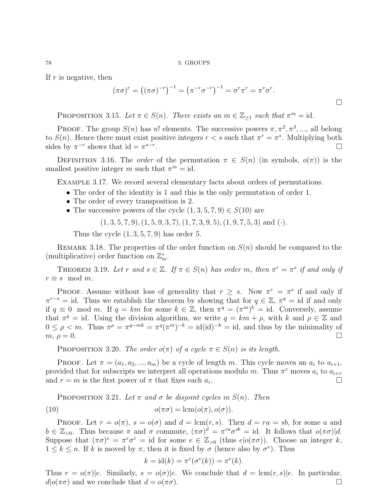78 3. GROUPS

If  $r$  is negative, then

$$
(\pi\sigma)^r = ((\pi\sigma)^{-r})^{-1} = (\pi^{-r}\sigma^{-r})^{-1} = \sigma^r\pi^r = \pi^r\sigma^r.
$$

PROPOSITION 3.15. Let  $\pi \in S(n)$ . There exists an  $m \in \mathbb{Z}_{\geq 1}$  such that  $\pi^m = id$ .

**PROOF.** The group  $S(n)$  has n! elements. The successive powers  $\pi, \pi^2, \pi^3, \dots$ , all belong to  $S(n)$ . Hence there must exist positive integers  $r < s$  such that  $\pi^r = \pi^s$ . Multiplying both sides by  $\pi^{-r}$  shows that id =  $\pi^{s-r}$ . В последните при последните последните последните последните последните последните последните последните по<br>В последните последните последните последните последните последните последните последните последните последнит

DEFINITION 3.16. The *order* of the permutation  $\pi \in S(n)$  (in symbols,  $o(\pi)$ ) is the smallest positive integer m such that  $\pi^m = id$ .

Example 3.17. We record several elementary facts about orders of permutations.

- The order of the identity is 1 and this is the only permutation of order 1.
- The order of every transposition is 2.
- The successive powers of the cycle  $(1, 3, 5, 7, 9) \in S(10)$  are

 $(1, 3, 5, 7, 9), (1, 5, 9, 3, 7), (1, 7, 3, 9, 5), (1, 9, 7, 5, 3)$  and (·).

Thus the cycle  $(1, 3, 5, 7, 9)$  has order 5.

REMARK 3.18. The properties of the order function on  $S(n)$  should be compared to the (multiplicative) order function on  $\mathbb{Z}_m^*$ .

THEOREM 3.19. Let r and  $s \in \mathbb{Z}$ . If  $\pi \in S(n)$  has order m, then  $\pi^r = \pi^s$  if and only if  $r \equiv s \mod m$ .

**PROOF.** Assume without loss of generality that  $r \geq s$ . Now  $\pi^r = \pi^s$  if and only if  $\pi^{r-s} = \text{id}$ . Thus we establish the theorem by showing that for  $q \in \mathbb{Z}$ ,  $\pi^q = \text{id}$  if and only if  $q \equiv 0 \mod m$ . If  $q = km$  for some  $k \in \mathbb{Z}$ , then  $\pi^q = (\pi^m)^k = id$ . Conversely, assume that  $\pi^q = id$ . Using the division algorithm, we write  $q = km + \rho$ , with k and  $\rho \in \mathbb{Z}$  and  $0 \leq \rho < m$ . Thus  $\pi^{\rho} = \pi^{q-mk} = \pi^q (\pi^m)^{-k} = \text{id}(\text{id})^{-k} = \text{id}$ , and thus by the minimality of  $m, \rho = 0.$ 

PROPOSITION 3.20. The order  $o(\pi)$  of a cycle  $\pi \in S(n)$  is its length.

PROOF. Let  $\pi = (a_1, a_2, ..., a_m)$  be a cycle of length m. This cycle moves an  $a_i$  to  $a_{i+1}$ , provided that for subscripts we interpret all operations modulo m. Thus  $\pi^r$  moves  $a_i$  to  $a_{i+r}$ and  $r = m$  is the first power of  $\pi$  that fixes each  $a_i$ . .

PROPOSITION 3.21. Let  $\pi$  and  $\sigma$  be disjoint cycles in  $S(n)$ . Then (10)  $o(\pi\sigma) = \text{lcm}(o(\pi), o(\sigma)).$ 

PROOF. Let  $r = o(\pi)$ ,  $s = o(\sigma)$  and  $d = \text{lcm}(r, s)$ . Then  $d = ra = sb$ , for some a and  $b \in \mathbb{Z}_{>0}$ . Thus because  $\pi$  and  $\sigma$  commute,  $(\pi \sigma)^d = \pi^{ra} \sigma^{sb} = id$ . It follows that  $o(\pi \sigma)|d$ . Suppose that  $(\pi \sigma)^e = \pi^e \sigma^e = id$  for some  $e \in \mathbb{Z}_{>0}$  (thus  $e|o(\pi \sigma)$ ). Choose an integer k,  $1 \leq k \leq n$ . If k is moved by  $\pi$ , then it is fixed by  $\sigma$  (hence also by  $\sigma^e$ ). Thus

$$
k = \mathrm{id}(k) = \pi^e(\sigma^e(k)) = \pi^e(k).
$$

Thus  $r = o(\pi)|e$ . Similarly,  $s = o(\sigma)|e$ . We conclude that  $d = \text{lcm}(r, s)|e$ . In particular,  $d|o(\pi\sigma)$  and we conclude that  $d = o(\pi\sigma)$ .  $d|o(\pi\sigma)$  and we conclude that  $d = o(\pi\sigma)$ .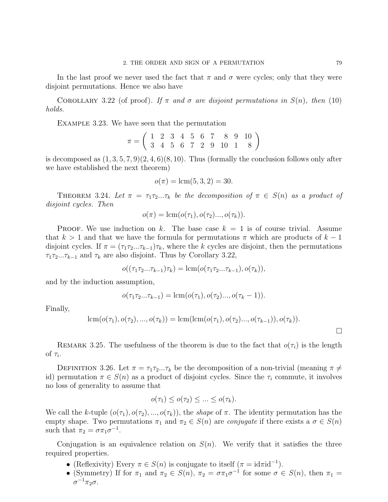In the last proof we never used the fact that  $\pi$  and  $\sigma$  were cycles; only that they were disjoint permutations. Hence we also have

COROLLARY 3.22 (of proof). If  $\pi$  and  $\sigma$  are disjoint permutations in  $S(n)$ , then (10) holds.

Example 3.23. We have seen that the permutation

$$
\pi = \left(\begin{array}{rrrrrr} 1 & 2 & 3 & 4 & 5 & 6 & 7 & 8 & 9 & 10 \\ 3 & 4 & 5 & 6 & 7 & 2 & 9 & 10 & 1 & 8 \end{array}\right)
$$

is decomposed as  $(1, 3, 5, 7, 9)(2, 4, 6)(8, 10)$ . Thus (formally the conclusion follows only after we have established the next theorem)

$$
o(\pi) = \text{lcm}(5, 3, 2) = 30.
$$

THEOREM 3.24. Let  $\pi = \tau_1 \tau_2 ... \tau_k$  be the decomposition of  $\pi \in S(n)$  as a product of disjoint cycles. Then

$$
o(\pi) = \text{lcm}(o(\tau_1), o(\tau_2), \ldots, o(\tau_k)).
$$

**PROOF.** We use induction on k. The base case  $k = 1$  is of course trivial. Assume that k > 1 and that we have the formula for permutations  $\pi$  which are products of k − 1 disjoint cycles. If  $\pi = (\tau_1 \tau_2 ... \tau_{k-1}) \tau_k$ , where the k cycles are disjoint, then the permutations  $\tau_1 \tau_2 \dots \tau_{k-1}$  and  $\tau_k$  are also disjoint. Thus by Corollary 3.22,

$$
o((\tau_1 \tau_2 ... \tau_{k-1}) \tau_k) = \text{lcm}(o(\tau_1 \tau_2 ... \tau_{k-1}), o(\tau_k)),
$$

and by the induction assumption,

$$
o(\tau_1 \tau_2 ... \tau_{k-1}) = \text{lcm}(o(\tau_1), o(\tau_2) ..., o(\tau_k - 1)).
$$

Finally,

$$
\operatorname{lcm}(o(\tau_1), o(\tau_2), ..., o(\tau_k)) = \operatorname{lcm}(\operatorname{lcm}(o(\tau_1), o(\tau_2), ..., o(\tau_{k-1})), o(\tau_k)).
$$

REMARK 3.25. The usefulness of the theorem is due to the fact that  $o(\tau_i)$  is the length of  $\tau_i$ .

DEFINITION 3.26. Let  $\pi = \tau_1 \tau_2 ... \tau_k$  be the decomposition of a non-trivial (meaning  $\pi \neq$ id) permutation  $\pi \in S(n)$  as a product of disjoint cycles. Since the  $\tau_i$  commute, it involves no loss of generality to assume that

$$
o(\tau_1) \leq o(\tau_2) \leq \ldots \leq o(\tau_k).
$$

We call the k-tuple  $(o(\tau_1), o(\tau_2), ..., o(\tau_k))$ , the shape of  $\pi$ . The identity permutation has the empty shape. Two permutations  $\pi_1$  and  $\pi_2 \in S(n)$  are *conjugate* if there exists a  $\sigma \in S(n)$ such that  $\pi_2 = \sigma \pi_1 \sigma^{-1}$ .

Conjugation is an equivalence relation on  $S(n)$ . We verify that it satisfies the three required properties.

- (Reflexivity) Every  $\pi \in S(n)$  is conjugate to itself  $(\pi = id\pi id^{-1})$ .
- (Symmetry) If for  $\pi_1$  and  $\pi_2 \in S(n)$ ,  $\pi_2 = \sigma \pi_1 \sigma^{-1}$  for some  $\sigma \in S(n)$ , then  $\pi_1 =$  $\sigma^{-1}\pi_2\sigma.$

 $\Box$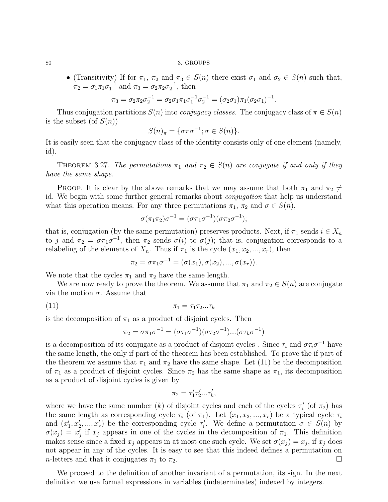#### 80 3. GROUPS

• (Transitivity) If for  $\pi_1$ ,  $\pi_2$  and  $\pi_3 \in S(n)$  there exist  $\sigma_1$  and  $\sigma_2 \in S(n)$  such that,  $\pi_2 = \sigma_1 \pi_1 \sigma_1^{-1}$  and  $\pi_3 = \sigma_2 \pi_2 \sigma_2^{-1}$ , then

$$
\pi_3 = \sigma_2 \pi_2 \sigma_2^{-1} = \sigma_2 \sigma_1 \pi_1 \sigma_1^{-1} \sigma_2^{-1} = (\sigma_2 \sigma_1) \pi_1 (\sigma_2 \sigma_1)^{-1}.
$$

Thus conjugation partitions  $S(n)$  into *conjugacy classes*. The conjugacy class of  $\pi \in S(n)$ is the subset (of  $S(n)$ )

$$
S(n)_{\pi} = {\sigma \pi \sigma^{-1}; \sigma \in S(n)}.
$$

It is easily seen that the conjugacy class of the identity consists only of one element (namely, id).

THEOREM 3.27. The permutations  $\pi_1$  and  $\pi_2 \in S(n)$  are conjugate if and only if they have the same shape.

**PROOF.** It is clear by the above remarks that we may assume that both  $\pi_1$  and  $\pi_2 \neq$ id. We begin with some further general remarks about *conjugation* that help us understand what this operation means. For any three permutations  $\pi_1$ ,  $\pi_2$  and  $\sigma \in S(n)$ ,

$$
\sigma(\pi_1\pi_2)\sigma^{-1}=(\sigma\pi_1\sigma^{-1})(\sigma\pi_2\sigma^{-1});
$$

that is, conjugation (by the same permutation) preserves products. Next, if  $\pi_1$  sends  $i \in X_n$ to j and  $\pi_2 = \sigma \pi_1 \sigma^{-1}$ , then  $\pi_2$  sends  $\sigma(i)$  to  $\sigma(j)$ ; that is, conjugation corresponds to a relabeling of the elements of  $X_n$ . Thus if  $\pi_1$  is the cycle  $(x_1, x_2, ..., x_r)$ , then

$$
\pi_2 = \sigma \pi_1 \sigma^{-1} = (\sigma(x_1), \sigma(x_2), ..., \sigma(x_r)).
$$

We note that the cycles  $\pi_1$  and  $\pi_2$  have the same length.

We are now ready to prove the theorem. We assume that  $\pi_1$  and  $\pi_2 \in S(n)$  are conjugate via the motion  $\sigma$ . Assume that

$$
\pi_1 = \tau_1 \tau_2 ... \tau_k
$$

is the decomposition of  $\pi_1$  as a product of disjoint cycles. Then

$$
\pi_2 = \sigma \pi_1 \sigma^{-1} = (\sigma \tau_1 \sigma^{-1})(\sigma \tau_2 \sigma^{-1}) \dots (\sigma \tau_k \sigma^{-1})
$$

is a decomposition of its conjugate as a product of disjoint cycles. Since  $\tau_i$  and  $\sigma\tau_i\sigma^{-1}$  have the same length, the only if part of the theorem has been established. To prove the if part of the theorem we assume that  $\pi_1$  and  $\pi_2$  have the same shape. Let (11) be the decomposition of  $\pi_1$  as a product of disjoint cycles. Since  $\pi_2$  has the same shape as  $\pi_1$ , its decomposition as a product of disjoint cycles is given by

$$
\pi_2 = \tau_1' \tau_2' ... \tau_k',
$$

where we have the same number  $(k)$  of disjoint cycles and each of the cycles  $\tau'_{i}$  (of  $\pi_{2}$ ) has the same length as corresponding cycle  $\tau_i$  (of  $\pi_1$ ). Let  $(x_1, x_2, ..., x_r)$  be a typical cycle  $\tau_i$ and  $(x'_1, x'_2, ..., x'_r)$  be the corresponding cycle  $\tau'_i$ . We define a permutation  $\sigma \in S(n)$  by  $\sigma(x_j) = x'_j$  if  $x_j$  appears in one of the cycles in the decomposition of  $\pi_1$ . This definition makes sense since a fixed  $x_j$  appears in at most one such cycle. We set  $\sigma(x_j) = x_j$ , if  $x_j$  does not appear in any of the cycles. It is easy to see that this indeed defines a permutation on *n*-letters and that it conjugates  $\pi_1$  to  $\pi_2$ .

We proceed to the definition of another invariant of a permutation, its sign. In the next definition we use formal expressions in variables (indeterminates) indexed by integers.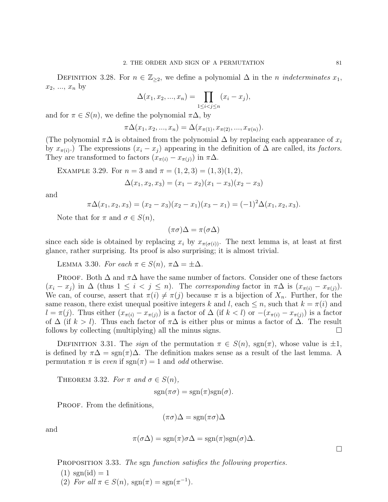DEFINITION 3.28. For  $n \in \mathbb{Z}_{\geq 2}$ , we define a polynomial  $\Delta$  in the *n* indeterminates  $x_1$ ,  $x_2, \ldots, x_n$  by

$$
\Delta(x_1, x_2, ..., x_n) = \prod_{1 \le i < j \le n} (x_i - x_j),
$$

and for  $\pi \in S(n)$ , we define the polynomial  $\pi \Delta$ , by

$$
\pi \Delta(x_1, x_2, ..., x_n) = \Delta(x_{\pi(1)}, x_{\pi(2)}, ..., x_{\pi(n)}).
$$

(The polynomial  $\pi\Delta$  is obtained from the polynomial  $\Delta$  by replacing each appearance of  $x_i$ by  $x_{\pi(i)}$ .) The expressions  $(x_i - x_j)$  appearing in the definition of  $\Delta$  are called, its *factors*. They are transformed to factors  $(x_{\pi(i)} - x_{\pi(i)})$  in  $\pi\Delta$ .

EXAMPLE 3.29. For 
$$
n = 3
$$
 and  $\pi = (1, 2, 3) = (1, 3)(1, 2)$ ,

$$
\Delta(x_1, x_2, x_3) = (x_1 - x_2)(x_1 - x_3)(x_2 - x_3)
$$

and

$$
\pi \Delta(x_1, x_2, x_3) = (x_2 - x_3)(x_2 - x_1)(x_3 - x_1) = (-1)^2 \Delta(x_1, x_2, x_3).
$$

Note that for  $\pi$  and  $\sigma \in S(n)$ ,

$$
(\pi \sigma) \Delta = \pi (\sigma \Delta)
$$

since each side is obtained by replacing  $x_i$  by  $x_{\pi(\sigma(i))}$ . The next lemma is, at least at first glance, rather surprising. Its proof is also surprising; it is almost trivial.

LEMMA 3.30. For each  $\pi \in S(n)$ ,  $\pi \Delta = \pm \Delta$ .

**PROOF.** Both  $\Delta$  and  $\pi\Delta$  have the same number of factors. Consider one of these factors  $(x_i - x_j)$  in  $\Delta$  (thus  $1 \leq i < j \leq n$ ). The corresponding factor in  $\pi \Delta$  is  $(x_{\pi(i)} - x_{\pi(j)})$ . We can, of course, assert that  $\pi(i) \neq \pi(j)$  because  $\pi$  is a bijection of  $X_n$ . Further, for the same reason, there exist unequal positive integers k and l, each  $\leq n$ , such that  $k = \pi(i)$  and  $l = \pi(j)$ . Thus either  $(x_{\pi(i)} - x_{\pi(j)})$  is a factor of  $\Delta$  (if  $k < l$ ) or  $-(x_{\pi(i)} - x_{\pi(j)})$  is a factor of  $\Delta$  (if  $k > l$ ). Thus each factor of  $\pi\Delta$  is either plus or minus a factor of  $\Delta$ . The result follows by collecting (multiplying) all the minus signs.  $\square$ 

DEFINITION 3.31. The sign of the permutation  $\pi \in S(n)$ , sgn $(\pi)$ , whose value is  $\pm 1$ , is defined by  $\pi\Delta = \text{sgn}(\pi)\Delta$ . The definition makes sense as a result of the last lemma. A permutation  $\pi$  is *even* if  $sgn(\pi) = 1$  and *odd* otherwise.

THEOREM 3.32. For  $\pi$  and  $\sigma \in S(n)$ ,

$$
sgn(\pi\sigma) = sgn(\pi)sgn(\sigma).
$$

PROOF. From the definitions,

$$
(\pi \sigma) \Delta = \text{sgn}(\pi \sigma) \Delta
$$

and

$$
\pi(\sigma \Delta) = \text{sgn}(\pi)\sigma \Delta = \text{sgn}(\pi)\text{sgn}(\sigma)\Delta.
$$

PROPOSITION 3.33. The sgn function satisfies the following properties.

 $(1)$  sgn(id) = 1 (2) For all  $\pi \in S(n)$ ,  $sgn(\pi) = sgn(\pi^{-1})$ .  $\Box$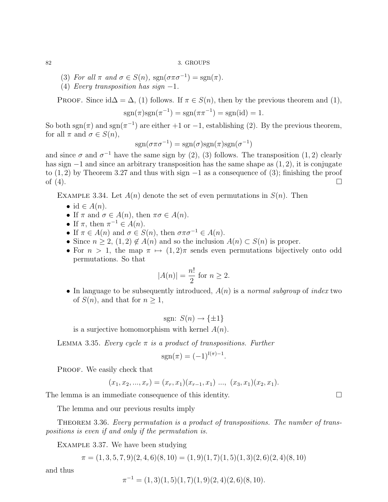- (3) For all  $\pi$  and  $\sigma \in S(n)$ ,  $sgn(\sigma \pi \sigma^{-1}) = sgn(\pi)$ .
- (4) Every transposition has sign  $-1$ .

PROOF. Since  $id\Delta = \Delta$ , (1) follows. If  $\pi \in S(n)$ , then by the previous theorem and (1),

$$
sgn(\pi)sgn(\pi^{-1}) = sgn(\pi \pi^{-1}) = sgn(id) = 1.
$$

So both sgn( $\pi$ ) and sgn( $\pi^{-1}$ ) are either +1 or -1, establishing (2). By the previous theorem, for all  $\pi$  and  $\sigma \in S(n)$ ,

$$
sgn(\sigma \pi \sigma^{-1}) = sgn(\sigma)sgn(\pi)sgn(\sigma^{-1})
$$

and since  $\sigma$  and  $\sigma^{-1}$  have the same sign by (2), (3) follows. The transposition (1, 2) clearly has sign  $-1$  and since an arbitrary transposition has the same shape as  $(1, 2)$ , it is conjugate to (1, 2) by Theorem 3.27 and thus with sign  $-1$  as a consequence of (3); finishing the proof of (4).  $□$ of  $(4)$ .

EXAMPLE 3.34. Let  $A(n)$  denote the set of even permutations in  $S(n)$ . Then

- id  $\in A(n)$ .
- If  $\pi$  and  $\sigma \in A(n)$ , then  $\pi \sigma \in A(n)$ .
- If  $\pi$ , then  $\pi^{-1} \in A(n)$ .
- If  $\pi \in A(n)$  and  $\sigma \in S(n)$ , then  $\sigma \pi \sigma^{-1} \in A(n)$ .
- Since  $n \geq 2$ ,  $(1, 2) \notin A(n)$  and so the inclusion  $A(n) \subset S(n)$  is proper.
- For  $n > 1$ , the map  $\pi \mapsto (1, 2)\pi$  sends even permutations bijectively onto odd permutations. So that

$$
|A(n)| = \frac{n!}{2} \text{ for } n \ge 2.
$$

• In language to be subsequently introduced,  $A(n)$  is a normal subgroup of index two of  $S(n)$ , and that for  $n \geq 1$ ,

$$
sgn: S(n) \to \{\pm 1\}
$$

is a surjective homomorphism with kernel  $A(n)$ .

LEMMA 3.35. Every cycle  $\pi$  is a product of transpositions. Further

$$
\operatorname{sgn}(\pi) = (-1)^{l(\pi)-1}
$$

.

PROOF. We easily check that

$$
(x_1, x_2, ..., x_r) = (x_r, x_1)(x_{r-1}, x_1) ..., (x_3, x_1)(x_2, x_1).
$$

The lemma is an immediate consequence of this identity.

The lemma and our previous results imply

Theorem 3.36. Every permutation is a product of transpositions. The number of transpositions is even if and only if the permutation is.

Example 3.37. We have been studying

$$
\pi = (1, 3, 5, 7, 9)(2, 4, 6)(8, 10) = (1, 9)(1, 7)(1, 5)(1, 3)(2, 6)(2, 4)(8, 10)
$$

and thus

$$
\pi^{-1} = (1,3)(1,5)(1,7)(1,9)(2,4)(2,6)(8,10).
$$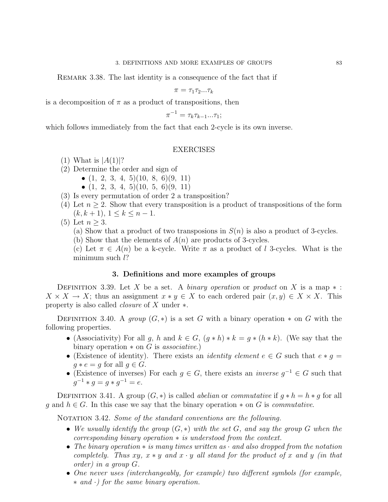REMARK 3.38. The last identity is a consequence of the fact that if

$$
\pi = \tau_1 \tau_2 ... \tau_k
$$

is a decomposition of  $\pi$  as a product of transpositions, then

$$
\pi^{-1} = \tau_k \tau_{k-1} ... \tau_1;
$$

which follows immediately from the fact that each 2-cycle is its own inverse.

# EXERCISES

- (1) What is  $|A(1)|$ ?
- (2) Determine the order and sign of
	- $(1, 2, 3, 4, 5)(10, 8, 6)(9, 11)$
	- $(1, 2, 3, 4, 5)(10, 5, 6)(9, 11)$
- (3) Is every permutation of order 2 a transposition?
- (4) Let  $n > 2$ . Show that every transposition is a product of transpositions of the form  $(k, k + 1), 1 \leq k \leq n - 1.$
- (5) Let  $n \geq 3$ .

(a) Show that a product of two transposions in  $S(n)$  is also a product of 3-cycles.

(b) Show that the elements of  $A(n)$  are products of 3-cycles.

(c) Let  $\pi \in A(n)$  be a k-cycle. Write  $\pi$  as a product of l 3-cycles. What is the minimum such  $l$ ?

#### 3. Definitions and more examples of groups

DEFINITION 3.39. Let X be a set. A binary operation or product on X is a map  $*$ :  $X \times X \to X$ ; thus an assignment  $x * y \in X$  to each ordered pair  $(x, y) \in X \times X$ . This property is also called closure of X under ∗.

DEFINITION 3.40. A group  $(G, *)$  is a set G with a binary operation  $*$  on G with the following properties.

- (Associativity) For all g, h and  $k \in G$ ,  $(g * h) * k = g * (h * k)$ . (We say that the binary operation  $*$  on G is *associative*.)
- (Existence of identity). There exists an *identity element*  $e \in G$  such that  $e * q =$  $g * e = g$  for all  $g \in G$ .
- (Existence of inverses) For each  $g \in G$ , there exists an *inverse*  $g^{-1} \in G$  such that  $g^{-1} * g = g * g^{-1} = e.$

DEFINITION 3.41. A group  $(G, *)$  is called *abelian* or *commutative* if  $q * h = h * q$  for all g and  $h \in G$ . In this case we say that the binary operation  $*$  on G is *commutative*.

NOTATION 3.42. Some of the standard conventions are the following.

- We usually identify the group  $(G, *)$  with the set G, and say the group G when the corresponding binary operation ∗ is understood from the context.
- The binary operation ∗ is many times written as · and also dropped from the notation completely. Thus xy,  $x * y$  and  $x \cdot y$  all stand for the product of x and y (in that order) in a group G.
- One never uses (interchangeably, for example) two different symbols (for example, ∗ and ·) for the same binary operation.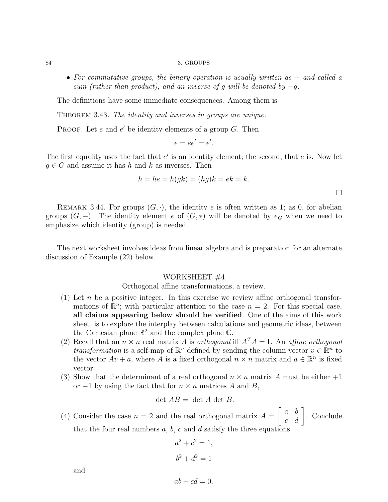#### 84 3. GROUPS

• For commutative groups, the binary operation is usually written as  $+$  and called a sum (rather than product), and an inverse of g will be denoted by  $-g$ .

The definitions have some immediate consequences. Among them is

THEOREM 3.43. The identity and inverses in groups are unique.

PROOF. Let  $e$  and  $e'$  be identity elements of a group  $G$ . Then

$$
e = ee' = e'.
$$

The first equality uses the fact that  $e'$  is an identity element; the second, that  $e$  is. Now let  $g \in G$  and assume it has h and k as inverses. Then

$$
h = he = h(gk) = (hg)k = ek = k.
$$

 $\Box$ 

REMARK 3.44. For groups  $(G, \cdot)$ , the identity e is often written as 1; as 0, for abelian groups  $(G, +)$ . The identity element e of  $(G, *)$  will be denoted by  $e_G$  when we need to emphasize which identity (group) is needed.

The next worksheet involves ideas from linear algebra and is preparation for an alternate discussion of Example (22) below.

# WORKSHEET #4

#### Orthogonal affine transformations, a review.

- (1) Let n be a positive integer. In this exercise we review affine orthogonal transformations of  $\mathbb{R}^n$ ; with particular attention to the case  $n = 2$ . For this special case, all claims appearing below should be verified. One of the aims of this work sheet, is to explore the interplay between calculations and geometric ideas, between the Cartesian plane  $\mathbb{R}^2$  and the complex plane  $\mathbb{C}$ .
- (2) Recall that an  $n \times n$  real matrix A is orthogonal iff  $A<sup>T</sup>A = I$ . An affine orthogonal transformation is a self-map of  $\mathbb{R}^n$  defined by sending the column vector  $v \in \mathbb{R}^n$  to the vector  $Av + a$ , where A is a fixed orthogonal  $n \times n$  matrix and  $a \in \mathbb{R}^n$  is fixed vector.
- (3) Show that the determinant of a real orthogonal  $n \times n$  matrix A must be either  $+1$ or  $-1$  by using the fact that for  $n \times n$  matrices A and B,

$$
\det AB = \det A \det B.
$$

(4) Consider the case  $n = 2$  and the real orthogonal matrix  $A =$  $\begin{bmatrix} a & b \end{bmatrix}$ c d 1 . Conclude that the four real numbers  $a, b, c$  and  $d$  satisfy the three equations

> $a^2 + c^2 = 1$ ,  $b^2 + d^2 = 1$

and

$$
ab+cd=0.
$$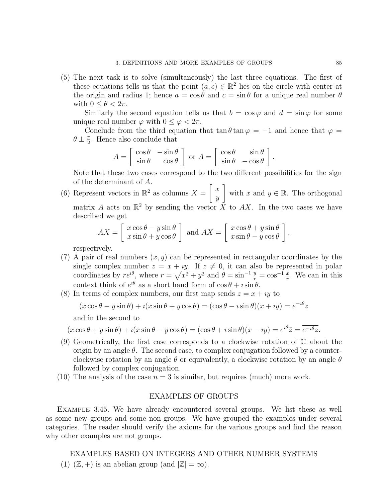(5) The next task is to solve (simultaneously) the last three equations. The first of these equations tells us that the point  $(a, c) \in \mathbb{R}^2$  lies on the circle with center at the origin and radius 1; hence  $a = \cos \theta$  and  $c = \sin \theta$  for a unique real number  $\theta$ with  $0 \leq \theta < 2\pi$ .

Similarly the second equation tells us that  $b = \cos \varphi$  and  $d = \sin \varphi$  for some unique real number  $\varphi$  with  $0 \leq \varphi < 2\pi$ .

Conclude from the third equation that tan  $\theta$  tan  $\varphi = -1$  and hence that  $\varphi =$  $\theta \pm \frac{\pi}{2}$  $\frac{\pi}{2}$ . Hence also conclude that

$$
A = \begin{bmatrix} \cos \theta & -\sin \theta \\ \sin \theta & \cos \theta \end{bmatrix}
$$
 or 
$$
A = \begin{bmatrix} \cos \theta & \sin \theta \\ \sin \theta & -\cos \theta \end{bmatrix}
$$
.

Note that these two cases correspond to the two different possibilities for the sign of the determinant of A.

(6) Represent vectors in  $\mathbb{R}^2$  as columns  $X = \begin{bmatrix} x \\ y \end{bmatrix}$  $\hat{y}$ with x and  $y \in \mathbb{R}$ . The orthogonal matrix A acts on  $\mathbb{R}^2$  by sending the vector  $\overline{X}$  to  $AX$ . In the two cases we have described we get

$$
AX = \begin{bmatrix} x\cos\theta - y\sin\theta \\ x\sin\theta + y\cos\theta \end{bmatrix} \text{ and } AX = \begin{bmatrix} x\cos\theta + y\sin\theta \\ x\sin\theta - y\cos\theta \end{bmatrix},
$$

respectively.

- (7) A pair of real numbers  $(x, y)$  can be represented in rectangular coordinates by the single complex number  $z = x + iy$ . If  $z \neq 0$ , it can also be represented in polar coordinates by  $re^{i\theta}$ , where  $r = \sqrt{x^2 + y^2}$  and  $\theta = \sin^{-1}\frac{y}{r} = \cos^{-1}\frac{x}{r}$ . We can in this context think of  $e^{i\theta}$  as a short hand form of  $\cos \theta + i \sin \theta$ .
- (8) In terms of complex numbers, our first map sends  $z = x + iy$  to

$$
(x\cos\theta - y\sin\theta) + i(x\sin\theta + y\cos\theta) = (\cos\theta - i\sin\theta)(x + iy) = e^{-i\theta}z
$$

and in the second to

 $(x \cos \theta + y \sin \theta) + i(x \sin \theta - y \cos \theta) = (\cos \theta + i \sin \theta)(x - iy) = e^{i\theta} \overline{z} = \overline{e^{-i\theta} z}.$ 

- (9) Geometrically, the first case corresponds to a clockwise rotation of  $\mathbb C$  about the origin by an angle  $\theta$ . The second case, to complex conjugation followed by a counterclockwise rotation by an angle  $\theta$  or equivalently, a clockwise rotation by an angle  $\theta$ followed by complex conjugation.
- (10) The analysis of the case  $n = 3$  is similar, but requires (much) more work.

#### EXAMPLES OF GROUPS

Example 3.45. We have already encountered several groups. We list these as well as some new groups and some non-groups. We have grouped the examples under several categories. The reader should verify the axioms for the various groups and find the reason why other examples are not groups.

EXAMPLES BASED ON INTEGERS AND OTHER NUMBER SYSTEMS (1)  $(\mathbb{Z}, +)$  is an abelian group (and  $|\mathbb{Z}| = \infty$ ).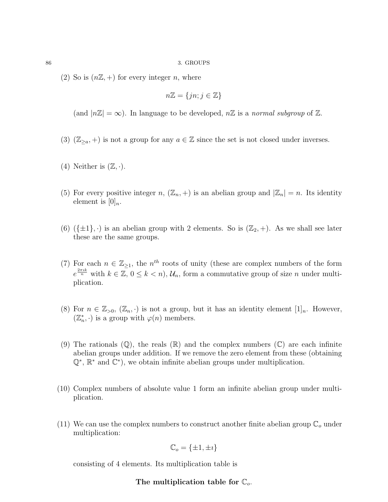(2) So is  $(n\mathbb{Z}, +)$  for every integer n, where

$$
n\mathbb{Z} = \{jn; j \in \mathbb{Z}\}\
$$

(and  $|n\mathbb{Z}| = \infty$ ). In language to be developed,  $n\mathbb{Z}$  is a normal subgroup of  $\mathbb{Z}$ .

- (3)  $(\mathbb{Z}_{\geq a}, +)$  is not a group for any  $a \in \mathbb{Z}$  since the set is not closed under inverses.
- (4) Neither is  $(\mathbb{Z}, \cdot)$ .
- (5) For every positive integer n,  $(\mathbb{Z}_n, +)$  is an abelian group and  $|\mathbb{Z}_n| = n$ . Its identity element is  $[0]_n$ .
- (6)  $(\{\pm 1\},\cdot)$  is an abelian group with 2 elements. So is  $(\mathbb{Z}_2,+)$ . As we shall see later these are the same groups.
- (7) For each  $n \in \mathbb{Z}_{\geq 1}$ , the  $n^{th}$  roots of unity (these are complex numbers of the form  $e^{\frac{2\pi ik}{n}}$  with  $k \in \mathbb{Z}$ ,  $0 \leq k < n$ ,  $\mathcal{U}_n$ , form a commutative group of size *n* under multiplication.
- (8) For  $n \in \mathbb{Z}_{>0}$ ,  $(\mathbb{Z}_n, \cdot)$  is not a group, but it has an identity element  $[1]_n$ . However,  $(\mathbb{Z}_n^*, \cdot)$  is a group with  $\varphi(n)$  members.
- (9) The rationals  $(\mathbb{Q})$ , the reals  $(\mathbb{R})$  and the complex numbers  $(\mathbb{C})$  are each infinite abelian groups under addition. If we remove the zero element from these (obtaining Q<sup>∗</sup> , R <sup>∗</sup> and C ∗ ), we obtain infinite abelian groups under multiplication.
- (10) Complex numbers of absolute value 1 form an infinite abelian group under multiplication.
- (11) We can use the complex numbers to construct another finite abelian group  $\mathbb{C}_o$  under multiplication:

$$
\mathbb{C}_o = \{\pm 1, \pm i\}
$$

consisting of 4 elements. Its multiplication table is

### The multiplication table for  $\mathbb{C}_o$ .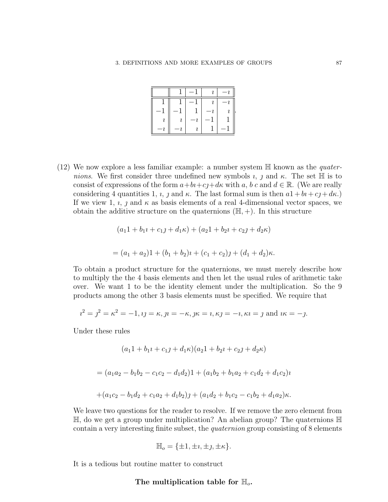|         |          | I, |  |
|---------|----------|----|--|
|         |          |    |  |
| $\iota$ | $\imath$ |    |  |
|         |          |    |  |

(12) We now explore a less familiar example: a number system  $\mathbb H$  known as the *quater*nions. We first consider three undefined new symbols  $i, j$  and  $\kappa$ . The set  $\mathbb H$  is to consist of expressions of the form  $a+b+c+dk$  with a, b c and  $d \in \mathbb{R}$ . (We are really considering 4 quantities 1, *i*, *j* and  $\kappa$ . The last formal sum is then  $a_1 + b_1 + c_1 + d\kappa$ .) If we view 1,  $\imath$ ,  $\jmath$  and  $\kappa$  as basis elements of a real 4-dimensional vector spaces, we obtain the additive structure on the quaternions  $(\mathbb{H}, +)$ . In this structure

$$
(a_11 + b_1i + c_1j + d_1\kappa) + (a_21 + b_2i + c_2j + d_2\kappa)
$$
  
=  $(a_1 + a_2)1 + (b_1 + b_2)i + (c_1 + c_2)j + (d_1 + d_2)\kappa$ .

To obtain a product structure for the quaternions, we must merely describe how to multiply the the 4 basis elements and then let the usual rules of arithmetic take over. We want 1 to be the identity element under the multiplication. So the 9 products among the other 3 basis elements must be specified. We require that

$$
i^2 = j^2 = \kappa^2 = -1, ij = \kappa, ji = -\kappa, j\kappa = i, \kappa j = -i, \kappa i = j
$$
 and  $i\kappa = -j$ .

Under these rules

$$
(a_11 + b_1i + c_1j + d_1\kappa)(a_21 + b_2i + c_2j + d_2\kappa)
$$
  
=  $(a_1a_2 - b_1b_2 - c_1c_2 - d_1d_2)1 + (a_1b_2 + b_1a_2 + c_1d_2 + d_1c_2)i$   
+ $(a_1c_2 - b_1d_2 + c_1a_2 + d_1b_2)j + (a_1d_2 + b_1c_2 - c_1b_2 + d_1a_2)\kappa.$ 

We leave two questions for the reader to resolve. If we remove the zero element from  $\mathbb{H}$ , do we get a group under multiplication? An abelian group? The quaternions  $\mathbb{H}$ contain a very interesting finite subset, the quaternion group consisting of 8 elements

$$
\mathbb{H}_o = \{\pm 1, \pm i, \pm j, \pm \kappa\}.
$$

It is a tedious but routine matter to construct

#### The multiplication table for  $\mathbb{H}_{o}$ .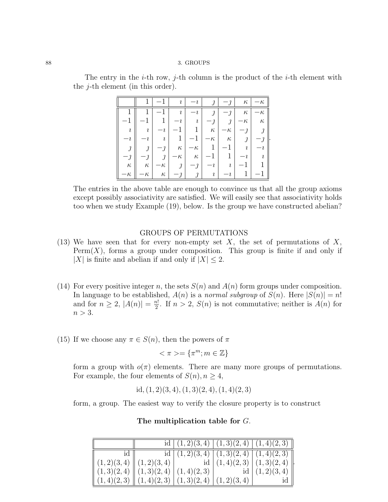#### 88 3. GROUPS

The entry in the *i*-th row, *j*-th column is the product of the *i*-th element with the j-th element (in this order).

.

|          |          |          | $\imath$  | $-2$      |           |           | $\kappa$  | $-\kappa$ |
|----------|----------|----------|-----------|-----------|-----------|-----------|-----------|-----------|
|          |          |          | $\imath$  | $-i$      | $\jmath$  | $-j$      | $\kappa$  | $-\kappa$ |
|          |          |          |           | $\imath$  | $-j$      |           | $-\kappa$ | $\kappa$  |
| $\imath$ | $\iota$  | $-i$     |           |           | $\kappa$  | $-\kappa$ | $-1$      |           |
| I,       | I.       | $\imath$ |           |           | $-\kappa$ | $\kappa$  | J         |           |
| J        | $\jmath$ |          | $\kappa$  | $-\kappa$ |           |           | $\iota$   |           |
|          |          | J        | $-\kappa$ | $\kappa$  |           |           | - I.      |           |
| $\kappa$ | $\kappa$ | $\kappa$ |           | $\jmath$  | I,        | $\imath$  |           |           |
|          | $\kappa$ | $\kappa$ |           |           | $\imath$  |           |           |           |

The entries in the above table are enough to convince us that all the group axioms except possibly associativity are satisfied. We will easily see that associativity holds too when we study Example (19), below. Is the group we have constructed abelian?

#### GROUPS OF PERMUTATIONS

- (13) We have seen that for every non-empty set X, the set of permutations of X,  $Perm(X)$ , forms a group under composition. This group is finite if and only if |X| is finite and abelian if and only if  $|X| \leq 2$ .
- (14) For every positive integer n, the sets  $S(n)$  and  $A(n)$  form groups under composition. In language to be established,  $A(n)$  is a normal subgroup of  $S(n)$ . Here  $|S(n)| = n!$ and for  $n \geq 2$ ,  $|A(n)| = \frac{n!}{2}$  $\frac{n!}{2}$ . If  $n > 2$ ,  $S(n)$  is not commutative; neither is  $A(n)$  for  $n > 3$ .
- (15) If we choose any  $\pi \in S(n)$ , then the powers of  $\pi$

$$
<\pi>=\{\pi^m; m\in\mathbb{Z}\}
$$

form a group with  $o(\pi)$  elements. There are many more groups of permutations. For example, the four elements of  $S(n)$ ,  $n \geq 4$ ,

$$
id, (1,2)(3,4), (1,3)(2,4), (1,4)(2,3)
$$

form, a group. The easiest way to verify the closure property is to construct

# The multiplication table for G.

|                                                                        |  | id $ (1,2)(3,4)  (1,3)(2,4)   (1,4)(2,3)$                                                                                                                                                        |
|------------------------------------------------------------------------|--|--------------------------------------------------------------------------------------------------------------------------------------------------------------------------------------------------|
|                                                                        |  | $\begin{array}{c c c c} \text{id} & (1,2)(3,4) & (1,3)(2,4) & (1,4)(2,3) \\ \hline \text{id} & (1,4)(2,3) & (1,3)(2,4) \\ \hline \text{4)} & (1,4)(2,3) & \text{id} & (1,2)(3,4) \\ \end{array}$ |
|                                                                        |  |                                                                                                                                                                                                  |
| $\ (1,2)(3,4)\ (1,2)(3,4)\ $ $(1,3)(2,4)\ (1,3)(2,4)\ $ $(1,4)(2,3)\ $ |  |                                                                                                                                                                                                  |
| $\ (1,4)(2,3)\ (1,4)(2,3)\ (1,3)(2,4)\ (1,2)(3,4)$                     |  |                                                                                                                                                                                                  |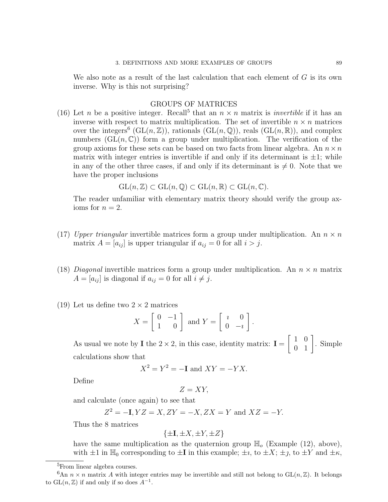We also note as a result of the last calculation that each element of  $G$  is its own inverse. Why is this not surprising?

# GROUPS OF MATRICES

(16) Let *n* be a positive integer. Recall<sup>5</sup> that an  $n \times n$  matrix is *invertible* if it has an inverse with respect to matrix multiplication. The set of invertible  $n \times n$  matrices over the integers<sup>6</sup> (GL $(n,\mathbb{Z})$ ), rationals (GL $(n,\mathbb{Q})$ ), reals (GL $(n,\mathbb{R})$ ), and complex numbers  $(GL(n, \mathbb{C}))$  form a group under multiplication. The verification of the group axioms for these sets can be based on two facts from linear algebra. An  $n \times n$ matrix with integer entries is invertible if and only if its determinant is  $\pm 1$ ; while in any of the other three cases, if and only if its determinant is  $\neq 0$ . Note that we have the proper inclusions

$$
GL(n, \mathbb{Z}) \subset GL(n, \mathbb{Q}) \subset GL(n, \mathbb{R}) \subset GL(n, \mathbb{C}).
$$

The reader unfamiliar with elementary matrix theory should verify the group axioms for  $n = 2$ .

- (17) Upper triangular invertible matrices form a group under multiplication. An  $n \times n$ matrix  $A = [a_{ij}]$  is upper triangular if  $a_{ij} = 0$  for all  $i > j$ .
- (18) Diagonal invertible matrices form a group under multiplication. An  $n \times n$  matrix  $A = [a_{ij}]$  is diagonal if  $a_{ij} = 0$  for all  $i \neq j$ .
- (19) Let us define two  $2 \times 2$  matrices

$$
X = \left[ \begin{array}{cc} 0 & -1 \\ 1 & 0 \end{array} \right] \text{ and } Y = \left[ \begin{array}{cc} i & 0 \\ 0 & -i \end{array} \right].
$$

As usual we note by **I** the  $2 \times 2$ , in this case, identity matrix: **I** =  $\begin{bmatrix} 1 & 0 \end{bmatrix}$ 0 1 1 . Simple calculations show that

$$
X^2 = Y^2 = -\mathbf{I} \text{ and } XY = -YX.
$$

Define

 $Z = XY$ 

and calculate (once again) to see that

$$
Z^2 = -\mathbf{I}, YZ = X, ZY = -X, ZX = Y \text{ and } XZ = -Y.
$$

Thus the 8 matrices

$$
\{\pm \mathbf{I}, \pm X, \pm Y, \pm Z\}
$$

have the same multiplication as the quaternion group  $\mathbb{H}_{o}$  (Example (12), above), with  $\pm 1$  in  $\mathbb{H}_0$  corresponding to  $\pm I$  in this example;  $\pm i$ , to  $\pm X$ ;  $\pm j$ , to  $\pm Y$  and  $\pm \kappa$ ,

<sup>&</sup>lt;sup>5</sup>From linear algebra courses.

 ${}^6$ An  $n \times n$  matrix A with integer entries may be invertible and still not belong to GL $(n, \mathbb{Z})$ . It belongs to  $GL(n, \mathbb{Z})$  if and only if so does  $A^{-1}$ .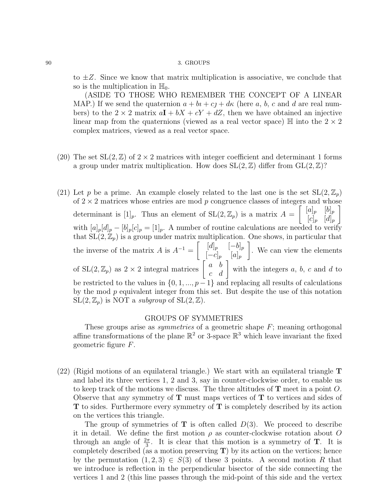to  $\pm Z$ . Since we know that matrix multiplication is associative, we conclude that so is the multiplication in  $\mathbb{H}_0$ .

(ASIDE TO THOSE WHO REMEMBER THE CONCEPT OF A LINEAR MAP.) If we send the quaternion  $a + bi + cj + d\kappa$  (here a, b, c and d are real numbers) to the  $2 \times 2$  matrix  $a\mathbf{I} + bX + cY + dZ$ , then we have obtained an injective linear map from the quaternions (viewed as a real vector space)  $\mathbb H$  into the  $2 \times 2$ complex matrices, viewed as a real vector space.

- (20) The set  $SL(2,\mathbb{Z})$  of  $2\times 2$  matrices with integer coefficient and determinant 1 forms a group under matrix multiplication. How does  $SL(2,\mathbb{Z})$  differ from  $GL(2,\mathbb{Z})$ ?
- (21) Let p be a prime. An example closely related to the last one is the set  $SL(2,\mathbb{Z}_p)$ of  $2 \times 2$  matrices whose entries are mod p congruence classes of integers and whose determinant is  $[1]_p$ . Thus an element of  $SL(2, \mathbb{Z}_p)$  is a matrix  $A = \begin{bmatrix} [a]_p & [b]_p \\ [a] & [d] \end{bmatrix}$  $[c]_p$   $[d]_p$ 1 with  $[a]_p[d]_p - [b]_p[c]_p = [1]_p$ . A number of routine calculations are needed to verify that  $SL(2,\mathbb{Z}_p)$  is a group under matrix multiplication. One shows, in particular that the inverse of the matrix A is  $A^{-1} = \begin{bmatrix} [d]_p & [-b]_p \ {} & [d]_p & [d]_p \end{bmatrix}$  $[-c]_p$  [a]<sub>p</sub> 1 . We can view the elements of  $\text{SL}(2,\mathbb{Z}_p)$  as  $2 \times 2$  integral matrices  $\begin{bmatrix} a & b \\ c & d \end{bmatrix}$ c d 1 with the integers  $a, b, c$  and  $d$  to be restricted to the values in  $\{0, 1, ..., p-1\}$  and replacing all results of calculations by the mod  $p$  equivalent integer from this set. But despite the use of this notation  $SL(2,\mathbb{Z}_p)$  is NOT a *subgroup* of  $SL(2,\mathbb{Z})$ .

### GROUPS OF SYMMETRIES

These groups arise as *symmetries* of a geometric shape  $F$ ; meaning orthogonal affine transformations of the plane  $\mathbb{R}^2$  or 3-space  $\mathbb{R}^3$  which leave invariant the fixed geometric figure  $F$ .

 $(22)$  (Rigid motions of an equilateral triangle.) We start with an equilateral triangle T and label its three vertices 1, 2 and 3, say in counter-clockwise order, to enable us to keep track of the motions we discuss. The three altitudes of  $T$  meet in a point  $O$ . Observe that any symmetry of  $T$  must maps vertices of  $T$  to vertices and sides of T to sides. Furthermore every symmetry of T is completely described by its action on the vertices this triangle.

The group of symmetries of **T** is often called  $D(3)$ . We proceed to describe it in detail. We define the first motion  $\rho$  as counter-clockwise rotation about O through an angle of  $\frac{2\pi}{3}$ . It is clear that this motion is a symmetry of **T**. It is completely described (as a motion preserving  $T$ ) by its action on the vertices; hence by the permutation  $(1, 2, 3) \in S(3)$  of these 3 points. A second motion R that we introduce is reflection in the perpendicular bisector of the side connecting the vertices 1 and 2 (this line passes through the mid-point of this side and the vertex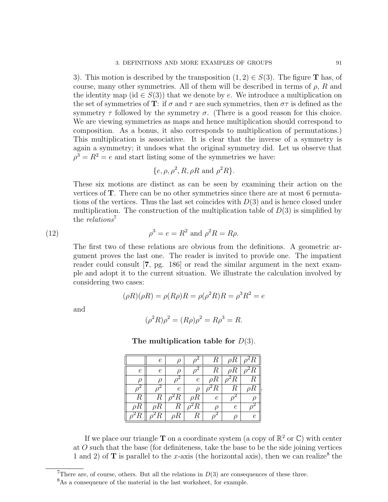3). This motion is described by the transposition  $(1, 2) \in S(3)$ . The figure **T** has, of course, many other symmetries. All of them will be described in terms of  $\rho$ , R and the identity map (id  $\in S(3)$ ) that we denote by e. We introduce a multiplication on the set of symmetries of T: if  $\sigma$  and  $\tau$  are such symmetries, then  $\sigma\tau$  is defined as the symmetry  $\tau$  followed by the symmetry  $\sigma$ . (There is a good reason for this choice. We are viewing symmetries as maps and hence multiplication should correspond to composition. As a bonus, it also corresponds to multiplication of permutations.) This multiplication is associative. It is clear that the inverse of a symmetry is again a symmetry; it undoes what the original symmetry did. Let us observe that  $\rho^3 = R^2 = e$  and start listing some of the symmetries we have:

$$
\{e, \rho, \rho^2, R, \rho R \text{ and } \rho^2 R\}.
$$

These six motions are distinct as can be seen by examining their action on the vertices of T. There can be no other symmetries since there are at most 6 permutations of the vertices. Thus the last set coincides with  $D(3)$  and is hence closed under multiplication. The construction of the multiplication table of  $D(3)$  is simplified by the *relations*<sup>7</sup>

 $(12)$ 

$$
\rho^3 = e = R^2 \text{ and } \rho^2 R = R\rho.
$$

The first two of these relations are obvious from the definitions. A geometric argument proves the last one. The reader is invited to provide one. The impatient reader could consult [7, pg. 186] or read the similar argument in the next example and adopt it to the current situation. We illustrate the calculation involved by considering two cases:

$$
(\rho R)(\rho R) = \rho (R\rho)R = \rho (\rho^2 R)R = \rho^3 R^2 = e
$$

and

$$
(\rho^2 R)\rho^2 = (R\rho)\rho^2 = R\rho^3 = R.
$$

The multiplication table for  $D(3)$ .

|   | е        |            |            | $\, R \,$ | $\rho R$   | $\rho^2 R$ |
|---|----------|------------|------------|-----------|------------|------------|
| e | е        |            |            | R         | $\rho R$   | ${}^2R$    |
|   |          |            | $\epsilon$ | JΚ        | $\rho^2 R$ | R          |
|   |          | $\epsilon$ |            |           | $R_{\rm}$  | $\rho R$   |
| ĸ | R        | R          | ρR         | e         |            |            |
|   | $\rho R$ | $\, R \,$  |            |           | $\epsilon$ |            |
|   | ${}^2R$  | $\rho R$   |            |           |            |            |

If we place our triangle **T** on a coordinate system (a copy of  $\mathbb{R}^2$  or  $\mathbb{C}$ ) with center at  $O$  such that the base (for definiteness, take the base to be the side joining vertices 1 and 2) of **T** is parallel to the x-axis (the horizontal axis), then we can realize<sup>8</sup> the

.

<sup>&</sup>lt;sup>7</sup>There are, of course, others. But all the relations in  $D(3)$  are consequences of these three.

<sup>&</sup>lt;sup>8</sup>As a consequence of the material in the last worksheet, for example.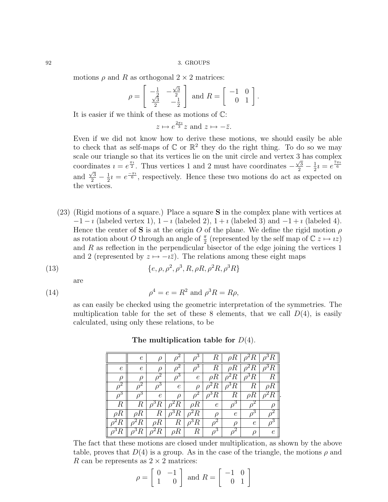motions  $\rho$  and R as orthogonal  $2 \times 2$  matrices:

$$
\rho = \begin{bmatrix} -\frac{1}{2} & -\frac{\sqrt{3}}{2} \\ \frac{\sqrt{3}}{2} & -\frac{1}{2} \end{bmatrix} \text{ and } R = \begin{bmatrix} -1 & 0 \\ 0 & 1 \end{bmatrix}.
$$

It is easier if we think of these as motions of C:

 $z \mapsto e^{\frac{2\pi i}{3}}z$  and  $z \mapsto -\overline{z}$ .

Even if we did not know how to derive these motions, we should easily be able to check that as self-maps of  $\mathbb C$  or  $\mathbb R^2$  they do the right thing. To do so we may scale our triangle so that its vertices lie on the unit circle and vertex 3 has complex coordinates  $i = e^{\frac{\pi i}{2}}$ . Thus vertices 1 and 2 must have coordinates  $-\frac{\sqrt{3}}{2} - \frac{1}{2}$  $\frac{1}{2}i = e^{\frac{7\pi i}{6}}$ and  $\frac{\sqrt{3}}{2} - \frac{1}{2}$  $\frac{1}{2}i = e^{\frac{-\pi i}{6}}$ , respectively. Hence these two motions do act as expected on the vertices.

(23) (Rigid motions of a square.) Place a square S in the complex plane with vertices at  $-1 - i$  (labeled vertex 1),  $1 - i$  (labeled 2),  $1 + i$  (labeled 3) and  $-1 + i$  (labeled 4). Hence the center of S is at the origin O of the plane. We define the rigid motion  $\rho$ as rotation about O through an angle of  $\frac{\pi}{2}$  (represented by the self map of  $\mathbb{C} \times \rightarrow iz$ ) and R as reflection in the perpendicular bisector of the edge joining the vertices 1 and 2 (represented by  $z \mapsto -i\bar{z}$ ). The relations among these eight maps

(13) 
$$
\{e, \rho, \rho^2, \rho^3, R, \rho R, \rho^2 R, \rho^3 R\}
$$

are

$$
(14) \t\t \t\rho
$$

$$
\rho^4 = e = R^2 \text{ and } \rho^3 R = R\rho,
$$

as can easily be checked using the geometric interpretation of the symmetries. The multiplication table for the set of these 8 elements, that we call  $D(4)$ , is easily calculated, using only these relations, to be

|            | $\epsilon$    | Ω                |                 |            | $R_{\parallel}$ | $\rho R$   | $\rho^2 R$       | $\rho^3 R$           |
|------------|---------------|------------------|-----------------|------------|-----------------|------------|------------------|----------------------|
| e          | $\epsilon$    | Ω                |                 | $\rho^3$   | $\, R \,$       | $\rho R$   | $\boldsymbol{R}$ | $\rho^3$<br>$\kappa$ |
| $\rho$     | Ω             |                  | $\rho^3$        | $\,e\,$    | $\, R \,$       | $\rho^2 R$ | $\rho^3 R$       | $\, R$               |
|            |               | $\rho^3$         | $\epsilon$      | $\rho$     | $\, R \,$       | $\rho^3 R$ | $R_{\rm}$        | $\rho R$             |
| $\rho^3$   | $\rho^3$      | e                | $\varrho$       |            | $\rho^3 R$      | $\, R \,$  | $\boldsymbol{R}$ | $\rho^2 R$           |
| R          | R             | $_{\it R}$       | R               | $\rho R$   | $\epsilon$      | $\rho^3$   |                  |                      |
|            | $\rho R$      | $\boldsymbol{R}$ | $\rho^3$<br>R   | $\rho^2 R$ | $\rho$          | $\epsilon$ | $\rho^3$         |                      |
|            | $\rho^2 R$    | $\rho R$         | $R_{\parallel}$ | $\rho^3 R$ |                 | Ω          | $\epsilon$       | $\rho^{\rm o}$       |
| $\rho^3 R$ | $\rho^3$<br>R | $o^2R$           | $\rho R$        | R          | $\rho^3$        |            | Ω                | e                    |

### The multiplication table for  $D(4)$ .

The fact that these motions are closed under multiplication, as shown by the above table, proves that  $D(4)$  is a group. As in the case of the triangle, the motions  $\rho$  and R can be represents as  $2 \times 2$  matrices:

$$
\rho = \left[ \begin{array}{cc} 0 & -1 \\ 1 & 0 \end{array} \right] \text{ and } R = \left[ \begin{array}{cc} -1 & 0 \\ 0 & 1 \end{array} \right]
$$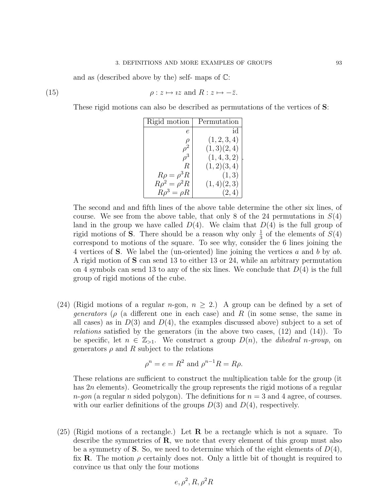and as (described above by the) self- maps of C:

(15) 
$$
\rho: z \mapsto iz \text{ and } R: z \mapsto -\overline{z}.
$$

These rigid motions can also be described as permutations of the vertices of S:

| Rigid motion         | Permutation  |
|----------------------|--------------|
|                      | id           |
|                      | (1, 2, 3, 4) |
|                      | (1,3)(2,4)   |
|                      | (1,4,3,2)    |
| R                    | (1,2)(3,4)   |
| $R\rho = \rho^3 R$   | (1, 3)       |
| $R\rho^2 = \rho^2 R$ | (1,4)(2,3)   |
| $R\rho^3 = \rho R$   |              |

The second and and fifth lines of the above table determine the other six lines, of course. We see from the above table, that only 8 of the 24 permutations in  $S(4)$ land in the group we have called  $D(4)$ . We claim that  $D(4)$  is the full group of rigid motions of **S**. There should be a reason why only  $\frac{1}{3}$  of the elements of  $S(4)$ correspond to motions of the square. To see why, consider the 6 lines joining the 4 vertices of S. We label the (un-oriented) line joining the vertices a and b by ab. A rigid motion of S can send 13 to either 13 or 24, while an arbitrary permutation on 4 symbols can send 13 to any of the six lines. We conclude that  $D(4)$  is the full group of rigid motions of the cube.

(24) (Rigid motions of a regular *n*-gon,  $n \geq 2$ .) A group can be defined by a set of *generators* ( $\rho$  (a different one in each case) and R (in some sense, the same in all cases) as in  $D(3)$  and  $D(4)$ , the examples discussed above) subject to a set of relations satisfied by the generators (in the above two cases,  $(12)$  and  $(14)$ ). To be specific, let  $n \in \mathbb{Z}_{\geq 1}$ . We construct a group  $D(n)$ , the *dihedral n-group*, on generators  $\rho$  and R subject to the relations

$$
\rho^n = e = R^2 \text{ and } \rho^{n-1}R = R\rho.
$$

These relations are sufficient to construct the multiplication table for the group (it has 2n elements). Geometrically the group represents the rigid motions of a regular  $n$ -gon (a regular n sided polygon). The definitions for  $n = 3$  and 4 agree, of courses. with our earlier definitions of the groups  $D(3)$  and  $D(4)$ , respectively.

 $(25)$  (Rigid motions of a rectangle.) Let **R** be a rectangle which is not a square. To describe the symmetries of R, we note that every element of this group must also be a symmetry of S. So, we need to determine which of the eight elements of  $D(4)$ , fix **R**. The motion  $\rho$  certainly does not. Only a little bit of thought is required to convince us that only the four motions

$$
e, \rho^2, R, \rho^2 R
$$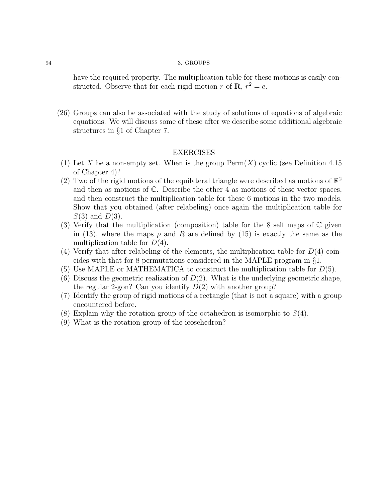#### 94 3. GROUPS

have the required property. The multiplication table for these motions is easily constructed. Observe that for each rigid motion r of **R**,  $r^2 = e$ .

(26) Groups can also be associated with the study of solutions of equations of algebraic equations. We will discuss some of these after we describe some additional algebraic structures in §1 of Chapter 7.

### EXERCISES

- (1) Let X be a non-empty set. When is the group  $\text{Perm}(X)$  cyclic (see Definition 4.15) of Chapter 4)?
- (2) Two of the rigid motions of the equilateral triangle were described as motions of  $\mathbb{R}^2$ and then as motions of  $\mathbb{C}$ . Describe the other 4 as motions of these vector spaces, and then construct the multiplication table for these 6 motions in the two models. Show that you obtained (after relabeling) once again the multiplication table for  $S(3)$  and  $D(3)$ .
- (3) Verify that the multiplication (composition) table for the 8 self maps of  $\mathbb C$  given in (13), where the maps  $\rho$  and R are defined by (15) is exactly the same as the multiplication table for  $D(4)$ .
- (4) Verify that after relabeling of the elements, the multiplication table for  $D(4)$  coincides with that for 8 permutations considered in the MAPLE program in §1.
- (5) Use MAPLE or MATHEMATICA to construct the multiplication table for  $D(5)$ .
- (6) Discuss the geometric realization of  $D(2)$ . What is the underlying geometric shape, the regular 2-gon? Can you identify  $D(2)$  with another group?
- (7) Identify the group of rigid motions of a rectangle (that is not a square) with a group encountered before.
- (8) Explain why the rotation group of the octahedron is isomorphic to  $S(4)$ .
- (9) What is the rotation group of the icosehedron?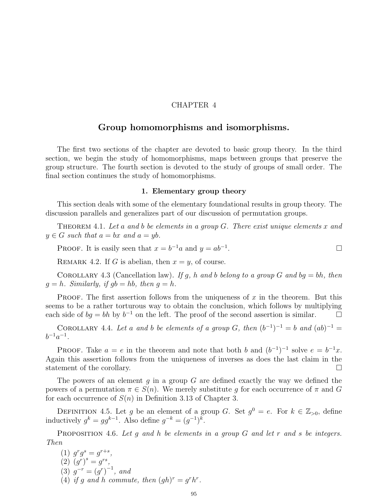# CHAPTER 4

# Group homomorphisms and isomorphisms.

The first two sections of the chapter are devoted to basic group theory. In the third section, we begin the study of homomorphisms, maps between groups that preserve the group structure. The fourth section is devoted to the study of groups of small order. The final section continues the study of homomorphisms.

### 1. Elementary group theory

This section deals with some of the elementary foundational results in group theory. The discussion parallels and generalizes part of our discussion of permutation groups.

THEOREM 4.1. Let a and b be elements in a group  $G$ . There exist unique elements x and  $y \in G$  such that  $a = bx$  and  $a = yb$ .

**PROOF.** It is easily seen that  $x = b^{-1}a$  and  $y = ab^{-1}b$ . В последните последните под на производството на применение в село в село в село в село в село в село в село<br>В село в село в село в село в село в село в село в село в село в село в село в село в село в село в село в сел

REMARK 4.2. If G is abelian, then  $x = y$ , of course.

COROLLARY 4.3 (Cancellation law). If g, h and b belong to a group G and bg = bh, then  $g = h$ . Similarly, if  $gb = hb$ , then  $g = h$ .

**PROOF.** The first assertion follows from the uniqueness of  $x$  in the theorem. But this seems to be a rather torturous way to obtain the conclusion, which follows by multiplying each side of  $bg = bh$  by  $b^{-1}$  on the left. The proof of the second assertion is similar.

COROLLARY 4.4. Let a and b be elements of a group G, then  $(b^{-1})^{-1} = b$  and  $(ab)^{-1} =$  $b^{-1}a^{-1}$ .

**PROOF.** Take  $a = e$  in the theorem and note that both b and  $(b^{-1})^{-1}$  solve  $e = b^{-1}x$ . Again this assertion follows from the uniqueness of inverses as does the last claim in the statement of the corollary.

The powers of an element q in a group  $G$  are defined exactly the way we defined the powers of a permutation  $\pi \in S(n)$ . We merely substitute g for each occurrence of  $\pi$  and G for each occurrence of  $S(n)$  in Definition 3.13 of Chapter 3.

DEFINITION 4.5. Let g be an element of a group G. Set  $g^0 = e$ . For  $k \in \mathbb{Z}_{>0}$ , define inductively  $g^k = gg^{k-1}$ . Also define  $g^{-k} = (g^{-1})^k$ .

**PROPOSITION** 4.6. Let g and h be elements in a group  $G$  and let  $r$  and  $s$  be integers. Then

(1) 
$$
g^r g^s = g^{r+s}
$$
,  
\n(2)  $(g^r)^s = g^{rs}$ ,  
\n(3)  $g^{-r} = (g^r)^{-1}$ , and  
\n(4) if g and h commute, then  $(gh)^r = g^r h^r$ .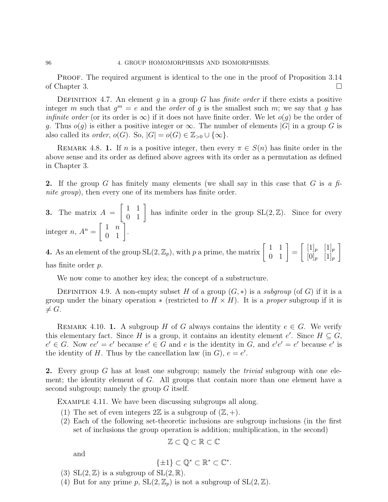PROOF. The required argument is identical to the one in the proof of Proposition 3.14 of Chapter 3.  $\Box$ 

DEFINITION 4.7. An element q in a group G has *finite order* if there exists a positive integer m such that  $g^m = e$  and the *order* of g is the smallest such m; we say that g has *infinite order* (or its order is  $\infty$ ) if it does not have finite order. We let  $o(g)$  be the order of g. Thus  $o(g)$  is either a positive integer or  $\infty$ . The number of elements  $|G|$  in a group G is also called its *order*,  $o(G)$ . So,  $|G| = o(G) \in \mathbb{Z}_{>0} \cup \{\infty\}.$ 

REMARK 4.8. 1. If n is a positive integer, then every  $\pi \in S(n)$  has finite order in the above sense and its order as defined above agrees with its order as a permutation as defined in Chapter 3.

2. If the group G has finitely many elements (we shall say in this case that G is a  $f_i$ nite group), then every one of its members has finite order.

**3.** The matrix  $A =$  $\begin{bmatrix} 1 & 1 \end{bmatrix}$ 0 1 has infinite order in the group  $SL(2, \mathbb{Z})$ . Since for every integer n,  $A^n = \begin{bmatrix} 1 & n \\ 0 & 1 \end{bmatrix}$ 0 1 1 .

4. As an element of the group  $SL(2, \mathbb{Z}_p)$ , with p a prime, the matrix  $\begin{bmatrix} 1 & 1 \\ 0 & 1 \end{bmatrix}$ 0 1 1 =  $\lceil \begin{array}{c} [1]_p & [1]_p \end{array}$  $[0]_p$   $[1]_p$ 1 has finite order p.

We now come to another key idea; the concept of a substructure.

DEFINITION 4.9. A non-empty subset H of a group  $(G, *)$  is a *subgroup* (of G) if it is a group under the binary operation  $*$  (restricted to  $H \times H$ ). It is a proper subgroup if it is  $\neq G$ .

REMARK 4.10. 1. A subgroup H of G always contains the identity  $e \in G$ . We verify this elementary fact. Since H is a group, it contains an identity element e'. Since  $H \subseteq G$ ,  $e' \in G$ . Now  $ee' = e'$  because  $e' \in G$  and e is the identity in G, and  $e'e' = e'$  because  $e'$  is the identity of H. Thus by the cancellation law (in G),  $e = e'$ .

**2.** Every group G has at least one subgroup; namely the *trivial* subgroup with one element; the identity element of G. All groups that contain more than one element have a second subgroup; namely the group  $G$  itself.

EXAMPLE 4.11. We have been discussing subgroups all along.

- (1) The set of even integers  $2\mathbb{Z}$  is a subgroup of  $(\mathbb{Z}, +)$ .
- (2) Each of the following set-theoretic inclusions are subgroup inclusions (in the first set of inclusions the group operation is addition; multiplication, in the second)

$$
\mathbb{Z} \subset \mathbb{Q} \subset \mathbb{R} \subset \mathbb{C}
$$

and

$$
\{\pm 1\}\subset \mathbb{Q}^*\subset \mathbb{R}^*\subset \mathbb{C}^*.
$$

- (3)  $SL(2, \mathbb{Z})$  is a subgroup of  $SL(2, \mathbb{R})$ .
- (4) But for any prime p,  $SL(2, \mathbb{Z}_p)$  is not a subgroup of  $SL(2, \mathbb{Z})$ .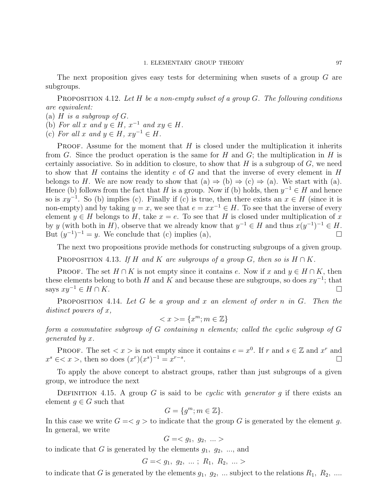The next proposition gives easy tests for determining when susets of a group  $G$  are subgroups.

**PROPOSITION** 4.12. Let H be a non-empty subset of a group  $G$ . The following conditions are equivalent:

- (a)  $H$  is a subgroup of  $G$ .
- (b) For all x and  $y \in H$ ,  $x^{-1}$  and  $xy \in H$ .
- (c) For all x and  $y \in H$ ,  $xy^{-1} \in H$ .

**PROOF.** Assume for the moment that  $H$  is closed under the multiplication it inherits from G. Since the product operation is the same for H and G; the multiplication in H is certainly associative. So in addition to closure, to show that  $H$  is a subgroup of  $G$ , we need to show that H contains the identity  $e$  of G and that the inverse of every element in H belongs to H. We are now ready to show that  $(a) \Rightarrow (b) \Rightarrow (c) \Rightarrow (a)$ . We start with  $(a)$ . Hence (b) follows from the fact that H is a group. Now if (b) holds, then  $y^{-1} \in H$  and hence so is  $xy^{-1}$ . So (b) implies (c). Finally if (c) is true, then there exists an  $x \in H$  (since it is non-empty) and by taking  $y = x$ , we see that  $e = xx^{-1} \in H$ . To see that the inverse of every element  $y \in H$  belongs to H, take  $x = e$ . To see that H is closed under multiplication of x by y (with both in H), observe that we already know that  $y^{-1} \in H$  and thus  $x(y^{-1})^{-1} \in H$ . But  $(y^{-1})^{-1} = y$ . We conclude that (c) implies (a),

The next two propositions provide methods for constructing subgroups of a given group.

PROPOSITION 4.13. If H and K are subgroups of a group G, then so is  $H \cap K$ .

PROOF. The set  $H \cap K$  is not empty since it contains e. Now if x and  $y \in H \cap K$ , then these elements belong to both H and K and because these are subgroups, so does  $xy^{-1}$ ; that says  $xy^{-1} \in H \cap K$ .

**PROPOSITION** 4.14. Let G be a group and x an element of order n in G. Then the distinct powers of x,

$$
\langle x \rangle = \{x^m; m \in \mathbb{Z}\}
$$

form a commutative subgroup of G containing n elements; called the cyclic subgroup of G generated by x.

**PROOF.** The set  $\langle x \rangle$  is not empty since it contains  $e = x^0$ . If r and  $s \in \mathbb{Z}$  and  $x^r$  and  $x^s \in \langle x \rangle$ , then so does  $(x^r)(x^s)^{-1} = x^{r-s}$ .

To apply the above concept to abstract groups, rather than just subgroups of a given group, we introduce the next

DEFINITION 4.15. A group G is said to be *cyclic* with *generator* g if there exists an element  $q \in G$  such that

$$
G = \{g^m; m \in \mathbb{Z}\}.
$$

In this case we write  $G = \langle g \rangle$  to indicate that the group G is generated by the element g. In general, we write

$$
G = \langle g_1, g_2, \dots \rangle
$$

to indicate that G is generated by the elements  $g_1, g_2, \ldots$ , and

$$
G = \langle g_1, g_2, \dots; R_1, R_2, \dots \rangle
$$

to indicate that G is generated by the elements  $g_1, g_2, \ldots$  subject to the relations  $R_1, R_2, \ldots$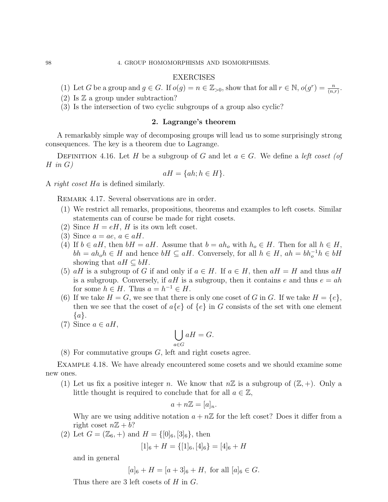#### EXERCISES

(1) Let G be a group and  $g \in G$ . If  $o(g) = n \in \mathbb{Z}_{>0}$ , show that for all  $r \in \mathbb{N}$ ,  $o(g^r) = \frac{n}{(n,r)}$  $\frac{n}{(n,r)}$ .

- (2) Is  $\mathbb Z$  a group under subtraction?
- (3) Is the intersection of two cyclic subgroups of a group also cyclic?

### 2. Lagrange's theorem

A remarkably simple way of decomposing groups will lead us to some surprisingly strong consequences. The key is a theorem due to Lagrange.

DEFINITION 4.16. Let H be a subgroup of G and let  $a \in G$ . We define a left coset (of  $H$  in  $G$ )

$$
aH = \{ah; h \in H\}.
$$

A right coset Ha is defined similarly.

REMARK 4.17. Several observations are in order.

- (1) We restrict all remarks, propositions, theorems and examples to left cosets. Similar statements can of course be made for right cosets.
- (2) Since  $H = eH$ , H is its own left coset.
- (3) Since  $a = ae, a \in aH$ .
- (4) If  $b \in aH$ , then  $bH = aH$ . Assume that  $b = ah_o$  with  $h_o \in H$ . Then for all  $h \in H$ ,  $bh = ah_0h \in H$  and hence  $bH \subseteq aH$ . Conversely, for all  $h \in H$ ,  $ah = bh_0^{-1}h \in bH$ showing that  $aH \subseteq bH$ .
- (5) aH is a subgroup of G if and only if  $a \in H$ . If  $a \in H$ , then  $aH = H$  and thus aH is a subgroup. Conversely, if  $aH$  is a subgroup, then it contains e and thus  $e = ah$ for some  $h \in H$ . Thus  $a = h^{-1} \in H$ .
- (6) If we take  $H = G$ , we see that there is only one coset of G in G. If we take  $H = \{e\}$ , then we see that the coset of  $a\{e\}$  of  $\{e\}$  in G consists of the set with one element  $\{a\}.$
- (7) Since  $a \in aH$ ,

$$
\bigcup_{a \in G} aH = G.
$$

 $(8)$  For commutative groups G, left and right cosets agree.

Example 4.18. We have already encountered some cosets and we should examine some new ones.

(1) Let us fix a positive integer n. We know that  $n\mathbb{Z}$  is a subgroup of  $(\mathbb{Z}, +)$ . Only a little thought is required to conclude that for all  $a \in \mathbb{Z}$ ,

$$
a + n\mathbb{Z} = [a]_n.
$$

Why are we using additive notation  $a + n\mathbb{Z}$  for the left coset? Does it differ from a right coset  $n\mathbb{Z} + b$ ?

(2) Let  $G = (\mathbb{Z}_6, +)$  and  $H = \{[0]_6, [3]_6\}$ , then

$$
[1]_6 + H = \{ [1]_6, [4]_6 \} = [4]_6 + H
$$

and in general

$$
[a]_6 + H = [a+3]_6 + H, \text{ for all } [a]_6 \in G.
$$

Thus there are 3 left cosets of H in G.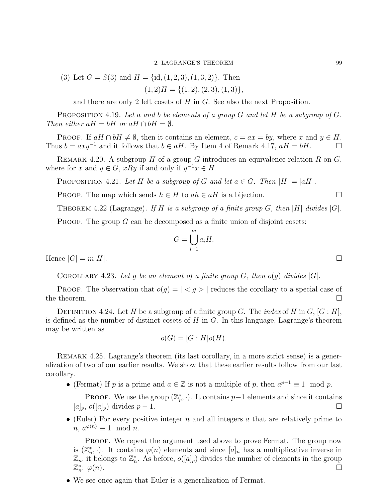(3) Let 
$$
G = S(3)
$$
 and  $H = \{id, (1, 2, 3), (1, 3, 2)\}$ . Then

$$
(1,2)H = \{(1,2), (2,3), (1,3)\},\
$$

and there are only 2 left cosets of H in G. See also the next Proposition.

**PROPOSITION** 4.19. Let a and b be elements of a group G and let H be a subgroup of  $G$ . Then either  $aH = bH$  or  $aH \cap bH = \emptyset$ .

PROOF. If  $aH \cap bH \neq \emptyset$ , then it contains an element,  $c = ax = by$ , where x and  $y \in H$ .<br>
is  $b = axu^{-1}$  and it follows that  $b \in aH$ . By Item 4 of Remark 4.17,  $aH = bH$ . Thus  $b = axy^{-1}$  and it follows that  $b \in aH$ . By Item 4 of Remark 4.17,  $aH = bH$ .

REMARK 4.20. A subgroup H of a group G introduces an equivalence relation R on  $G$ , where for x and  $y \in G$ ,  $xRy$  if and only if  $y^{-1}x \in H$ .

PROPOSITION 4.21. Let H be a subgroup of G and let  $a \in G$ . Then  $|H| = |aH|$ .

PROOF. The map which sends  $h \in H$  to  $ah \in aH$  is a bijection.

THEOREM 4.22 (Lagrange). If H is a subgroup of a finite group G, then |H| divides  $|G|$ .

**PROOF.** The group  $G$  can be decomposed as a finite union of disjoint cosets:

$$
G = \bigcup_{i=1}^{m} a_i H.
$$

Hence  $|G| = m|H|$ .

COROLLARY 4.23. Let g be an element of a finite group G, then  $o(g)$  divides  $|G|$ .

PROOF. The observation that  $o(g) = | \langle g \rangle |$  reduces the corollary to a special case of the theorem. the theorem.  $\Box$ 

DEFINITION 4.24. Let H be a subgroup of a finite group G. The index of H in  $G$ ,  $[G:H]$ , is defined as the number of distinct cosets of  $H$  in  $G$ . In this language, Lagrange's theorem may be written as

$$
o(G) = [G : H]o(H).
$$

REMARK 4.25. Lagrange's theorem (its last corollary, in a more strict sense) is a generalization of two of our earlier results. We show that these earlier results follow from our last corollary.

• (Fermat) If p is a prime and  $a \in \mathbb{Z}$  is not a multiple of p, then  $a^{p-1} \equiv 1 \mod p$ .

PROOF. We use the group  $(\mathbb{Z}_p^*, \cdot)$ . It contains  $p-1$  elements and since it contains  $[a]_p, o([a]_p)$  divides  $p-1$ .

• (Euler) For every positive integer  $n$  and all integers  $a$  that are relatively prime to  $n, a^{\varphi(n)} \equiv 1 \mod n.$ 

Proof. We repeat the argument used above to prove Fermat. The group now is  $(\mathbb{Z}_n^*, \cdot)$ . It contains  $\varphi(n)$  elements and since  $[a]_n$  has a multiplicative inverse in  $\mathbb{Z}_n$ , it belongs to  $\mathbb{Z}_n^*$ . As before,  $o([a]_p)$  divides the number of elements in the group  $\mathbb{Z}_n^*$  $\varphi(n).$ 

• We see once again that Euler is a generalization of Fermat.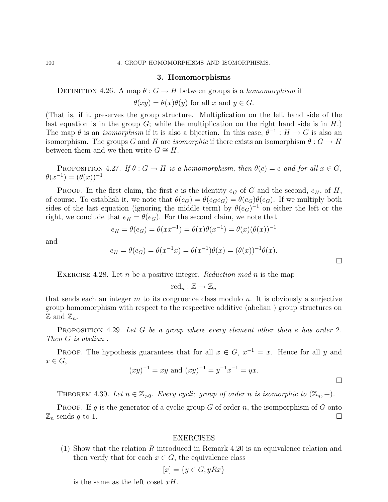#### 3. Homomorphisms

DEFINITION 4.26. A map  $\theta : G \to H$  between groups is a *homomorphism* if

 $\theta(xy) = \theta(x)\theta(y)$  for all x and  $y \in G$ .

(That is, if it preserves the group structure. Multiplication on the left hand side of the last equation is in the group  $G$ ; while the multiplication on the right hand side is in  $H$ .) The map  $\theta$  is an *isomorphism* if it is also a bijection. In this case,  $\theta^{-1}: H \to G$  is also an isomorphism. The groups G and H are *isomorphic* if there exists an isomorphism  $\theta: G \to H$ between them and we then write  $G \cong H$ .

PROPOSITION 4.27. If  $\theta : G \to H$  is a homomorphism, then  $\theta(e) = e$  and for all  $x \in G$ ,  $\theta(x^{-1}) = (\theta(x))^{-1}.$ 

**PROOF.** In the first claim, the first e is the identity  $e_G$  of G and the second,  $e_H$ , of H, of course. To establish it, we note that  $\theta(e_G) = \theta(e_Ge_G) = \theta(e_G)\theta(e_G)$ . If we multiply both sides of the last equation (ignoring the middle term) by  $\theta(e_G)^{-1}$  on either the left or the right, we conclude that  $e_H = \theta(e_G)$ . For the second claim, we note that

$$
e_H = \theta(e_G) = \theta(xx^{-1}) = \theta(x)\theta(x^{-1}) = \theta(x)(\theta(x))^{-1}
$$

and

$$
e_H = \theta(e_G) = \theta(x^{-1}x) = \theta(x^{-1})\theta(x) = (\theta(x))^{-1}\theta(x).
$$

EXERCISE 4.28. Let *n* be a positive integer. Reduction mod *n* is the map

$$
\mathrm{red}_n : \mathbb{Z} \to \mathbb{Z}_n
$$

that sends each an integer  $m$  to its congruence class modulo  $n$ . It is obviously a surjective group homomorphism with respect to the respective additive (abelian ) group structures on  $\mathbb{Z}$  and  $\mathbb{Z}_n$ .

PROPOSITION 4.29. Let G be a group where every element other than e has order 2. Then G is abelian .

**PROOF.** The hypothesis guarantees that for all  $x \in G$ ,  $x^{-1} = x$ . Hence for all y and  $x \in G$ ,

$$
(xy)^{-1} = xy
$$
 and  $(xy)^{-1} = y^{-1}x^{-1} = yx$ .

THEOREM 4.30. Let  $n \in \mathbb{Z}_{>0}$ . Every cyclic group of order n is isomorphic to  $(\mathbb{Z}_n, +)$ .

**PROOF.** If g is the generator of a cyclic group G of order n, the isomporphism of G onto  $\mathbb{Z}_n$  sends g to 1.

#### EXERCISES

(1) Show that the relation R introduced in Remark 4.20 is an equivalence relation and then verify that for each  $x \in G$ , the equivalence class

$$
[x] = \{ y \in G; yRx \}
$$

is the same as the left coset  $xH$ .

 $\Box$ 

 $\Box$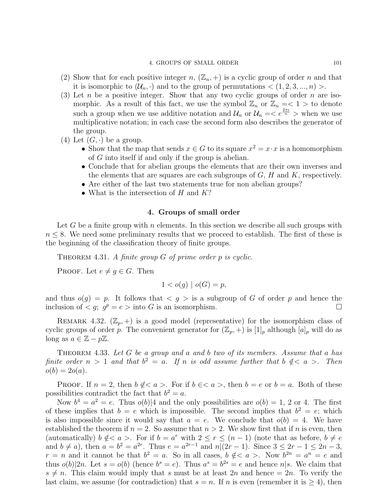#### 4. GROUPS OF SMALL ORDER 101

- (2) Show that for each positive integer  $n, (\mathbb{Z}_n, +)$  is a cyclic group of order n and that it is isomorphic to  $(\mathcal{U}_n, \cdot)$  and to the group of permutations  $\langle (1, 2, 3, ..., n) \rangle$ .
- (3) Let n be a positive integer. Show that any two cyclic groups of order n are isomorphic. As a result of this fact, we use the symbol  $\mathbb{Z}_n$  or  $\mathbb{Z}_n \leq 1 > 1$  to denote such a group when we use additive notation and  $\mathcal{U}_n$  or  $\mathcal{U}_n = \langle e^{\frac{2\pi i}{n}} \rangle$  when we use multiplicative notation; in each case the second form also describes the generator of the group.
- (4) Let  $(G, \cdot)$  be a group.
	- Show that the map that sends  $x \in G$  to its square  $x^2 = x \cdot x$  is a homomorphism of G into itself if and only if the group is abelian.
	- Conclude that for abelian groups the elements that are their own inverses and the elements that are squares are each subgroups of  $G$ ,  $H$  and  $K$ , respectively.
	- Are either of the last two statements true for non abelian groups?
	- What is the intersection of  $H$  and  $K$ ?

### 4. Groups of small order

Let G be a finite group with n elements. In this section we describe all such groups with  $n \leq 8$ . We need some preliminary results that we proceed to establish. The first of these is the beginning of the classification theory of finite groups.

THEOREM 4.31. A finite group  $G$  of prime order  $p$  is cyclic.

PROOF. Let  $e \neq g \in G$ . Then

$$
1 < o(g) \mid o(G) = p,
$$

and thus  $o(g) = p$ . It follows that  $\langle g \rangle$  is a subgroup of G of order p and hence the inclusion of  $\lt g$ ;  $g^p = e > \text{into } G$  is an isomorphism.

REMARK 4.32.  $(\mathbb{Z}_p, +)$  is a good model (representative) for the isomorphism class of cyclic groups of order p. The convenient generator for  $(\mathbb{Z}_p, +)$  is  $[1]_p$  although  $[a]_p$  will do as long as  $a \in \mathbb{Z} - p\mathbb{Z}$ .

THEOREM 4.33. Let  $G$  be a group and a and b two of its members. Assume that a has finite order  $n > 1$  and that  $b^2 = a$ . If n is odd assume further that  $b \notin < a >$ . Then  $o(b) = 2o(a)$ .

PROOF. If  $n = 2$ , then  $b \notin \{ < a > \}$ . For if  $b \in \{ < a > \}$ , then  $b = e$  or  $b = a$ . Both of these possibilities contradict the fact that  $b^2 = a$ .

Now  $b^4 = a^2 = e$ . Thus  $o(b)|4$  and the only possibilities are  $o(b) = 1, 2$  or 4. The first of these implies that  $b = e$  which is impossible. The second implies that  $b^2 = e$ ; which is also impossible since it would say that  $a = e$ . We conclude that  $o(b) = 4$ . We have established the theorem if  $n = 2$ . So assume that  $n > 2$ . We show first that if n is even, then (automatically)  $b \notin \langle a \rangle$ . For if  $b = a^r$  with  $2 \leq r \leq (n-1)$  (note that as before,  $b \neq e$ and  $b \neq a$ ), then  $a = b^2 = a^{2r}$ . Thus  $e = a^{2r-1}$  and  $n|(2r-1)$ . Since  $3 \leq 2r - 1 \leq 2n - 3$ ,  $r = n$  and it cannot be that  $b^2 = a$ . So in all cases,  $b \notin \langle a \rangle$ . Now  $b^{2n} = a^n = e$  and thus  $o(b)|2n$ . Let  $s = o(b)$  (hence  $b^s = e$ ). Thus  $a^s = b^{2s} = e$  and hence  $n|s$ . We claim that  $s \neq n$ . This claim would imply that s must be at least 2n and hence  $= 2n$ . To verify the last claim, we assume (for contradiction) that  $s = n$ . If n is even (remember it is  $\geq 4$ ), then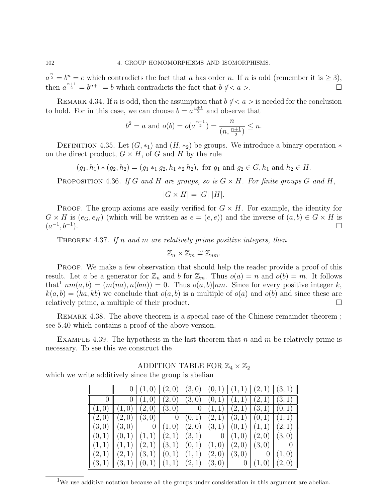$a^{\frac{n}{2}} = b^{n} = e$  which contradicts the fact that a has order n. If n is odd (remember it is  $\geq 3$ ), then  $a^{\frac{n+1}{2}} = b^{n+1} = b$  which contradicts the fact that  $b \notin \langle a \rangle$ .

REMARK 4.34. If n is odd, then the assumption that  $b \notin \langle a \rangle$  is needed for the conclusion to hold. For in this case, we can choose  $b = a^{\frac{n+1}{2}}$  and observe that

$$
b^2 = a
$$
 and  $o(b) = o(a^{\frac{n+1}{2}}) = \frac{n}{(n, \frac{n+1}{2})} \le n$ .

DEFINITION 4.35. Let  $(G, *_{1})$  and  $(H, *_{2})$  be groups. We introduce a binary operation  $*$ on the direct product,  $G \times H$ , of G and H by the rule

 $(q_1, h_1) * (q_2, h_2) = (q_1 *_1 q_2, h_1 *_2 h_2)$ , for  $q_1$  and  $q_2 \in G$ ,  $h_1$  and  $h_2 \in H$ .

PROPOSITION 4.36. If G and H are groups, so is  $G \times H$ . For finite groups G and H,

 $|G \times H| = |G| |H|.$ 

**PROOF.** The group axioms are easily verified for  $G \times H$ . For example, the identity for  $G \times H$  is  $(e_G, e_H)$  (which will be written as  $e = (e, e)$ ) and the inverse of  $(a, b) \in G \times H$  is  $(a^{-1}, b^{-1})$ .  $(a^{-1}, b^{-1})$ ).

THEOREM 4.37. If n and m are relatively prime positive integers, then

$$
\mathbb{Z}_n\times\mathbb{Z}_m\cong\mathbb{Z}_{nm}.
$$

PROOF. We make a few observation that should help the reader provide a proof of this result. Let a be a generator for  $\mathbb{Z}_n$  and b for  $\mathbb{Z}_m$ . Thus  $o(a) = n$  and  $o(b) = m$ . It follows that  $nm(a, b) = (m(na), n(bm)) = 0$ . Thus  $o(a, b) | nm$ . Since for every positive integer k,  $k(a, b) = (ka, kb)$  we conclude that  $o(a, b)$  is a multiple of  $o(a)$  and  $o(b)$  and since these are relatively prime, a multiple of their product.

REMARK 4.38. The above theorem is a special case of the Chinese remainder theorem; see 5.40 which contains a proof of the above version.

EXAMPLE 4.39. The hypothesis in the last theorem that n and m be relatively prime is necessary. To see this we construct the

# ADDITION TABLE FOR  $\mathbb{Z}_4 \times \mathbb{Z}_2$

which we write additively since the group is abelian

|              |                                                         |       |     | $0   (1,0)   (2,0)   (3,0)   (0,1)   (1,1)   (2,1)   (3,1)$ |                                 |                 |  |
|--------------|---------------------------------------------------------|-------|-----|-------------------------------------------------------------|---------------------------------|-----------------|--|
|              |                                                         |       | (2, | $(3,0)$ $(0,1)$ $(1,1)$ $(2,1)$                             |                                 |                 |  |
|              |                                                         |       |     | $(2,0) (3,0)$ 0 $(1,1) (2,1) (3,1) (0,1)$                   |                                 |                 |  |
| II           | $ (2,0) (3,0) $ 0                                       |       |     |                                                             | $(0,1)$ $(2,1)$ $(3,1)$ $(0,1)$ |                 |  |
| $\mathbb{I}$ | $(3,0)$ $(3,0)$ $(0,1)$ $(1,0)$ $(2,0)$ $(3,1)$ $(0,1)$ |       |     |                                                             |                                 |                 |  |
| $\mathbb{I}$ |                                                         |       |     | (1,1)   (2,1)   (3,1)   0                                   |                                 | $(2,0)$   $(3,$ |  |
|              |                                                         |       |     | $(2,1)$ $(3,1)$ $(0,1)$                                     | $(1,0)$ $(2,0)$ $(3,$           |                 |  |
|              | (2,1)                                                   | (3,1) |     |                                                             | $(2,0)$ $(3,0)$                 |                 |  |
|              |                                                         |       |     | $(3,1)$ $(0,1)$ $(1,1)$ $(2,1)$ $(3,0)$                     |                                 |                 |  |

<sup>1</sup>We use additive notation because all the groups under consideration in this argument are abelian.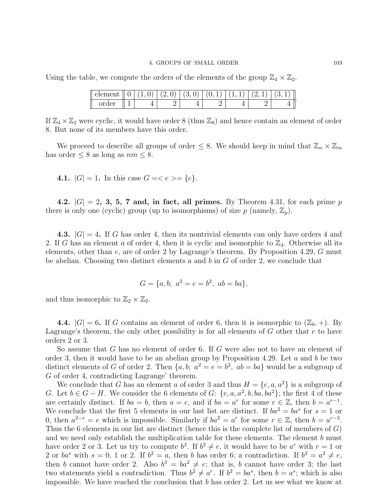#### 4. GROUPS OF SMALL ORDER 103

Using the table, we compute the orders of the elements of the group  $\mathbb{Z}_4 \times \mathbb{Z}_2$ .

| emer              |  |   | ັ<br>ັ | - |   |      |
|-------------------|--|---|--------|---|---|------|
| $\alpha$<br>1.001 |  | = | ÷      |   | ⊸ | - 11 |

If  $\mathbb{Z}_4 \times \mathbb{Z}_2$  were cyclic, it would have order 8 (thus  $\mathbb{Z}_8$ ) and hence contain an element of order 8. But none of its members have this order.

We proceed to describe all groups of order  $\leq 8$ . We should keep in mind that  $\mathbb{Z}_n \times \mathbb{Z}_m$ has order  $\leq 8$  as long as  $nm \leq 8$ .

4.1.  $|G| = 1$ . In this case  $G = \{e\}$ .

4.2.  $|G| = 2$ , 3, 5, 7 and, in fact, all primes. By Theorem 4.31, for each prime p there is only one (cyclic) group (up to isomorphisms) of size  $p$  (namely,  $\mathbb{Z}_p$ ).

4.3.  $|G| = 4$ . If G has order 4, then its nontrivial elements can only have orders 4 and 2. If G has an element a of order 4, then it is cyclic and isomorphic to  $\mathbb{Z}_4$ . Otherwise all its elements, other than e, are of order 2 by Lagrange's theorem. By Proposition 4.29, G must be abelian. Choosing two distinct elements  $a$  and  $b$  in  $G$  of order 2, we conclude that

$$
G = \{a, b; \ a^2 = e = b^2, \ ab = ba\},\
$$

and thus isomorphic to  $\mathbb{Z}_2 \times \mathbb{Z}_2$ .

4.4.  $|G| = 6$ . If G contains an element of order 6, then it is isomorphic to  $(\mathbb{Z}_6, +)$ . By Lagrange's theorem, the only other possibility is for all elements of  $G$  other that  $e$  to have orders 2 or 3.

So assume that G has no element of order 6. If G were also not to have an element of order 3, then it would have to be an abelian group by Proposition 4.29. Let  $a$  and  $b$  be two distinct elements of G of order 2. Then  $\{a, b; a^2 = e = b^2, ab = ba\}$  would be a subgroup of G of order 4, contradicting Lagrange' theorem.

We conclude that G has an element a of order 3 and thus  $H = \{e, a, a^2\}$  is a subgroup of G. Let  $b \in G - H$ . We consider the 6 elements of G:  $\{e, a, a^2, b, ba, ba^2\}$ ; the first 4 of these are certainly distinct. If  $ba = b$ , then  $a = e$ , and if  $ba = a^r$  for some  $r \in \mathbb{Z}$ , then  $b = a^{r-1}$ . We conclude that the first 5 elements in our last list are distinct. If  $ba^2 = ba^s$  for  $s = 1$  or 0, then  $a^{2-s} = e$  which is impossible. Similarly if  $ba^2 = a^r$  for some  $r \in \mathbb{Z}$ , then  $b = a^{r-2}$ . Thus the 6 elements in our list are distinct (hence this is the complete list of members of  $G$ ) and we need only establish the multiplication table for these elements. The element b must have order 2 or 3. Let us try to compute  $b^2$ . If  $b^2 \neq e$ , it would have to be  $a^r$  with  $r = 1$  or 2 or  $ba^s$  with  $s = 0, 1$  or 2. If  $b^2 = a$ , then b has order 6; a contradiction. If  $b^2 = a^2 \neq e$ , then b cannot have order 2. Also  $b^3 = ba^2 \neq e$ ; that is, b cannot have order 3; the last two statements yield a contradiction. Thus  $b^2 \neq a^r$ . If  $b^2 = ba^s$ , then  $b = a^s$ ; which is also impossible. We have reached the conclusion that  $b$  has order 2. Let us see what we know at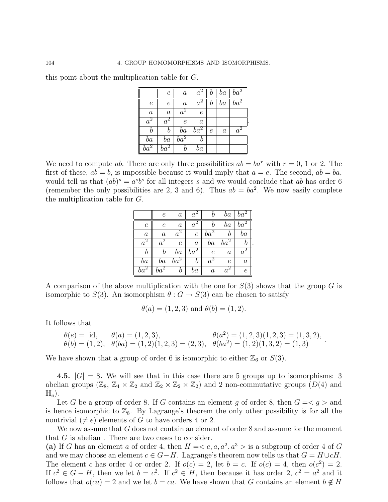this point about the multiplication table for G.

|            | $\epsilon$       | $\boldsymbol{a}$ | $a^2$            |            | ba               | $b\overline{a^2}$ |
|------------|------------------|------------------|------------------|------------|------------------|-------------------|
| $\epsilon$ | $\epsilon$       | $\boldsymbol{a}$ | $a^2$            |            | ba               | $ba^2$            |
| $\it a$    | $\boldsymbol{a}$ | $a^2$            | $\epsilon$       |            |                  |                   |
| $a^2$      | $a^2$            | $\epsilon$       | $\boldsymbol{a}$ |            |                  |                   |
|            | b                | ba               | $ba^2$           | $\epsilon$ | $\boldsymbol{a}$ | $a^2$             |
| $^{ba}$    | $^{ba}$          | $ba^2$           |                  |            |                  |                   |
|            | $ba^2$           |                  | $^{ba}$          |            |                  |                   |

We need to compute ab. There are only three possibilities  $ab = ba^r$  with  $r = 0, 1$  or 2. The first of these,  $ab = b$ , is impossible because it would imply that  $a = e$ . The second,  $ab = ba$ , would tell us that  $(ab)^s = a^s b^s$  for all integers s and we would conclude that ab has order 6 (remember the only possibilities are 2, 3 and 6). Thus  $ab = ba^2$ . We now easily complete the multiplication table for G.

|                   | $\epsilon$        | $\boldsymbol{a}$ | $\it a$          |         | ba          | $ba^2$           |
|-------------------|-------------------|------------------|------------------|---------|-------------|------------------|
| $\epsilon$        | $\epsilon$        | $\boldsymbol{a}$ |                  |         | $^{ba}$     | $ba^2$           |
| $\boldsymbol{a}$  | $\it a$           | $a^2$            | e                | $ba^2$  |             | $^{ba}$          |
| $a^2$             | $a^2$             | $\epsilon$       | $\boldsymbol{a}$ | $^{ba}$ | $ba^2$      |                  |
|                   |                   | $^{ba}$          | $ba^2$           | e       | $\it a$     | $a^2$            |
| $^{ba}$           | ba                | $ba^2$           |                  | a       | е           | $\boldsymbol{a}$ |
| $o\overline{a}^2$ | $\overline{ba^2}$ |                  | ba               | $\it a$ | $a^{\star}$ | е                |

A comparison of the above multiplication with the one for  $S(3)$  shows that the group G is isomorphic to  $S(3)$ . An isomorphism  $\theta : G \to S(3)$  can be chosen to satisfy

$$
\theta(a) = (1, 2, 3)
$$
 and  $\theta(b) = (1, 2)$ .

It follows that

$$
\begin{array}{ll}\n\theta(e) = \text{ id}, & \theta(a) = (1, 2, 3), \\
\theta(b) = (1, 2), & \theta(ba) = (1, 2)(1, 2, 3) = (2, 3), \\
\theta(ba) = (1, 2)(1, 2, 3) = (2, 3), & \theta(ba^2) = (1, 2)(1, 3, 2) = (1, 3)\n\end{array}
$$

We have shown that a group of order 6 is isomorphic to either  $\mathbb{Z}_6$  or  $S(3)$ .

4.5.  $|G| = 8$ . We will see that in this case there are 5 groups up to isomorphisms: 3 abelian groups ( $\mathbb{Z}_8$ ,  $\mathbb{Z}_4 \times \mathbb{Z}_2$  and  $\mathbb{Z}_2 \times \mathbb{Z}_2 \times \mathbb{Z}_2$ ) and 2 non-commutative groups ( $D(4)$  and  $\mathbb{H}_{o}$ ).

Let G be a group of order 8. If G contains an element q of order 8, then  $G = \langle q \rangle$  and is hence isomorphic to  $\mathbb{Z}_8$ . By Lagrange's theorem the only other possibility is for all the nontrivial ( $\neq e$ ) elements of G to have orders 4 or 2.

We now assume that G does not contain an element of order 8 and assume for the moment that  $G$  is abelian. There are two cases to consider.

(a) If G has an element a of order 4, then  $H = \langle e, a, a^2, a^3 \rangle$  is a subgroup of order 4 of G and we may choose an element  $c \in G-H$ . Lagrange's theorem now tells us that  $G = H \cup cH$ . The element c has order 4 or order 2. If  $o(c) = 2$ , let  $b = c$ . If  $o(c) = 4$ , then  $o(c^2) = 2$ . If  $c^2 \in G - H$ , then we let  $b = c^2$ . If  $c^2 \in H$ , then because it has order 2,  $c^2 = a^2$  and it follows that  $o(ca) = 2$  and we let  $b = ca$ . We have shown that G contains an element  $b \notin H$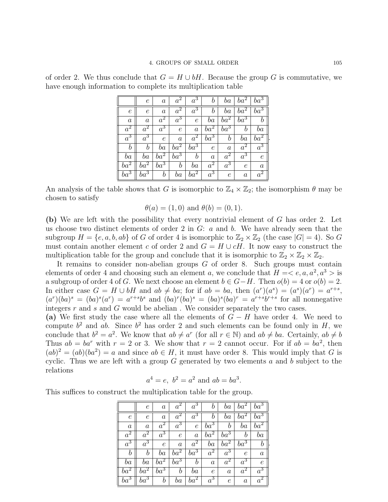|         | e                 | $\it a$ | $a^2$            | $a^3$            | b                | ba               | $ba^2$  | $b\overline{a^3}$ |
|---------|-------------------|---------|------------------|------------------|------------------|------------------|---------|-------------------|
| e       | e                 | $\it a$ | $a^{\centerdot}$ | $a^3$            | h                | $^{ba}$          | $ba^2$  | $ba^3$            |
| $\it a$ | $\it a$           | $a^2$   | $a^3$            | е                | $^{ba}$          | $ba^2$           | $ba^3$  |                   |
| $a^2$   | $a^2$             | $a^3$   | e                | $\boldsymbol{a}$ | $ba^2$           | $ba^3$           | b       | $^{ba}$           |
| $a^3$   | $a^3$             | e       | $\boldsymbol{a}$ | $a^2$            | $ba^3$           | b                | ba      | $ba^2$            |
| b       | h                 | ba      | $ba^2$           | $ba^3$           | $\epsilon$       | $\boldsymbol{a}$ | $a^2$   | $a^3$             |
| $^{ba}$ | $^{ba}$           | $ba^2$  | $ba^3$           | b                | $\boldsymbol{a}$ | $a^2$            | $a^3$   | $\epsilon$        |
| $ba^2$  | $ba^2$            | $ba^3$  | b                | $^{ba}$          | $a^2$            | $a^3$            | e       | $\boldsymbol{a}$  |
| $ba^3$  | $b\overline{a^3}$ | b       | bа               | $ba^2$           | $a^3$            | е                | $\it a$ | $a^2$             |

of order 2. We thus conclude that  $G = H \cup bH$ . Because the group G is commutative, we have enough information to complete its multiplication table

An analysis of the table shows that G is isomorphic to  $\mathbb{Z}_4 \times \mathbb{Z}_2$ ; the isomorphism  $\theta$  may be chosen to satisfy

$$
\theta(a) = (1,0)
$$
 and  $\theta(b) = (0,1)$ .

(b) We are left with the possibility that every nontrivial element of G has order 2. Let us choose two distinct elements of order 2 in  $G: a$  and b. We have already seen that the subgroup  $H = \{e, a, b, ab\}$  of G of order 4 is isomorphic to  $\mathbb{Z}_2 \times \mathbb{Z}_2$  (the case  $|G| = 4$ ). So G must contain another element c of order 2 and  $G = H \cup cH$ . It now easy to construct the multiplication table for the group and conclude that it is isomorphic to  $\mathbb{Z}_2 \times \mathbb{Z}_2 \times \mathbb{Z}_2$ .

It remains to consider non-abelian groups  $G$  of order 8. Such groups must contain elements of order 4 and choosing such an element a, we conclude that  $H =$  is a subgroup of order 4 of G. We next choose an element  $b \in G-H$ . Then  $o(b) = 4$  or  $o(b) = 2$ . In either case  $G = H \cup bH$  and  $ab \neq ba$ ; for if  $ab = ba$ , then  $(a^r)(a^s) = (a^s)(a^r) = a^{r+s}$ ,  $(a^r)(ba)^s = (ba)^s(a^r) = a^{r+s}b^s$  and  $(ba)^r(ba)^s = (ba)^s(ba)^r = a^{r+s}b^{r+s}$  for all nonnegative integers  $r$  and  $s$  and  $G$  would be abelian. We consider separately the two cases.

(a) We first study the case where all the elements of  $G - H$  have order 4. We need to compute  $b^2$  and ab. Since  $b^2$  has order 2 and such elements can be found only in H, we conclude that  $b^2 = a^2$ . We know that  $ab \neq a^r$  (for all  $r \in \mathbb{N}$ ) and  $ab \neq ba$ . Certainly,  $ab \neq b$ Thus  $ab = ba^r$  with  $r = 2$  or 3. We show that  $r = 2$  cannot occur. For if  $ab = ba^2$ , then  $(ab)^2 = (ab)(ba^2) = a$  and since  $ab \in H$ , it must have order 8. This would imply that G is cyclic. Thus we are left with a group G generated by two elements a and b subject to the relations

$$
a^4 = e
$$
,  $b^2 = a^2$  and  $ab = ba^3$ .

This suffices to construct the multiplication table for the group.

|         | $\epsilon$       | $\it a$ | a <sup>2</sup> | $a^{\rm o}$      | b                | ba               | $ba^2$           | $ba^3$                             |
|---------|------------------|---------|----------------|------------------|------------------|------------------|------------------|------------------------------------|
| е       | $\epsilon$       | $\it a$ | $a^2$          | $a^3$            | $\it b$          | ba               | $ba^2$           | $ba^3$                             |
| $\it a$ | $\boldsymbol{a}$ | $a^2$   | $a^3$          | $\boldsymbol{e}$ | $ba^3$           | $\boldsymbol{b}$ | ba               | $ba^2$                             |
| $a^2$   | $a^2$            | $a^3$   | $\epsilon$     | $\boldsymbol{a}$ | $ba^2$           | $ba^3$           | $\boldsymbol{b}$ | $^{ba}$                            |
| $a^3$   | $a^3$            | е       | $\it a$        | $a^2$            | $^{ba}$          | $ba^2$           | $ba^3$           | $\it b$                            |
| $\it b$ | b                | $^{ba}$ | $ba^2$         | $ba^3$           | $a^2$            | $a^3$            | е                | $\boldsymbol{a}$                   |
| ba      | ba               | $ba^2$  | $ba^3$         | $\it b$          | $\boldsymbol{a}$ | $a^2$            | $a^3$            | е                                  |
| $ba^2$  | $ba^2$           | $ba^3$  | b              | bа               | е                | $\boldsymbol{a}$ | $a^2$            | $a^3$                              |
| $ba^3$  | $ba^3$           | b       | ba             | $ba^2$           | $a^3$            | е                | $\it a$          | $a^{\scriptscriptstyle\textrm{-}}$ |

.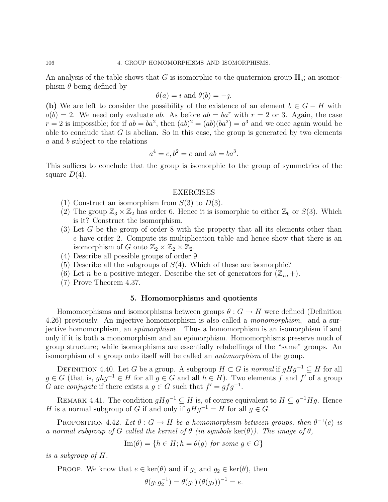An analysis of the table shows that G is isomorphic to the quaternion group  $\mathbb{H}_o$ ; an isomorphism  $\theta$  being defined by

$$
\theta(a) = i \text{ and } \theta(b) = -j.
$$

(b) We are left to consider the possibility of the existence of an element  $b \in G - H$  with  $o(b) = 2$ . We need only evaluate ab. As before  $ab = ba^r$  with  $r = 2$  or 3. Again, the case  $r = 2$  is impossible; for if  $ab = ba^2$ , then  $(ab)^2 = (ab)(ba^2) = a^3$  and we once again would be able to conclude that  $G$  is abelian. So in this case, the group is generated by two elements a and b subject to the relations

$$
a^4 = e, b^2 = e
$$
 and  $ab = ba^3$ .

This suffices to conclude that the group is isomorphic to the group of symmetries of the square  $D(4)$ .

### EXERCISES

- (1) Construct an isomorphism from  $S(3)$  to  $D(3)$ .
- (2) The group  $\mathbb{Z}_3 \times \mathbb{Z}_2$  has order 6. Hence it is isomorphic to either  $\mathbb{Z}_6$  or  $S(3)$ . Which is it? Construct the isomorphism.
- (3) Let G be the group of order 8 with the property that all its elements other than e have order 2. Compute its multiplication table and hence show that there is an isomorphism of G onto  $\mathbb{Z}_2 \times \mathbb{Z}_2 \times \mathbb{Z}_2$ .
- (4) Describe all possible groups of order 9.
- (5) Describe all the subgroups of  $S(4)$ . Which of these are isomorphic?
- (6) Let *n* be a positive integer. Describe the set of generators for  $(\mathbb{Z}_n, +)$ .
- (7) Prove Theorem 4.37.

### 5. Homomorphisms and quotients

Homomorphisms and isomorphisms between groups  $\theta : G \to H$  were defined (Definition 4.26) previously. An injective homomorphism is also called a monomorphism, and a surjective homomorphism, an epimorphism. Thus a homomorphism is an isomorphism if and only if it is both a monomorphism and an epimorphism. Homomorphisms preserve much of group structure; while isomorphisms are essentially relabellings of the "same" groups. An isomorphism of a group onto itself will be called an automorphism of the group.

DEFINITION 4.40. Let G be a group. A subgroup  $H \subset G$  is normal if  $gHg^{-1} \subseteq H$  for all  $g \in G$  (that is,  $ghg^{-1} \in H$  for all  $g \in G$  and all  $h \in H$ ). Two elements f and f' of a group G are conjugate if there exists a  $g \in G$  such that  $f' = gfg^{-1}$ .

REMARK 4.41. The condition  $gHg^{-1} \subseteq H$  is, of course equivalent to  $H \subseteq g^{-1}Hg$ . Hence H is a normal subgroup of G if and only if  $gHg^{-1} = H$  for all  $g \in G$ .

PROPOSITION 4.42. Let  $\theta : G \to H$  be a homomorphism between groups, then  $\theta^{-1}(e)$  is a normal subgroup of G called the kernel of  $\theta$  (in symbols ker( $\theta$ )). The image of  $\theta$ ,

$$
\operatorname{Im}(\theta) = \{ h \in H; h = \theta(g) \text{ for some } g \in G \}
$$

is a subgroup of H.

**PROOF.** We know that  $e \in \text{ker}(\theta)$  and if  $g_1$  and  $g_2 \in \text{ker}(\theta)$ , then

$$
\theta(g_1g_2^{-1}) = \theta(g_1) (\theta(g_2))^{-1} = e.
$$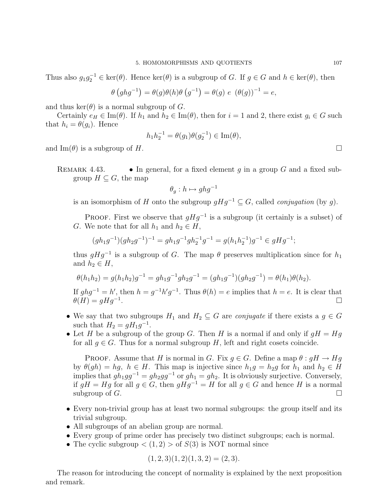Thus also  $g_1g_2^{-1} \in \ker(\theta)$ . Hence  $\ker(\theta)$  is a subgroup of G. If  $g \in G$  and  $h \in \ker(\theta)$ , then

$$
\theta\left(ghg^{-1}\right) = \theta(g)\theta(h)\theta\left(g^{-1}\right) = \theta(g)\ e\ (\theta(g))^{-1} = e,
$$

and thus  $\ker(\theta)$  is a normal subgroup of G.

Certainly  $e_H \in \text{Im}(\theta)$ . If  $h_1$  and  $h_2 \in \text{Im}(\theta)$ , then for  $i = 1$  and 2, there exist  $g_i \in G$  such that  $h_i = \theta(g_i)$ . Hence

$$
h_1 h_2^{-1} = \theta(g_1)\theta(g_2^{-1}) \in \text{Im}(\theta),
$$

and Im( $\theta$ ) is a subgroup of H.

REMARK 4.43. • In general, for a fixed element q in a group G and a fixed subgroup  $H \subseteq G$ , the map

$$
\theta_g: h \mapsto ghg^{-1}
$$

is an isomorphism of H onto the subgroup  $gHg^{-1} \subseteq G$ , called *conjugation* (by g).

**PROOF.** First we observe that  $gHg^{-1}$  is a subgroup (it certainly is a subset) of G. We note that for all  $h_1$  and  $h_2 \in H$ ,

$$
(gh_1g^{-1})(gh_2g^{-1})^{-1} = gh_1g^{-1}gh_2^{-1}g^{-1} = g(h_1h_2^{-1})g^{-1} \in gHg^{-1};
$$

thus  $gHg^{-1}$  is a subgroup of G. The map  $\theta$  preserves multiplication since for  $h_1$ and  $h_2 \in H$ ,

$$
\theta(h_1h_2) = g(h_1h_2)g^{-1} = gh_1g^{-1}gh_2g^{-1} = (gh_1g^{-1})(gh_2g^{-1}) = \theta(h_1)\theta(h_2).
$$

If  $ghg^{-1} = h'$ , then  $h = g^{-1}h'g^{-1}$ . Thus  $\theta(h) = e$  implies that  $h = e$ . It is clear that  $\theta(H) = gHg^{-1}$ . В последните при последните последните последните последните последните последните последните последните по<br>В последните последните последните последните последните последните последните последните последните последнит<br>

- We say that two subgroups  $H_1$  and  $H_2 \subseteq G$  are *conjugate* if there exists a  $g \in G$ such that  $H_2 = gH_1g^{-1}$ .
- Let H be a subgroup of the group G. Then H is a normal if and only if  $qH = Hq$ for all  $q \in G$ . Thus for a normal subgroup H, left and right cosets coincide.

**PROOF.** Assume that H is normal in G. Fix  $g \in G$ . Define a map  $\theta : gH \to Hg$ by  $\theta(gh) = hg$ ,  $h \in H$ . This map is injective since  $h_1g = h_2g$  for  $h_1$  and  $h_2 \in H$ implies that  $gh_1gg^{-1} = gh_2gg^{-1}$  or  $gh_1 = gh_2$ . It is obviously surjective. Conversely, if  $gH = Hg$  for all  $g \in G$ , then  $gHg^{-1} = H$  for all  $g \in G$  and hence H is a normal subgroup of  $G$ .

- Every non-trivial group has at least two normal subgroups: the group itself and its trivial subgroup.
- All subgroups of an abelian group are normal.
- Every group of prime order has precisely two distinct subgroups; each is normal.
- The cyclic subgroup  $\lt(1,2) > \text{of } S(3)$  is NOT normal since

$$
(1,2,3)(1,2)(1,3,2) = (2,3).
$$

The reason for introducing the concept of normality is explained by the next proposition and remark.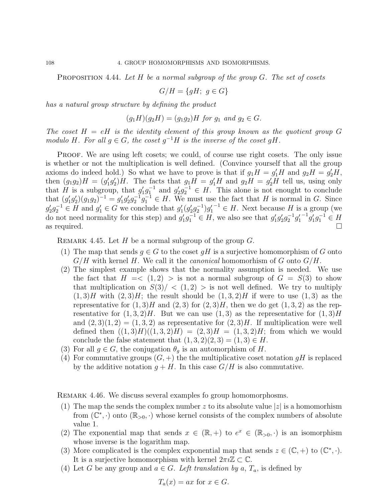**PROPOSITION** 4.44. Let H be a normal subgroup of the group  $G$ . The set of cosets

$$
G/H = \{gH; g \in G\}
$$

has a natural group structure by defining the product

$$
(g_1H)(g_2H) = (g_1g_2)H
$$
 for  $g_1$  and  $g_2 \in G$ .

The coset  $H = eH$  is the identity element of this group known as the quotient group G modulo H. For all  $g \in G$ , the coset  $g^{-1}H$  is the inverse of the coset  $gH$ .

PROOF. We are using left cosets; we could, of course use right cosets. The only issue is whether or not the multiplication is well defined. (Convince yourself that all the group axioms do indeed hold.) So what we have to prove is that if  $g_1H = g'_1H$  and  $g_2H = g'_2H$ , then  $(g_1g_2)H = (g'_1g'_2)H$ . The facts that  $g_1H = g'_1H$  and  $g_2H = g'_2H$  tell us, using only that H is a subgroup, that  $g'_1 g_1^{-1}$  and  $g'_2 g_2^{-1} \in H$ . This alone is not enought to conclude that  $(g'_1g'_2)(g_1g_2)^{-1} = g'_1g'_2g_2^{-1}g_1^{-1} \in H$ . We must use the fact that H is normal in G. Since  $g'_2g_2^{-1} \in H$  and  $g'_1 \in G$  we conclude that  $g'_1(g'_2g_2^{-1})g'_1^{-1} \in H$ . Next because H is a group (we do not need normality for this step) and  $g'_1g_1^{-1} \in H$ , we also see that  $g'_1g'_2g_2^{-1}g'_1^{-1}g'_1g_1^{-1} \in H$ as required.  $\Box$ 

REMARK 4.45. Let H be a normal subgroup of the group  $G$ .

- (1) The map that sends  $q \in G$  to the coset  $qH$  is a surjective homomorphism of G onto  $G/H$  with kernel H. We call it the *canonical* homomorhism of G onto  $G/H$ .
- (2) The simplest example shows that the normality assumption is needed. We use the fact that  $H = \langle 1, 2 \rangle$  is not a normal subgroup of  $G = S(3)$  to show that multiplication on  $S(3)/\langle (1,2) \rangle$  is not well defined. We try to multiply  $(1,3)H$  with  $(2,3)H$ ; the result should be  $(1,3,2)H$  if were to use  $(1,3)$  as the representative for  $(1,3)H$  and  $(2,3)$  for  $(2,3)H$ , then we do get  $(1,3,2)$  as the representative for  $(1,3,2)H$ . But we can use  $(1,3)$  as the representative for  $(1,3)H$ and  $(2,3)(1,2) = (1,3,2)$  as representative for  $(2,3)H$ . If multiplication were well defined then  $((1,3)H)((1,3,2)H) = (2,3)H = (1,3,2)H$ ; from which we would conclude the false statement that  $(1, 3, 2)(2, 3) = (1, 3) \in H$ .
- (3) For all  $g \in G$ , the conjugation  $\theta_q$  is an automorphism of H.
- (4) For commutative groups  $(G,+)$  the the multiplicative coset notation  $gH$  is replaced by the additive notation  $g + H$ . In this case  $G/H$  is also commutative.

REMARK 4.46. We discuss several examples fo group homomorphosms.

- (1) The map the sends the complex number z to its absolute value  $|z|$  is a homomorhism from  $(\mathbb{C}^*, \cdot)$  onto  $(\mathbb{R}_{>0}, \cdot)$  whose kernel consists of the complex numbers of absolute value 1.
- (2) The exponential map that sends  $x \in (\mathbb{R}, +)$  to  $e^x \in (\mathbb{R}_{>0}, \cdot)$  is an isomorphism whose inverse is the logarithm map.
- (3) More complicated is the complex exponential map that sends  $z \in (\mathbb{C}, +)$  to  $(\mathbb{C}^*, \cdot)$ . It is a surjective homomorphism with kernel  $2\pi i \mathbb{Z} \subset \mathbb{C}$ .
- (4) Let G be any group and  $a \in G$ . Left translation by a,  $T_a$ , is defined by

$$
T_a(x) = ax \text{ for } x \in G.
$$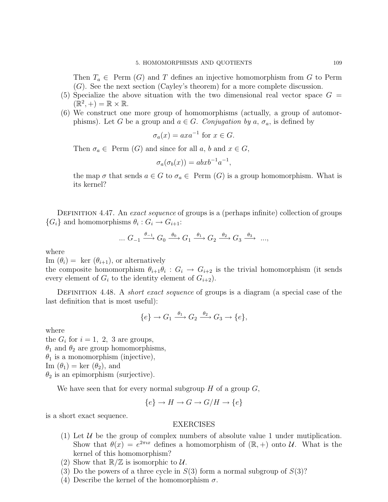Then  $T_a \in \text{Perm}(G)$  and T defines an injective homomorphism from G to Perm (G). See the next section (Cayley's theorem) for a more complete discussion.

- (5) Specialize the above situation with the two dimensional real vector space  $G =$  $(\mathbb{R}^2, +) = \mathbb{R} \times \mathbb{R}.$
- (6) We construct one more group of homomorphisms (actually, a group of automorphisms). Let G be a group and  $a \in G$ . Conjugation by a,  $\sigma_a$ , is defined by

$$
\sigma_a(x) = axa^{-1} \text{ for } x \in G.
$$

Then  $\sigma_a \in \text{Perm}(G)$  and since for all  $a, b$  and  $x \in G$ ,

$$
\sigma_a(\sigma_b(x)) = abxb^{-1}a^{-1},
$$

the map  $\sigma$  that sends  $a \in G$  to  $\sigma_a \in \text{Perm}(G)$  is a group homomorphism. What is its kernel?

DEFINITION 4.47. An exact sequence of groups is a (perhaps infinite) collection of groups  ${G_i}$  and homomorphisms  $\theta_i: G_i \to G_{i+1}$ :

$$
\dots G_{-1} \xrightarrow{\theta_{-1}} G_0 \xrightarrow{\theta_0} G_1 \xrightarrow{\theta_1} G_2 \xrightarrow{\theta_2} G_3 \xrightarrow{\theta_3} \dots,
$$

where

Im  $(\theta_i) = \text{ker}(\theta_{i+1}),$  or alternatively

the composite homomorphism  $\theta_{i+1}\theta_i$ :  $G_i \to G_{i+2}$  is the trivial homomorphism (it sends every element of  $G_i$  to the identity element of  $G_{i+2}$ ).

DEFINITION 4.48. A *short exact sequence* of groups is a diagram (a special case of the last definition that is most useful):

$$
\{e\} \to G_1 \xrightarrow{\theta_1} G_2 \xrightarrow{\theta_2} G_3 \to \{e\},
$$

where

the  $G_i$  for  $i = 1, 2, 3$  are groups,  $\theta_1$  and  $\theta_2$  are group homomorphisms,  $\theta_1$  is a monomorphism (injective), Im  $(\theta_1) = \text{ker } (\theta_2)$ , and  $\theta_2$  is an epimorphism (surjective).

We have seen that for every normal subgroup  $H$  of a group  $G$ ,

$$
\{e\} \to H \to G \to G/H \to \{e\}
$$

is a short exact sequence.

#### EXERCISES

- (1) Let  $U$  be the group of complex numbers of absolute value 1 under mutiplication. Show that  $\theta(x) = e^{2\pi ix}$  defines a homomorphism of  $(\mathbb{R}, +)$  onto  $\mathcal{U}$ . What is the kernel of this homomorphism?
- (2) Show that  $\mathbb{R}/\mathbb{Z}$  is isomorphic to  $\mathcal{U}$ .
- (3) Do the powers of a three cycle in  $S(3)$  form a normal subgroup of  $S(3)$ ?
- (4) Describe the kernel of the homomorphism  $\sigma$ .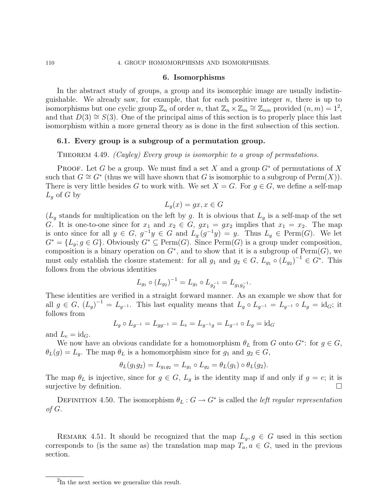#### 6. Isomorphisms

In the abstract study of groups, a group and its isomorphic image are usually indistinguishable. We already saw, for example, that for each positive integer  $n$ , there is up to isomorphisms but one cyclic group  $\mathbb{Z}_n$  of order n, that  $\mathbb{Z}_n \times \mathbb{Z}_m \cong \mathbb{Z}_{nm}$  provided  $(n, m) = 1^2$ , and that  $D(3) \cong S(3)$ . One of the principal aims of this section is to properly place this last isomorphism within a more general theory as is done in the first subsection of this section.

# 6.1. Every group is a subgroup of a permutation group.

THEOREM 4.49. (Cayley) Every group is isomorphic to a group of permutations.

**PROOF.** Let G be a group. We must find a set X and a group  $G^*$  of permutations of X such that  $G \cong G^*$  (thus we will have shown that G is isomorphic to a subgroup of  $\text{Perm}(X)$ ). There is very little besides G to work with. We set  $X = G$ . For  $g \in G$ , we define a self-map  $L_q$  of G by

$$
L_g(x) = gx, x \in G
$$

 $(L_q$  stands for multiplication on the left by g. It is obvious that  $L_q$  is a self-map of the set G. It is one-to-one since for  $x_1$  and  $x_2 \in G$ ,  $gx_1 = gx_2$  implies that  $x_1 = x_2$ . The map is onto since for all  $y \in G$ ,  $g^{-1}y \in G$  and  $L_g(g^{-1}y) = y$ . Thus  $L_g \in \text{Perm}(G)$ . We let  $G^* = \{L_q: g \in G\}$ . Obviously  $G^* \subseteq \text{Perm}(G)$ . Since  $\text{Perm}(G)$  is a group under composition, composition is a binary operation on  $G^*$ , and to show that it is a subgroup of  $\mathrm{Perm}(G)$ , we must only establish the closure statement: for all  $g_1$  and  $g_2 \in G$ ,  $L_{g_1} \circ (L_{g_2})^{-1} \in G^*$ . This follows from the obvious identities

$$
L_{g_1} \circ (L_{g_2})^{-1} = L_{g_1} \circ L_{g_2^{-1}} = L_{g_1 g_2^{-1}}.
$$

These identities are verified in a straight forward manner. As an example we show that for all  $g \in G$ ,  $(L_g)^{-1} = L_{g^{-1}}$ . This last equality means that  $L_g \circ L_{g^{-1}} = L_{g^{-1}} \circ L_g = \text{id}_G$ ; it follows from

$$
L_g \circ L_{g^{-1}} = L_{gg^{-1}} = L_e = L_{g^{-1}g} = L_{g^{-1}} \circ L_g = \mathrm{id}_G
$$

and  $L_e = \mathrm{id}_G$ .

We now have an obvious candidate for a homomorphism  $\theta_L$  from G onto  $G^*$ : for  $g \in G$ ,  $\theta_L(g) = L_g$ . The map  $\theta_L$  is a homomorphism since for  $g_1$  and  $g_2 \in G$ ,

$$
\theta_L(g_1g_2) = L_{g_1g_2} = L_{g_1} \circ L_{g_2} = \theta_L(g_1) \circ \theta_L(g_2).
$$

The map  $\theta_L$  is injective, since for  $g \in G$ ,  $L_g$  is the identity map if and only if  $g = e$ ; it is surjective by definition. surjective by definition.

DEFINITION 4.50. The isomorphism  $\theta_L: G \to G^*$  is called the *left regular representation* of G.

REMARK 4.51. It should be recognized that the map  $L_q, g \in G$  used in this section corresponds to (is the same as) the translation map map  $T_a, a \in G$ , used in the previous section.

<sup>2</sup> In the next section we generalize this result.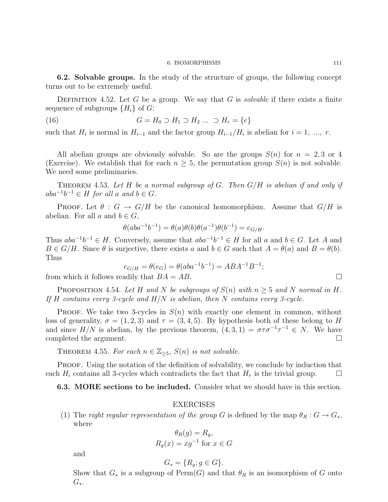6.2. Solvable groups. In the study of the structure of groups, the following concept turns out to be extremely useful.

DEFINITION 4.52. Let G be a group. We say that G is *solvable* if there exists a finite sequence of subgroups  $\{H_i\}$  of  $G$ :

(16) 
$$
G = H_0 \supset H_1 \supset H_2 \dots \supset H_r = \{e\}
$$

such that  $H_i$  is normal in  $H_{i-1}$  and the factor group  $H_{i-1}/H_i$  is abelian for  $i = 1, ..., r$ .

All abelian groups are obviously solvable. So are the groups  $S(n)$  for  $n = 2, 3$  or 4 (Exercise). We establish that for each  $n \geq 5$ , the permutation group  $S(n)$  is not solvable. We need some preliminaries.

THEOREM 4.53. Let H be a normal subgroup of G. Then  $G/H$  is abelian if and only if  $aba^{-1}b^{-1} \in H$  for all a and  $b \in G$ .

**PROOF.** Let  $\theta : G \to G/H$  be the canonical homomorphism. Assume that  $G/H$  is abelian. For all  $a$  and  $b \in G$ ,

$$
\theta(aba^{-1}b^{-1}) = \theta(a)\theta(b)\theta(a^{-1})\theta(b^{-1}) = e_{G/H}.
$$

Thus  $aba^{-1}b^{-1} \in H$ . Conversely, assume that  $aba^{-1}b^{-1} \in H$  for all a and  $b \in G$ . Let A and  $B \in G/H$ . Since  $\theta$  is surjective, there exists a and  $b \in G$  such that  $A = \theta(a)$  and  $B = \theta(b)$ . Thus

$$
e_{G/H} = \theta(e_G) = \theta(aba^{-1}b^{-1}) = ABA^{-1}B^{-1};
$$

from which it follows readily that  $BA = AB$ .

PROPOSITION 4.54. Let H and N be subgroups of  $S(n)$  with  $n \geq 5$  and N normal in H. If H contains every 3-cycle and  $H/N$  is abelian, then N contains every 3-cycle.

**PROOF.** We take two 3-cycles in  $S(n)$  with exactly one element in common, without loss of generality,  $\sigma = (1, 2, 3)$  and  $\tau = (3, 4, 5)$ . By hypothesis both of these belong to H and since  $H/N$  is abelian, by the previous theorem,  $(4,3,1) = \sigma \tau \sigma^{-1} \tau^{-1} \in N$ . We have completed the argument.

THEOREM 4.55. For each  $n \in \mathbb{Z}_{\geq 5}$ ,  $S(n)$  is not solvable.

PROOF. Using the notation of the definition of solvability, we conclude by induction that each  $H_i$  contains all 3-cycles which contradicts the fact that  $H_r$  is the trivial group.  $\Box$ 

6.3. MORE sections to be included. Consider what we should have in this section.

### EXERCISES

(1) The right regular representation of the group G is defined by the map  $\theta_R : G \to G_*,$ where

$$
\theta_R(g) = R_g,
$$
  
\n
$$
R_g(x) = xg^{-1} \text{ for } x \in G
$$

and

$$
G_* = \{R_g; g \in G\}.
$$

Show that  $G_*$  is a subgroup of  $\text{Perm}(G)$  and that  $\theta_R$  is an isomorphism of G onto  $G_*$ .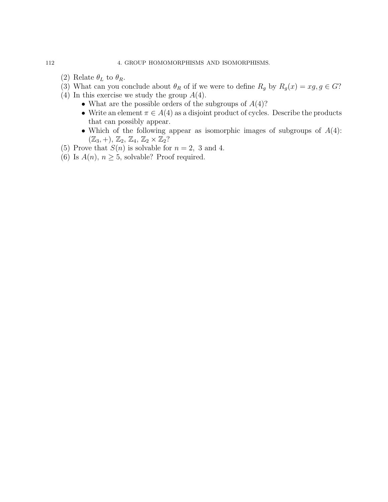- (2) Relate  $\theta_L$  to  $\theta_R$ .
- (3) What can you conclude about  $\theta_R$  of if we were to define  $R_g$  by  $R_g(x) = xg, g \in G$ ?
- (4) In this exercise we study the group  $A(4)$ .
	- What are the possible orders of the subgroups of  $A(4)$ ?
	- Write an element  $\pi \in A(4)$  as a disjoint product of cycles. Describe the products that can possibly appear.
	- Which of the following appear as isomorphic images of subgroups of  $A(4)$ :  $(\mathbb{Z}_3, +), \mathbb{Z}_2, \mathbb{Z}_4, \mathbb{Z}_2 \times \mathbb{Z}_2?$
- (5) Prove that  $S(n)$  is solvable for  $n = 2$ , 3 and 4.
- (6) Is  $A(n)$ ,  $n \geq 5$ , solvable? Proof required.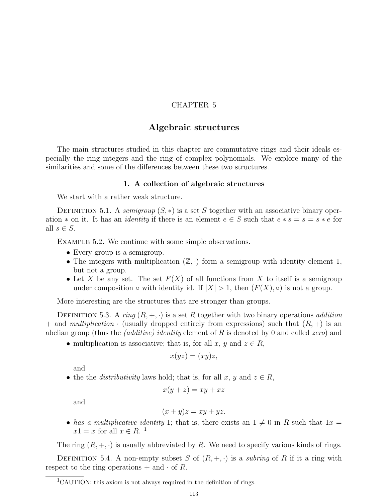# CHAPTER 5

# Algebraic structures

The main structures studied in this chapter are commutative rings and their ideals especially the ring integers and the ring of complex polynomials. We explore many of the similarities and some of the differences between these two structures.

## 1. A collection of algebraic structures

We start with a rather weak structure.

DEFINITION 5.1. A semigroup  $(S, *)$  is a set S together with an associative binary operation  $*$  on it. It has an *identity* if there is an element  $e \in S$  such that  $e * s = s = s * e$  for all  $s \in S$ .

Example 5.2. We continue with some simple observations.

- Every group is a semigroup.
- The integers with multiplication  $(\mathbb{Z}, \cdot)$  form a semigroup with identity element 1, but not a group.
- Let X be any set. The set  $F(X)$  of all functions from X to itself is a semigroup under composition  $\circ$  with identity id. If  $|X| > 1$ , then  $(F(X), \circ)$  is not a group.

More interesting are the structures that are stronger than groups.

DEFINITION 5.3. A ring  $(R, +, \cdot)$  is a set R together with two binary operations *addition*  $+$  and multiplication  $\cdot$  (usually dropped entirely from expressions) such that  $(R, +)$  is an abelian group (thus the *(additive) identity* element of R is denoted by 0 and called *zero*) and

• multiplication is associative; that is, for all x, y and  $z \in R$ ,

$$
x(yz) = (xy)z,
$$

and

• the the *distributivity* laws hold; that is, for all x, y and  $z \in R$ .

$$
x(y+z) = xy + xz
$$

and

$$
(x+y)z = xy + yz.
$$

• has a multiplicative identity 1; that is, there exists an  $1 \neq 0$  in R such that  $1x =$  $x1 = x$  for all  $x \in R$ .<sup>1</sup>

The ring  $(R, +, \cdot)$  is usually abbreviated by R. We need to specify various kinds of rings.

DEFINITION 5.4. A non-empty subset S of  $(R, +, \cdot)$  is a *subring* of R if it a ring with respect to the ring operations  $+$  and  $\cdot$  of R.

<sup>&</sup>lt;sup>1</sup>CAUTION: this axiom is not always required in the definition of rings.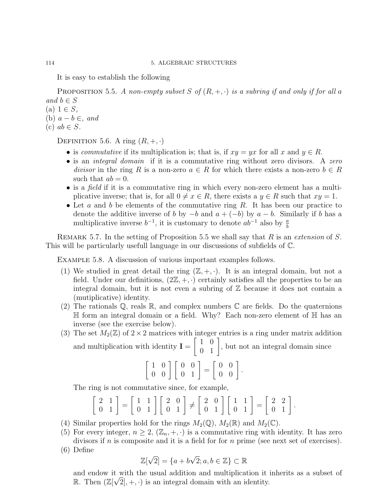It is easy to establish the following

PROPOSITION 5.5. A non-empty subset S of  $(R, +, \cdot)$  is a subring if and only if for all a and  $b \in S$ 

 $(a)$  1  $\in$   $S$ , (b)  $a - b \in$ , and  $(c)$   $ab \in S$ .

DEFINITION 5.6. A ring  $(R, +, \cdot)$ 

- is commutative if its multiplication is; that is, if  $xy = yx$  for all x and  $y \in R$ .
- is an *integral domain* if it is a commutative ring without zero divisors. A zero divisor in the ring R is a non-zero  $a \in R$  for which there exists a non-zero  $b \in R$ such that  $ab = 0$ .
- is a *field* if it is a commutative ring in which every non-zero element has a multiplicative inverse; that is, for all  $0 \neq x \in R$ , there exists a  $y \in R$  such that  $xy = 1$ .
- Let a and b be elements of the commutative ring  $R$ . It has been our practice to denote the additive inverse of b by  $-b$  and  $a + (-b)$  by  $a - b$ . Similarly if b has a multiplicative inverse  $b^{-1}$ , it is customary to denote  $ab^{-1}$  also by  $\frac{a}{b}$ b

REMARK 5.7. In the setting of Proposition 5.5 we shall say that  $R$  is an extension of  $S$ . This will be particularly usefull language in our discussions of subfields of C.

Example 5.8. A discussion of various important examples follows.

- (1) We studied in great detail the ring  $(\mathbb{Z}, +, \cdot)$ . It is an integral domain, but not a field. Under our definitions,  $(2\mathbb{Z}, +, \cdot)$  certainly satisfies all the properties to be an integral domain, but it is not even a subring of  $\mathbb Z$  because it does not contain a (mutiplicative) identity.
- (2) The rationals  $\mathbb{Q}$ , reals  $\mathbb{R}$ , and complex numbers  $\mathbb{C}$  are fields. Do the quaternions H form an integral domain or a field. Why? Each non-zero element of H has an inverse (see the exercise below).
- (3) The set  $M_2(\mathbb{Z})$  of  $2 \times 2$  matrices with integer entries is a ring under matrix addition  $\begin{bmatrix} 1 & 0 \end{bmatrix}$ 1

and multiplication with identity  $I =$ 0 1 , but not an integral domain since

$$
\left[\begin{array}{cc} 1 & 0 \\ 0 & 0 \end{array}\right] \left[\begin{array}{cc} 0 & 0 \\ 0 & 1 \end{array}\right] = \left[\begin{array}{cc} 0 & 0 \\ 0 & 0 \end{array}\right].
$$

The ring is not commutative since, for example,

$$
\left[\begin{array}{cc} 2 & 1 \\ 0 & 1 \end{array}\right] = \left[\begin{array}{cc} 1 & 1 \\ 0 & 1 \end{array}\right] \left[\begin{array}{cc} 2 & 0 \\ 0 & 1 \end{array}\right] \neq \left[\begin{array}{cc} 2 & 0 \\ 0 & 1 \end{array}\right] \left[\begin{array}{cc} 1 & 1 \\ 0 & 1 \end{array}\right] = \left[\begin{array}{cc} 2 & 2 \\ 0 & 1 \end{array}\right].
$$

- (4) Similar properties hold for the rings  $M_2(\mathbb{Q})$ ,  $M_2(\mathbb{R})$  and  $M_2(\mathbb{C})$ .
- (5) For every integer,  $n \geq 2$ ,  $(\mathbb{Z}_n, +, \cdot)$  is a commutative ring with identity. It has zero divisors if n is composite and it is a field for for n prime (see next set of exercises). (6) Define

$$
\mathbb{Z}[\sqrt{2}]=\{a+b\sqrt{2};a,b\in\mathbb{Z}\}\subset\mathbb{R}
$$

and endow it with the usual addition and multiplication it inherits as a subset of R. Then  $(\mathbb{Z}[\sqrt{2}], +, \cdot)$  is an integral domain with an identity.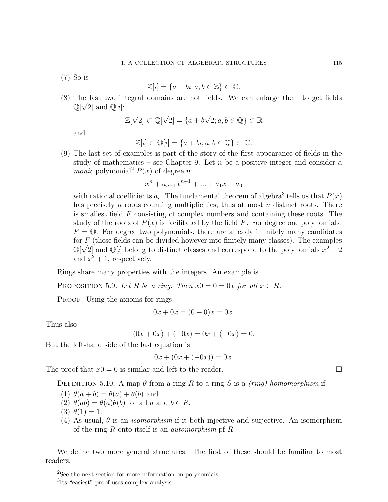(7) So is

$$
\mathbb{Z}[i] = \{a + bi; a, b \in \mathbb{Z}\} \subset \mathbb{C}.
$$

(8) The last two integral domains are not fields. We can enlarge them to get fields  $\mathbb{Q}[\sqrt{2}]$  and  $\mathbb{Q}[i]$ :

$$
\mathbb{Z}[\sqrt{2}]\subset \mathbb{Q}[\sqrt{2}]=\{a+b\sqrt{2}; a,b\in \mathbb{Q}\}\subset \mathbb{R}
$$

and

$$
\mathbb{Z}[i] \subset \mathbb{Q}[i] = \{a + bi; a, b \in \mathbb{Q}\} \subset \mathbb{C}.
$$

(9) The last set of examples is part of the story of the first appearance of fields in the study of mathematics – see Chapter 9. Let  $n$  be a positive integer and consider a *monic* polynomial<sup>2</sup>  $P(x)$  of degree n

$$
x^n + a_{n-1}x^{n-1} + \dots + a_1x + a_0
$$

with rational coefficients  $a_i$ . The fundamental theorem of algebra<sup>3</sup> tells us that  $P(x)$ has precisely n roots counting multiplicities; thus at most n distinct roots. There is smallest field F consisting of complex numbers and containing these roots. The study of the roots of  $P(x)$  is facilitated by the field F. For degree one polynomials,  $F = \mathbb{Q}$ . For degree two polynomials, there are already infinitely many candidates for  $F$  (these fields can be divided however into finitely many classes). The examples  $\mathbb{Q}[\sqrt{2}]$  and  $\mathbb{Q}[i]$  belong to distinct classes and correspond to the polynomials  $x^2 - 2$ and  $x^2 + 1$ , respectively.

Rings share many properties with the integers. An example is

PROPOSITION 5.9. Let R be a ring. Then  $x0 = 0 = 0x$  for all  $x \in R$ .

PROOF. Using the axioms for rings

$$
0x + 0x = (0 + 0)x = 0x.
$$

Thus also

$$
(0x + 0x) + (-0x) = 0x + (-0x) = 0.
$$

But the left-hand side of the last equation is

$$
0x + (0x + (-0x)) = 0x.
$$

The proof that  $x_0 = 0$  is similar and left to the reader.

DEFINITION 5.10. A map  $\theta$  from a ring R to a ring S is a *(ring)* homomorphism if

- (1)  $\theta(a+b) = \theta(a) + \theta(b)$  and
- (2)  $\theta(ab) = \theta(a)\theta(b)$  for all a and  $b \in R$ .
- (3)  $\theta(1) = 1$ .
- (4) As usual,  $\theta$  is an *isomorphism* if it both injective and surjective. An isomorphism of the ring R onto itself is an *automorphism* pf R.

We define two more general structures. The first of these should be familiar to most readers.

<sup>&</sup>lt;sup>2</sup>See the next section for more information on polynomials.

<sup>3</sup> Its "easiest" proof uses complex analysis.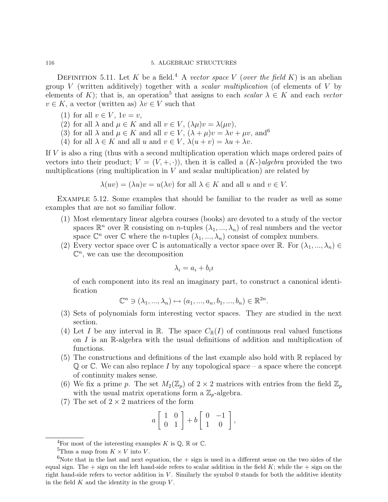DEFINITION 5.11. Let K be a field.<sup>4</sup> A vector space V (over the field K) is an abelian group V (written additively) together with a *scalar multiplication* (of elements of V by elements of K); that is, an operation<sup>5</sup> that assigns to each scalar  $\lambda \in K$  and each vector  $v \in K$ , a vector (written as)  $\lambda v \in V$  such that

- (1) for all  $v \in V$ ,  $1v = v$ ,
- (2) for all  $\lambda$  and  $\mu \in K$  and all  $v \in V$ ,  $(\lambda \mu)v = \lambda(\mu v)$ ,
- (3) for all  $\lambda$  and  $\mu \in K$  and all  $v \in V$ ,  $(\lambda + \mu)v = \lambda v + \mu v$ , and<sup>6</sup>
- (4) for all  $\lambda \in K$  and all u and  $v \in V$ ,  $\lambda(u + v) = \lambda u + \lambda v$ .

If V is also a ring (thus with a second multiplication operation which maps ordered pairs of vectors into their product;  $V = (V, +, \cdot)$ , then it is called a  $(K-)algebra$  provided the two multiplications (ring multiplication in  $V$  and scalar multiplication) are related by

$$
\lambda(uv) = (\lambda u)v = u(\lambda v) \text{ for all } \lambda \in K \text{ and all } u \text{ and } v \in V.
$$

Example 5.12. Some examples that should be familiar to the reader as well as some examples that are not so familiar follow.

- (1) Most elementary linear algebra courses (books) are devoted to a study of the vector spaces  $\mathbb{R}^n$  over  $\mathbb R$  consisting on *n*-tuples  $(\lambda_1, ..., \lambda_n)$  of real numbers and the vector space  $\mathbb{C}^n$  over  $\mathbb C$  where the *n*-tuples  $(\lambda_1, ..., \lambda_n)$  consist of complex numbers.
- (2) Every vector space over  $\mathbb C$  is automatically a vector space over  $\mathbb R$ . For  $(\lambda_1, ..., \lambda_n) \in$  $\mathbb{C}^n$ , we can use the decomposition

$$
\lambda_i = a_i + b_i i
$$

of each component into its real an imaginary part, to construct a canonical identification

 $\mathbb{C}^n \ni (\lambda_1, ..., \lambda_n) \mapsto (a_1, ..., a_n, b_1, ..., b_n) \in \mathbb{R}^{2n}$ .

- (3) Sets of polynomials form interesting vector spaces. They are studied in the next section.
- (4) Let I be any interval in R. The space  $C_{\mathbb{R}}(I)$  of continuous real valued functions on  $I$  is an R-algebra with the usual definitions of addition and multiplication of functions.
- $(5)$  The constructions and definitions of the last example also hold with R replaced by  $\mathbb Q$  or  $\mathbb C$ . We can also replace I by any topological space – a space where the concept of continuity makes sense.
- (6) We fix a prime p. The set  $M_2(\mathbb{Z}_p)$  of  $2 \times 2$  matrices with entries from the field  $\mathbb{Z}_p$ with the usual matrix operations form a  $\mathbb{Z}_p$ -algebra.
- (7) The set of  $2 \times 2$  matrices of the form

$$
a \left[ \begin{array}{cc} 1 & 0 \\ 0 & 1 \end{array} \right] + b \left[ \begin{array}{cc} 0 & -1 \\ 1 & 0 \end{array} \right],
$$

<sup>&</sup>lt;sup>4</sup>For most of the interesting examples K is  $\mathbb{O}$ ,  $\mathbb{R}$  or  $\mathbb{C}$ .

<sup>&</sup>lt;sup>5</sup>Thus a map from  $K \times V$  into V.

<sup>&</sup>lt;sup>6</sup>Note that in the last and next equation, the  $+$  sign is used in a different sense on the two sides of the equal sign. The  $+$  sign on the left hand-side refers to scalar addition in the field  $K$ ; while the  $+$  sign on the right hand-side refers to vector addition in  $V$ . Similarly the symbol 0 stands for both the additive identity in the field  $K$  and the identity in the group  $V$ .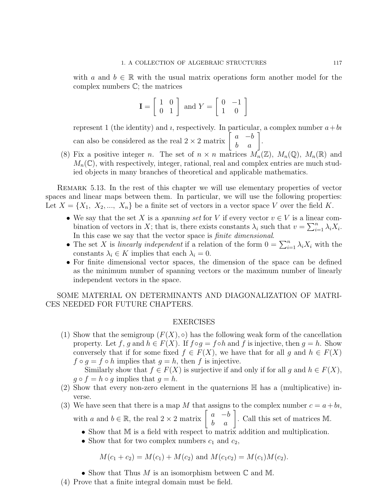with a and  $b \in \mathbb{R}$  with the usual matrix operations form another model for the complex numbers  $\mathbb{C}$ ; the matrices

$$
\mathbf{I} = \left[ \begin{array}{cc} 1 & 0 \\ 0 & 1 \end{array} \right] \text{ and } Y = \left[ \begin{array}{cc} 0 & -1 \\ 1 & 0 \end{array} \right]
$$

represent 1 (the identity) and *i*, respectively. In particular, a complex number  $a+bi$ can also be considered as the real  $2 \times 2$  matrix  $\begin{bmatrix} a & -b \\ b & a \end{bmatrix}$ b a 1 .

(8) Fix a positive integer n. The set of  $n \times n$  matrices  $M_n(\mathbb{Z})$ ,  $M_n(\mathbb{Q})$ ,  $M_n(\mathbb{R})$  and  $M_n(\mathbb{C})$ , with respectively, integer, rational, real and complex entries are much studied objects in many branches of theoretical and applicable mathematics.

Remark 5.13. In the rest of this chapter we will use elementary properties of vector spaces and linear maps between them. In particular, we will use the following properties: Let  $X = \{X_1, X_2, ..., X_n\}$  be a finite set of vectors in a vector space V over the field K.

- We say that the set X is a *spanning set* for V if every vector  $v \in V$  is a linear combination of vectors in X; that is, there exists constants  $\lambda_i$  such that  $v = \sum_{i=1}^n \lambda_i X_i$ . In this case we say that the vector space is finite dimensional.
- The set X is linearly independent if a relation of the form  $0 = \sum_{i=1}^{n} \lambda_i X_i$  with the constants  $\lambda_i \in K$  implies that each  $\lambda_i = 0$ .
- For finite dimensional vector spaces, the dimension of the space can be defined as the minimum number of spanning vectors or the maximum number of linearly independent vectors in the space.

SOME MATERIAL ON DETERMINANTS AND DIAGONALIZATION OF MATRI-CES NEEDED FOR FUTURE CHAPTERS.

## EXERCISES

(1) Show that the semigroup  $(F(X), \circ)$  has the following weak form of the cancellation property. Let f, g and  $h \in F(X)$ . If  $f \circ g = f \circ h$  and f is injective, then  $g = h$ . Show conversely that if for some fixed  $f \in F(X)$ , we have that for all g and  $h \in F(X)$  $f \circ g = f \circ h$  implies that  $g = h$ , then f is injective.

Similarly show that  $f \in F(X)$  is surjective if and only if for all q and  $h \in F(X)$ ,  $g \circ f = h \circ g$  implies that  $g = h$ .

- (2) Show that every non-zero element in the quaternions  $\mathbb H$  has a (multiplicative) inverse.
- (3) We have seen that there is a map M that assigns to the complex number  $c = a + bi$ ,

with a and  $b \in \mathbb{R}$ , the real  $2 \times 2$  matrix  $\begin{bmatrix} a & -b \\ b & a \end{bmatrix}$ b a . Call this set of matrices M.

- Show that M is a field with respect to matrix addition and multiplication.
- Show that for two complex numbers  $c_1$  and  $c_2$ ,

 $M(c_1 + c_2) = M(c_1) + M(c_2)$  and  $M(c_1c_2) = M(c_1)M(c_2)$ .

- Show that Thus M is an isomorphism between  $\mathbb C$  and M.
- (4) Prove that a finite integral domain must be field.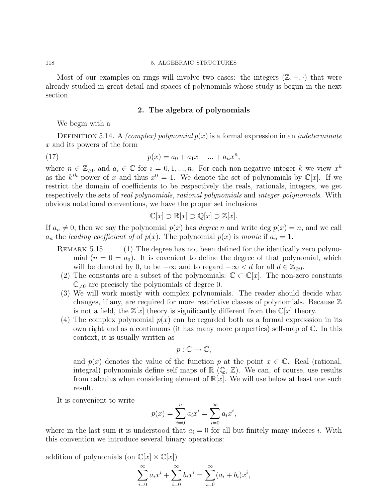### 118 5. ALGEBRAIC STRUCTURES

Most of our examples on rings will involve two cases: the integers  $(\mathbb{Z}, +, \cdot)$  that were already studied in great detail and spaces of polynomials whose study is begun in the next section.

## 2. The algebra of polynomials

We begin with a

DEFINITION 5.14. A *(complex) polynomial*  $p(x)$  is a formal expression in an *indeterminate* x and its powers of the form

(17) 
$$
p(x) = a_0 + a_1 x + \dots + a_n x^n,
$$

where  $n \in \mathbb{Z}_{\geq 0}$  and  $a_i \in \mathbb{C}$  for  $i = 0, 1, ..., n$ . For each non-negative integer k we view  $x^k$ as the  $k^{th}$  power of x and thus  $x^0 = 1$ . We denote the set of polynomials by  $\mathbb{C}[x]$ . If we restrict the domain of coefficients to be respectively the reals, rationals, integers, we get respectively the sets of real polynomials, rational polynomials and integer polynomials. With obvious notational conventions, we have the proper set inclusions

$$
\mathbb{C}[x] \supset \mathbb{R}[x] \supset \mathbb{Q}[x] \supset \mathbb{Z}[x].
$$

If  $a_n \neq 0$ , then we say the polynomial  $p(x)$  has *degree n* and write deg  $p(x) = n$ , and we call  $a_n$  the leading coefficient of of  $p(x)$ . The polynomial  $p(x)$  is monic if  $a_n = 1$ .

- REMARK 5.15. (1) The degree has not been defined for the identically zero polynomial  $(n = 0 = a_0)$ . It is covenient to define the degree of that polynomial, which will be denoted by 0, to be  $-\infty$  and to regard  $-\infty < d$  for all  $d \in \mathbb{Z}_{\geq 0}$ .
- (2) The constants are a subset of the polynomials:  $\mathbb{C} \subset \mathbb{C}[x]$ . The non-zero constants  $\mathbb{C}_{\neq 0}$  are precisely the polynomials of degree 0.
- (3) We will work mostly with complex polynomials. The reader should decide what changes, if any, are required for more restrictive classes of polynomials. Because  $\mathbb Z$ is not a field, the  $\mathbb{Z}[x]$  theory is significantly different from the  $\mathbb{C}[x]$  theory.
- (4) The complex polynomial  $p(x)$  can be regarded both as a formal expresssion in its own right and as a continuous (it has many more properties) self-map of C. In this context, it is usually written as

$$
p:\mathbb{C}\to\mathbb{C},
$$

and  $p(x)$  denotes the value of the function p at the point  $x \in \mathbb{C}$ . Real (rational, integral) polynomials define self maps of  $\mathbb{R}$  ( $\mathbb{Q}, \mathbb{Z}$ ). We can, of course, use results from calculus when considering element of  $\mathbb{R}[x]$ . We will use below at least one such result.

It is convenient to write

$$
p(x) = \sum_{i=0}^{n} a_i x^{i} = \sum_{i=0}^{\infty} a_i x^{i},
$$

where in the last sum it is understood that  $a_i = 0$  for all but finitely many indeces i. With this convention we introduce several binary operations:

addition of polynomials (on  $\mathbb{C}[x] \times \mathbb{C}[x]$ )

$$
\sum_{i=0}^{\infty} a_i x^i + \sum_{i=0}^{\infty} b_i x^i = \sum_{i=0}^{\infty} (a_i + b_i) x^i,
$$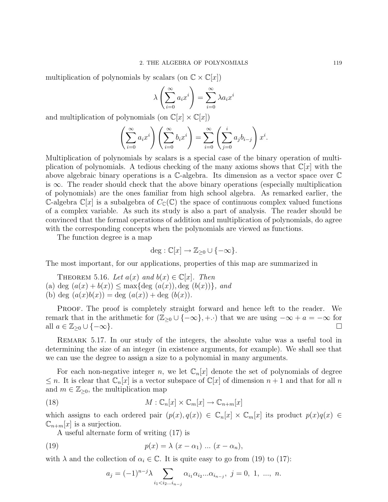multiplication of polynomials by scalars (on  $\mathbb{C} \times \mathbb{C}[x]$ )

$$
\lambda \left( \sum_{i=0}^{\infty} a_i x^i \right) = \sum_{i=0}^{\infty} \lambda a_i x^i
$$

and multiplication of polynomials (on  $\mathbb{C}[x] \times \mathbb{C}[x]$ )

$$
\left(\sum_{i=0}^{\infty} a_i x^i\right) \left(\sum_{i=0}^{\infty} b_i x^i\right) = \sum_{i=0}^{\infty} \left(\sum_{j=0}^i a_j b_{i-j}\right) x^i.
$$

Multiplication of polynomials by scalars is a special case of the binary operation of multiplication of polynomials. A tedious checking of the many axioms shows that  $\mathbb{C}[x]$  with the above algebraic binary operations is a C-algebra. Its dimension as a vector space over C is  $\infty$ . The reader should check that the above binary operations (especially multiplication of polynomials) are the ones familiar from high school algebra. As remarked earlier, the C-algebra  $\mathbb{C}[x]$  is a subalgebra of  $C_{\mathbb{C}}(\mathbb{C})$  the space of continuous complex valued functions of a complex variable. As such its study is also a part of analysis. The reader should be convinced that the formal operations of addition and multiplication of polynomials, do agree with the corresponding concepts when the polynomials are viewed as functions.

The function degree is a map

$$
\deg : \mathbb{C}[x] \to \mathbb{Z}_{\geq 0} \cup \{-\infty\}.
$$

The most important, for our applications, properties of this map are summarized in

THEOREM 5.16. Let  $a(x)$  and  $b(x) \in \mathbb{C}[x]$ . Then (a) deg  $(a(x) + b(x)) \leq \max\{\deg(a(x)), \deg(b(x))\},$  and (b) deg  $(a(x)b(x)) = \deg(a(x)) + \deg(b(x)).$ 

PROOF. The proof is completely straight forward and hence left to the reader. We remark that in the arithmetic for  $(\mathbb{Z}_{\geq 0} \cup \{-\infty\}, +, \cdot)$  that we are using  $-\infty + a = -\infty$  for all  $a \in \mathbb{Z}_{\geq 0} \cup \{-\infty\}.$ all  $a \in \mathbb{Z}_{\geq 0} \cup \{-\infty\}.$ 

Remark 5.17. In our study of the integers, the absolute value was a useful tool in determining the size of an integer (in existence arguments, for example). We shall see that we can use the degree to assign a size to a polynomial in many arguments.

For each non-negative integer n, we let  $\mathbb{C}_n[x]$  denote the set of polynomials of degree  $\leq n$ . It is clear that  $\mathbb{C}_n[x]$  is a vector subspace of  $\mathbb{C}[x]$  of dimension  $n+1$  and that for all n and  $m \in \mathbb{Z}_{\geq 0}$ , the multiplication map

(18) 
$$
M: \mathbb{C}_n[x] \times \mathbb{C}_m[x] \to \mathbb{C}_{n+m}[x]
$$

which assigns to each ordered pair  $(p(x), q(x)) \in \mathbb{C}_n[x] \times \mathbb{C}_m[x]$  its product  $p(x)q(x) \in$  $\mathbb{C}_{n+m}[x]$  is a surjection.

A useful alternate form of writing (17) is

(19) 
$$
p(x) = \lambda (x - \alpha_1) \dots (x - \alpha_n),
$$

with  $\lambda$  and the collection of  $\alpha_i \in \mathbb{C}$ . It is quite easy to go from (19) to (17):

$$
a_j = (-1)^{n-j} \lambda \sum_{i_1 < i_2 \dots i_{n-j}} \alpha_{i_1} \alpha_{i_2} \dots \alpha_{i_{n-j}}, \ j = 0, 1, \dots, n.
$$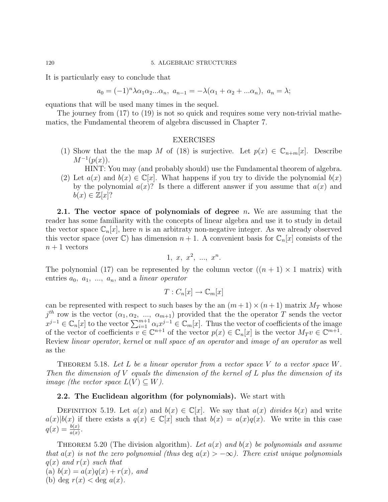#### 120 5. ALGEBRAIC STRUCTURES

It is particularly easy to conclude that

$$
a_0 = (-1)^n \lambda \alpha_1 \alpha_2 \dots \alpha_n, \ a_{n-1} = -\lambda(\alpha_1 + \alpha_2 + \dots + \alpha_n), \ a_n = \lambda;
$$

equations that will be used many times in the sequel.

The journey from (17) to (19) is not so quick and requires some very non-trivial mathematics, the Fundamental theorem of algebra discussed in Chapter 7.

## EXERCISES

(1) Show that the the map M of (18) is surjective. Let  $p(x) \in \mathbb{C}_{n+m}[x]$ . Describe  $M^{-1}(p(x)).$ 

HINT: You may (and probably should) use the Fundamental theorem of algebra.

(2) Let  $a(x)$  and  $b(x) \in \mathbb{C}[x]$ . What happens if you try to divide the polynomial  $b(x)$ by the polynomial  $a(x)$ ? Is there a different answer if you assume that  $a(x)$  and  $b(x) \in \mathbb{Z}[x]$ ?

2.1. The vector space of polynomials of degree  $n$ . We are assuming that the reader has some familiarity with the concepts of linear algebra and use it to study in detail the vector space  $\mathbb{C}_n[x]$ , here *n* is an arbitraty non-negative integer. As we already observed this vector space (over  $\mathbb{C}$ ) has dimension  $n+1$ . A convenient basis for  $\mathbb{C}_n[x]$  consists of the  $n+1$  vectors

$$
1, x, x^2, \ldots, x^n.
$$

The polynomial (17) can be represented by the column vector  $((n + 1) \times 1$  matrix) with entries  $a_0, a_1, ..., a_n$ , and a *linear operator* 

$$
T: C_n[x] \to \mathbb{C}_m[x]
$$

can be represented with respect to such bases by the an  $(m+1) \times (n+1)$  matrix  $M_T$  whose  $j<sup>th</sup>$  row is the vector  $(\alpha_1, \alpha_2, ..., \alpha_{m+1})$  provided that the the operator T sends the vector  $x^{j-1} \in \mathbb{C}_n[x]$  to the vector  $\sum_{i=1}^{m+1} \alpha_i x^{j-1} \in \mathbb{C}_m[x]$ . Thus the vector of coefficients of the image of the vector of coefficients  $v \in \mathbb{C}^{n+1}$  of the vector  $p(x) \in \mathbb{C}_n[x]$  is the vector  $M_T v \in \mathbb{C}^{m+1}$ . Review linear operator, kernel or null space of an operator and image of an operator as well as the

THEOREM 5.18. Let  $L$  be a linear operator from a vector space  $V$  to a vector space  $W$ . Then the dimension of V equals the dimension of the kernel of  $L$  plus the dimension of its image (the vector space  $L(V) \subseteq W$ ).

# 2.2. The Euclidean algorithm (for polynomials). We start with

DEFINITION 5.19. Let  $a(x)$  and  $b(x) \in \mathbb{C}[x]$ . We say that  $a(x)$  divides  $b(x)$  and write  $a(x)|b(x)$  if there exists a  $q(x) \in \mathbb{C}[x]$  such that  $b(x) = a(x)q(x)$ . We write in this case  $q(x) = \frac{b(x)}{a(x)}$  $\frac{b(x)}{a(x)}$ .

THEOREM 5.20 (The division algorithm). Let  $a(x)$  and  $b(x)$  be polynomials and assume that  $a(x)$  is not the zero polynomial (thus deg  $a(x) > -\infty$ ). There exist unique polynomials  $q(x)$  and  $r(x)$  such that (a)  $b(x) = a(x)q(x) + r(x)$ , and (b) deg  $r(x) <$  deg  $a(x)$ .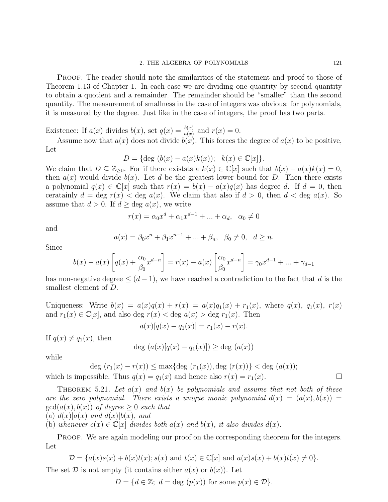PROOF. The reader should note the similarities of the statement and proof to those of Theorem 1.13 of Chapter 1. In each case we are dividing one quantity by second quantity to obtain a quotient and a remainder. The remainder should be "smaller" than the second quantity. The measurement of smallness in the case of integers was obvious; for polynomials, it is measured by the degree. Just like in the case of integers, the proof has two parts.

Existence: If  $a(x)$  divides  $b(x)$ , set  $q(x) = \frac{b(x)}{a(x)}$  $\frac{a(x)}{a(x)}$  and  $r(x) = 0$ .

Assume now that  $a(x)$  does not divide  $b(x)$ . This forces the degree of  $a(x)$  to be positive, Let

$$
D = \{ \deg (b(x) - a(x)k(x)); k(x) \in \mathbb{C}[x] \}.
$$

We claim that  $D \subseteq \mathbb{Z}_{\geq 0}$ . For if there exists a  $k(x) \in \mathbb{C}[x]$  such that  $b(x) - a(x)k(x) = 0$ , then  $a(x)$  would divide  $b(x)$ . Let d be the greatest lower bound for D. Then there exists a polynomial  $q(x) \in \mathbb{C}[x]$  such that  $r(x) = b(x) - a(x)q(x)$  has degree d. If  $d = 0$ , then ceratainly  $d = \deg r(x) < \deg a(x)$ . We claim that also if  $d > 0$ , then  $d < \deg a(x)$ . So assume that  $d > 0$ . If  $d \ge \text{deg } a(x)$ , we write

$$
r(x) = \alpha_0 x^d + \alpha_1 x^{d-1} + \dots + \alpha_d, \ \alpha_0 \neq 0
$$

and

$$
a(x) = \beta_0 x^n + \beta_1 x^{n-1} + ... + \beta_n, \ \beta_0 \neq 0, \ d \geq n.
$$

Since

$$
b(x) - a(x)\left[q(x) + \frac{\alpha_0}{\beta_0}x^{d-n}\right] = r(x) - a(x)\left[\frac{\alpha_0}{\beta_0}x^{d-n}\right] = \gamma_0 x^{d-1} + \dots + \gamma_{d-1}
$$

has non-negative degree  $\leq (d-1)$ , we have reached a contradiction to the fact that d is the smallest element of D.

Uniqueness: Write  $b(x) = a(x)q(x) + r(x) = a(x)q_1(x) + r_1(x)$ , where  $q(x)$ ,  $q_1(x)$ ,  $r(x)$ and  $r_1(x) \in \mathbb{C}[x]$ , and also deg  $r(x) <$  deg  $a(x) >$  deg  $r_1(x)$ . Then

$$
a(x)[q(x) - q_1(x)] = r_1(x) - r(x).
$$

If  $q(x) \neq q_1(x)$ , then

$$
\deg (a(x)[q(x) - q_1(x)]) \geq \deg (a(x))
$$

while

$$
\deg (r_1(x) - r(x)) \le \max\{\deg (r_1(x)), \deg (r(x))\} < \deg (a(x));
$$
\nwith a Type  $c(x) = c(x)$  and hence also  $c(x) = c(x)$ .

which is impossible. Thus  $q(x) = q_1(x)$  and hence also  $r(x) = r_1(x)$ .

THEOREM 5.21. Let  $a(x)$  and  $b(x)$  be polynomials and assume that not both of these are the zero polynomial. There exists a unique monic polynomial  $d(x) = (a(x), b(x)) =$  $gcd(a(x), b(x))$  of degree  $\geq 0$  such that (a)  $d(x)|a(x)$  and  $d(x)|b(x)$ , and

(b) whenever  $c(x) \in \mathbb{C}[x]$  divides both  $a(x)$  and  $b(x)$ , it also divides  $d(x)$ .

PROOF. We are again modeling our proof on the corresponding theorem for the integers. Let

$$
\mathcal{D} = \{a(x)s(x) + b(x)t(x); s(x) \text{ and } t(x) \in \mathbb{C}[x] \text{ and } a(x)s(x) + b(x)t(x) \neq 0\}.
$$

The set  $\mathcal D$  is not empty (it contains either  $a(x)$  or  $b(x)$ ). Let

$$
D = \{ d \in \mathbb{Z}; \ d = \text{deg } (p(x)) \text{ for some } p(x) \in \mathcal{D} \}.
$$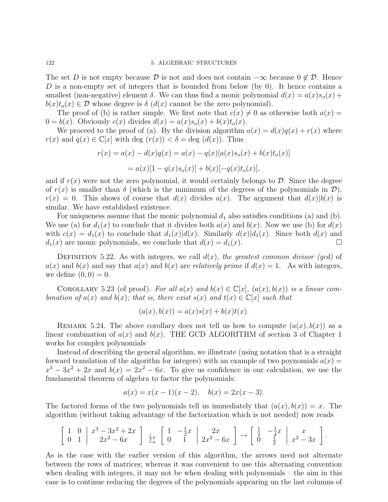#### 122 5. ALGEBRAIC STRUCTURES

The set D is not empty because D is not and does not contain  $-\infty$  because  $0 \notin \mathcal{D}$ . Hence D is a non-empty set of integers that is bounded from below (by 0). It hence contains a smallest (non-negative) element  $\delta$ . We can thus find a monic polynomial  $d(x) = a(x) s_o(x) +$  $b(x)t_o(x) \in \mathcal{D}$  whose degree is  $\delta(d(x))$  cannot be the zero polynomial).

The proof of (b) is rather simple. We first note that  $c(x) \neq 0$  as otherwise both  $a(x) =$  $0 = b(x)$ . Obviously  $c(x)$  divides  $d(x) = a(x)s_o(x) + b(x)t_o(x)$ .

We proceed to the proof of (a). By the division algorithm  $a(x) = d(x)q(x) + r(x)$  where  $r(x)$  and  $q(x) \in \mathbb{C}[x]$  with deg  $(r(x)) < \delta = \deg(d(x))$ . Thus

$$
r(x) = a(x) - d(x)q(x) = a(x) - q(x)[a(x)s_o(x) + b(x)t_o(x)]
$$
  
=  $a(x)[1 - q(x)s_o(x)] + b(x)[-q(x)t_o(x)],$ 

and if  $r(x)$  were not the zero polynomial, it would certainly belongs to  $\mathcal{D}$ . Since the degree of  $r(x)$  is smaller than  $\delta$  (which is the minimum of the degrees of the polynomials in  $\mathcal{D}$ ),  $r(x) = 0$ . This shows of course that  $d(x)$  divides  $a(x)$ . The argument that  $d(x)|b(x)$  is similar. We have established existence.

For uniqueness assume that the monic polynomial  $d_1$  also satisfies conditions (a) and (b). We use (a) for  $d_1(x)$  to conclude that it divides both  $a(x)$  and  $b(x)$ . Now we use (b) for  $d(x)$ with  $c(x) = d_1(x)$  to conclude that  $d_1(x)|d(x)$ . Similarly  $d(x)|d_1(x)$ . Since both  $d(x)$  and  $d_1(x)$  are monic polynomials, we conclude that  $d(x) = d_1(x)$ .  $d_1(x)$  are monic polynomials, we conclude that  $d(x) = d_1(x)$ .

DEFINITION 5.22. As with integers, we call  $d(x)$ , the greatest common divisor (gcd) of  $a(x)$  and  $b(x)$  and say that  $a(x)$  and  $b(x)$  are relatively prime if  $d(x) = 1$ . As with integers, we define  $(0, 0) = 0$ .

COROLLARY 5.23 (of proof). For all  $a(x)$  and  $b(x) \in \mathbb{C}[x]$ ,  $(a(x), b(x))$  is a linear combination of  $a(x)$  and  $b(x)$ ; that is, there exist  $s(x)$  and  $t(x) \in \mathbb{C}[x]$  such that

$$
(a(x), b(x)) = a(x)s(x) + b(x)t(x).
$$

REMARK 5.24. The above corollary does not tell us how to compute  $(a(x), b(x))$  as a linear combination of  $a(x)$  and  $b(x)$ . THE GCD ALGORITHM of section 3 of Chapter 1 works for complex polynomials

Instead of describing the general algorithm, we illustrate (using notation that is a straight forward translation of the algorithn for integers) with an example of two poynomials  $a(x) =$  $x^3 - 3x^2 + 2x$  and  $b(x) = 2x^2 - 6x$ . To give us confidence in our calculation, we use the fundamental theorem of algebra to factor the polynomials:

$$
a(x) = x(x - 1)(x - 2), \quad b(x) = 2x(x - 3).
$$

The factored forms of the two polynomials tell us immediately that  $(a(x), b(x)) = x$ . The algorithm (without taking advantage of the factorization which is not needed) now reads

$$
\left[\begin{array}{cc|c} 1 & 0 & x^3 - 3x^2 + 2x \\ 0 & 1 & 2x^2 - 6x \end{array}\right] \xrightarrow{\frac{1}{2}x} \left[\begin{array}{cc|c} 1 & -\frac{1}{2}x & 2x \\ 0 & 1 & 2x^2 - 6x \end{array}\right] \xrightarrow{\frac{1}{2}x} \left[\begin{array}{cc|c} \frac{1}{2} & -\frac{1}{4}x & x \\ 0 & \frac{1}{2} & x^2 - 3x \end{array}\right].
$$

As is the case with the earlier version of this algorithm, the arrows need not alternate between the rows of matrices; whereas it was convenient to use this alternating convention when dealing with integers, it may not be when dealing with polynomials – the aim in this case is to continue reducing the degrees of the polynomials appearing un the last columns of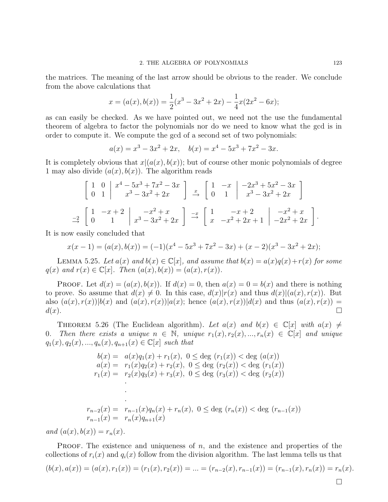the matrices. The meaning of the last arrow should be obvious to the reader. We conclude from the above calculations that

$$
x = (a(x), b(x)) = \frac{1}{2}(x^3 - 3x^2 + 2x) - \frac{1}{4}x(2x^2 - 6x);
$$

as can easily be checked. As we have pointed out, we need not the use the fundamental theorem of algebra to factor the polynomials nor do we need to know what the gcd is in order to compute it. We compute the gcd of a second set of two polynomials:

$$
a(x) = x^3 - 3x^2 + 2x, \quad b(x) = x^4 - 5x^3 + 7x^2 - 3x.
$$

It is completely obvious that  $x|(a(x), b(x))$ ; but of course other monic polynomials of degree 1 may also divide  $(a(x), b(x))$ . The algorithm reads

$$
\begin{bmatrix} 1 & 0 \ 0 & 1 \end{bmatrix} \begin{bmatrix} x^4 - 5x^3 + 7x^2 - 3x \\ x^3 - 3x^2 + 2x \end{bmatrix} \xrightarrow{x} \begin{bmatrix} 1 & -x \ 0 & 1 \end{bmatrix} \begin{bmatrix} -2x^3 + 5x^2 - 3x \\ x^3 - 3x^2 + 2x \end{bmatrix}
$$
  
\n
$$
\xrightarrow{-2} \begin{bmatrix} 1 & -x + 2 \\ 0 & 1 \end{bmatrix} \begin{bmatrix} -x^2 + x \\ x^3 - 3x^2 + 2x \end{bmatrix} \xrightarrow{-x} \begin{bmatrix} 1 & -x + 2 \\ x & -x^2 + 2x + 1 \end{bmatrix} \begin{bmatrix} -x^2 + x \\ -2x^2 + 2x \end{bmatrix}.
$$

It is now easily concluded that

$$
x(x-1) = (a(x), b(x)) = (-1)(x4 – 5x3 + 7x2 – 3x) + (x - 2)(x3 – 3x2 + 2x);
$$

LEMMA 5.25. Let  $a(x)$  and  $b(x) \in \mathbb{C}[x]$ , and assume that  $b(x) = a(x)q(x) + r(x)$  for some  $q(x)$  and  $r(x) \in \mathbb{C}[x]$ . Then  $(a(x), b(x)) = (a(x), r(x))$ .

**PROOF.** Let  $d(x) = (a(x), b(x))$ . If  $d(x) = 0$ , then  $a(x) = 0 = b(x)$  and there is nothing to prove. So assume that  $d(x) \neq 0$ . In this case,  $d(x)|r(x)$  and thus  $d(x)|(a(x), r(x))$ . But also  $(a(x), r(x))|b(x)$  and  $(a(x), r(x))|a(x)$ ; hence  $(a(x), r(x))|d(x)$  and thus  $(a(x), r(x)) = d(x)$ .  $d(x)$ .

THEOREM 5.26 (The Euclidean algorithm). Let  $a(x)$  and  $b(x) \in \mathbb{C}[x]$  with  $a(x) \neq$ 0. Then there exists a unique  $n \in \mathbb{N}$ , unique  $r_1(x), r_2(x), ..., r_n(x) \in \mathbb{C}[x]$  and unique  $q_1(x), q_2(x), ..., q_n(x), q_{n+1}(x) \in \mathbb{C}[x]$  such that

$$
b(x) = a(x)q_1(x) + r_1(x), \ 0 \le \deg (r_1(x)) < \deg (a(x))
$$
  
\n
$$
a(x) = r_1(x)q_2(x) + r_2(x), \ 0 \le \deg (r_2(x)) < \deg (r_1(x))
$$
  
\n
$$
r_1(x) = r_2(x)q_3(x) + r_3(x), \ 0 \le \deg (r_3(x)) < \deg (r_2(x))
$$
  
\n
$$
\vdots
$$
  
\n
$$
r_{n-2}(x) = r_{n-1}(x)q_n(x) + r_n(x), \ 0 \le \deg (r_n(x)) < \deg (r_{n-1}(x))
$$
  
\n
$$
r_{n-1}(x) = r_n(x)q_{n+1}(x)
$$

and  $(a(x), b(x)) = r_n(x)$ .

**PROOF.** The existence and uniqueness of  $n$ , and the existence and properties of the collections of  $r_i(x)$  and  $q_i(x)$  follow from the division algorithm. The last lemma tells us that  $(b(x), a(x)) = (a(x), r_1(x)) = (r_1(x), r_2(x)) = ... = (r_{n-2}(x), r_{n-1}(x)) = (r_{n-1}(x), r_n(x)) = r_n(x).$ 

 $\Box$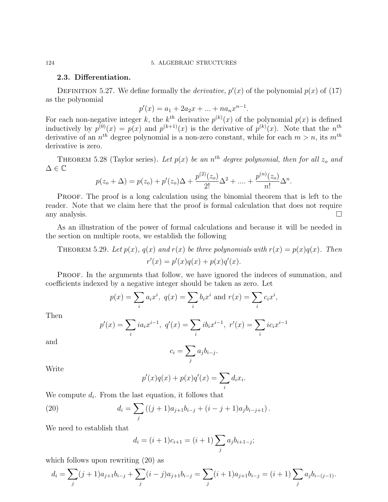## 124 5. ALGEBRAIC STRUCTURES

# 2.3. Differentiation.

DEFINITION 5.27. We define formally the *derivative*,  $p'(x)$  of the polynomial  $p(x)$  of (17) as the polynomial

$$
p'(x) = a_1 + 2a_2x + \dots + na_n x^{n-1}.
$$

For each non-negative integer k, the  $k^{th}$  derivative  $p^{(k)}(x)$  of the polynomial  $p(x)$  is defined inductively by  $p^{(0)}(x) = p(x)$  and  $p^{(k+1)}(x)$  is the derivative of  $p^{(k)}(x)$ . Note that the  $n^{th}$ derivative of an  $n^{th}$  degree polynomial is a non-zero constant, while for each  $m > n$ , its  $m^{th}$ derivative is zero.

THEOREM 5.28 (Taylor series). Let  $p(x)$  be an n<sup>th</sup> degree polynonial, then for all  $z_o$  and  $\Delta \in \mathbb{C}$ 

$$
p(z_o + \Delta) = p(z_o) + p'(z_o)\Delta + \frac{p^{(2)}(z_o)}{2!}\Delta^2 + \dots + \frac{p^{(n)}(z_o)}{n!}\Delta^n.
$$

PROOF. The proof is a long calculation using the binomial theorem that is left to the reader. Note that we claim here that the proof is formal calculation that does not require any analysis.  $\square$ 

As an illustration of the power of formal calculations and because it will be needed in the section on multiple roots, we establish the following

THEOREM 5.29. Let 
$$
p(x)
$$
,  $q(x)$  and  $r(x)$  be three polynomials with  $r(x) = p(x)q(x)$ . Then  
\n
$$
r'(x) = p'(x)q(x) + p(x)q'(x).
$$

PROOF. In the arguments that follow, we have ignored the indeces of summation, and coefficients indexed by a negative integer should be taken as zero. Let

$$
p(x) = \sum_{i} a_i x^i
$$
,  $q(x) = \sum_{i} b_i x^i$  and  $r(x) = \sum_{i} c_i x^i$ ,

Then

$$
p'(x) = \sum_{i} i a_i x^{i-1}, \ q'(x) = \sum_{i} i b_i x^{i-1}, \ r'(x) = \sum_{i} i c_i x^{i-1}
$$

and

$$
c_i = \sum_j a_j b_{i-j}.
$$

Write

$$
p'(x)q(x) + p(x)q'(x) = \sum_i d_i x_i.
$$

We compute  $d_i$ . From the last equation, it follows that

(20) 
$$
d_i = \sum_j ((j+1)a_{j+1}b_{i-j} + (i-j+1)a_j b_{i-j+1}).
$$

We need to establish that

$$
d_i = (i+1)c_{i+1} = (i+1)\sum_j a_j b_{i+1-j};
$$

which follows upon rewriting  $(20)$  as

$$
d_i = \sum_j (j+1)a_{j+1}b_{i-j} + \sum_j (i-j)a_{j+1}b_{i-j} = \sum_j (i+1)a_{j+1}b_{i-j} = (i+1)\sum_j a_jb_{i-(j-1)}.
$$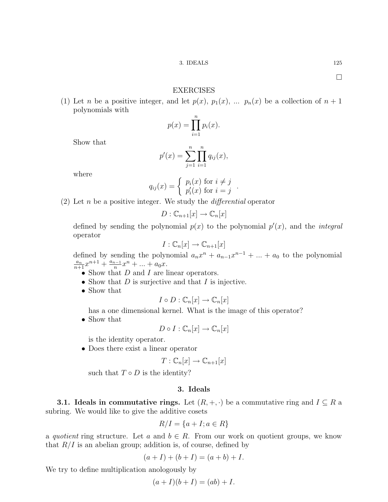$\Box$ 

# EXERCISES

(1) Let *n* be a positive integer, and let  $p(x)$ ,  $p_1(x)$ , ...  $p_n(x)$  be a collection of  $n+1$ polynomials with

$$
p(x) = \prod_{i=1}^{n} p_i(x).
$$

Show that

$$
p'(x) = \sum_{j=1}^{n} \prod_{i=1}^{n} q_{ij}(x),
$$

where

$$
q_{ij}(x) = \begin{cases} p_i(x) \text{ for } i \neq j \\ p'_i(x) \text{ for } i = j \end{cases}.
$$

(2) Let n be a positive integer. We study the *differential* operator

$$
D: \mathbb{C}_{n+1}[x] \to \mathbb{C}_n[x]
$$

defined by sending the polynomial  $p(x)$  to the polynomial  $p'(x)$ , and the *integral* operator

$$
I: \mathbb{C}_n[x] \to \mathbb{C}_{n+1}[x]
$$

defined by sending the polynomial  $a_n x^n + a_{n-1} x^{n-1} + \dots + a_0$  to the polynomial  $\frac{a_n}{n+1}x^{n+1} + \frac{a_{n-1}}{n}$  $\frac{n-1}{n}x^n + \dots + a_0x.$ 

- Show that  $D$  and  $I$  are linear operators.
- Show that  $D$  is surjective and that  $I$  is injective.
- Show that

$$
I \circ D : \mathbb{C}_n[x] \to \mathbb{C}_n[x]
$$

has a one dimensional kernel. What is the image of this operator?

• Show that

$$
D \circ I : \mathbb{C}_n[x] \to \mathbb{C}_n[x]
$$

is the identity operator.

• Does there exist a linear operator

$$
T: \mathbb{C}_n[x] \to \mathbb{C}_{n+1}[x]
$$

such that  $T \circ D$  is the identity?

#### 3. Ideals

**3.1. Ideals in commutative rings.** Let  $(R, +, \cdot)$  be a commutative ring and  $I \subseteq R$  a subring. We would like to give the additive cosets

$$
R/I = \{a + I; a \in R\}
$$

a quotient ring structure. Let a and  $b \in R$ . From our work on quotient groups, we know that  $R/I$  is an abelian group; addition is, of course, defined by

$$
(a+I) + (b+I) = (a+b) + I.
$$

We try to define multiplication anologously by

$$
(a+I)(b+I) = (ab) + I
$$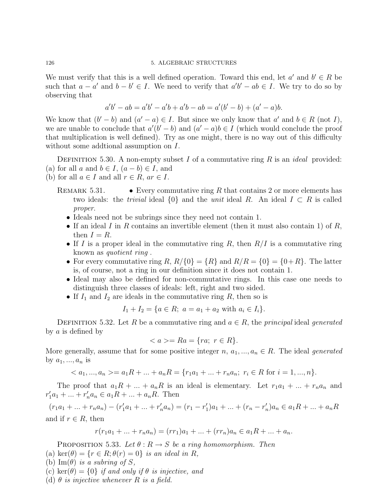#### 126 5. ALGEBRAIC STRUCTURES

We must verify that this is a well defined operation. Toward this end, let  $a'$  and  $b' \in R$  be such that  $a - a'$  and  $b - b' \in I$ . We need to verify that  $a'b' - ab \in I$ . We try to do so by observing that

$$
a'b' - ab = a'b' - a'b + a'b - ab = a'(b' - b) + (a' - a)b.
$$

We know that  $(b'-b)$  and  $(a'-a) \in I$ . But since we only know that  $a'$  and  $b \in R$  (not I), we are unable to conclude that  $a'(b'-b)$  and  $(a'-a)b \in I$  (which would conclude the proof that multiplication is well defined). Try as one might, there is no way out of this difficulty without some addtional assumption on I.

DEFINITION 5.30. A non-empty subset I of a commutative ring R is an *ideal* provided: (a) for all a and  $b \in I$ ,  $(a - b) \in I$ , and

- (b) for all  $a \in I$  and all  $r \in R$ ,  $ar \in I$ .
	- REMARK 5.31. Every commutative ring R that contains 2 or more elements has two ideals: the *trivial* ideal  $\{0\}$  and the *unit* ideal R. An ideal  $I \subset R$  is called proper.
		- Ideals need not be subrings since they need not contain 1.
		- If an ideal I in R contains an invertible element (then it must also contain 1) of R, then  $I = R$ .
		- If I is a proper ideal in the commutative ring  $R$ , then  $R/I$  is a commutative ring known as quotient ring .
		- For every commutative ring  $R, R/\{0\} = \{R\}$  and  $R/R = \{0\} = \{0+R\}$ . The latter is, of course, not a ring in our definition since it does not contain 1.
		- Ideal may also be defined for non-commutative rings. In this case one needs to distinguish three classes of ideals: left, right and two sided.
		- If  $I_1$  and  $I_2$  are ideals in the commutative ring  $R$ , then so is

$$
I_1 + I_2 = \{ a \in R; \ a = a_1 + a_2 \text{ with } a_i \in I_i \}.
$$

DEFINITION 5.32. Let R be a commutative ring and  $a \in R$ , the principal ideal generated by  $a$  is defined by

$$
\langle a \rangle = Ra = \{ra; \ r \in R\}.
$$

More generally, assume that for some positive integer  $n, a_1, ..., a_n \in R$ . The ideal generated by  $a_1, \ldots, a_n$  is

$$
\langle a_1, ..., a_n \rangle = a_1 R + ... + a_n R = \{ r_1 a_1 + ... + r_n a_n ; r_i \in R \text{ for } i = 1, ..., n \}.
$$

The proof that  $a_1R + ... + a_nR$  is an ideal is elementary. Let  $r_1a_1 + ... + r_na_n$  and  $r'_1a_1 + \dots + r'_na_n \in a_1R + \dots + a_nR$ . Then

 $(r_1a_1 + ... + r_na_n) - (r'_1a_1 + ... + r'_na_n) = (r_1 - r'_1)a_1 + ... + (r_n - r'_n)a_n \in a_1R + ... + a_nR$ and if  $r \in R$ , then

$$
r(r_1a_1 + ... + r_na_n) = (rr_1)a_1 + ... + (rr_n)a_n \in a_1R + ... + a_n.
$$

PROPOSITION 5.33. Let  $\theta : R \to S$  be a ring homomorphism. Then (a) ker( $\theta$ ) = { $r \in R$ ;  $\theta(r) = 0$ } is an ideal in R, (b) Im( $\theta$ ) is a subring of S, (c) ker( $\theta$ ) = {0} if and only if  $\theta$  is injective, and

(d)  $\theta$  is injective whenever R is a field.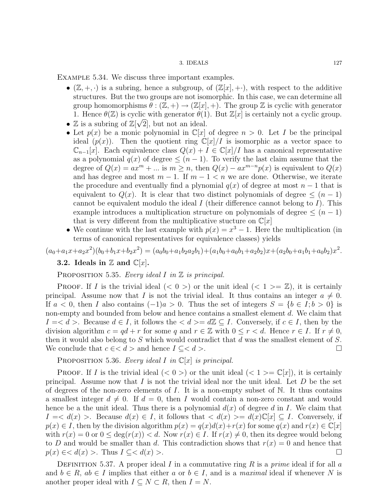EXAMPLE 5.34. We discuss three important examples.

- $(\mathbb{Z}, +, \cdot)$  is a subring, hence a subgroup, of  $(\mathbb{Z}[x], +\cdot)$ , with respect to the additive structures. But the two groups are not isomorphic. In this case, we can determine all group homomorphisms  $\theta : (\mathbb{Z}, +) \to (\mathbb{Z}[x], +)$ . The group  $\mathbb Z$  is cyclic with generator 1. Hence  $\theta(\mathbb{Z})$  is cyclic with generator  $\theta(1)$ . But  $\mathbb{Z}[x]$  is certainly not a cyclic group.
- Z is a subring of  $\mathbb{Z}[\sqrt{2}]$ , but not an ideal.
- Let  $p(x)$  be a monic polynomial in  $\mathbb{C}[x]$  of degree  $n > 0$ . Let I be the principal ideal  $(p(x))$ . Then the quotient ring  $\mathbb{C}[x]/I$  is isomorphic as a vector space to  $\mathbb{C}_{n-1}[x]$ . Each equivalence class  $Q(x) + I \in \mathbb{C}[x]/I$  has a canonical representative as a polynomial  $q(x)$  of degree  $\leq (n-1)$ . To verify the last claim assume that the degree of  $Q(x) = ax^m + ...$  is  $m > n$ , then  $Q(x) - ax^{m-n}p(x)$  is equivalent to  $Q(x)$ and has degree and most  $m-1$ . If  $m-1 < n$  we are done. Otherwise, we iterate the procedure and eventually find a plynomial  $q(x)$  of degree at most  $n-1$  that is equivalent to  $Q(x)$ . It is clear that two distinct polynomials of degree  $\leq (n-1)$ cannot be equivalent modulo the ideal  $I$  (their difference cannot belong to  $I$ ). This example introduces a multiplication structure on polynomials of degree  $\leq (n-1)$ that is very different from the multiplicative stucture on  $\mathbb{C}[x]$
- We continue with the last example with  $p(x) = x^3 1$ . Here the multiplication (in terms of canonical representatives for equivalence classes) yields

 $(a_0 + a_1x + a_2x^2)(b_0 + b_1x + b_2x^2) = (a_0b_0 + a_1b_2a_2b_1) + (a_1b_0 + a_0b_1 + a_2b_2)x + (a_2b_0 + a_1b_1 + a_0b_2)x^2.$ 

3.2. Ideals in  $\mathbb Z$  and  $\mathbb C[x]$ .

PROPOSITION 5.35. Every ideal I in  $\mathbb Z$  is principal.

**PROOF.** If I is the trivial ideal  $(< 0 >)$  or the unit ideal  $(< 1 > = \mathbb{Z}$ ), it is certainly principal. Assume now that I is not the trivial ideal. It thus contains an integer  $a \neq 0$ . If  $a < 0$ , then I also contains  $(-1)a > 0$ . Thus the set of integers  $S = \{b \in I; b > 0\}$  is non-empty and bounded from below and hence contains a smallest element d. We claim that  $I = \langle d \rangle$ . Because  $d \in I$ , it follows the  $\langle d \rangle = d\mathbb{Z} \subseteq I$ . Conversely, if  $c \in I$ , then by the division algorithm  $c = qd + r$  for some q and  $r \in \mathbb{Z}$  with  $0 \leq r < d$ . Hence  $r \in I$ . If  $r \neq 0$ , then it would also belong to S which would contradict that d was the smallest element of S. We conclude that  $c \in \leq d >$  and hence  $I \subseteq \leq d >$ .

PROPOSITION 5.36. Every ideal I in  $\mathbb{C}[x]$  is principal.

**PROOF.** If I is the trivial ideal  $(< 0 >)$  or the unit ideal  $(< 1 > = \mathbb{C}[x])$ , it is certainly principal. Assume now that  $I$  is not the trivial ideal nor the unit ideal. Let  $D$  be the set of degrees of the non-zero elements of  $I$ . It is a non-empty subset of  $N$ . It thus contains a smallest integer  $d \neq 0$ . If  $d = 0$ , then I would contain a non-zero constant and would hence be a the unit ideal. Thus there is a polynomial  $d(x)$  of degree d in I. We claim that  $I = \langle d(x) \rangle$ . Because  $d(x) \in I$ , it follows that  $\langle d(x) \rangle = d(x) \mathbb{C}[x] \subseteq I$ . Conversely, if  $p(x) \in I$ , then by the division algorithm  $p(x) = q(x)d(x)+r(x)$  for some  $q(x)$  and  $r(x) \in \mathbb{C}[x]$ with  $r(x) = 0$  or  $0 \le \deg(r(x)) < d$ . Now  $r(x) \in I$ . If  $r(x) \ne 0$ , then its degree would belong to D and would be smaller than d. This contradiction shows that  $r(x) = 0$  and hence that  $p(x) \in \langle d(x) \rangle$ . Thus  $I \subseteq \langle d(x) \rangle$ .

DEFINITION 5.37. A proper ideal I in a commutative ring R is a prime ideal if for all a and  $b \in R$ ,  $ab \in I$  implies that either a or  $b \in I$ , and is a maximal ideal if whenever N is another proper ideal with  $I \subseteq N \subset R$ , then  $I = N$ .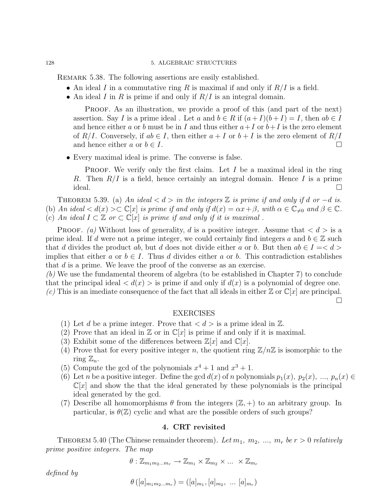REMARK 5.38. The following assertions are easily established.

- An ideal I in a commutative ring R is maximal if and only if  $R/I$  is a field.
- An ideal I in R is prime if and only if  $R/I$  is an integral domain.

Proof. As an illustration, we provide a proof of this (and part of the next) assertion. Say I is a prime ideal. Let a and  $b \in R$  if  $(a+I)(b+I) = I$ , then  $ab \in I$ and hence either a or b must be in I and thus either  $a+I$  or  $b+I$  is the zero element of  $R/I$ . Conversely, if  $ab \in I$ , then either  $a + I$  or  $b + I$  is the zero element of  $R/I$ <br>and hence either  $a$  or  $b \in I$ and hence either a or  $b \in I$ .

• Every maximal ideal is prime. The converse is false.

**PROOF.** We verify only the first claim. Let  $I$  be a maximal ideal in the ring R. Then  $R/I$  is a field, hence certainly an integral domain. Hence I is a prime ideal. □

THEOREM 5.39. (a) An ideal  $d > in$  the integers Z is prime if and only if d or  $-d$  is. (b) An ideal  $\langle d(x) \rangle \subset \mathbb{C}[x]$  is prime if and only if  $d(x) = \alpha x + \beta$ , with  $\alpha \in \mathbb{C}_{\neq 0}$  and  $\beta \in \mathbb{C}$ . (c) An ideal  $I \subset \mathbb{Z}$  or  $\subset \mathbb{C}[x]$  is prime if and only if it is maximal.

**PROOF.** (a) Without loss of generality, d is a positive integer. Assume that  $\langle d \rangle$  is a prime ideal. If d were not a prime integer, we could certainly find integers a and  $b \in \mathbb{Z}$  such that d divides the product ab, but d does not divide either a or b. But then  $ab \in I = \langle d \rangle$ implies that either a or  $b \in I$ . Thus d divides either a or b. This contradiction establishes that d is a prime. We leave the proof of the converse as an exercise.

(b) We use the fundamental theorem of algebra (to be established in Chapter 7) to conclude that the principal ideal  $\langle d(x) \rangle$  is prime if and only if  $d(x)$  is a polynomial of degree one. (c) This is an imediate consequence of the fact that all ideals in either  $\mathbb{Z}$  or  $\mathbb{C}[x]$  are principal.

 $\Box$ 

## EXERCISES

- (1) Let d be a prime integer. Prove that  $d >$  is a prime ideal in  $\mathbb{Z}$ .
- (2) Prove that an ideal in  $\mathbb{Z}$  or in  $\mathbb{C}[x]$  is prime if and only if it is maximal.
- (3) Exhibit some of the differences between  $\mathbb{Z}[x]$  and  $\mathbb{C}[x]$ .
- (4) Prove that for every positive integer n, the quotient ring  $\mathbb{Z}/n\mathbb{Z}$  is isomorphic to the ring  $\mathbb{Z}_n$ .
- (5) Compute the gcd of the polynomials  $x^4 + 1$  and  $x^3 + 1$ .
- (6) Let n be a positive integer. Define the gcd  $d(x)$  of n polynomials  $p_1(x), p_2(x), ..., p_n(x) \in$  $\mathbb{C}[x]$  and show the that the ideal generated by these polynomials is the principal ideal generated by the gcd.
- (7) Describe all homomorphisms  $\theta$  from the integers  $(\mathbb{Z}, +)$  to an arbitrary group. In particular, is  $\theta(\mathbb{Z})$  cyclic and what are the possible orders of such groups?

# 4. CRT revisited

THEOREM 5.40 (The Chinese remainder theorem). Let  $m_1, m_2, ..., m_r$  be  $r > 0$  relatively prime positive integers. The map

$$
\theta: \mathbb{Z}_{m_1m_2...m_r} \to \mathbb{Z}_{m_1} \times \mathbb{Z}_{m_2} \times ... \times \mathbb{Z}_{m_r}
$$

defined by

$$
\theta\left([a]_{m_1m_2...m_r}\right) = ([a]_{m_1}, [a]_{m_2}, \dots [a]_{m_r})
$$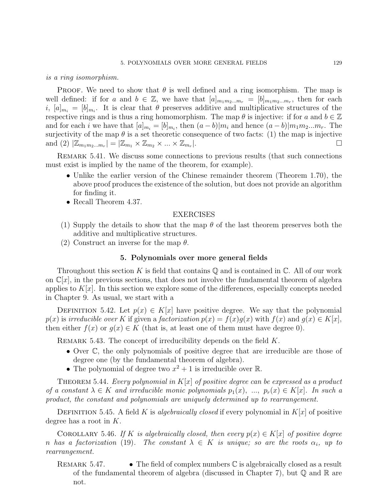is a ring isomorphism.

**PROOF.** We need to show that  $\theta$  is well defined and a ring isomorphism. The map is well defined: if for a and  $b \in \mathbb{Z}$ , we have that  $[a]_{m_1m_2...m_r} = [b]_{m_1m_2...m_r}$ , then for each  $i, [a]_{m_i} = [b]_{m_i}$ . It is clear that  $\theta$  preserves additive and multiplicative structures of the respective rings and is thus a ring homomorphism. The map  $\theta$  is injective: if for a and  $b \in \mathbb{Z}$ and for each *i* we have that  $[a]_{m_i} = [b]_{m_i}$ , then  $(a - b)|m_i$  and hence  $(a - b)|m_1m_2...m_r$ . The surjectivity of the map  $\theta$  is a set theoretic consequence of two facts: (1) the map is injective and (2)  $|\mathbb{Z}_{m_1m_2...m_r}| = |\mathbb{Z}_{m_1} \times \mathbb{Z}_{m_2} \times ... \times \mathbb{Z}_{m_r}$ <sup>|</sup>.

Remark 5.41. We discuss some connections to previous results (that such connections must exist is implied by the name of the theorem, for example).

- Unlike the earlier version of the Chinese remainder theorem (Theorem 1.70), the above proof produces the existence of the solution, but does not provide an algorithm for finding it.
- Recall Theorem 4.37.

## EXERCISES

- (1) Supply the details to show that the map  $\theta$  of the last theorem preserves both the additive and multiplicative structures.
- (2) Construct an inverse for the map  $\theta$ .

# 5. Polynomials over more general fields

Throughout this section K is field that contains  $\mathbb Q$  and is contained in  $\mathbb C$ . All of our work on  $\mathbb{C}[x]$ , in the previous sections, that does not involve the fundamental theorem of algebra applies to  $K[x]$ . In this section we explore some of the differences, especially concepts needed in Chapter 9. As usual, we start with a

DEFINITION 5.42. Let  $p(x) \in K[x]$  have positive degree. We say that the polynomial  $p(x)$  is irreducible over K if given a factorization  $p(x) = f(x)q(x)$  with  $f(x)$  and  $q(x) \in K[x]$ , then either  $f(x)$  or  $g(x) \in K$  (that is, at least one of them must have degree 0).

REMARK 5.43. The concept of irreducibility depends on the field  $K$ .

- Over C, the only polynomials of positive degree that are irreducible are those of degree one (by the fundamental theorem of algebra).
- The polynomial of degree two  $x^2 + 1$  is irreducible over  $\mathbb{R}$ .

THEOREM 5.44. Every polynomial in  $K[x]$  of positive degree can be expressed as a product of a constant  $\lambda \in K$  and irreducible monic polynomials  $p_1(x)$ , ...,  $p_r(x) \in K[x]$ . In such a product, the constant and polynomials are uniquely determined up to rearrangement.

DEFINITION 5.45. A field K is algebraically closed if every polynomial in  $K[x]$  of positive degree has a root in  $K$ .

COROLLARY 5.46. If K is algebraically closed, then every  $p(x) \in K[x]$  of positive degree n has a factorization (19). The constant  $\lambda \in K$  is unique; so are the roots  $\alpha_i$ , up to rearrangement.

REMARK 5.47. • The field of complex numbers  $\mathbb C$  is algebraically closed as a result of the fundamental theorem of algebra (discussed in Chapter 7), but  $\mathbb Q$  and  $\mathbb R$  are not.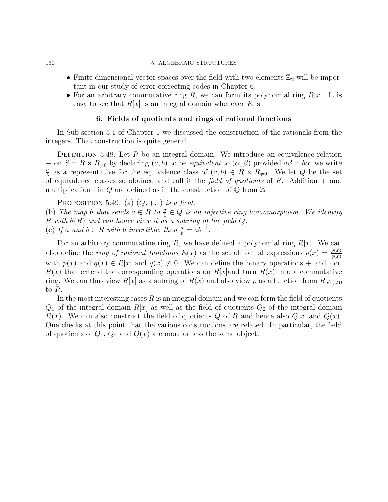#### 130 5. ALGEBRAIC STRUCTURES

- Finite dimensional vector spaces over the field with two elements  $\mathbb{Z}_2$  will be important in our study of error correcting codes in Chapter 6.
- For an arbitrary commutative ring R, we can form its polynomial ring  $R[x]$ . It is easy to see that  $R[x]$  is an integral domain whenever R is.

## 6. Fields of quotients and rings of rational functions

In Sub-section 5.1 of Chapter 1 we discussed the construction of the rationals from the integers. That construction is quite general.

DEFINITION 5.48. Let  $R$  be an integral domain. We introduce an equivalence relation  $\equiv$  on  $S = R \times R_{\neq 0}$  by declaring  $(a, b)$  to be *equivalent* to  $(\alpha, \beta)$  provided  $a\beta = b\alpha$ ; we write a  $\frac{a}{b}$  as a representative for the equivalence class of  $(a, b) \in R \times R_{\neq 0}$ . We let Q be the set of equivalence classes so obained and call it the field of quotients of R. Addition  $+$  and multiplication  $\cdot$  in Q are defined as in the construction of Q from  $\mathbb{Z}$ .

PROPOSITION 5.49. (a)  $(Q, +, \cdot)$  is a field. (b) The map  $\theta$  that sends  $a \in R$  to  $\frac{a}{1} \in Q$  is an injective ring homomorphism. We identify R with  $\theta(R)$  and can hence view it as a subring of the field Q. (c) If a and  $b \in R$  with b invertible, then  $\frac{a}{b} = ab^{-1}$ .

For an arbitrary commutatine ring R, we have defined a polynomial ring  $R[x]$ . We can also define the *ring of rational functions*  $R(x)$  as the set of formal expressions  $\rho(x) = \frac{p(x)}{q(x)}$  $q(x)$ with  $p(x)$  and  $q(x) \in R[x]$  and  $q(x) \neq 0$ . We can define the binary operations + and · on  $R(x)$  that extend the corresponding operations on  $R[x]$  and turn  $R(x)$  into a commutative ring. We can thus view  $R[x]$  as a subring of  $R(x)$  and also view  $\rho$  as a function from  $R_{q(r)\neq0}$ to R.

In the most interesting cases R is an integral domain and we can form the field of quotients  $Q_1$  of the integral domain  $R[x]$  as well as the field of quotients  $Q_2$  of the integral domain  $R(x)$ . We can also construct the field of quotients Q of R and hence also  $Q|x|$  and  $Q(x)$ . One checks at this point that the various constructions are related. In particular, the field of quotients of  $Q_1$ ,  $Q_2$  and  $Q(x)$  are more or less the same object.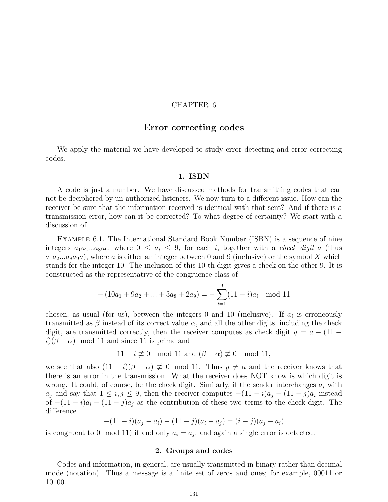# CHAPTER 6

# Error correcting codes

We apply the material we have developed to study error detecting and error correcting codes.

#### 1. ISBN

A code is just a number. We have discussed methods for transmitting codes that can not be deciphered by un-authorized listeners. We now turn to a different issue. How can the receiver be sure that the information received is identical with that sent? And if there is a transmission error, how can it be corrected? To what degree of certainty? We start with a discussion of

Example 6.1. The International Standard Book Number (ISBN) is a sequence of nine integers  $a_1a_2...a_8a_9$ , where  $0 \le a_i \le 9$ , for each i, together with a *check digit a* (thus  $a_1a_2...a_8a_9a$ , where a is either an integer between 0 and 9 (inclusive) or the symbol X which stands for the integer 10. The inclusion of this 10-th digit gives a check on the other 9. It is constructed as the representative of the congruence class of

$$
-(10a_1 + 9a_2 + \dots + 3a_8 + 2a_9) = -\sum_{i=1}^{9} (11-i)a_i \mod 11
$$

chosen, as usual (for us), between the integers 0 and 10 (inclusive). If  $a_i$  is erroneously transmitted as  $\beta$  instead of its correct value  $\alpha$ , and all the other digits, including the check digit, are transmitted correctly, then the receiver computes as check digit  $y = a - (11$  $i)(\beta - \alpha)$  mod 11 and since 11 is prime and

$$
11 - i \not\equiv 0 \mod 11 \text{ and } (\beta - \alpha) \not\equiv 0 \mod 11,
$$

we see that also  $(11 - i)(\beta - \alpha) \neq 0 \mod 11$ . Thus  $y \neq a$  and the receiver knows that there is an error in the transmission. What the receiver does NOT know is which digit is wrong. It could, of course, be the check digit. Similarly, if the sender interchanges  $a_i$  with  $a_j$  and say that  $1 \le i, j \le 9$ , then the receiver computes  $-(11-i)a_j - (11-j)a_i$  instead of  $-(11-i)a_i - (11-j)a_j$  as the contribution of these two terms to the check digit. The difference

$$
-(11-i)(a_j - a_i) - (11 - j)(a_i - a_j) = (i - j)(a_j - a_i)
$$

is congruent to 0 mod 11) if and only  $a_i = a_j$ , and again a single error is detected.

## 2. Groups and codes

Codes and information, in general, are usually transmitted in binary rather than decimal mode (notation). Thus a message is a finite set of zeros and ones; for example, 00011 or 10100.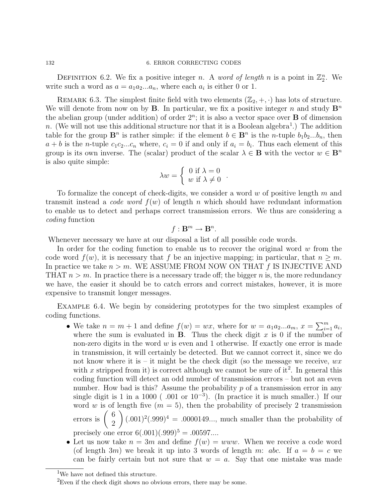DEFINITION 6.2. We fix a positive integer n. A word of length n is a point in  $\mathbb{Z}_2^n$ . We write such a word as  $a = a_1 a_2 ... a_n$ , where each  $a_i$  is either 0 or 1.

REMARK 6.3. The simplest finite field with two elements  $(\mathbb{Z}_2, +, \cdot)$  has lots of structure. We will denote from now on by **B**. In particular, we fix a positive integer n and study  $\mathbf{B}^n$ the abelian group (under addition) of order  $2^n$ ; it is also a vector space over **B** of dimension n. (We will not use this additional structure nor that it is a Boolean algebra<sup>1</sup>.) The addition table for the group  $\mathbf{B}^n$  is rather simple: if the element  $b \in \mathbf{B}^n$  is the *n*-tuple  $b_1b_2...b_n$ , then  $a + b$  is the *n*-tuple  $c_1 c_2 ... c_n$  where,  $c_i = 0$  if and only if  $a_i = b_i$ . Thus each element of this group is its own inverse. The (scalar) product of the scalar  $\lambda \in \mathbf{B}$  with the vector  $w \in \mathbf{B}^n$ is also quite simple:

$$
\lambda w = \begin{cases} 0 \text{ if } \lambda = 0 \\ w \text{ if } \lambda \neq 0 \end{cases}
$$

.

To formalize the concept of check-digits, we consider a word w of positive length  $m$  and transmit instead a *code word*  $f(w)$  of length n which should have redundant information to enable us to detect and perhaps correct transmission errors. We thus are considering a coding function

$$
f:\mathbf{B}^m\to\mathbf{B}^n.
$$

Whenever necessary we have at our disposal a list of all possible code words.

In order for the coding function to enable us to recover the original word  $w$  from the code word  $f(w)$ , it is necessary that f be an injective mapping; in particular, that  $n \geq m$ . In practice we take  $n > m$ . WE ASSUME FROM NOW ON THAT f IS INJECTIVE AND THAT  $n > m$ . In practice there is a necessary trade off; the bigger n is, the more redundancy we have, the easier it should be to catch errors and correct mistakes, however, it is more expensive to transmit longer messages.

EXAMPLE 6.4. We begin by considering prototypes for the two simplest examples of coding functions.

- We take  $n = m + 1$  and define  $f(w) = wx$ , where for  $w = a_1 a_2 ... a_m$ ,  $x = \sum_{i=1}^m a_i$ , where the sum is evaluated in **B**. Thus the check digit  $x$  is 0 if the number of non-zero digits in the word  $w$  is even and 1 otherwise. If exactly one error is made in transmission, it will certainly be detected. But we cannot correct it, since we do not know where it is – it might be the check digit (so the message we receive,  $wx$ with x stripped from it) is correct although we cannot be sure of it<sup>2</sup>. In general this coding function will detect an odd number of transmission errors – but not an even number. How bad is this? Assume the probability  $p$  of a transmission error in any single digit is 1 in a 1000 ( .001 or  $10^{-3}$ ). (In practice it is much smaller.) If our word w is of length five  $(m = 5)$ , then the probability of precisely 2 transmission errors is  $\begin{pmatrix} 6 \\ 2 \end{pmatrix}$ 2  $(0.001)^2(.999)^4 = .0000149...,$  much smaller than the probability of precisely one error  $6(.001)(.999)^5 = .00597...$
- Let us now take  $n = 3m$  and define  $f(w) = www.$  When we receive a code word (of length 3m) we break it up into 3 words of length m: abc. If  $a = b = c$  we can be fairly certain but not sure that  $w = a$ . Say that one mistake was made

<sup>&</sup>lt;sup>1</sup>We have not defined this structure.

<sup>&</sup>lt;sup>2</sup>Even if the check digit shows no obvious errors, there may be some.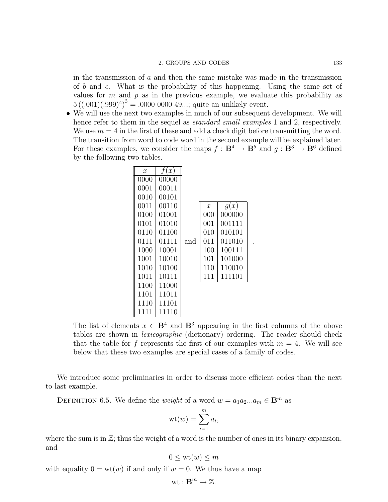in the transmission of a and then the same mistake was made in the transmission of b and c. What is the probability of this happening. Using the same set of values for  $m$  and  $p$  as in the previous example, we evaluate this probability as  $5((.001)(.999)^4)^3 = .0000000049...$ ; quite an unlikely event.

• We will use the next two examples in much of our subsequent development. We will hence refer to them in the sequel as *standard small examples* 1 and 2, respectively. We use  $m = 4$  in the first of these and add a check digit before transmitting the word. The transition from word to code word in the second example will be explained later. For these examples, we consider the maps  $f : \mathbf{B}^4 \to \mathbf{B}^5$  and  $g : \mathbf{B}^3 \to \mathbf{B}^6$  defined by the following two tables.

| $\boldsymbol{x}$ | f(x)  |     |               |        |
|------------------|-------|-----|---------------|--------|
| 0000             | 00000 |     |               |        |
| 0001             | 00011 |     |               |        |
| 0010             | 00101 |     |               |        |
| 0011             | 00110 |     | $\mathcal{X}$ | g(x)   |
| 0100             | 01001 |     | 000           | 000000 |
| 0101             | 01010 |     | 001           | 001111 |
| 0110             | 01100 |     | 010           | 010101 |
| 0111             | 01111 | and | 011           | 011010 |
| 1000             | 10001 |     | 100           | 100111 |
| 1001             | 10010 |     | 101           | 101000 |
| 1010             | 10100 |     | 110           | 110010 |
| 1011             | 10111 |     | 111           | 111101 |
| 1100             | 11000 |     |               |        |
| 1101             | 11011 |     |               |        |
| 1110             | 11101 |     |               |        |
| 1111             | 11110 |     |               |        |

.

The list of elements  $x \in \mathbf{B}^4$  and  $\mathbf{B}^3$  appearing in the first columns of the above tables are shown in lexicographic (dictionary) ordering. The reader should check that the table for f represents the first of our examples with  $m = 4$ . We will see below that these two examples are special cases of a family of codes.

We introduce some preliminaries in order to discuss more efficient codes than the next to last example.

DEFINITION 6.5. We define the *weight* of a word  $w = a_1 a_2 ... a_m \in \mathbf{B}^m$  as

$$
\mathrm{wt}(w) = \sum_{i=1}^m a_i,
$$

where the sum is in  $\mathbb{Z}$ ; thus the weight of a word is the number of ones in its binary expansion, and

$$
0 \leq \text{wt}(w) \leq m
$$

with equality  $0 = wt(w)$  if and only if  $w = 0$ . We thus have a map

$$
\mathrm{wt}: \mathbf{B}^m \to \mathbb{Z}.
$$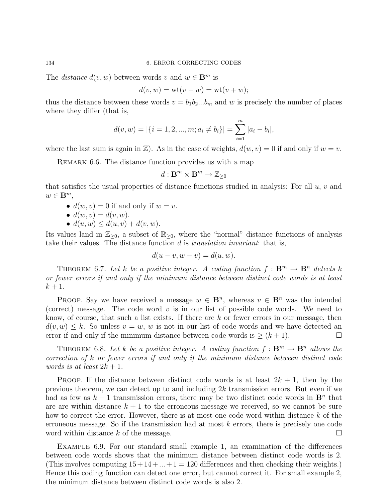### 134 6. ERROR CORRECTING CODES

The *distance*  $d(v, w)$  between words v and  $w \in \mathbf{B}^m$  is

$$
d(v, w) = \operatorname{wt}(v - w) = \operatorname{wt}(v + w);
$$

thus the distance between these words  $v = b_1b_2...b_m$  and w is precisely the number of places where they differ (that is,

$$
d(v, w) = |\{i = 1, 2, ..., m; a_i \neq b_i\}| = \sum_{i=1}^{m} |a_i - b_i|,
$$

where the last sum is again in  $\mathbb{Z}$ ). As in the case of weights,  $d(w, v) = 0$  if and only if  $w = v$ .

REMARK 6.6. The distance function provides us with a map

$$
d: \mathbf{B}^m \times \mathbf{B}^m \to \mathbb{Z}_{\geq 0}
$$

that satisfies the usual properties of distance functions studied in analysis: For all  $u, v$  and  $w \in \mathbf{B}^m$ ,

•  $d(w, v) = 0$  if and only if  $w = v$ .

• 
$$
d(w, v) = d(v, w).
$$

•  $d(u, w) \leq d(u, v) + d(v, w)$ .

Its values land in  $\mathbb{Z}_{\geq 0}$ , a subset of  $\mathbb{R}_{\geq 0}$ , where the "normal" distance functions of analysis take their values. The distance function d is translation invariant: that is,

$$
d(u - v, w - v) = d(u, w).
$$

THEOREM 6.7. Let k be a positive integer. A coding function  $f : \mathbf{B}^m \to \mathbf{B}^n$  detects k or fewer errors if and only if the minimum distance between distinct code words is at least  $k+1$ .

**PROOF.** Say we have received a message  $w \in \mathbf{B}^n$ , whereas  $v \in \mathbf{B}^n$  was the intended (correct) message. The code word  $v$  is in our list of possible code words. We need to know, of course, that such a list exists. If there are  $k$  or fewer errors in our message, then  $d(v, w) \leq k$ . So unless  $v = w$ , w is not in our list of code words and we have detected an error if and only if the minimum distance between code words is  $>(k + 1)$ . error if and only if the minimum distance between code words is  $\geq (k+1)$ .

THEOREM 6.8. Let k be a positive integer. A coding function  $f : \mathbf{B}^m \to \mathbf{B}^n$  allows the correction of k or fewer errors if and only if the minimum distance between distinct code words is at least  $2k + 1$ .

**PROOF.** If the distance between distinct code words is at least  $2k + 1$ , then by the previous theorem, we can detect up to and including  $2k$  transmission errors. But even if we had as few as  $k + 1$  transmission errors, there may be two distinct code words in  $\mathbf{B}^n$  that are are within distance  $k + 1$  to the erroneous message we received, so we cannot be sure how to correct the error. However, there is at most one code word within distance  $k$  of the erroneous message. So if the transmission had at most  $k$  errors, there is precisely one code word within distance k of the message.  $\square$ 

Example 6.9. For our standard small example 1, an examination of the differences between code words shows that the minimum distance between distinct code words is 2. (This involves computing  $15+14+\ldots+1=120$  differences and then checking their weights.) Hence this coding function can detect one error, but cannot correct it. For small example 2, the minimum distance between distinct code words is also 2.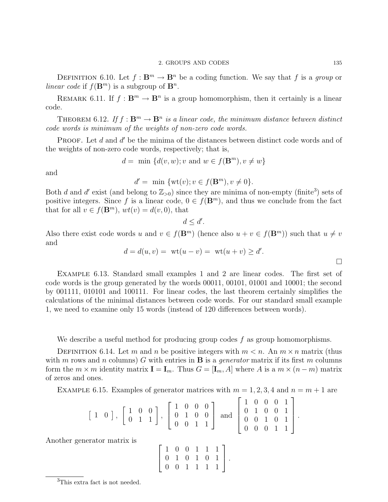DEFINITION 6.10. Let  $f : \mathbf{B}^m \to \mathbf{B}^n$  be a coding function. We say that f is a group or linear code if  $f(\mathbf{B}^m)$  is a subgroup of  $\mathbf{B}^n$ .

REMARK 6.11. If  $f: \mathbf{B}^m \to \mathbf{B}^n$  is a group homomorphism, then it certainly is a linear code.

THEOREM 6.12. If  $f: \mathbf{B}^m \to \mathbf{B}^n$  is a linear code, the minimum distance between distinct code words is minimum of the weights of non-zero code words.

PROOF. Let  $d$  and  $d'$  be the minima of the distances between distinct code words and of the weights of non-zero code words, respectively; that is,

$$
d = \min \{d(v, w); v \text{ and } w \in f(\mathbf{B}^m), v \neq w\}
$$

and

$$
d' = \min \{ \text{wt}(v); v \in f(\mathbf{B}^m), v \neq 0 \}.
$$

Both d and d' exist (and belong to  $\mathbb{Z}_{>0}$ ) since they are minima of non-empty (finite<sup>3</sup>) sets of positive integers. Since f is a linear code,  $0 \in f(\mathbf{B}^m)$ , and thus we conclude from the fact that for all  $v \in f(\mathbf{B}^m)$ ,  $wt(v) = d(v, 0)$ , that

 $d \leq d'$ .

Also there exist code words u and  $v \in f(\mathbf{B}^m)$  (hence also  $u + v \in f(\mathbf{B}^m)$ ) such that  $u \neq v$ and

$$
d = d(u, v) = wt(u - v) = wt(u + v) \ge d'.
$$

.

Example 6.13. Standard small examples 1 and 2 are linear codes. The first set of code words is the group generated by the words 00011, 00101, 01001 and 10001; the second by 001111, 010101 and 100111. For linear codes, the last theorem certainly simplifies the calculations of the minimal distances between code words. For our standard small example 1, we need to examine only 15 words (instead of 120 differences between words).

We describe a useful method for producing group codes  $f$  as group homomorphisms.

DEFINITION 6.14. Let m and n be positive integers with  $m < n$ . An  $m \times n$  matrix (thus with m rows and n columns) G with entries in **B** is a *generator* matrix if its first m columns form the  $m \times m$  identity matrix  $\mathbf{I} = \mathbf{I}_m$ . Thus  $G = [\mathbf{I}_m, A]$  where A is a  $m \times (n - m)$  matrix of zeros and ones.

EXAMPLE 6.15. Examples of generator matrices with  $m = 1, 2, 3, 4$  and  $n = m + 1$  are

$$
\begin{bmatrix} 1 & 0 \end{bmatrix}, \begin{bmatrix} 1 & 0 & 0 \\ 0 & 1 & 1 \end{bmatrix}, \begin{bmatrix} 1 & 0 & 0 & 0 \\ 0 & 1 & 0 & 0 \\ 0 & 0 & 1 & 1 \end{bmatrix} \text{ and } \begin{bmatrix} 1 & 0 & 0 & 0 & 1 \\ 0 & 1 & 0 & 0 & 1 \\ 0 & 0 & 1 & 0 & 1 \\ 0 & 0 & 0 & 1 & 1 \end{bmatrix}
$$

Another generator matrix is

$$
\left[\begin{array}{cccccc} 1 & 0 & 0 & 1 & 1 & 1 \\ 0 & 1 & 0 & 1 & 0 & 1 \\ 0 & 0 & 1 & 1 & 1 & 1 \end{array}\right].
$$

<sup>3</sup>This extra fact is not needed.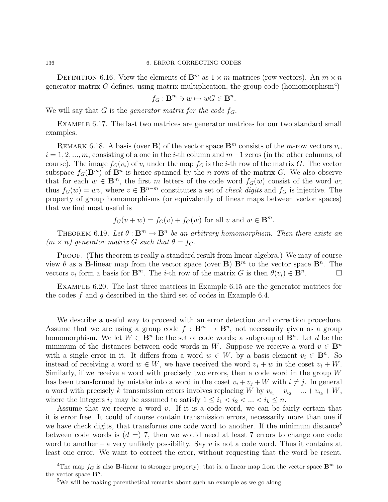#### 136 6. ERROR CORRECTING CODES

DEFINITION 6.16. View the elements of  $\mathbf{B}^m$  as  $1 \times m$  matrices (row vectors). An  $m \times n$ generator matrix  $G$  defines, using matrix multiplication, the group code (homomorphism<sup>4</sup>)

$$
f_G: \mathbf{B}^m \ni w \mapsto wG \in \mathbf{B}^n.
$$

We will say that G is the *generator matrix for the code*  $f_G$ .

Example 6.17. The last two matrices are generator matrices for our two standard small examples.

REMARK 6.18. A basis (over **B**) of the vector space  $\mathbf{B}^m$  consists of the m-row vectors  $v_i$ ,  $i = 1, 2, ..., m$ , consisting of a one in the *i*-th column and  $m-1$  zeros (in the other columns, of course). The image  $f_G(v_i)$  of  $v_i$  under the map  $f_G$  is the *i*-th row of the matrix G. The vector subspace  $f_G(\mathbf{B}^m)$  of  $\mathbf{B}^n$  is hence spanned by the *n* rows of the matrix G. We also observe that for each  $w \in \mathbf{B}^m$ , the first m letters of the code word  $f_G(w)$  consist of the word w; thus  $f_G(w) = wv$ , where  $v \in \mathbf{B}^{n-m}$  constitutes a set of *check digits* and  $f_G$  is injective. The property of group homomorphisms (or equivalently of linear maps between vector spaces) that we find most useful is

$$
f_G(v + w) = f_G(v) + f_G(w)
$$
 for all v and  $w \in \mathbf{B}^m$ .

THEOREM 6.19. Let  $\theta : \mathbf{B}^m \to \mathbf{B}^n$  be an arbitrary homomorphism. Then there exists an  $(m \times n)$  generator matrix G such that  $\theta = f_G$ .

PROOF. (This theorem is really a standard result from linear algebra.) We may of course view  $\theta$  as a **B**-linear map from the vector space (over **B**)  $\mathbf{B}^m$  to the vector space  $\mathbf{B}^n$ . The vectors  $v_i$  form a basis for  $\mathbf{B}^m$ . The *i*-th row of the matrix G is then  $\theta(v_i) \in \mathbf{B}^n$ . — П

Example 6.20. The last three matrices in Example 6.15 are the generator matrices for the codes f and g described in the third set of codes in Example 6.4.

We describe a useful way to proceed with an error detection and correction procedure. Assume that we are using a group code  $f : \mathbf{B}^m \to \mathbf{B}^n$ , not necessarily given as a group homomorphism. We let  $W \subset \mathbf{B}^n$  be the set of code words; a subgroup of  $\mathbf{B}^n$ . Let d be the minimum of the distances between code words in W. Suppose we receive a word  $v \in \mathbf{B}^n$ with a single error in it. It differs from a word  $w \in W$ , by a basis element  $v_i \in \mathbf{B}^n$ . So instead of receiving a word  $w \in W$ , we have received the word  $v_i + w$  in the coset  $v_i + W$ . Similarly, if we receive a word with precisely two errors, then a code word in the group W has been transformed by mistake into a word in the coset  $v_i + v_j + W$  with  $i \neq j$ . In general a word with precisely k transmission errors involves replacing W by  $v_{i_1} + v_{i_2} + ... + v_{i_k} + W$ , where the integers  $i_j$  may be assumed to satisfy  $1 \leq i_1 < i_2 < \ldots < i_k \leq n$ .

Assume that we receive a word  $v$ . If it is a code word, we can be fairly certain that it is error free. It could of course contain transmission errors, necessarily more than one if we have check digits, that transforms one code word to another. If the minimum distance<sup>5</sup> between code words is  $(d = 7$ , then we would need at least 7 errors to change one code word to another – a very unlikely possibility. Say v is not a code word. Thus it contains at least one error. We want to correct the error, without requesting that the word be resent.

<sup>&</sup>lt;sup>4</sup>The map  $f_G$  is also **B**-linear (a stronger property); that is, a linear map from the vector space **B**<sup>m</sup> to the vector space  $\mathbf{B}^n$ .

<sup>&</sup>lt;sup>5</sup>We will be making parenthetical remarks about such an example as we go along.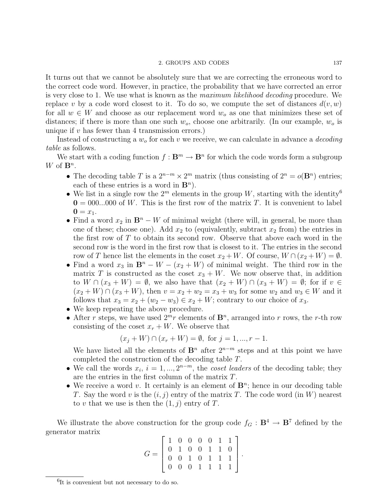#### 2. GROUPS AND CODES 137

It turns out that we cannot be absolutely sure that we are correcting the erroneous word to the correct code word. However, in practice, the probability that we have corrected an error is very close to 1. We use what is known as the maximum likelihood decoding procedure. We replace v by a code word closest to it. To do so, we compute the set of distances  $d(v, w)$ for all  $w \in W$  and choose as our replacement word  $w<sub>o</sub>$  as one that minimizes these set of distances; if there is more than one such  $w<sub>o</sub>$ , choose one arbitrarily. (In our example,  $w<sub>o</sub>$  is unique if  $v$  has fewer than 4 transmission errors.)

Instead of constructing a  $w<sub>o</sub>$  for each v we receive, we can calculate in advance a *decoding* table as follows.

We start with a coding function  $f : \mathbf{B}^m \to \mathbf{B}^n$  for which the code words form a subgroup W of  $\mathbf{B}^n$ .

- The decoding table T is a  $2^{n-m} \times 2^m$  matrix (thus consisting of  $2^n = o(\mathbf{B}^n)$  entries; each of these entries is a word in  $\mathbf{B}^n$ ).
- We list in a single row the  $2^m$  elements in the group W, starting with the identity<sup>6</sup>  $\mathbf{0} = 000...000$  of W. This is the first row of the matrix T. It is convenient to label  $0 = x_1$ .
- Find a word  $x_2$  in  $\mathbf{B}^n W$  of minimal weight (there will, in general, be more than one of these; choose one). Add  $x_2$  to (equivalently, subtract  $x_2$  from) the entries in the first row of  $T$  to obtain its second row. Observe that above each word in the second row is the word in the first row that is closest to it. The entries in the second row of T hence list the elements in the coset  $x_2 + W$ . Of course,  $W \cap (x_2 + W) = \emptyset$ .
- Find a word  $x_3$  in  $\mathbf{B}^n W (x_2 + W)$  of minimal weight. The third row in the matrix T is constructed as the coset  $x_3 + W$ . We now observe that, in addition to  $W \cap (x_3 + W) = \emptyset$ , we also have that  $(x_2 + W) \cap (x_3 + W) = \emptyset$ ; for if  $v \in$  $(x_2+W) \cap (x_3+W)$ , then  $v = x_2 + w_2 = x_3 + w_3$  for some  $w_2$  and  $w_3 \in W$  and it follows that  $x_3 = x_2 + (w_2 - w_3) \in x_2 + W$ ; contrary to our choice of  $x_3$ .
- We keep repeating the above procedure.
- After r steps, we have used  $2^m r$  elements of  $\mathbf{B}^n$ , arranged into r rows, the r-th row consisting of the coset  $x_r + W$ . We observe that

$$
(x_j + W) \cap (x_r + W) = \emptyset
$$
, for  $j = 1, ..., r - 1$ .

We have listed all the elements of  $\mathbf{B}^n$  after  $2^{n-m}$  steps and at this point we have completed the construction of the decoding table T.

- We call the words  $x_i$ ,  $i = 1, ..., 2^{n-m}$ , the *coset leaders* of the decoding table; they are the entries in the first column of the matrix T.
- We receive a word v. It certainly is an element of  $\mathbf{B}^n$ ; hence in our decoding table T. Say the word v is the  $(i, j)$  entry of the matrix T. The code word (in W) nearest to v that we use is then the  $(1, j)$  entry of T.

We illustrate the above construction for the group code  $f_G : \mathbf{B}^4 \to \mathbf{B}^7$  defined by the generator matrix

$$
G = \left[ \begin{array}{rrrrr} 1 & 0 & 0 & 0 & 0 & 1 & 1 \\ 0 & 1 & 0 & 0 & 1 & 1 & 0 \\ 0 & 0 & 1 & 0 & 1 & 1 & 1 \\ 0 & 0 & 0 & 1 & 1 & 1 & 1 \end{array} \right].
$$

<sup>6</sup> It is convenient but not necessary to do so.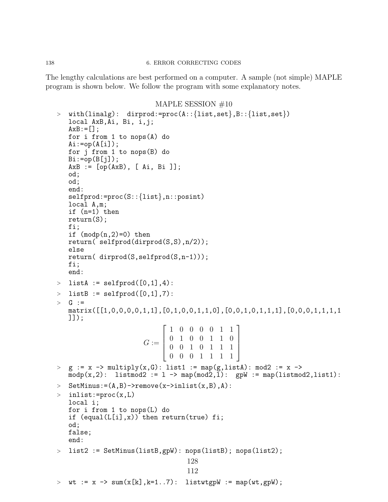138 6. ERROR CORRECTING CODES

The lengthy calculations are best performed on a computer. A sample (not simple) MAPLE program is shown below. We follow the program with some explanatory notes.

### MAPLE SESSION #10

```
> with(linalg): dirprod:=proc(A::{list,set},B::{list,set})
   local AxB,Ai, Bi, i,j;
   AxB := [];
   for i from 1 to nops(A) do
   Ai:=op(A[i]);for j from 1 to nops(B) do
   Bi:=op(B[j]);AxB := [op(AxB), [Ai, Bi]],od;
   od;
   end:
   selfprod:=proc(S::{list},n::posint)
   local A,m;
   if (n=1) then
   return(S);
   fi;
   if (modp(n,2)=0) then
   return( selfprod(dirprod(S,S),n/2));
   else
   return( dirprod(S,selfprod(S,n-1)));
   fi;
   end:
> listA := selfprod([0,1],4):
> listB := selfprod([0,1],7):
> G :=
   matrix([[1,0,0,0,0,1,1],[0,1,0,0,1,1,0],[0,0,1,0,1,1,1],[0,0,0,1,1,1,1
   ]]);
                        G :=\sqrt{ }\Bigg\}1 0 0 0 0 1 1
                               0 1 0 0 1 1 0
                               0 0 1 0 1 1 1
                               0 0 0 1 1 1 1
                                                  1
                                                  \overline{\phantom{a}}> g := x \rightarrow multiply(x, G) : list1 := map(g, listA) : mod2 := x \rightarrow\text{modp}(x,2): listmod2 := 1 -> map(mod2,1): gpW := map(listmod2,list1):
> SetMinus:=(A,B)->remove(x->inlist(x,B),A):
> inlist:=proc(x,L)
   local i;
   for i from 1 to nops(L) do
   if (equal(L[i],x)) then return(true) fi;
   od;
   false;
   end:
> list2 := SetMinus(listB,gpW): nops(listB); nops(list2);
                                    128
                                    112
> wt := x \rightarrow sum(x[k], k=1..7): listwtgpW := map(wt,gpW);
```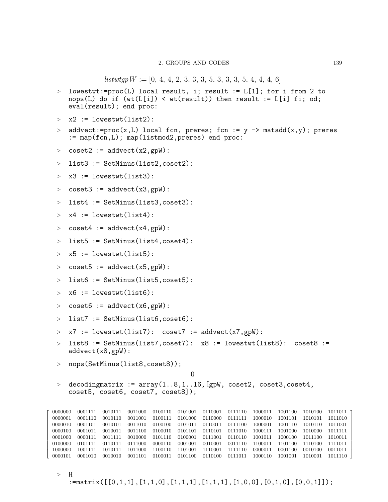$listwtgpW := [0, 4, 4, 2, 3, 3, 3, 5, 3, 3, 3, 5, 4, 4, 4, 6]$ 

- > lowestwt:=proc(L) local result, i; result :=  $L[1]$ ; for i from 2 to nops(L) do if  $(wt(L[i]) \leq wt(result))$  then result := L[i] fi; od; eval(result); end proc:
- $> x2 :=$  lowestwt(list2):
- > addvect:=proc(x,L) local fcn, preres; fcn :=  $y \rightarrow$  matadd(x,y); preres := map(fcn,L); map(listmod2,preres) end proc:
- $>$  coset2 := addvect(x2,gpW):
- <sup>&</sup>gt; list3 := SetMinus(list2,coset2):
- $> x3 :=$  lowestwt(list3):
- $>$  coset3 := addvect(x3,gpW):
- <sup>&</sup>gt; list4 := SetMinus(list3,coset3):
- $> x4 :=$  lowestwt(list4):
- $>$  coset4 := addvect(x4,gpW):
- $>$  list5 := SetMinus(list4, coset4):
- $> x5 :=$ lowestwt $(list5)$ :
- $>$  coset5 := addvect(x5,gpW):
- $>$  list $6 := SetMinus(list5, coset5)$ :
- $> x6 :=$  lowestwt(list6):
- $>$  coset6 := addvect(x6,gpW):
- <sup>&</sup>gt; list7 := SetMinus(list6,coset6):
- $>$  x7 := lowestwt(list7): coset7 := addvect(x7,gpW):
- <sup>&</sup>gt; list8 := SetMinus(list7,coset7): x8 := lowestwt(list8): coset8 := addvect(x8,gpW):
- <sup>&</sup>gt; nops(SetMinus(list8,coset8));

```
\Omega
```
 $decoding matrix := array(1..8,1..16, [gpw, coset2, coset3, coset4,$ coset5, coset6, coset7, coset8]);

 $\sqrt{2}$ 6 6 6 6 6  $\overline{1}$ 6 6 6  $\overline{1}$ 4 0000000 0001111 0010111 0011000 0100110 0101001 0110001 0111110 1000011 1001100 1010100 1011011 0000001 0001110 0010110 0011001 0100111 0101000 0110000 0111111 1000010 1001101 1010101 1011010 0000010 0001101 0010101 0011010 0100100 0101011 0110011 0111100 1000001 1001110 1010110 1011001 0000100 0001011 0010011 0011100 0100010 0101101 0110101 0111010 1000111 1001000 1010000 1011111 0001000 0000111 0011111 0010000 0101110 0100001 0111001 0110110 1001011 1000100 1011100 1010011 0100000 0101111 0110111 0111000 0000110 0001001 0010001 0011110 1100011 1101100 1110100 1111011 1000000 1001111 1010111 1011000 1100110 1101001 1110001 1111110 0000011 0001100 0010100 0011011 0000101 0001010 0010010 0011101 0100011 0101100 0110100 0111011 1000110 1001001 1010001 1011110 1  $\overline{1}$  $\mathbf{1}$  $\mathbf{1}$  $\mathbf{1}$  $\mathbf{1}$  $\overline{1}$  $\mathbf{1}$  $\mathbf{1}$  $\mathbf{1}$  $\mathbf{1}$  $\overline{1}$ 

 $>$  H

:=matrix([[0,1,1],[1,1,0],[1,1,1],[1,1,1],[1,0,0],[0,1,0],[0,0,1]]);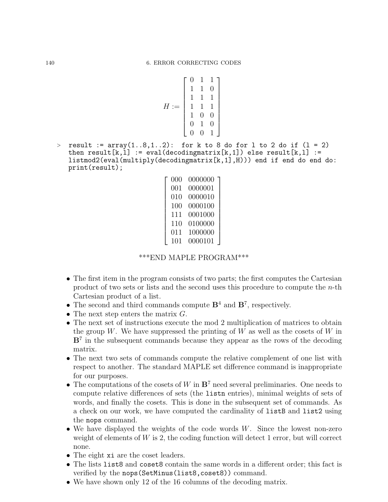$$
H := \left[\begin{array}{rrr} 0 & 1 & 1 \\ 1 & 1 & 0 \\ 1 & 1 & 1 \\ 1 & 1 & 1 \\ 1 & 0 & 0 \\ 0 & 1 & 0 \\ 0 & 0 & 1 \end{array}\right]
$$

- $>$  result := array $(1..8,1..2)$ : for k to 8 do for 1 to 2 do if  $(1 = 2)$ then result $[k,1]$  := eval(decoding matrix $[k,1]$ ) else result $[k,1]$  := listmod2(eval(multiply(decodingmatrix[k,1],H))) end if end do end do: print(result);
	- $\sqrt{ }$  $\overline{1}$  $\left| \right|$  $\overline{1}$  $\overline{1}$  $\overline{1}$  $\overline{1}$  $\overline{1}$  $\overline{1}$  $\vert$  $\overline{1}$ 000 0000000 001 0000001 010 0000010 100 0000100 111 0001000 110 0100000 011 1000000 101 0000101 1  $\overline{1}$  $\mathbf{I}$  $\frac{1}{2}$  $\overline{1}$  $\overline{1}$  $\overline{1}$  $\overline{1}$  $\overline{1}$  $\overline{a}$  $\overline{1}$

\*\*\*END MAPLE PROGRAM\*\*\*

- The first item in the program consists of two parts; the first computes the Cartesian product of two sets or lists and the second uses this procedure to compute the n-th Cartesian product of a list.
- The second and third commands compute  $\mathbf{B}^4$  and  $\mathbf{B}^7$ , respectively.
- The next step enters the matrix  $G$ .
- The next set of instructions execute the mod 2 multiplication of matrices to obtain the group W. We have suppressed the printing of  $W$  as well as the cosets of  $W$  in  $B<sup>7</sup>$  in the subsequent commands because they appear as the rows of the decoding matrix.
- The next two sets of commands compute the relative complement of one list with respect to another. The standard MAPLE set difference command is inappropriate for our purposes.
- The computations of the cosets of W in  $\mathbf{B}^7$  need several preliminaries. One needs to compute relative differences of sets (the listn entries), minimal weights of sets of words, and finally the cosets. This is done in the subsequent set of commands. As a check on our work, we have computed the cardinality of list B and list 2 using the nops command.
- We have displayed the weights of the code words  $W$ . Since the lowest non-zero weight of elements of  $W$  is 2, the coding function will detect 1 error, but will correct none.
- The eight xi are the coset leaders.
- The lists list<sup>8</sup> and coset<sup>8</sup> contain the same words in a different order; this fact is verified by the nops(SetMinus(list8,coset8)) command.
- We have shown only 12 of the 16 columns of the decoding matrix.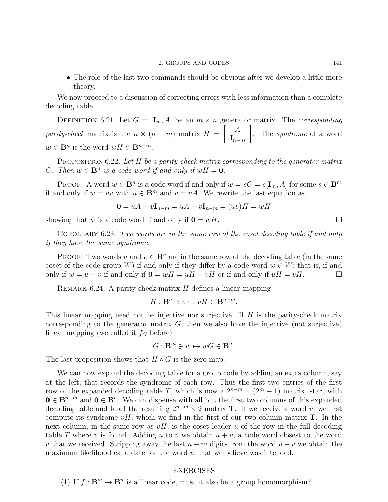• The role of the last two commands should be obvious after we develop a little more theory.

We now proceed to a discussion of correcting errors with less information than a complete decoding table.

DEFINITION 6.21. Let  $G = [\mathbf{I}_m, A]$  be an  $m \times n$  generator matrix. The corresponding parity-check matrix is the  $n \times (n - m)$  matrix  $H =$  $\begin{bmatrix} A \end{bmatrix}$  $\mathbf{I}_{n-m}$ 1 . The syndrome of a word  $w \in \mathbf{B}^n$  is the word  $wH \in \mathbf{B}^{n-m}$ .

**PROPOSITION** 6.22. Let H be a parity-check matrix corresponding to the generator matrix G. Then  $w \in \mathbf{B}^n$  is a code word if and only if  $wH = 0$ .

PROOF. A word  $w \in \mathbf{B}^n$  is a code word if and only if  $w = sG = s[\mathbf{I}_m, A]$  for some  $s \in \mathbf{B}^m$ if and only if  $w = uv$  with  $u \in \mathbf{B}^m$  and  $v = uA$ . We rewrite the last equation as

$$
\mathbf{0} = uA - v\mathbf{I}_{n-m} = uA + v\mathbf{I}_{n-m} = (uv)H = wH
$$

showing that w is a code word if and only if  $\mathbf{0} = wH$ .

COROLLARY 6.23. Two words are in the same row of the coset decoding table if and only if they have the same syndrome.

**PROOF.** Two words u and  $v \in \mathbf{B}^n$  are in the same row of the decoding table (in the same coset of the code group W) if and only if they differ by a code word  $w \in W$ ; that is, if and only if  $w = u - v$  if and only if  $\mathbf{0} = wH = uH - vH$  or if and only if  $uH = vH$ . only if  $w = u - v$  if and only if  $\mathbf{0} = wH = uH - vH$  or if and only if  $uH = vH$ .

REMARK 6.24. A parity-check matrix  $H$  defines a linear mapping

$$
H: \mathbf{B}^n \ni v \mapsto vH \in \mathbf{B}^{n-m}.
$$

This linear mapping need not be injective nor surjective. If  $H$  is the parity-check matrix corresponding to the generator matrix  $G$ , then we also have the injective (not surjective) linear mapping (we called it  $f_G$  before)

$$
G: \mathbf{B}^m \ni w \mapsto wG \in \mathbf{B}^n.
$$

The last proposition shows that  $H \circ G$  is the zero map.

We can now expand the decoding table for a group code by adding an extra column, say at the left, that records the syndrome of each row. Thus the first two entries of the first row of the expanded decoding table T, which is now a  $2^{n-m} \times (2^m + 1)$  matrix, start with  $0 \in \mathbf{B}^{n-m}$  and  $0 \in \mathbf{B}^n$ . We can dispense with all but the first two columns of this expanded decoding table and label the resulting  $2^{n-m} \times 2$  matrix **T**. If we receive a word v, we first compute its syndrome  $vH$ , which we find in the first of our two column matrix **T**. In the next column, in the same row as  $vH$ , is the coset leader u of the row in the full decoding table T where v is found. Adding u to v we obtain  $u + v$ , a code word closest to the word v that we received. Stripping away the last  $n - m$  digits from the word  $u + v$  we obtain the maximum likelihood candidate for the word  $w$  that we believe was intended.

## EXERCISES

(1) If  $f: \mathbf{B}^m \to \mathbf{B}^n$  is a linear code, must it also be a group homomorphism?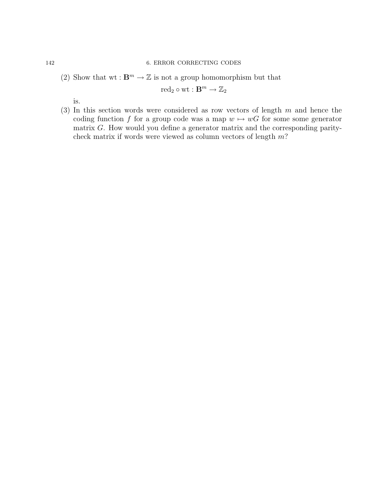# 142 6. ERROR CORRECTING CODES

(2) Show that wt :  $\mathbf{B}^m \to \mathbb{Z}$  is not a group homomorphism but that

 $\mathrm{red}_2 \circ \mathrm{wt} : \mathbf{B}^m \to \mathbb{Z}_2$ 

- is.
- (3) In this section words were considered as row vectors of length  $m$  and hence the coding function f for a group code was a map  $w \mapsto wG$  for some some generator matrix G. How would you define a generator matrix and the corresponding paritycheck matrix if words were viewed as column vectors of length m?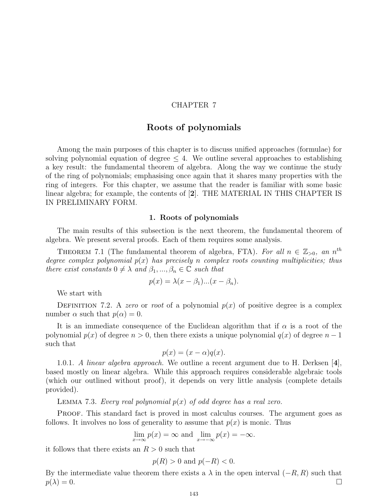# CHAPTER 7

# Roots of polynomials

Among the main purposes of this chapter is to discuss unified approaches (formulae) for solving polynomial equation of degree  $\leq 4$ . We outline several approaches to establishing a key result: the fundamental theorem of algebra. Along the way we continue the study of the ring of polynomials; emphasising once again that it shares many properties with the ring of integers. For this chapter, we assume that the reader is familiar with some basic linear algebra; for example, the contents of [2]. THE MATERIAL IN THIS CHAPTER IS IN PRELIMINARY FORM.

# 1. Roots of polynomials

The main results of this subsection is the next theorem, the fundamental theorem of algebra. We present several proofs. Each of them requires some analysis.

THEOREM 7.1 (The fundamental theorem of algebra, FTA). For all  $n \in \mathbb{Z}_{>0}$ , an  $n^{th}$ degree complex polynomial  $p(x)$  has precisely n complex roots counting multiplicities; thus there exist constants  $0 \neq \lambda$  and  $\beta_1, ..., \beta_n \in \mathbb{C}$  such that

$$
p(x) = \lambda(x - \beta_1)...(x - \beta_n).
$$

We start with

DEFINITION 7.2. A zero or root of a polynomial  $p(x)$  of positive degree is a complex number  $\alpha$  such that  $p(\alpha) = 0$ .

It is an immediate consequence of the Euclidean algorithm that if  $\alpha$  is a root of the polynomial  $p(x)$  of degree  $n > 0$ , then there exists a unique polynomial  $q(x)$  of degree  $n - 1$ such that

$$
p(x) = (x - \alpha)q(x).
$$

1.0.1. A linear algebra approach. We outline a recent argument due to H. Derksen  $[4]$ , based mostly on linear algebra. While this approach requires considerable algebraic tools (which our outlined without proof), it depends on very little analysis (complete details provided).

LEMMA 7.3. Every real polynomial  $p(x)$  of odd degree has a real zero.

Proof. This standard fact is proved in most calculus courses. The argument goes as follows. It involves no loss of generality to assume that  $p(x)$  is monic. Thus

$$
\lim_{x \to \infty} p(x) = \infty \text{ and } \lim_{x \to -\infty} p(x) = -\infty.
$$

it follows that there exists an  $R > 0$  such that

$$
p(R) > 0 \text{ and } p(-R) < 0.
$$

By the intermediate value theorem there exists a  $\lambda$  in the open interval  $(-R, R)$  such that  $p(\lambda) = 0$ .  $p(\lambda) = 0.$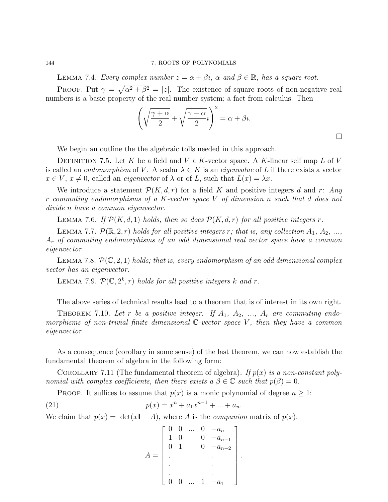## 144 7. ROOTS OF POLYNOMIALS

LEMMA 7.4. Every complex number  $z = \alpha + \beta i$ ,  $\alpha$  and  $\beta \in \mathbb{R}$ , has a square root.

PROOF. Put  $\gamma = \sqrt{\alpha^2 + \beta^2} = |z|$ . The existence of square roots of non-negative real numbers is a basic property of the real number system; a fact from calculus. Then

$$
\left(\sqrt{\frac{\gamma+\alpha}{2}} + \sqrt{\frac{\gamma-\alpha}{2}}i\right)^2 = \alpha + \beta i.
$$

 $\Box$ 

We begin an outline the the algebraic tolls needed in this approach.

DEFINITION 7.5. Let K be a field and V a K-vector space. A K-linear self map L of V is called an *endomorphism* of V. A scalar  $\lambda \in K$  is an *eigenvalue* of L if there exists a vector  $x \in V$ ,  $x \neq 0$ , called an *eigenvector* of  $\lambda$  or of L, such that  $L(x) = \lambda x$ .

We introduce a statement  $\mathcal{P}(K, d, r)$  for a field K and positive integers d and r: Any r commuting endomorphisms of a K-vector space V of dimension n such that d does not divide n have a common eigenvector.

LEMMA 7.6. If  $\mathcal{P}(K, d, 1)$  holds, then so does  $\mathcal{P}(K, d, r)$  for all positive integers r.

LEMMA 7.7.  $\mathcal{P}(\mathbb{R},2,r)$  holds for all positive integers r; that is, any collection  $A_1, A_2, \ldots$ ,  $A_r$  of commuting endomorphisms of an odd dimensional real vector space have a common eigenvector.

LEMMA 7.8.  $\mathcal{P}(\mathbb{C}, 2, 1)$  holds; that is, every endomorphism of an odd dimensional complex vector has an eigenvector.

LEMMA 7.9.  $\mathcal{P}(\mathbb{C}, 2^k, r)$  holds for all positive integers k and r.

The above series of technical results lead to a theorem that is of interest in its own right.

THEOREM 7.10. Let r be a positive integer. If  $A_1, A_2, ..., A_r$  are commuting endomorphisms of non-trivial finite dimensional  $\mathbb{C}\text{-vector space } V$ , then they have a common eigenvector.

As a consequence (corollary in some sense) of the last theorem, we can now establish the fundamental theorem of algebra in the following form:

COROLLARY 7.11 (The fundamental theorem of algebra). If  $p(x)$  is a non-constant polynomial with complex coefficients, then there exists a  $\beta \in \mathbb{C}$  such that  $p(\beta) = 0$ .

**PROOF.** It suffices to assume that  $p(x)$  is a monic polynomial of degree  $n \geq 1$ :

(21) 
$$
p(x) = x^n + a_1 x^{n-1} + \dots + a_n.
$$

We claim that  $p(x) = \det(xI - A)$ , where A is the *companion* matrix of  $p(x)$ :

$$
A = \begin{bmatrix} 0 & 0 & \dots & 0 & -a_n \\ 1 & 0 & & 0 & -a_{n-1} \\ 0 & 1 & & 0 & -a_{n-2} \\ \vdots & & & \vdots \\ 0 & 0 & \dots & 1 & -a_1 \end{bmatrix}.
$$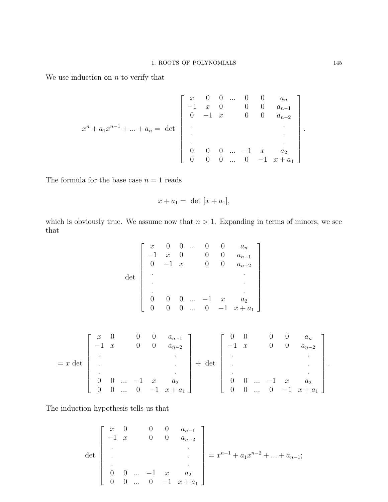We use induction on  $n$  to verify that

$$
x^{n} + a_{1}x^{n-1} + ... + a_{n} = \det \begin{bmatrix} x & 0 & 0 & ... & 0 & 0 & a_{n} \\ -1 & x & 0 & 0 & 0 & a_{n-1} \\ 0 & -1 & x & 0 & 0 & a_{n-2} \\ . & . & . & . & . & . \\ 0 & 0 & 0 & ... & -1 & x & a_{2} \\ 0 & 0 & 0 & ... & 0 & -1 & x + a_{1} \end{bmatrix}.
$$

The formula for the base case  $n = 1$  reads

$$
x + a_1 = \det [x + a_1],
$$

which is obviously true. We assume now that  $n > 1$ . Expanding in terms of minors, we see that

$$
\det \begin{bmatrix} x & 0 & 0 & \dots & 0 & 0 & a_n \\ -1 & x & 0 & 0 & 0 & a_{n-1} \\ 0 & -1 & x & 0 & 0 & a_{n-2} \\ \vdots & \vdots & \vdots & \ddots & \vdots & \vdots \\ 0 & 0 & 0 & \dots & -1 & x & a_2 \\ 0 & 0 & 0 & \dots & 0 & -1 & x+a_1 \end{bmatrix}
$$

$$
= x \det \begin{bmatrix} x & 0 & 0 & 0 & a_{n-1} \\ -1 & x & 0 & 0 & a_{n-2} \\ \cdot & \cdot & \cdot & \cdot \\ \cdot & \cdot & \cdot & \cdot \\ 0 & 0 & \dots & -1 & x & a_2 \\ 0 & 0 & \dots & 0 & -1 & x+a_1 \end{bmatrix} + \det \begin{bmatrix} 0 & 0 & 0 & 0 & a_n \\ -1 & x & 0 & 0 & a_{n-2} \\ \cdot & \cdot & \cdot & \cdot \\ \cdot & \cdot & \cdot & \cdot \\ 0 & 0 & \dots & -1 & x & a_2 \\ 0 & 0 & \dots & 0 & -1 & x+a_1 \end{bmatrix}.
$$

The induction hypothesis tells us that

$$
\det \begin{bmatrix} x & 0 & 0 & 0 & a_{n-1} \\ -1 & x & 0 & 0 & a_{n-2} \\ \vdots & & & & \vdots \\ 0 & 0 & \dots & -1 & x & a_2 \\ 0 & 0 & \dots & 0 & -1 & x+a_1 \end{bmatrix} = x^{n-1} + a_1 x^{n-2} + \dots + a_{n-1};
$$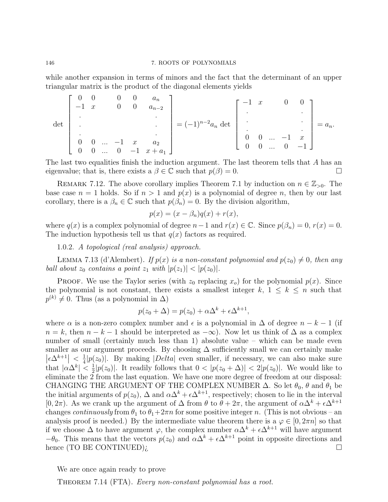#### 146 7. ROOTS OF POLYNOMIALS

while another expansion in terms of minors and the fact that the determinant of an upper triangular matrix is the product of the diagonal elements yields

$$
\det \begin{bmatrix} 0 & 0 & 0 & 0 & a_n \\ -1 & x & 0 & 0 & a_{n-2} \\ \vdots & & & & \vdots \\ 0 & 0 & \dots & -1 & x & a_2 \\ 0 & 0 & \dots & 0 & -1 & x+a_1 \end{bmatrix} = (-1)^{n-2} a_n \det \begin{bmatrix} -1 & x & 0 & 0 \\ \vdots & & & \vdots \\ 0 & 0 & \dots & -1 & x \\ 0 & 0 & \dots & 0 & -1 \end{bmatrix} = a_n.
$$

The last two equalities finish the induction argument. The last theorem tells that A has an eigenvalue; that is, there exists a  $\beta \in \mathbb{C}$  such that  $p(\beta) = 0$ .

REMARK 7.12. The above corollary implies Theorem 7.1 by induction on  $n \in \mathbb{Z}_{>0}$ . The base case  $n = 1$  holds. So if  $n > 1$  and  $p(x)$  is a polynomial of degree n, then by our last corollary, there is a  $\beta_n \in \mathbb{C}$  such that  $p(\beta_n) = 0$ . By the division algorithm,

$$
p(x) = (x - \beta_n)q(x) + r(x),
$$

where  $q(x)$  is a complex polynomial of degree  $n-1$  and  $r(x) \in \mathbb{C}$ . Since  $p(\beta_n) = 0$ ,  $r(x) = 0$ . The induction hypothesis tell us that  $q(x)$  factors as required.

1.0.2. A topological (real analysis) approach.

LEMMA 7.13 (d'Alembert). If  $p(x)$  is a non-constant polynomial and  $p(z_0) \neq 0$ , then any ball about  $z_0$  contains a point  $z_1$  with  $|p(z_1)| < |p(z_0)|$ .

**PROOF.** We use the Taylor series (with  $z_0$  replacing  $x_o$ ) for the polynomial  $p(x)$ . Since the polynomial is not constant, there exists a smallest integer  $k, 1 \leq k \leq n$  such that  $p^{(k)} \neq 0$ . Thus (as a polynomial in  $\Delta$ )

$$
p(z_0 + \Delta) = p(z_0) + \alpha \Delta^k + \epsilon \Delta^{k+1},
$$

where  $\alpha$  is a non-zero complex number and  $\epsilon$  is a polynomial in  $\Delta$  of degree  $n - k - 1$  (if  $n = k$ , then  $n - k - 1$  should be interpreted as  $-\infty$ ). Now let us think of  $\Delta$  as a complex number of small (certainly much less than 1) absolute value – which can be made even smaller as our argument proceeds. By choosing  $\Delta$  sufficiently small we can certainly make  $\left|\epsilon\Delta^{k+1}\right| \leq \frac{1}{4}$  $\frac{1}{4}|p(z_0)|$ . By making  $|Delta|$  even smaller, if necessary, we can also make sure that  $|\alpha\Delta^k| < \frac{1}{2}$  $\frac{1}{2}|p(z_0)|$ . It readily follows that  $0 < |p(z_0 + \Delta)| < 2|p(z_0)|$ . We would like to eliminate the 2 from the last equation. We have one more degree of freedom at our disposal: CHANGING THE ARGUMENT OF THE COMPLEX NUMBER  $\Delta$ . So let  $\theta_0$ ,  $\theta$  and  $\theta_1$  be the initial arguments of  $p(z_0)$ ,  $\Delta$  and  $\alpha\Delta^k + \epsilon\Delta^{k+1}$ , respectively; chosen to lie in the interval [0, 2π). As we crank up the argument of  $\Delta$  from  $\theta$  to  $\theta + 2\pi$ , the argument of  $\alpha \Delta^k + \epsilon \Delta^{k+1}$ changes *continuously* from  $\theta_1$  to  $\theta_1 + 2\pi n$  for some positive integer n. (This is not obvious – an analysis proof is needed.) By the intermediate value theorem there is a  $\varphi \in [0, 2\pi n]$  so that if we choose  $\Delta$  to have argument  $\varphi$ , the complex number  $\alpha \Delta^k + \epsilon \Delta^{k+1}$  will have argument  $-\theta_0$ . This means that the vectors  $p(z_0)$  and  $\alpha\Delta^k + \epsilon\Delta^{k+1}$  point in opposite directions and hence (TO BE CONTINUED); hence (TO BE CONTINUED) $i$ .

We are once again ready to prove

THEOREM 7.14 (FTA). Every non-constant polynomial has a root.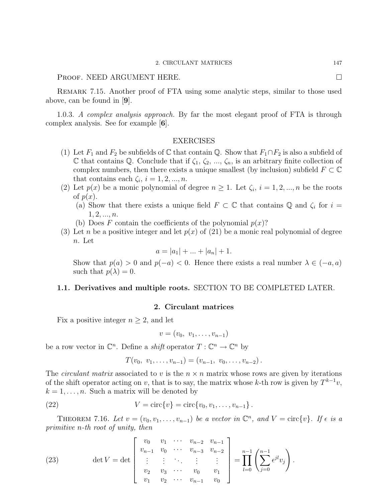### PROOF. NEED ARGUMENT HERE.

Remark 7.15. Another proof of FTA using some analytic steps, similar to those used above, can be found in [9].

1.0.3. A complex analysis approach. By far the most elegant proof of FTA is through complex analysis. See for example [6].

### EXERCISES

- (1) Let  $F_1$  and  $F_2$  be subfields of  $\mathbb C$  that contain  $\mathbb Q$ . Show that  $F_1 \cap F_2$  is also a subfield of C that contains Q. Conclude that if  $\zeta_1, \zeta_2, ..., \zeta_n$  is an arbitrary finite collection of complex numbers, then there exists a unique smallest (by inclusion) subfield  $F \subset \mathbb{C}$ that contains each  $\zeta_i$ ,  $i = 1, 2, ..., n$ .
- (2) Let  $p(x)$  be a monic polynomial of degree  $n \geq 1$ . Let  $\zeta_i$ ,  $i = 1, 2, ..., n$  be the roots of  $p(x)$ .
	- (a) Show that there exists a unique field  $F \subset \mathbb{C}$  that contains  $\mathbb{Q}$  and  $\zeta_i$  for  $i =$  $1, 2, ..., n$ .
	- (b) Does F contain the coefficients of the polynomial  $p(x)$ ?
- (3) Let n be a positive integer and let  $p(x)$  of (21) be a monic real polynomial of degree n. Let

$$
a = |a_1| + \dots + |a_n| + 1.
$$

Show that  $p(a) > 0$  and  $p(-a) < 0$ . Hence there exists a real number  $\lambda \in (-a, a)$ such that  $p(\lambda) = 0$ .

### 1.1. Derivatives and multiple roots. SECTION TO BE COMPLETED LATER.

### 2. Circulant matrices

Fix a positive integer  $n \geq 2$ , and let

$$
v=(v_0, v_1,\ldots,v_{n-1})
$$

be a row vector in  $\mathbb{C}^n$ . Define a *shift* operator  $T: \mathbb{C}^n \to \mathbb{C}^n$  by

$$
T(v_0, v_1, \ldots, v_{n-1}) = (v_{n-1}, v_0, \ldots, v_{n-2}).
$$

The *circulant matrix* associated to v is the  $n \times n$  matrix whose rows are given by iterations of the shift operator acting on v, that is to say, the matrix whose k-th row is given by  $T^{k-1}v$ ,  $k = 1, \ldots, n$ . Such a matrix will be denoted by

(22) 
$$
V = \text{circ}\{v\} = \text{circ}\{v_0, v_1, \dots, v_{n-1}\}.
$$

THEOREM 7.16. Let  $v = (v_0, v_1, \ldots, v_{n-1})$  be a vector in  $\mathbb{C}^n$ , and  $V = \text{circ}\{v\}$ . If  $\epsilon$  is a primitive n-th root of unity, then

(23) 
$$
\det V = \det \begin{bmatrix} v_0 & v_1 & \cdots & v_{n-2} & v_{n-1} \\ v_{n-1} & v_0 & \cdots & v_{n-3} & v_{n-2} \\ \vdots & \vdots & \ddots & \vdots & \vdots \\ v_2 & v_3 & \cdots & v_0 & v_1 \\ v_1 & v_2 & \cdots & v_{n-1} & v_0 \end{bmatrix} = \prod_{l=0}^{n-1} \left( \sum_{j=0}^{n-1} \epsilon^{jl} v_j \right).
$$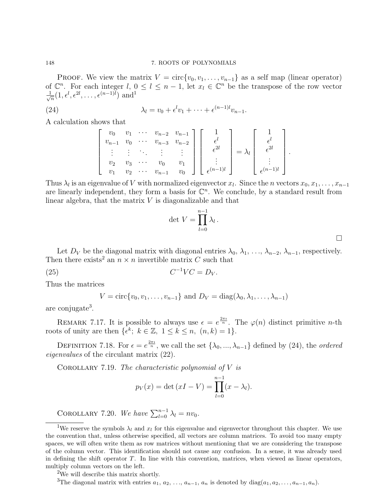PROOF. We view the matrix  $V = \text{circ}\{v_0, v_1, \ldots, v_{n-1}\}$  as a self map (linear operator) of  $\mathbb{C}^n$ . For each integer  $l, 0 \leq l \leq n-1$ , let  $x_l \in \mathbb{C}^n$  be the transpose of the row vector  $\frac{1}{\sqrt{2}}$  $\frac{1}{n}(1, \epsilon^l, \epsilon^{2l}, \ldots, \epsilon^{(n-1)l})$  and<sup>1</sup>

(24) 
$$
\lambda_l = v_0 + \epsilon^l v_1 + \dots + \epsilon^{(n-1)l} v_{n-1}.
$$

A calculation shows that

$$
\begin{bmatrix} v_0 & v_1 & \cdots & v_{n-2} & v_{n-1} \\ v_{n-1} & v_0 & \cdots & v_{n-3} & v_{n-2} \\ \vdots & \vdots & \ddots & \vdots & \vdots \\ v_2 & v_3 & \cdots & v_0 & v_1 \\ v_1 & v_2 & \cdots & v_{n-1} & v_0 \end{bmatrix} \begin{bmatrix} 1 \\ \epsilon^l \\ \epsilon^{2l} \\ \vdots \\ \epsilon^{(n-1)l} \end{bmatrix} = \lambda_l \begin{bmatrix} 1 \\ \epsilon^l \\ \epsilon^{2l} \\ \vdots \\ \epsilon^{(n-1)l} \end{bmatrix}.
$$

Thus  $\lambda_l$  is an eigenvalue of V with normalized eigenvector  $x_l$ . Since the n vectors  $x_0, x_1, \ldots, x_{n-1}$ are linearly independent, they form a basis for  $\mathbb{C}^n$ . We conclude, by a standard result from linear algebra, that the matrix  $V$  is diagonalizable and that

$$
\det V = \prod_{l=0}^{n-1} \lambda_l \, .
$$

Let  $D_V$  be the diagonal matrix with diagonal entries  $\lambda_0, \lambda_1, \ldots, \lambda_{n-2}, \lambda_{n-1}$ , respectively. Then there exists<sup>2</sup> an  $n \times n$  invertible matrix C such that

 $(25)$  C  $C^{-1}VC = D_V$ .

Thus the matrices

$$
V = \operatorname{circ}\{v_0, v_1, \dots, v_{n-1}\} \text{ and } D_V = \operatorname{diag}(\lambda_0, \lambda_1, \dots, \lambda_{n-1})
$$

are conjugate<sup>3</sup>.

REMARK 7.17. It is possible to always use  $\epsilon = e^{\frac{2\pi i}{n}}$ . The  $\varphi(n)$  distinct primitive *n*-th roots of unity are then  $\{\epsilon^k; k \in \mathbb{Z}, 1 \le k \le n, (n, k) = 1\}.$ 

DEFINITION 7.18. For  $\epsilon = e^{\frac{2\pi i}{n}}$ , we call the set  $\{\lambda_0, ..., \lambda_{n-1}\}$  defined by (24), the *ordered* eigenvalues of the circulant matrix (22).

COROLLARY 7.19. The characteristic polynomial of  $V$  is

$$
p_V(x) = \det(xI - V) = \prod_{l=0}^{n-1} (x - \lambda_l).
$$

COROLLARY 7.20. We have  $\sum_{l=0}^{n-1} \lambda_l = nv_0$ .

<sup>2</sup>We will describe this matrix shortly.

<sup>3</sup>The diagonal matrix with entries  $a_1, a_2, \ldots, a_{n-1}, a_n$  is denoted by  $diag(a_1, a_2, \ldots, a_{n-1}, a_n)$ .

 $\Box$ 

<sup>&</sup>lt;sup>1</sup>We reserve the symbols  $\lambda_l$  and  $x_l$  for this eigenvalue and eigenvector throughout this chapter. We use the convention that, unless otherwise specified, all vectors are column matrices. To avoid too many empty spaces, we will often write them as row matrices without mentioning that we are considering the transpose of the column vector. This identification should not cause any confusion. In a sense, it was already used in defining the shift operator T. In line with this convention, matrices, when viewed as linear operators, multiply column vectors on the left.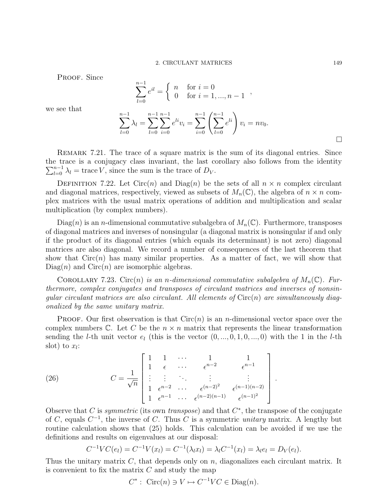#### 2. CIRCULANT MATRICES 149

PROOF. Since

$$
\sum_{l=0}^{n-1} e^{il} = \begin{cases} n & \text{for } i = 0 \\ 0 & \text{for } i = 1, ..., n-1 \end{cases}
$$

we see that

$$
\sum_{l=0}^{n-1} \lambda_l = \sum_{l=0}^{n-1} \sum_{i=0}^{n-1} e^{li} v_i = \sum_{i=0}^{n-1} \left( \sum_{l=0}^{n-1} e^{li} \right) v_i = n v_0.
$$

REMARK 7.21. The trace of a square matrix is the sum of its diagonal entries. Since  $\sum_{l=0}^{n-1} \lambda_l = \text{trace } V$ , since the sum is the trace of  $D_V$ . the trace is a conjugacy class invariant, the last corollary also follows from the identity

DEFINITION 7.22. Let Circ(n) and Diag(n) be the sets of all  $n \times n$  complex circulant and diagonal matrices, respectively, viewed as subsets of  $M_n(\mathbb{C})$ , the algebra of  $n \times n$  complex matrices with the usual matrix operations of addition and multiplication and scalar multiplication (by complex numbers).

 $Diag(n)$  is an *n*-dimensional commutative subalgebra of  $M_n(\mathbb{C})$ . Furthermore, transposes of diagonal matrices and inverses of nonsingular (a diagonal matrix is nonsingular if and only if the product of its diagonal entries (which equals its determinant) is not zero) diagonal matrices are also diagonal. We record a number of consequences of the last theorem that show that  $Circ(n)$  has many similar properties. As a matter of fact, we will show that  $Diag(n)$  and  $Circ(n)$  are isomorphic algebras.

COROLLARY 7.23. Circ $(n)$  is an n-dimensional commutative subalgebra of  $M_n(\mathbb{C})$ . Furthermore, complex conjugates and transposes of circulant matrices and inverses of nonsingular circulant matrices are also circulant. All elements of  $Circ(n)$  are simultaneously diagonalized by the same unitary matrix.

**PROOF.** Our first observation is that  $Circ(n)$  is an *n*-dimensional vector space over the complex numbers  $\mathbb{C}$ . Let C be the  $n \times n$  matrix that represents the linear transformation sending the *l*-th unit vector  $e_l$  (this is the vector  $(0, ..., 0, 1, 0, ..., 0)$ ) with the 1 in the *l*-th slot) to  $x_l$ :

.

(26) 
$$
C = \frac{1}{\sqrt{n}} \begin{bmatrix} 1 & 1 & \cdots & 1 & 1 \\ 1 & \epsilon & \cdots & \epsilon^{n-2} & \epsilon^{n-1} \\ \vdots & \vdots & \ddots & \vdots & \vdots \\ 1 & \epsilon^{n-2} & \cdots & \epsilon^{(n-2)^2} & \epsilon^{(n-1)(n-2)} \\ 1 & \epsilon^{n-1} & \cdots & \epsilon^{(n-2)(n-1)} & \epsilon^{(n-1)^2} \end{bmatrix}
$$

Observe that C is *symmetric* (its own *transpose*) and that  $C^*$ , the transpose of the conjugate of C, equals  $C^{-1}$ , the inverse of C. Thus C is a symmetric *unitary* matrix. A lengthy but routine calculation shows that (25) holds. This calculation can be avoided if we use the definitions and results on eigenvalues at our disposal:

$$
C^{-1}VC(e_l) = C^{-1}V(x_l) = C^{-1}(\lambda_l x_l) = \lambda_l C^{-1}(x_l) = \lambda_l e_l = D_V(e_l).
$$

Thus the unitary matrix  $C$ , that depends only on  $n$ , diagonalizes each circulant matrix. It is convenient to fix the matrix  $C$  and study the map

$$
C^* : \text{Circ}(n) \ni V \mapsto C^{-1}VC \in \text{Diag}(n).
$$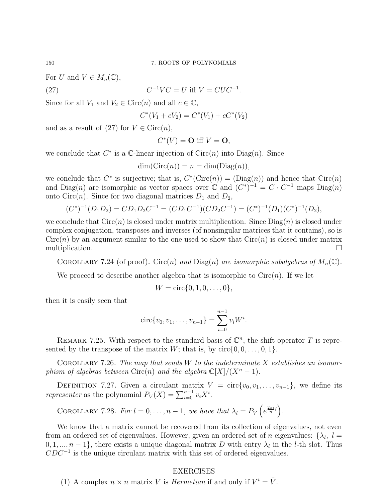For U and  $V \in M_n(\mathbb{C}),$ 

(27) 
$$
C^{-1}VC = U \text{ iff } V = CUC^{-1}.
$$

Since for all  $V_1$  and  $V_2 \in \text{Circ}(n)$  and all  $c \in \mathbb{C}$ ,

$$
C^*(V_1 + cV_2) = C^*(V_1) + cC^*(V_2)
$$

and as a result of (27) for  $V \in \text{Circ}(n)$ ,

$$
C^*(V) = \mathbf{O} \text{ iff } V = \mathbf{O},
$$

we conclude that  $C^*$  is a C-linear injection of  $Circ(n)$  into  $Diag(n)$ . Since

$$
\dim(\operatorname{Circ}(n)) = n = \dim(\operatorname{Diag}(n)),
$$

we conclude that  $C^*$  is surjective; that is,  $C^*(Circ(n)) = (Diag(n))$  and hence that  $Circ(n)$ and  $\text{Diag}(n)$  are isomorphic as vector spaces over  $\mathbb C$  and  $(C^*)^{-1} = C \cdot C^{-1}$  maps  $\text{Diag}(n)$ onto Circ $(n)$ . Since for two diagonal matrices  $D_1$  and  $D_2$ ,

$$
(C^*)^{-1}(D_1D_2) = CD_1D_2C^{-1} = (CD_1C^{-1})(CD_2C^{-1}) = (C^*)^{-1}(D_1)(C^*)^{-1}(D_2),
$$

we conclude that  $Circ(n)$  is closed under matrix multiplication. Since  $Diag(n)$  is closed under complex conjugation, transposes and inverses (of nonsingular matrices that it contains), so is  $Circ(n)$  by an argument similar to the one used to show that  $Circ(n)$  is closed under matrix multiplication.

COROLLARY 7.24 (of proof). Circ(n) and Diag(n) are isomorphic subalgebras of  $M_n(\mathbb{C})$ .

We proceed to describe another algebra that is isomorphic to  $Circ(n)$ . If we let

$$
W = \mathrm{circ}\{0, 1, 0, \ldots, 0\},\
$$

then it is easily seen that

$$
\operatorname{circ}\{v_0, v_1, \dots, v_{n-1}\} = \sum_{i=0}^{n-1} v_i W^i.
$$

REMARK 7.25. With respect to the standard basis of  $\mathbb{C}^n$ , the shift operator T is represented by the transpose of the matrix W; that is, by  $circ{0, 0, \ldots, 0, 1}$ .

COROLLARY 7.26. The map that sends  $W$  to the indeterminate  $X$  establishes an isomorphism of algebras between Circ(n) and the algebra  $\mathbb{C}[X]/(X^n-1)$ .

DEFINITION 7.27. Given a circulant matrix  $V = \text{circ}\{v_0, v_1, \ldots, v_{n-1}\}$ , we define its representer as the polynomial  $P_V(X) = \sum_{i=0}^{n-1} v_i X^i$ .

COROLLARY 7.28. For  $l = 0, ..., n - 1$ , we have that  $\lambda_l = P_V\left(e^{\frac{2\pi i l}{n}}\right)$ .

We know that a matrix cannot be recovered from its collection of eigenvalues, not even from an ordered set of eigenvalues. However, given an ordered set of *n* eigenvalues:  $\{\lambda_l, l =$  $(0, 1, \ldots, n-1)$ , there exists a unique diagonal matrix D with entry  $\lambda_l$  in the l-th slot. Thus  $CDC^{-1}$  is the unique circulant matrix with this set of ordered eigenvalues.

### EXERCISES

(1) A complex  $n \times n$  matrix V is *Hermetian* if and only if  $V^t = \overline{V}$ .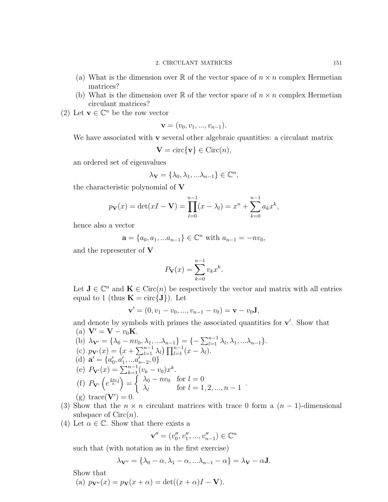- (a) What is the dimension over  $\mathbb R$  of the vector space of  $n \times n$  complex Hermetian matrices?
- (b) What is the dimension over  $\mathbb R$  of the vector space of  $n \times n$  complex Hermetian circulant matrices?
- (2) Let  $\mathbf{v} \in \mathbb{C}^n$  be the row vector

$$
\mathbf{v}=(v_0,v_1,...,v_{n-1}).
$$

We have associated with **v** several other algebraic quantities: a circulant matrix

$$
\mathbf{V} = \operatorname{circ}\{\mathbf{v}\} \in \operatorname{Circ}(n),
$$

an ordered set of eigenvalues

$$
\lambda_{\mathbf{V}} = {\lambda_0, \lambda_1, \ldots, \lambda_{n-1}} \in \mathbb{C}^n,
$$

the characteristic polynomial of V

$$
p_{\mathbf{V}}(x) = \det(xI - \mathbf{V}) = \prod_{l=0}^{n-1} (x - \lambda_l) = x^n + \sum_{k=0}^{n-1} a_k x^k,
$$

hence also a vector

$$
\mathbf{a} = \{a_0, a_1, \dots a_{n-1}\} \in \mathbb{C}^n \text{ with } a_{n-1} = -nv_0,
$$

and the representer of V

$$
P_{\mathbf{V}}(x) = \sum_{k=0}^{n-1} v_k x^k.
$$

Let  $J \in \mathbb{C}^n$  and  $K \in \text{Circ}(n)$  be respectively the vector and matrix with all entries equal to 1 (thus  $\mathbf{K} = \text{circ} \{ \mathbf{J} \}$ ). Let

$$
\mathbf{v}' = (0, v_1 - v_0, ..., v_{n-1} - v_0) = \mathbf{v} - v_0 \mathbf{J},
$$

and denote by symbols with primes the associated quantities for  $\mathbf{v}'$ . Show that (a)  $V' = V - v_0K$ .

- (b)  $\lambda_{\mathbf{V'}} = {\lambda_0 nv_0, \lambda_1, ...\lambda_{n-1}} = {-\sum_{l=1}^{n-1} \lambda_l, \lambda_1, ...\lambda_{n-1}}.$ (c)  $p_{\mathbf{V}'}(x) = (x + \sum_{l=1}^{n-1} \lambda_l) \prod_{l=1}^{n-1} (x - \lambda_l).$ (d)  $\mathbf{a}' = \{a'_0, a'_1, ... a'_n\}$  $\mathcal{U} = \{a'_0, a'_1, \ldots a'_{n-2}, 0\}$ (e)  $P_{\mathbf{V}'}(x) = \sum_{k=1}^{n-1} (v_k - v_0) x^k$ . (f)  $P_{\mathbf{V}'}\left(e^{\frac{2\pi i}{n}l}\right)=$  $\begin{cases} \lambda_0 - nv_0 & \text{for } l = 0 \end{cases}$  $\lambda_l$  for  $l = 1, 2, ..., n - 1$ . (g) trace( $V'$ ) = 0.
- (3) Show that the  $n \times n$  circulant matrices with trace 0 form a  $(n-1)$ -dimensional subspace of  $Circ(n)$ .
- (4) Let  $\alpha \in \mathbb{C}$ . Show that there exists a

$$
\mathbf{v}'' = (v''_0, v''_1, ..., v''_{n-1}) \in \mathbb{C}^n
$$

such that (with notation as in the first exercise)

$$
\lambda_{\mathbf{V}''} = {\lambda_0 - \alpha, \lambda_1 - \alpha, \ldots, \lambda_{n-1} - \alpha} = \lambda_{\mathbf{V}} - \alpha \mathbf{J}.
$$

Show that

(a)  $p_{\mathbf{V}''}(x) = p_{\mathbf{V}}(x + \alpha) = \det((x + \alpha)I - \mathbf{V}).$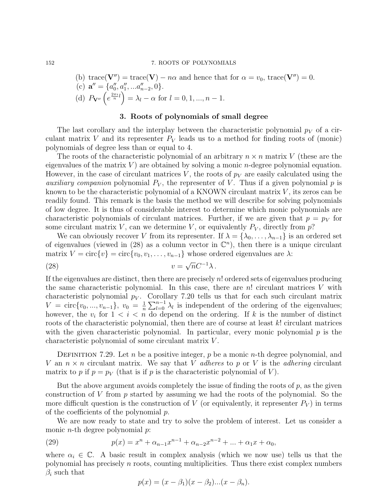#### 152 7. ROOTS OF POLYNOMIALS

\n- (b) 
$$
trace(\mathbf{V''}) = trace(\mathbf{V}) - n\alpha
$$
 and hence that for  $\alpha = v_0$ ,  $trace(\mathbf{V''}) = 0$ .
\n- (c)  $\mathbf{a''} = \{a''_0, a''_1, \ldots, a''_{n-2}, 0\}$ .
\n- (d)  $P_{\mathbf{V''}}\left(e^{\frac{2\pi i}{n}l}\right) = \lambda_l - \alpha$  for  $l = 0, 1, \ldots, n-1$ .
\n

### 3. Roots of polynomials of small degree

The last corollary and the interplay between the characteristic polynomial  $p_V$  of a circulant matrix V and its representer  $P_V$  leads us to a method for finding roots of (monic) polynomials of degree less than or equal to 4.

The roots of the characteristic polynomial of an arbitrary  $n \times n$  matrix V (these are the eigenvalues of the matrix  $V$ ) are obtained by solving a monic *n*-degree polynomial equation. However, in the case of circulant matrices V, the roots of  $p<sub>V</sub>$  are easily calculated using the *auxiliary companion* polynomial  $P_V$ , the representer of V. Thus if a given polynomial p is known to be the characteristic polynomial of a KNOWN circulant matrix  $V$ , its zeros can be readily found. This remark is the basis the method we will describe for solving polynomials of low degree. It is thus of considerable interest to determine which monic polynomials are characteristic polynomials of circulant matrices. Further, if we are given that  $p = p<sub>V</sub>$  for some circulant matrix V, can we determine V, or equivalently  $P_V$ , directly from p?

We can obviously recover V from its representer. If  $\lambda = {\lambda_0, \ldots, \lambda_{n-1}}$  is an ordered set of eigenvalues (viewed in  $(28)$  as a column vector in  $\mathbb{C}^n$ ), then there is a unique circulant matrix  $V = \text{circ}\{v\} = \text{circ}\{v_0, v_1, \dots, v_{n-1}\}$  whose ordered eigenvalues are  $\lambda$ :

(28) 
$$
v = \sqrt{n}C^{-1}\lambda.
$$

If the eigenvalues are distinct, then there are precisely  $n!$  ordered sets of eigenvalues producing the same characteristic polynomial. In this case, there are  $n!$  circulant matrices V with characteristic polynomial  $p_V$ . Corollary 7.20 tells us that for each such circulant matrix  $V = \text{circ}\{v_0, ..., v_{n-1}\}, v_0 = \frac{1}{n}$  $\frac{1}{n}\sum_{l=0}^{n-1}\lambda_l$  is independent of the ordering of the eigenvalues; however, the  $v_i$  for  $1 \leq i \leq n$  do depend on the ordering. If k is the number of distinct roots of the characteristic polynomial, then there are of course at least k! circulant matrices with the given characteristic polynomial. In particular, every monic polynomial  $p$  is the characteristic polynomial of some circulant matrix V .

DEFINITION 7.29. Let n be a positive integer, p be a monic n-th degree polynomial, and V an  $n \times n$  circulant matrix. We say that V adheres to p or V is the adhering circulant matrix to p if  $p = p<sub>V</sub>$  (that is if p is the characteristic polynomial of V).

But the above argument avoids completely the issue of finding the roots of  $p$ , as the given construction of V from  $p$  started by assuming we had the roots of the polynomial. So the more difficult question is the construction of V (or equivalently, it representer  $P_V$ ) in terms of the coefficients of the polynomial p.

We are now ready to state and try to solve the problem of interest. Let us consider a monic *n*-th degree polynomial  $p$ :

(29) 
$$
p(x) = x^{n} + \alpha_{n-1}x^{n-1} + \alpha_{n-2}x^{n-2} + \dots + \alpha_1x + \alpha_0,
$$

where  $\alpha_i \in \mathbb{C}$ . A basic result in complex analysis (which we now use) tells us that the polynomial has precisely  $n$  roots, counting multiplicities. Thus there exist complex numbers  $\beta_i$  such that

$$
p(x) = (x - \beta_1)(x - \beta_2)...(x - \beta_n).
$$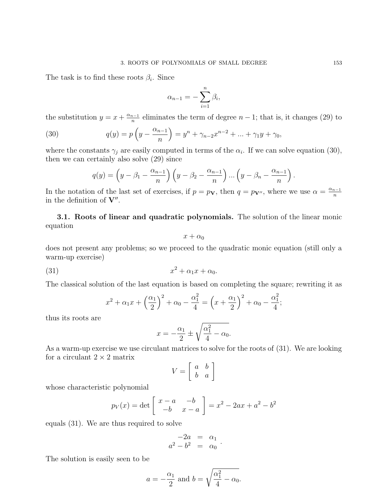The task is to find these roots  $\beta_i$ . Since

$$
\alpha_{n-1} = -\sum_{i=1}^{n} \beta_i,
$$

the substitution  $y = x + \frac{\alpha_{n-1}}{n}$  $\frac{n-1}{n}$  eliminates the term of degree  $n-1$ ; that is, it changes (29) to

(30) 
$$
q(y) = p\left(y - \frac{\alpha_{n-1}}{n}\right) = y^n + \gamma_{n-2}x^{n-2} + \dots + \gamma_1y + \gamma_0,
$$

where the constants  $\gamma_j$  are easily computed in terms of the  $\alpha_i$ . If we can solve equation (30), then we can certainly also solve (29) since

$$
q(y) = \left(y - \beta_1 - \frac{\alpha_{n-1}}{n}\right)\left(y - \beta_2 - \frac{\alpha_{n-1}}{n}\right)\dots\left(y - \beta_n - \frac{\alpha_{n-1}}{n}\right).
$$

In the notation of the last set of exercises, if  $p = p_{\mathbf{V}}$ , then  $q = p_{\mathbf{V}''}$ , where we use  $\alpha = \frac{\alpha_{n-1}}{n}$ n in the definition of  $V''$ .

3.1. Roots of linear and quadratic polynomials. The solution of the linear monic equation

 $x + \alpha_0$ 

does not present any problems; so we proceed to the quadratic monic equation (still only a warm-up exercise)

$$
(31) \t\t x2 + \alpha_1 x + \alpha_0.
$$

The classical solution of the last equation is based on completing the square; rewriting it as

$$
x^{2} + \alpha_{1}x + \left(\frac{\alpha_{1}}{2}\right)^{2} + \alpha_{0} - \frac{\alpha_{1}^{2}}{4} = \left(x + \frac{\alpha_{1}}{2}\right)^{2} + \alpha_{0} - \frac{\alpha_{1}^{2}}{4};
$$

thus its roots are

$$
x = -\frac{\alpha_1}{2} \pm \sqrt{\frac{\alpha_1^2}{4} - \alpha_0}.
$$

As a warm-up exercise we use circulant matrices to solve for the roots of (31). We are looking for a circulant  $2 \times 2$  matrix

$$
V = \left[ \begin{array}{cc} a & b \\ b & a \end{array} \right]
$$

whose characteristic polynomial

$$
p_V(x) = \det \begin{bmatrix} x-a & -b \\ -b & x-a \end{bmatrix} = x^2 - 2ax + a^2 - b^2
$$

equals (31). We are thus required to solve

$$
\begin{array}{rcl}\n-2a & = & \alpha_1 \\
a^2 - b^2 & = & \alpha_0\n\end{array}
$$

.

The solution is easily seen to be

$$
a = -\frac{\alpha_1}{2} \text{ and } b = \sqrt{\frac{\alpha_1^2}{4} - \alpha_0}.
$$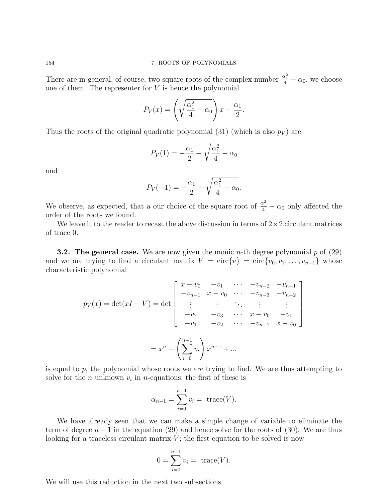There are in general, of course, two square roots of the complex number  $\frac{\alpha_1^2}{4} - \alpha_0$ , we choose one of them. The representer for  $V$  is hence the polynomial

$$
P_V(x) = \left(\sqrt{\frac{\alpha_1^2}{4} - \alpha_0}\right)x - \frac{\alpha_1}{2}.
$$

Thus the roots of the original quadratic polynomial  $(31)$  (which is also  $p<sub>V</sub>$ ) are

$$
P_V(1) = -\frac{\alpha_1}{2} + \sqrt{\frac{\alpha_1^2}{4} - \alpha_0}
$$

and

$$
P_V(-1) = -\frac{\alpha_1}{2} - \sqrt{\frac{\alpha_1^2}{4} - \alpha_0}.
$$

We observe, as expected, that a our choice of the square root of  $\frac{\alpha_1^2}{4} - \alpha_0$  only affected the order of the roots we found.

We leave it to the reader to recast the above discussion in terms of  $2\times 2$  circulant matrices of trace 0.

**3.2. The general case.** We are now given the monic *n*-th degree polynomial p of (29) and we are trying to find a circulant matrix  $V = \text{circ}\{v_0, v_1, \ldots, v_{n-1}\}\$  whose characteristic polynomial

$$
p_V(x) = \det(xI - V) = \det\begin{bmatrix} x - v_0 & -v_1 & \cdots & -v_{n-2} & -v_{n-1} \\ -v_{n-1} & x - v_0 & \cdots & -v_{n-3} & -v_{n-2} \\ \vdots & \vdots & \ddots & \vdots & \vdots \\ -v_2 & -v_3 & \cdots & x - v_0 & -v_1 \\ -v_1 & -v_2 & \cdots & -v_{n-1} & x - v_0 \end{bmatrix}
$$

$$
= x^n - \left(\sum_{i=0}^{n-1} v_i\right) x^{n-1} + \dots
$$

is equal to  $p$ , the polynomial whose roots we are trying to find. We are thus attempting to solve for the *n* unknown  $v_i$  in *n*-equations; the first of these is

$$
\alpha_{n-1} = \sum_{i=0}^{n-1} v_i = \text{trace}(V).
$$

We have already seen that we can make a simple change of variable to eliminate the term of degree  $n-1$  in the equation (29) and hence solve for the roots of (30). We are thus looking for a traceless circulant matrix  $V$ ; the first equation to be solved is now

$$
0 = \sum_{i=0}^{n-1} v_i = \text{trace}(V).
$$

We will use this reduction in the next two subsections.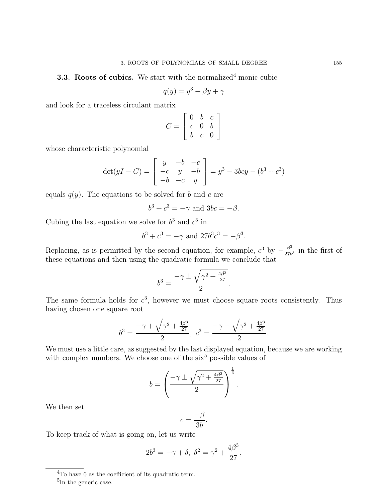**3.3. Roots of cubics.** We start with the normalized<sup>4</sup> monic cubic

$$
q(y) = y^3 + \beta y + \gamma
$$

and look for a traceless circulant matrix

$$
C = \left[ \begin{array}{ccc} 0 & b & c \\ c & 0 & b \\ b & c & 0 \end{array} \right]
$$

whose characteristic polynomial

$$
det(yI - C) = \begin{bmatrix} y & -b & -c \\ -c & y & -b \\ -b & -c & y \end{bmatrix} = y^3 - 3bcy - (b^3 + c^3)
$$

equals  $q(y)$ . The equations to be solved for b and c are

$$
b^3 + c^3 = -\gamma
$$
 and 
$$
3bc = -\beta.
$$

Cubing the last equation we solve for  $b^3$  and  $c^3$  in

$$
b^3 + c^3 = -\gamma
$$
 and  $27b^3c^3 = -\beta^3$ .

Replacing, as is permitted by the second equation, for example,  $c^3$  by  $-\frac{\beta^3}{27b}$  $\frac{\beta^{\circ}}{27b^3}$  in the first of these equations and then using the quadratic formula we conclude that

$$
b^{3} = \frac{-\gamma \pm \sqrt{\gamma^{2} + \frac{4\beta^{3}}{27}}}{2}.
$$

The same formula holds for  $c^3$ , however we must choose square roots consistently. Thus having chosen one square root

$$
b^{3} = \frac{-\gamma + \sqrt{\gamma^{2} + \frac{4\beta^{3}}{27}}}{2}, \ c^{3} = \frac{-\gamma - \sqrt{\gamma^{2} + \frac{4\beta^{3}}{27}}}{2}
$$

.

We must use a little care, as suggested by the last displayed equation, because we are working with complex numbers. We choose one of the six<sup>5</sup> possible values of

$$
b = \left(\frac{-\gamma \pm \sqrt{\gamma^2 + \frac{4\beta^3}{27}}}{2}\right)^{\frac{1}{3}}.
$$

We then set

$$
c = \frac{-\beta}{3b}.
$$

To keep track of what is going on, let us write

$$
2b^3 = -\gamma + \delta, \ \delta^2 = \gamma^2 + \frac{4\beta^3}{27},
$$

<sup>4</sup>To have 0 as the coefficient of its quadratic term.

<sup>&</sup>lt;sup>5</sup>In the generic case.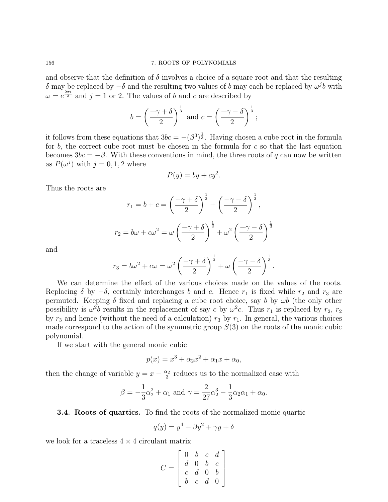#### 156 7. ROOTS OF POLYNOMIALS

and observe that the definition of  $\delta$  involves a choice of a square root and that the resulting δ may be replaced by  $-\delta$  and the resulting two values of b may each be replaced by  $\omega^{j}b$  with  $\omega = e^{\frac{2\pi i}{3}}$  and  $j = 1$  or 2. The values of b and c are described by

$$
b = \left(\frac{-\gamma + \delta}{2}\right)^{\frac{1}{3}} \text{ and } c = \left(\frac{-\gamma - \delta}{2}\right)^{\frac{1}{3}};
$$

it follows from these equations that  $3bc = -(\beta^3)^{\frac{1}{3}}$ . Having chosen a cube root in the formula for  $b$ , the correct cube root must be chosen in the formula for  $c$  so that the last equation becomes  $3bc = -\beta$ . With these conventions in mind, the three roots of q can now be written as  $P(\omega^j)$  with  $j = 0, 1, 2$  where

$$
P(y) = by + cy^2.
$$

Thus the roots are

$$
r_1 = b + c = \left(\frac{-\gamma + \delta}{2}\right)^{\frac{1}{3}} + \left(\frac{-\gamma - \delta}{2}\right)^{\frac{1}{3}},
$$

$$
r_2 = b\omega + c\omega^2 = \omega\left(\frac{-\gamma + \delta}{2}\right)^{\frac{1}{3}} + \omega^2\left(\frac{-\gamma - \delta}{2}\right)^{\frac{1}{3}}
$$

and

$$
r_3 = b\omega^2 + c\omega = \omega^2 \left(\frac{-\gamma + \delta}{2}\right)^{\frac{1}{3}} + \omega \left(\frac{-\gamma - \delta}{2}\right)^{\frac{1}{3}}.
$$

We can determine the effect of the various choices made on the values of the roots. Replacing  $\delta$  by  $-\delta$ , certainly interchanges b and c. Hence  $r_1$  is fixed while  $r_2$  and  $r_3$  are permuted. Keeping  $\delta$  fixed and replacing a cube root choice, say b by  $\omega b$  (the only other possibility is  $\omega^2b$  results in the replacement of say c by  $\omega^2c$ . Thus  $r_1$  is replaced by  $r_2$ ,  $r_2$ by  $r_3$  and hence (without the need of a calculation)  $r_3$  by  $r_1$ . In general, the various choices made correspond to the action of the symmetric group  $S(3)$  on the roots of the monic cubic polynomial.

If we start with the general monic cubic

$$
p(x) = x^3 + \alpha_2 x^2 + \alpha_1 x + \alpha_0,
$$

then the change of variable  $y = x - \frac{\alpha_2}{3}$  $\frac{y_2}{3}$  reduces us to the normalized case with

$$
\beta = -\frac{1}{3}\alpha_2^2 + \alpha_1
$$
 and  $\gamma = \frac{2}{27}\alpha_2^3 - \frac{1}{3}\alpha_2\alpha_1 + \alpha_0$ .

3.4. Roots of quartics. To find the roots of the normalized monic quartic

$$
q(y) = y^4 + \beta y^2 + \gamma y + \delta
$$

we look for a traceless  $4 \times 4$  circulant matrix

$$
C = \left[ \begin{array}{rrr} 0 & b & c & d \\ d & 0 & b & c \\ c & d & 0 & b \\ b & c & d & 0 \end{array} \right]
$$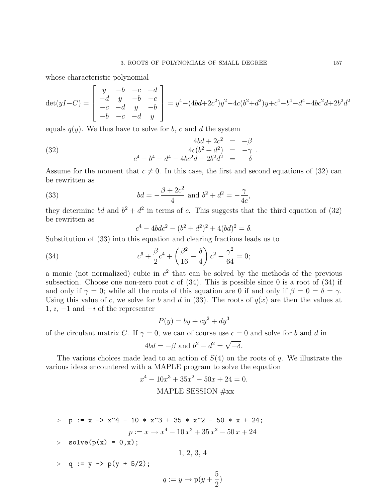whose characteristic polynomial

$$
det(yI-C) = \begin{bmatrix} y & -b & -c & -d \\ -d & y & -b & -c \\ -c & -d & y & -b \\ -b & -c & -d & y \end{bmatrix} = y^4 - (4bd + 2c^2)y^2 - 4c(b^2 + d^2)y + c^4 - b^4 - d^4 - 4bc^2d + 2b^2d^2
$$

equals  $q(y)$ . We thus have to solve for b, c and d the system

(32) 
$$
4bd + 2c^2 = -\beta 4c(b^2 + d^2) = -\gamma c^4 - b^4 - d^4 - 4bc^2d + 2b^2d^2 = \delta
$$

Assume for the moment that  $c \neq 0$ . In this case, the first and second equations of (32) can be rewritten as

(33) 
$$
bd = -\frac{\beta + 2c^2}{4} \text{ and } b^2 + d^2 = -\frac{\gamma}{4c},
$$

they determine bd and  $b^2 + d^2$  in terms of c. This suggests that the third equation of (32) be rewritten as

$$
c4 - 4bdc2 - (b2 + d2)2 + 4(bd)2 = \delta.
$$

Substitution of (33) into this equation and clearing fractions leads us to

(34) 
$$
c^6 + \frac{\beta}{2}c^4 + \left(\frac{\beta^2}{16} - \frac{\delta}{4}\right)c^2 - \frac{\gamma^2}{64} = 0;
$$

a monic (not normalized) cubic in  $c^2$  that can be solved by the methods of the previous subsection. Choose one non-zero root c of  $(34)$ . This is possible since 0 is a root of  $(34)$  if and only if  $\gamma = 0$ ; while all the roots of this equation are 0 if and only if  $\beta = 0 = \delta = \gamma$ . Using this value of c, we solve for b and d in (33). The roots of  $q(x)$  are then the values at 1,  $i, -1$  and  $-i$  of the representer

$$
P(y) = by + cy^2 + dy^3
$$

of the circulant matrix C. If  $\gamma = 0$ , we can of course use  $c = 0$  and solve for b and d in

$$
4bd = -\beta \text{ and } b^2 - d^2 = \sqrt{-\delta}.
$$

The various choices made lead to an action of  $S(4)$  on the roots of q. We illustrate the various ideas encountered with a MAPLE program to solve the equation

$$
x^{4} - 10x^{3} + 35x^{2} - 50x + 24 = 0.
$$
  
MAPLE SESION #xx

> p := x -> x<sup>2</sup> - 10 \* x<sup>3</sup> + 35 \* x<sup>2</sup> - 50 \* x + 24;  
\n
$$
p := x \rightarrow x^{4} - 10x^{3} + 35x^{2} - 50x + 24
$$
\n> solve(p(x) = 0, x);  
\n1, 2, 3, 4  
\n> q := y -> p(y + 5/2);  
\n
$$
q := y \rightarrow p(y + \frac{5}{2})
$$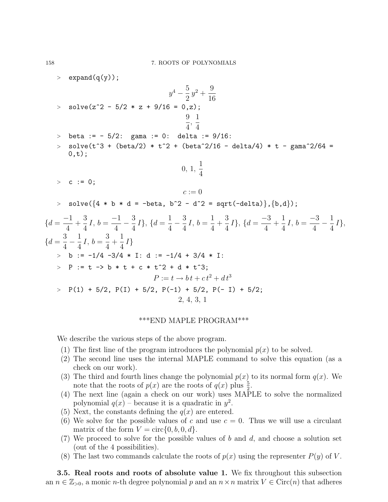$>$  expand(q(y));  $y^4 - \frac{5}{2}$ 2  $y^2 + \frac{9}{16}$ 16  $solve(z^2 - 5/2 * z + 9/16 = 0, z);$ 9 4 , 1 4 beta :=  $-5/2$ : gama := 0: delta :=  $9/16$ : > solve(t<sup>2</sup> + (beta/2) \* t<sup>2</sup> + (beta<sup>2</sup>/16 - delta/4) \* t - gama<sup>2</sup>/64 =  $0, t$ ; 0, 1, 1 4  $>$  c := 0:  $c := 0$ > solve({ $4 * b * d = -beta, b^2 - d^2 = sqrt(-delta), \{b, d\};$  $\{d =$  $-1$ 4  $+$ 3 4  $I, b = \frac{-1}{4}$  $\frac{1}{4}$ 3  $\frac{3}{4}I$ , { $d=$ 1  $\frac{1}{4}$ 3 4  $I, b =$ 1 4  $+$ 3  $\frac{3}{4}I$ , { $d=$  $-3$ 4  $+$ 1 4  $I, b = \frac{-3}{4}$  $\frac{1}{4}$ 1  $\frac{1}{4}I$ ,  $\{d =$ 3  $\frac{1}{4}$ 1 4  $I, b =$ 3 4  $+$ 1  $\frac{1}{4}I$  $\ge$  b := -1/4 -3/4 \* I: d := -1/4 + 3/4 \* I:  $>$  P := t -> b \* t + c \* t<sup>2</sup> + d \* t<sup>2</sup>3;  $P := t \to b t + c t^2 + d t^3$  $> P(1) + 5/2$ ,  $P(I) + 5/2$ ,  $P(-1) + 5/2$ ,  $P(-I) + 5/2$ ; 2, 4, 3, 1

### \*\*\*END MAPLE PROGRAM\*\*\*

We describe the various steps of the above program.

- (1) The first line of the program introduces the polynomial  $p(x)$  to be solved.
- (2) The second line uses the internal MAPLE command to solve this equation (as a check on our work).
- (3) The third and fourth lines change the polynomial  $p(x)$  to its normal form  $q(x)$ . We note that the roots of  $p(x)$  are the roots of  $q(x)$  plus  $\frac{5}{2}$ .
- (4) The next line (again a check on our work) uses MAPLE to solve the normalized polynomial  $q(x)$  – because it is a quadratic in  $y^2$ .
- (5) Next, the constants defining the  $q(x)$  are entered.
- (6) We solve for the possible values of c and use  $c = 0$ . Thus we will use a circulant matrix of the form  $V = \text{circ}\{0, b, 0, d\}.$
- (7) We proceed to solve for the possible values of b and d, and choose a solution set (out of the 4 possibilities).
- (8) The last two commands calculate the roots of  $p(x)$  using the representer  $P(y)$  of V.

3.5. Real roots and roots of absolute value 1. We fix throughout this subsection an  $n \in \mathbb{Z}_{>0}$ , a monic n-th degree polynomial p and an  $n \times n$  matrix  $V \in \text{Circ}(n)$  that adheres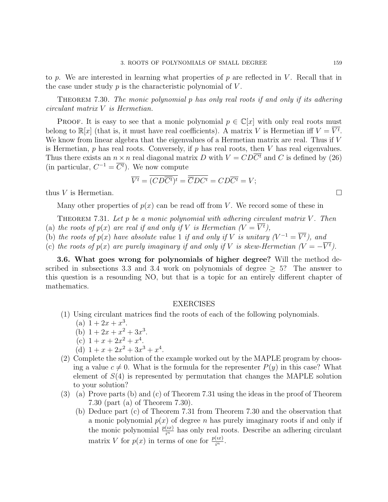to p. We are interested in learning what properties of p are reflected in  $V$ . Recall that in the case under study  $p$  is the characteristic polynomial of  $V$ .

THEOREM 7.30. The monic polynomial p has only real roots if and only if its adhering circulant matrix V is Hermetian.

**PROOF.** It is easy to see that a monic polynomial  $p \in \mathbb{C}[x]$  with only real roots must belong to  $\mathbb{R}[x]$  (that is, it must have real coefficients). A matrix V is Hermetian iff  $V = \overline{V^t}$ . We know from linear algebra that the eigenvalues of a Hermetian matrix are real. Thus if V is Hermetian,  $p$  has real roots. Conversely, if  $p$  has real roots, then  $V$  has real eigenvalues. Thus there exists an  $n \times n$  real diagonal matrix D with  $V = C D \overline{C}^t$  and C is defined by (26) (in particular,  $C^{-1} = \overline{C^t}$ ). We now compute

$$
\overline{V^t} = \overline{(CD\overline{C^t})^t} = \overline{\overline{C}DC^t} = CD\overline{C^t} = V;
$$

thus V is Hermetian.  $\square$ 

Many other properties of  $p(x)$  can be read off from V. We record some of these in

THEOREM 7.31. Let p be a monic polynomial with adhering circulant matrix  $V$ . Then (a) the roots of  $p(x)$  are real if and only if V is Hermetian  $(V = V<sup>t</sup>)$ ,

- (b) the roots of  $p(x)$  have absolute value 1 if and only if V is unitary  $(V^{-1} = \overline{V^t})$ , and
- (c) the roots of  $p(x)$  are purely imaginary if and only if V is skew-Hermetian  $(V = -V<sup>t</sup>)$ .

3.6. What goes wrong for polynomials of higher degree? Will the method described in subsections 3.3 and 3.4 work on polynomials of degree  $\geq$  5? The answer to this question is a resounding NO, but that is a topic for an entirely different chapter of mathematics.

## EXERCISES

- (1) Using circulant matrices find the roots of each of the following polynomials.
	- (a)  $1 + 2x + x^3$ .
	- (b)  $1 + 2x + x^2 + 3x^3$ .
	- (c)  $1 + x + 2x^2 + x^4$ .
	- (d)  $1 + x + 2x^2 + 3x^3 + x^4$ .
- (2) Complete the solution of the example worked out by the MAPLE program by choosing a value  $c \neq 0$ . What is the formula for the representer  $P(y)$  in this case? What element of  $S(4)$  is represented by permutation that changes the MAPLE solution to your solution?
- (3) (a) Prove parts (b) and (c) of Theorem 7.31 using the ideas in the proof of Theorem 7.30 (part (a) of Theorem 7.30).
	- (b) Deduce part (c) of Theorem 7.31 from Theorem 7.30 and the observation that a monic polynomial  $p(x)$  of degree n has purely imaginary roots if and only if the monic polynomial  $\frac{p(ix)}{i^n}$  has only real roots. Describe an adhering circulant matrix V for  $p(x)$  in terms of one for  $\frac{p(ix)}{i^n}$ .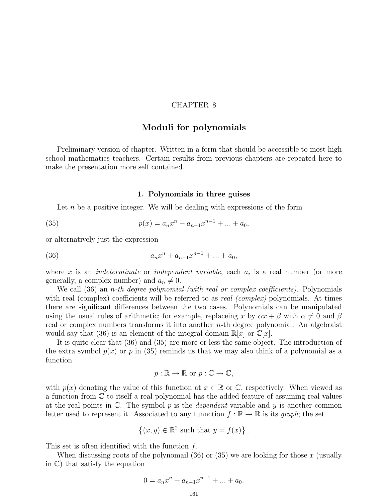# CHAPTER 8

# Moduli for polynomials

Preliminary version of chapter. Written in a form that should be accessible to most high school mathematics teachers. Certain results from previous chapters are repeated here to make the presentation more self contained.

#### 1. Polynomials in three guises

Let  $n$  be a positive integer. We will be dealing with expressions of the form

(35) 
$$
p(x) = a_n x^n + a_{n-1} x^{n-1} + \dots + a_0,
$$

or alternatively just the expression

(36) 
$$
a_n x^n + a_{n-1} x^{n-1} + \ldots + a_0,
$$

where x is an *indeterminate* or *independent variable*, each  $a_i$  is a real number (or more generally, a complex number) and  $a_n \neq 0$ .

We call (36) an *n-th degree polynomial (with real or complex coefficients)*. Polynomials with real (complex) coefficients will be referred to as *real (complex)* polynomials. At times there are significant differences between the two cases. Polynomials can be manipulated using the usual rules of arithmetic; for example, replaceing x by  $\alpha x + \beta$  with  $\alpha \neq 0$  and  $\beta$ real or complex numbers transforms it into another  $n$ -th degree polynomial. An algebraist would say that (36) is an element of the integral domain  $\mathbb{R}[x]$  or  $\mathbb{C}[x]$ .

It is quite clear that (36) and (35) are more or less the same object. The introduction of the extra symbol  $p(x)$  or p in (35) reminds us that we may also think of a polynomial as a function

$$
p : \mathbb{R} \to \mathbb{R} \text{ or } p : \mathbb{C} \to \mathbb{C},
$$

with  $p(x)$  denoting the value of this function at  $x \in \mathbb{R}$  or  $\mathbb{C}$ , respectively. When viewed as a function from C to itself a real polynomial has the added feature of assuming real values at the real points in  $\mathbb{C}$ . The symbol p is the *dependent* variable and y is another common letter used to represent it. Associated to any funnction  $f : \mathbb{R} \to \mathbb{R}$  is its graph; the set

$$
\{(x, y) \in \mathbb{R}^2 \text{ such that } y = f(x)\}.
$$

This set is often identified with the function f.

When discussing roots of the polynomail  $(36)$  or  $(35)$  we are looking for those x (usually in C) that satisfy the equation

$$
0 = a_n x^n + a_{n-1} x^{n-1} + \dots + a_0.
$$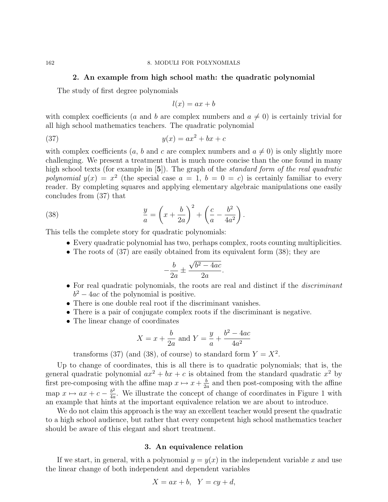# 2. An example from high school math: the quadratic polynomial

The study of first degree polynomials

 $l(x) = ax + b$ 

with complex coefficients (a and b are complex numbers and  $a \neq 0$ ) is certainly trivial for all high school mathematics teachers. The quadratic polynomial

$$
(37) \t\t y(x) = ax^2 + bx + c
$$

with complex coefficients (a, b and c are complex numbers and  $a \neq 0$ ) is only slightly more challenging. We present a treatment that is much more concise than the one found in many high school texts (for example in  $[5]$ ). The graph of the *standard form of the real quadratic* polynomial  $y(x) = x^2$  (the special case  $a = 1, b = 0 = c$ ) is certainly familiar to every reader. By completing squares and applying elementary algebraic manipulations one easily concludes from (37) that

(38) 
$$
\frac{y}{a} = \left(x + \frac{b}{2a}\right)^2 + \left(\frac{c}{a} - \frac{b^2}{4a^2}\right).
$$

This tells the complete story for quadratic polynomials:

- Every quadratic polynomial has two, perhaps complex, roots counting multiplicities.
- The roots of (37) are easily obtained from its equivalent form (38); they are

$$
-\frac{b}{2a} \pm \frac{\sqrt{b^2 - 4ac}}{2a}.
$$

- For real quadratic polynomials, the roots are real and distinct if the *discriminant*  $b^2 - 4ac$  of the polynomial is positive.
- There is one double real root if the discriminant vanishes.
- There is a pair of conjugate complex roots if the discriminant is negative.
- The linear change of coordinates

$$
X = x + \frac{b}{2a}
$$
 and  $Y = \frac{y}{a} + \frac{b^2 - 4ac}{4a^2}$ 

transforms (37) (and (38), of course) to standard form  $Y = X^2$ .

Up to change of coordinates, this is all there is to quadratic polynomials; that is, the general quadratic polynomial  $ax^2 + bx + c$  is obtained from the standard quadratic  $x^2$  by first pre-composing with the affine map  $x \mapsto x + \frac{b}{2a}$  $\frac{b}{2a}$  and then post-composing with the affine map  $x \mapsto ax + c - \frac{b^2}{4a}$  $\frac{b^2}{4a}$ . We illustrate the concept of change of coordinates in Figure 1 with an example that hints at the important equivalence relation we are about to introduce.

We do not claim this approach is the way an excellent teacher would present the quadratic to a high school audience, but rather that every competent high school mathematics teacher should be aware of this elegant and short treatment.

### 3. An equivalence relation

If we start, in general, with a polynomial  $y = y(x)$  in the independent variable x and use the linear change of both independent and dependent variables

$$
X = ax + b, \quad Y = cy + d,
$$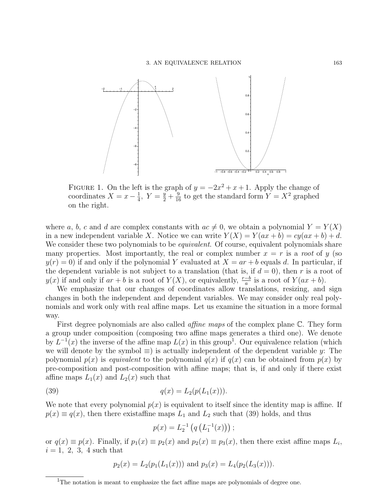

FIGURE 1. On the left is the graph of  $y = -2x^2 + x + 1$ . Apply the change of coordinates  $X = x - \frac{1}{4}$  $\frac{1}{4}$ ,  $Y = \frac{y}{2} + \frac{9}{16}$  to get the standard form  $Y = X^2$  graphed on the right.

where a, b, c and d are complex constants with  $ac \neq 0$ , we obtain a polynomial  $Y = Y(X)$ in a new independent variable X. Notice we can write  $Y(X) = Y(ax + b) = cy(ax + b) + d$ . We consider these two polynomials to be *equivalent*. Of course, equivalent polynomials share many properties. Most importantly, the real or complex number  $x = r$  is a root of y (so  $y(r) = 0$ ) if and only if the polynomial Y evaluated at  $X = ar + b$  equals d. In particular, if the dependent variable is not subject to a translation (that is, if  $d = 0$ ), then r is a root of  $y(x)$  if and only if  $ar + b$  is a root of  $Y(X)$ , or equivalently,  $\frac{r-b}{a}$  is a root of  $Y(ax + b)$ .

We emphasize that our changes of coordinates allow translations, resizing, and sign changes in both the independent and dependent variables. We may consider only real polynomials and work only with real affine maps. Let us examine the situation in a more formal way.

First degree polynomials are also called *affine maps* of the complex plane C. They form a group under composition (composing two affine maps generates a third one). We denote by  $L^{-1}(x)$  the inverse of the affine map  $L(x)$  in this group<sup>1</sup>. Our equivalence relation (which we will denote by the symbol  $\equiv$ ) is actually independent of the dependent variable y: The polynomial  $p(x)$  is equivalent to the polynomial  $q(x)$  if  $q(x)$  can be obtained from  $p(x)$  by pre-composition and post-composition with affine maps; that is, if and only if there exist affine maps  $L_1(x)$  and  $L_2(x)$  such that

(39) 
$$
q(x) = L_2(p(L_1(x))).
$$

We note that every polynomial  $p(x)$  is equivalent to itself since the identity map is affine. If  $p(x) \equiv q(x)$ , then there existaffine maps  $L_1$  and  $L_2$  such that (39) holds, and thus

$$
p(x) = L_2^{-1} (q(L_1^{-1}(x))) ;
$$

or  $q(x) \equiv p(x)$ . Finally, if  $p_1(x) \equiv p_2(x)$  and  $p_2(x) \equiv p_3(x)$ , then there exist affine maps  $L_i$ ,  $i = 1, 2, 3, 4$  such that

$$
p_2(x) = L_2(p_1(L_1(x)))
$$
 and  $p_3(x) = L_4(p_2(L_3(x))).$ 

<sup>&</sup>lt;sup>1</sup>The notation is meant to emphasize the fact affine maps are polynomials of degree one.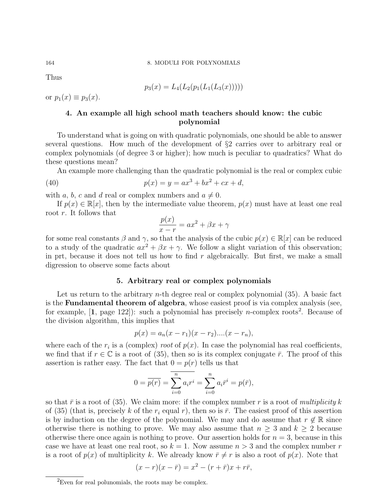#### 164 8. MODULI FOR POLYNOMIALS

Thus

$$
p_3(x) = L_4(L_2(p_1(L_1(L_3(x))))))
$$

or  $p_1(x) \equiv p_3(x)$ .

# 4. An example all high school math teachers should know: the cubic polynomial

To understand what is going on with quadratic polynomials, one should be able to answer several questions. How much of the development of §2 carries over to arbitrary real or complex polynomials (of degree 3 or higher); how much is peculiar to quadratics? What do these questions mean?

An example more challenging than the quadratic polynomial is the real or complex cubic

(40) 
$$
p(x) = y = ax^3 + bx^2 + cx + d,
$$

with a, b, c and d real or complex numbers and  $a \neq 0$ .

If  $p(x) \in \mathbb{R}[x]$ , then by the intermediate value theorem,  $p(x)$  must have at least one real root r. It follows that

$$
\frac{p(x)}{x-r} = ax^2 + \beta x + \gamma
$$

for some real constants  $\beta$  and  $\gamma$ , so that the analysis of the cubic  $p(x) \in \mathbb{R}[x]$  can be reduced to a study of the quadratic  $ax^2 + \beta x + \gamma$ . We follow a slight variation of this observation; in prt, because it does not tell us how to find  $r$  algebraically. But first, we make a small digression to observe some facts about

#### 5. Arbitrary real or complex polynomials

Let us return to the arbitrary *n*-th degree real or complex polynomial (35). A basic fact is the Fundamental theorem of algebra, whose easiest proof is via complex analysis (see, for example,  $[1, \text{ page } 122]$ : such a polynomial has precisely *n*-complex roots<sup>2</sup>. Because of the division algorithm, this implies that

$$
p(x) = a_n(x - r_1)(x - r_2)...(x - r_n),
$$

where each of the  $r_i$  is a (complex) root of  $p(x)$ . In case the polynomial has real coefficients, we find that if  $r \in \mathbb{C}$  is a root of (35), then so is its complex conjugate  $\bar{r}$ . The proof of this assertion is rather easy. The fact that  $0 = p(r)$  tells us that

$$
0 = \overline{p(r)} = \overline{\sum_{i=0}^{n} a_i r^i} = \sum_{i=0}^{n} a_i \overline{r}^i = p(\overline{r}),
$$

so that  $\bar{r}$  is a root of (35). We claim more: if the complex number r is a root of multiplicity k of (35) (that is, precisely k of the  $r_i$  equal r), then so is  $\bar{r}$ . The easiest proof of this assertion is by induction on the degree of the polynomial. We may and do assume that  $r \notin \mathbb{R}$  since otherwise there is nothing to prove. We may also assume that  $n \geq 3$  and  $k \geq 2$  because otherwise there once again is nothing to prove. Our assertion holds for  $n = 3$ , because in this case we have at least one real root, so  $k = 1$ . Now assume  $n > 3$  and the complex number r is a root of  $p(x)$  of multiplicity k. We already know  $\bar{r} \neq r$  is also a root of  $p(x)$ . Note that

$$
(x-r)(x-\overline{r}) = x^2 - (r+\overline{r})x + r\overline{r},
$$

 ${}^{2}$ Even for real polunomials, the roots may be complex.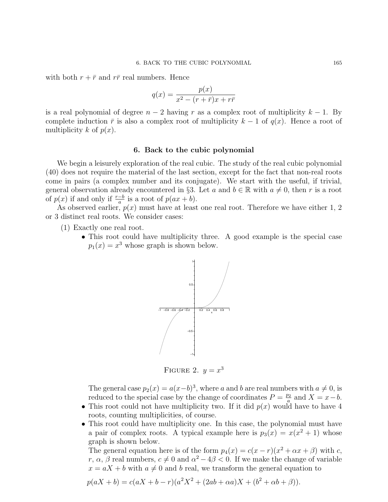with both  $r + \bar{r}$  and  $r\bar{r}$  real numbers. Hence

$$
q(x) = \frac{p(x)}{x^2 - (r + \bar{r})x + r\bar{r}}
$$

is a real polynomial of degree  $n-2$  having r as a complex root of multiplicity  $k-1$ . By complete induction  $\bar{r}$  is also a complex root of multiplicity  $k - 1$  of  $q(x)$ . Hence a root of multiplicity k of  $p(x)$ .

#### 6. Back to the cubic polynomial

We begin a leisurely exploration of the real cubic. The study of the real cubic polynomial (40) does not require the material of the last section, except for the fact that non-real roots come in pairs (a complex number and its conjugate). We start with the useful, if trivial, general observation already encountered in §3. Let a and  $b \in \mathbb{R}$  with  $a \neq 0$ , then r is a root of  $p(x)$  if and only if  $\frac{r-b}{a}$  is a root of  $p(ax+b)$ .

As observed earlier,  $p(x)$  must have at least one real root. Therefore we have either 1, 2 or 3 distinct real roots. We consider cases:

- (1) Exactly one real root.
	- This root could have multiplicity three. A good example is the special case  $p_1(x) = x^3$  whose graph is shown below.



FIGURE 2.  $y = x^3$ 

The general case  $p_2(x) = a(x-b)^3$ , where a and b are real numbers with  $a \neq 0$ , is reduced to the special case by the change of coordinates  $P = \frac{p_2}{q}$  $\frac{a_2}{a}$  and  $X = x - b$ .

- This root could not have multiplicity two. If it did  $p(x)$  would have to have 4 roots, counting multiplicities, of course.
- This root could have multiplicity one. In this case, the polynomial must have a pair of complex roots. A typical example here is  $p_3(x) = x(x^2 + 1)$  whose graph is shown below.

The general equation here is of the form  $p_4(x) = c(x - r)(x^2 + \alpha x + \beta)$  with c, r,  $\alpha$ ,  $\beta$  real numbers,  $c \neq 0$  and  $\alpha^2 - 4\beta < 0$ . If we make the change of variable  $x = aX + b$  with  $a \neq 0$  and b real, we transform the general equation to

$$
p(aX + b) = c(aX + b - r)(a^{2}X^{2} + (2ab + \alpha a)X + (b^{2} + \alpha b + \beta)).
$$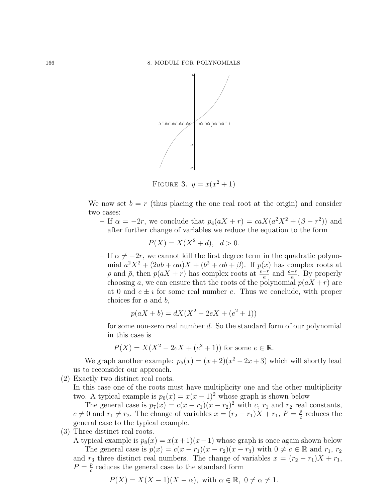

FIGURE 3.  $y = x(x^2 + 1)$ 

We now set  $b = r$  (thus placing the one real root at the origin) and consider two cases:

– If  $\alpha = -2r$ , we conclude that  $p_4(aX + r) = caX(a^2X^2 + (\beta - r^2))$  and after further change of variables we reduce the equation to the form

$$
P(X) = X(X^2 + d), \ d > 0.
$$

– If  $\alpha \neq -2r$ , we cannot kill the first degree term in the quadratic polynomial  $a^2X^2 + (2ab + \alpha a)X + (b^2 + \alpha b + \beta)$ . If  $p(x)$  has complex roots at  $ρ$  and  $\bar{ρ}$ , then  $p(aX + r)$  has complex roots at  $\frac{ρ-r}{a}$  and  $\frac{\bar{ρ}-r}{a}$ . By properly choosing a, we can ensure that the roots of the polynomial  $p(aX + r)$  are at 0 and  $e \pm i$  for some real number e. Thus we conclude, with proper choices for  $a$  and  $b$ ,

$$
p(aX + b) = dX(X^2 - 2eX + (e^2 + 1))
$$

for some non-zero real number  $d$ . So the standard form of our polynomial in this case is

$$
P(X) = X(X^2 - 2eX + (e^2 + 1))
$$
 for some  $e \in \mathbb{R}$ .

We graph another example:  $p_5(x) = (x+2)(x^2-2x+3)$  which will shortly lead us to reconsider our approach.

(2) Exactly two distinct real roots.

In this case one of the roots must have multiplicity one and the other multiplicity two. A typical example is  $p_6(x) = x(x-1)^2$  whose graph is shown below

The general case is  $p_7(x) = c(x - r_1)(x - r_2)^2$  with  $c, r_1$  and  $r_2$  real constants,  $c \neq 0$  and  $r_1 \neq r_2$ . The change of variables  $x = (r_2 - r_1)X + r_1$ ,  $P = \frac{p}{c}$  $\frac{p}{c}$  reduces the general case to the typical example.

(3) Three distinct real roots.

A typical example is  $p_8(x) = x(x+1)(x-1)$  whose graph is once again shown below The general case is  $p(x) = c(x - r_1)(x - r_2)(x - r_3)$  with  $0 \neq c \in \mathbb{R}$  and  $r_1, r_2$ and  $r_3$  three distinct real numbers. The change of variables  $x = (r_2 - r_1)X + r_1$ ,  $P=\frac{p}{c}$  $\frac{p}{c}$  reduces the general case to the standard form

$$
P(X) = X(X - 1)(X - \alpha), \text{ with } \alpha \in \mathbb{R}, \ 0 \neq \alpha \neq 1.
$$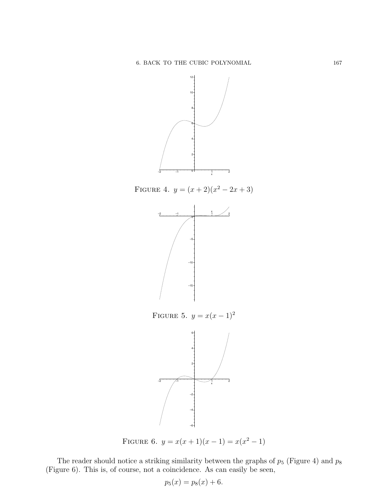

FIGURE 4.  $y = (x+2)(x^2-2x+3)$ 



FIGURE 6.  $y = x(x+1)(x-1) = x(x^2-1)$ 

The reader should notice a striking similarity between the graphs of  $p_5$  (Figure 4) and  $p_8$ (Figure 6). This is, of course, not a coincidence. As can easily be seen,

$$
p_5(x) = p_8(x) + 6.
$$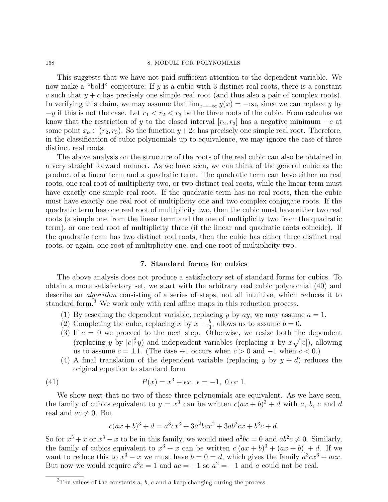168 8. MODULI FOR POLYNOMIALS

This suggests that we have not paid sufficient attention to the dependent variable. We now make a "bold" conjecture: If  $y$  is a cubic with 3 distinct real roots, there is a constant c such that  $y + c$  has precisely one simple real root (and thus also a pair of complex roots). In verifying this claim, we may assume that  $\lim_{x\to-\infty} y(x) = -\infty$ , since we can replace y by  $-y$  if this is not the case. Let  $r_1 < r_2 < r_3$  be the three roots of the cubic. From calculus we know that the restriction of y to the closed interval  $[r_2, r_3]$  has a negative minimum  $-c$  at some point  $x_o \in (r_2, r_3)$ . So the function  $y + 2c$  has precisely one simple real root. Therefore, in the classification of cubic polynomials up to equivalence, we may ignore the case of three distinct real roots.

The above analysis on the structure of the roots of the real cubic can also be obtained in a very straight forward manner. As we have seen, we can think of the general cubic as the product of a linear term and a quadratic term. The quadratic term can have either no real roots, one real root of multiplicity two, or two distinct real roots, while the linear term must have exactly one simple real root. If the quadratic term has no real roots, then the cubic must have exactly one real root of multiplicity one and two complex conjugate roots. If the quadratic term has one real root of multiplicity two, then the cubic must have either two real roots (a simple one from the linear term and the one of multiplicity two from the quadratic term), or one real root of multiplicity three (if the linear and quadratic roots coincide). If the quadratic term has two distinct real roots, then the cubic has either three distinct real roots, or again, one root of multiplicity one, and one root of multiplicity two.

#### 7. Standard forms for cubics

The above analysis does not produce a satisfactory set of standard forms for cubics. To obtain a more satisfactory set, we start with the arbitrary real cubic polynomial (40) and describe an *algorithm* consisting of a series of steps, not all intuitive, which reduces it to standard form.<sup>3</sup> We work only with real affine maps in this reduction process.

- (1) By rescaling the dependent variable, replacing y by  $ay$ , we may assume  $a = 1$ .
- (2) Completing the cube, replacing x by  $x \frac{b}{3}$  $\frac{b}{3}$ , allows us to assume  $b = 0$ .
- (3) If  $c = 0$  we proceed to the next step. Otherwise, we resize both the dependent (replacing y by  $|c|^{\frac{3}{2}}y$ ) and independent variables (replacing x by  $x\sqrt{|c|}$ ), allowing us to assume  $c = \pm 1$ . (The case +1 occurs when  $c > 0$  and  $-1$  when  $c < 0$ .)
- (4) A final translation of the dependent variable (replacing y by  $y + d$ ) reduces the original equation to standard form

(41) 
$$
P(x) = x^3 + \epsilon x, \ \epsilon = -1, \ 0 \text{ or } 1.
$$

We show next that no two of these three polynomials are equivalent. As we have seen, the family of cubics equivalent to  $y = x^3$  can be written  $c(ax + b)^3 + d$  with a, b, c and d real and  $ac \neq 0$ . But

$$
c(ax+b)^3 + d = a^3cx^3 + 3a^2bcx^2 + 3ab^2cx + b^3c + d.
$$

So for  $x^3 + x$  or  $x^3 - x$  to be in this family, we would need  $a^2bc = 0$  and  $ab^2c \neq 0$ . Similarly, the family of cubics equivalent to  $x^3 + x$  can be written  $c[(ax + b)^3 + (ax + b)] + d$ . If we want to reduce this to  $x^3 - x$  we must have  $b = 0 = d$ , which gives the family  $a^3 c x^3 + acx$ . But now we would require  $a^3c = 1$  and  $ac = -1$  so  $a^2 = -1$  and a could not be real.

 ${}^{3}$ The values of the constants a, b, c and d keep changing during the process.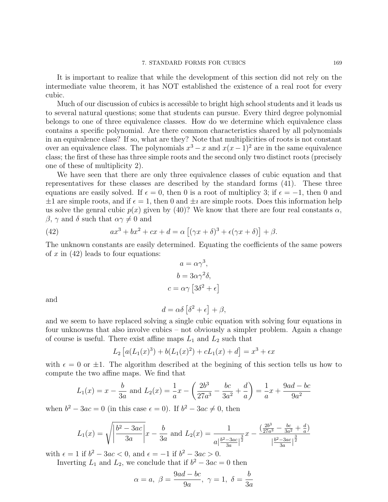It is important to realize that while the development of this section did not rely on the intermediate value theorem, it has NOT established the existence of a real root for every cubic.

Much of our discussion of cubics is accessible to bright high school students and it leads us to several natural questions; some that students can pursue. Every third degree polynomial belongs to one of three equivalence classes. How do we determine which equivalence class contains a specific polynomial. Are there common characteristics shared by all polynomials in an equivalence class? If so, what are they? Note that multiplicities of roots is not constant over an equivalence class. The polynomials  $x^3 - x$  and  $x(x - 1)^2$  are in the same equivalence class; the first of these has three simple roots and the second only two distinct roots (precisely one of these of multiplicity 2).

We have seen that there are only three equivalence classes of cubic equation and that representatives for these classes are described by the standard forms (41). These three equations are easily solved. If  $\epsilon = 0$ , then 0 is a root of multiplicy 3; if  $\epsilon = -1$ , then 0 and  $\pm 1$  are simple roots, and if  $\epsilon = 1$ , then 0 and  $\pm i$  are simple roots. Does this information help us solve the genral cubic  $p(x)$  given by (40)? We know that there are four real constants  $\alpha$ , β, γ and δ such that  $\alpha \gamma \neq 0$  and

(42) 
$$
ax^3 + bx^2 + cx + d = \alpha \left[ (\gamma x + \delta)^3 + \epsilon (\gamma x + \delta) \right] + \beta.
$$

The unknown constants are easily determined. Equating the coefficients of the same powers of  $x$  in (42) leads to four equations:

$$
a = \alpha \gamma^3,
$$
  
\n
$$
b = 3\alpha \gamma^2 \delta,
$$
  
\n
$$
c = \alpha \gamma \left[ 3\delta^2 + \epsilon \right]
$$

and

$$
d = \alpha \delta \left[ \delta^2 + \epsilon \right] + \beta,
$$

and we seem to have replaced solving a single cubic equation with solving four equations in four unknowns that also involve cubics – not obviously a simpler problem. Again a change of course is useful. There exist affine maps  $L_1$  and  $L_2$  such that

$$
L_2\left[a(L_1(x)^3) + b(L_1(x)^2) + cL_1(x) + d\right] = x^3 + \epsilon x
$$

with  $\epsilon = 0$  or  $\pm 1$ . The algorithm described at the begining of this section tells us how to compute the two affine maps. We find that

$$
L_1(x) = x - \frac{b}{3a}
$$
 and  $L_2(x) = \frac{1}{a}x - \left(\frac{2b^3}{27a^3} - \frac{bc}{3a^2} + \frac{d}{a}\right) = \frac{1}{a}x + \frac{9ad - bc}{9a^2}$ 

when  $b^2 - 3ac = 0$  (in this case  $\epsilon = 0$ ). If  $b^2 - 3ac \neq 0$ , then

$$
L_1(x) = \sqrt{\left|\frac{b^2 - 3ac}{3a}\right|} x - \frac{b}{3a} \text{ and } L_2(x) = \frac{1}{a\left|\frac{b^2 - 3ac}{3a}\right|^{\frac{3}{2}}} x - \frac{\left(\frac{2b^3}{27a^3} - \frac{bc}{3a^2} + \frac{d}{a}\right)}{\left|\frac{b^2 - 3ac}{3a}\right|^{\frac{3}{2}}}
$$

with  $\epsilon = 1$  if  $b^2 - 3ac < 0$ , and  $\epsilon = -1$  if  $b^2 - 3ac > 0$ .

Inverting  $L_1$  and  $L_2$ , we conclude that if  $b^2 - 3ac = 0$  then

$$
\alpha = a, \ \beta = \frac{9ad - bc}{9a}, \ \gamma = 1, \ \delta = \frac{b}{3a}
$$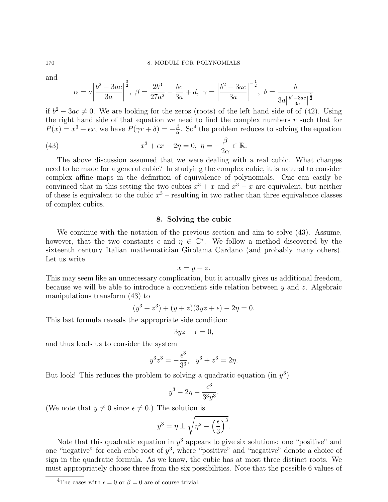#### 170 8. MODULI FOR POLYNOMIALS

and

$$
\alpha = a \left| \frac{b^2 - 3ac}{3a} \right|^{\frac{3}{2}}, \ \beta = \frac{2b^3}{27a^2} - \frac{bc}{3a} + d, \ \gamma = \left| \frac{b^2 - 3ac}{3a} \right|^{-\frac{1}{2}}, \ \delta = \frac{b}{3a \left| \frac{b^2 - 3ac}{3a} \right|^{\frac{1}{2}}}
$$

if  $b^2 - 3ac \neq 0$ . We are looking for the zeros (roots) of the left hand side of of (42). Using the right hand side of that equation we need to find the complex numbers  $r$  such that for  $P(x) = x^3 + \epsilon x$ , we have  $P(\gamma r + \delta) = -\frac{\beta}{\alpha}$  $\frac{\beta}{\alpha}$ . So<sup>4</sup> the problem reduces to solving the equation

(43) 
$$
x^3 + \epsilon x - 2\eta = 0, \ \eta = -\frac{\beta}{2\alpha} \in \mathbb{R}.
$$

The above discussion assumed that we were dealing with a real cubic. What changes need to be made for a general cubic? In studying the complex cubic, it is natural to consider complex affine maps in the definition of equivalence of polynomials. One can easily be convinced that in this setting the two cubics  $x^3 + x$  and  $x^3 - x$  are equivalent, but neither of these is equivalent to the cubic  $x^3$  – resulting in two rather than three equivalence classes of complex cubics.

## 8. Solving the cubic

We continue with the notation of the previous section and aim to solve (43). Assume, however, that the two constants  $\epsilon$  and  $\eta \in \mathbb{C}^*$ . We follow a method discovered by the sixteenth century Italian mathematician Girolama Cardano (and probably many others). Let us write

$$
x = y + z.
$$

This may seem like an unnecessary complication, but it actually gives us additional freedom, because we will be able to introduce a convenient side relation between  $y$  and  $z$ . Algebraic manipulations transform (43) to

$$
(y^3 + z^3) + (y + z)(3yz + \epsilon) - 2\eta = 0.
$$

This last formula reveals the appropriate side condition:

$$
3yz + \epsilon = 0,
$$

and thus leads us to consider the system

$$
y^3 z^3 = -\frac{\epsilon^3}{3^3}, \ \ y^3 + z^3 = 2\eta.
$$

But look! This reduces the problem to solving a quadratic equation (in  $y^3$ )

$$
y^3 - 2\eta - \frac{\epsilon^3}{3^3 y^3}.
$$

(We note that  $y \neq 0$  since  $\epsilon \neq 0$ .) The solution is

$$
y^3 = \eta \pm \sqrt{\eta^2 - \left(\frac{\epsilon}{3}\right)^3}.
$$

Note that this quadratic equation in  $y^3$  appears to give six solutions: one "positive" and one "negative" for each cube root of  $y^3$ , where "positive" and "negative" denote a choice of sign in the quadratic formula. As we know, the cubic has at most three distinct roots. We must appropriately choose three from the six possibilities. Note that the possible 6 values of

<sup>&</sup>lt;sup>4</sup>The cases with  $\epsilon = 0$  or  $\beta = 0$  are of course trivial.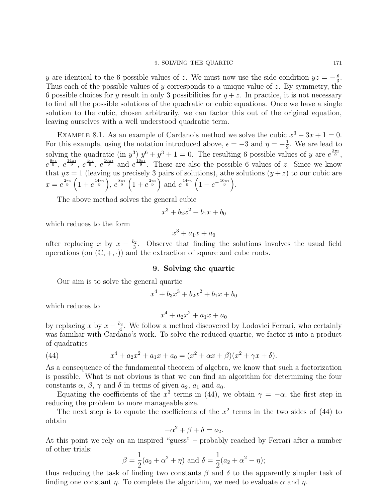y are identical to the 6 possible values of z. We must now use the side condition  $yz = -\frac{2}{3}$  $\frac{\epsilon}{3}$ . Thus each of the possible values of  $y$  corresponds to a unique value of  $z$ . By symmetry, the 6 possible choices for y result in only 3 possibilities for  $y + z$ . In practice, it is not necessary to find all the possible solutions of the quadratic or cubic equations. Once we have a single solution to the cubic, chosen arbitrarily, we can factor this out of the original equation, leaving ourselves with a well understood quadratic term.

EXAMPLE 8.1. As an example of Cardano's method we solve the cubic  $x^3 - 3x + 1 = 0$ . For this example, using the notation introduced above,  $\epsilon = -3$  and  $\eta = -\frac{1}{2}$  $\frac{1}{2}$ . We are lead to solving the quadratic (in  $y^3$ )  $y^6 + y^3 + 1 = 0$ . The resulting 6 possible values of y are  $e^{\frac{2\pi i}{9}}$ ,  $e^{\frac{8\pi i}{9}}$ ,  $e^{\frac{14\pi i}{9}}$ ,  $e^{\frac{4\pi i}{9}}$ ,  $e^{\frac{10\pi i}{9}}$  and  $e^{\frac{16\pi i}{9}}$ . These are also the possible 6 values of z. Since we know that  $yz = 1$  (leaving us precisely 3 pairs of solutions), athe solutions  $(y + z)$  to our cubic are  $x = e^{\frac{2\pi i}{9}} \left(1 + e^{\frac{14\pi i}{9}}\right), e^{\frac{8\pi i}{9}} \left(1 + e^{\frac{2\pi i}{9}}\right)$  and  $e^{\frac{14\pi i}{9}} \left(1 + e^{-\frac{10\pi i}{9}}\right)$ .

The above method solves the general cubic

$$
x^3 + b_2 x^2 + b_1 x + b_0
$$

which reduces to the form

$$
x^3 + a_1 x + a_0
$$

after replacing x by  $x - \frac{b_2}{3}$  $\frac{3}{3}$ . Observe that finding the solutions involves the usual field operations (on  $(\mathbb{C}, +, \cdot)$ ) and the extraction of square and cube roots.

### 9. Solving the quartic

Our aim is to solve the general quartic

$$
x^4 + b_3 x^3 + b_2 x^2 + b_1 x + b_0
$$

which reduces to

$$
x^4 + a_2 x^2 + a_1 x + a_0
$$

by replacing x by  $x - \frac{b_3}{4}$  $\frac{33}{4}$ . We follow a method discovered by Lodovici Ferrari, who certainly was familiar with Cardano's work. To solve the reduced quartic, we factor it into a product of quadratics

(44) 
$$
x^4 + a_2x^2 + a_1x + a_0 = (x^2 + \alpha x + \beta)(x^2 + \gamma x + \delta).
$$

As a consequence of the fundamental theorem of algebra, we know that such a factorization is possible. What is not obvious is that we can find an algorithm for determining the four constants  $\alpha$ ,  $\beta$ ,  $\gamma$  and  $\delta$  in terms of given  $a_2$ ,  $a_1$  and  $a_0$ .

Equating the coefficients of the  $x^3$  terms in (44), we obtain  $\gamma = -\alpha$ , the first step in reducing the problem to more manageable size.

The next step is to equate the coefficients of the  $x^2$  terms in the two sides of (44) to obtain

$$
-\alpha^2 + \beta + \delta = a_2.
$$

At this point we rely on an inspired "guess" – probably reached by Ferrari after a number of other trials:

$$
\beta = \frac{1}{2}(a_2 + \alpha^2 + \eta)
$$
 and  $\delta = \frac{1}{2}(a_2 + \alpha^2 - \eta)$ ;

thus reducing the task of finding two constants  $\beta$  and  $\delta$  to the apparently simpler task of finding one constant  $\eta$ . To complete the algorithm, we need to evaluate  $\alpha$  and  $\eta$ .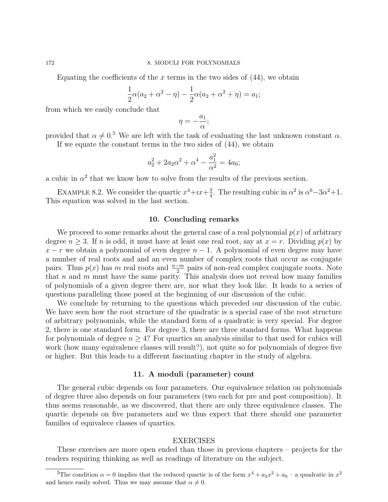### 172 8. MODULI FOR POLYNOMIALS

Equating the coefficients of the x terms in the two sides of  $(44)$ , we obtain

$$
\frac{1}{2}\alpha(a_2 + \alpha^2 - \eta) - \frac{1}{2}\alpha(a_2 + \alpha^2 + \eta) = a_1;
$$

from which we easily conclude that

$$
\eta=-\frac{a_1}{\alpha};
$$

provided that  $\alpha \neq 0.5$  We are left with the task of evaluating the last unknown constant  $\alpha$ .

If we equate the constant terms in the two sides of (44), we obtain

$$
a_2^2 + 2a_2\alpha^2 + \alpha^4 - \frac{a_1^2}{\alpha^2} = 4a_0;
$$

a cubic in  $\alpha^2$  that we know how to solve from the results of the previous section.

EXAMPLE 8.2. We consider the quartic  $x^4 + i x + \frac{3}{4}$  $\frac{3}{4}$ . The resulting cubic in  $\alpha^2$  is  $\alpha^6 - 3\alpha^2 + 1$ . This equation was solved in the last section.

### 10. Concluding remarks

We proceed to some remarks about the general case of a real polynomial  $p(x)$  of arbitrary degree  $n \geq 3$ . If n is odd, it must have at least one real root, say at  $x = r$ . Dividing  $p(x)$  by  $x - r$  we obtain a polynomial of even degree  $n - 1$ . A polynomial of even degree may have a number of real roots and and an even number of complex roots that occur as conjugate pairs. Thus  $p(x)$  has m real roots and  $\frac{n-m}{2}$  pairs of non-real complex conjugate roots. Note that  $n$  and  $m$  must have the same parity. This analysis does not reveal how many families of polynomials of a given degree there are, nor what they look like. It leads to a series of questions paralleling those posed at the beginning of our discussion of the cubic.

We conclude by returning to the questions which preceded our discussion of the cubic. We have seen how the root structure of the quadratic is a special case of the root structure of arbitrary polynomials, while the standard form of a quadratic is very special. For degree 2, there is one standard form. For degree 3, there are three standard forms. What happens for polynomials of degree  $n \geq 4$ ? For quartics an analysis similar to that used for cubics will work (how many equivalence classes will result?), not quite so for polynomials of degree five or higher. But this leads to a different fascinating chapter in the study of algebra.

### 11. A moduli (parameter) count

The general cubic depends on four parameters. Our equivalence relation on polynomials of degree three also depends on four parameters (two each for pre and post composition). It thus seems reasonable, as we discovered, that there are only three equivalence classes. The quartic depends on five parameters and we thus expect that there should one parameter families of equivalece classes of quartics.

### **EXERCISES**

These exercises are more open ended than those in previous chapters – projects for the readers requiring thinking as well as readings of literature on the subject.

<sup>&</sup>lt;sup>5</sup>The condition  $\alpha = 0$  implies that the reduced quartic is of the form  $x^4 + a_2x^2 + a_0$  – a quadratic in  $x^2$ and hence easily solved. Thus we may assume that  $\alpha \neq 0$ .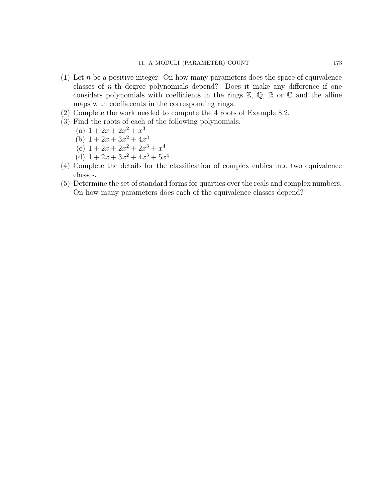- (1) Let n be a positive integer. On how many parameters does the space of equivalence classes of n-th degree polynomials depend? Does it make any difference if one considers polynomials with coefficients in the rings  $\mathbb{Z}, \mathbb{Q}, \mathbb{R}$  or  $\mathbb{C}$  and the affine maps with coeffiecents in the corresponding rings.
- (2) Complete the work needed to compute the 4 roots of Example 8.2.
- (3) Find the roots of each of the following polynomials.
	- (a)  $1 + 2x + 2x^2 + x^3$
	- (b)  $1 + 2x + 3x^2 + 4x^3$
	- (c)  $1 + 2x + 2x^2 + 2x^3 + x^4$
	- (d)  $1 + 2x + 3x^2 + 4x^3 + 5x^4$
- (4) Complete the details for the classification of complex cubics into two equivalence classes.
- (5) Determine the set of standard forms for quartics over the reals and complex numbers. On how many parameters does each of the equivalence classes depend?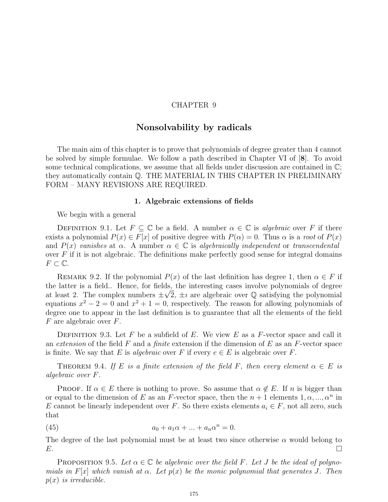# CHAPTER 9

# Nonsolvability by radicals

The main aim of this chapter is to prove that polynomials of degree greater than 4 cannot be solved by simple formulae. We follow a path described in Chapter VI of [8]. To avoid some technical complications, we assume that all fields under discussion are contained in C; they automatically contain Q. THE MATERIAL IN THIS CHAPTER IN PRELIMINARY FORM – MANY REVISIONS ARE REQUIRED.

### 1. Algebraic extensions of fields

We begin with a general

DEFINITION 9.1. Let  $F \subseteq \mathbb{C}$  be a field. A number  $\alpha \in \mathbb{C}$  is *algebraic* over F if there exists a polynomial  $P(x) \in F[x]$  of positive degree with  $P(\alpha) = 0$ . Thus  $\alpha$  is a root of  $P(x)$ and  $P(x)$  vanishes at  $\alpha$ . A number  $\alpha \in \mathbb{C}$  is algebraically independent or transcendental over  $F$  if it is not algebraic. The definitions make perfectly good sense for integral domains  $F\subset\mathbb{C}.$ 

REMARK 9.2. If the polynomial  $P(x)$  of the last definition has degree 1, then  $\alpha \in F$  if the latter is a field.. Hence, for fields, the interesting cases involve polynomials of degree at least 2. The complex numbers  $\pm \sqrt{2}$ ,  $\pm i$  are algebraic over Q satisfying the polynomial equations  $x^2 - 2 = 0$  and  $x^2 + 1 = 0$ , respectively. The reason for allowing polynomials of degree one to appear in the last definition is to guarantee that all the elements of the field F are algebraic over F.

DEFINITION 9.3. Let F be a subfield of E. We view E as a F-vector space and call it an extension of the field F and a finite extension if the dimension of E as an F-vector space is finite. We say that E is algebraic over F if every  $e \in E$  is algebraic over F.

THEOREM 9.4. If E is a finite extension of the field F, then every element  $\alpha \in E$  is algebraic over F.

**PROOF.** If  $\alpha \in E$  there is nothing to prove. So assume that  $\alpha \notin E$ . If n is bigger than or equal to the dimension of E as an F-vector space, then the  $n + 1$  elements  $1, \alpha, ..., \alpha^n$  in E cannot be linearly independent over F. So there exists elements  $a_i \in F$ , not all zero, such that

(45) 
$$
a_0 + a_1 \alpha + \dots + a_n \alpha^n = 0.
$$

The degree of the last polynomial must be at least two since otherwise  $\alpha$  would belong to  $E.$ 

PROPOSITION 9.5. Let  $\alpha \in \mathbb{C}$  be algebraic over the field F. Let J be the ideal of polynomials in F[x] which vanish at  $\alpha$ . Let  $p(x)$  be the monic polynomial that generates J. Then  $p(x)$  is irreducible.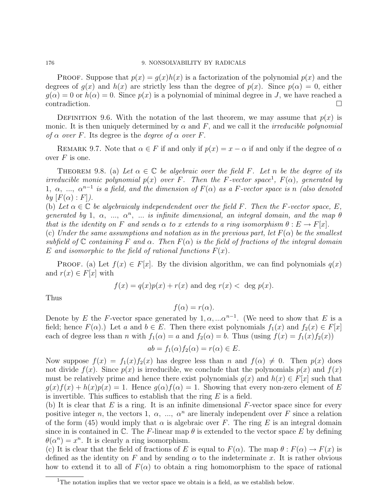### 176 9. NONSOLVABILITY BY RADICALS

**PROOF.** Suppose that  $p(x) = g(x)h(x)$  is a factorization of the polynomial  $p(x)$  and the degrees of  $g(x)$  and  $h(x)$  are strictly less than the degree of  $p(x)$ . Since  $p(\alpha) = 0$ , either  $g(\alpha) = 0$  or  $h(\alpha) = 0$ . Since  $p(x)$  is a polynomial of minimal degree in J, we have reached a  $\Box$ contradiction.

DEFINITION 9.6. With the notation of the last theorem, we may assume that  $p(x)$  is monic. It is then uniquely determined by  $\alpha$  and  $F$ , and we call it the *irreducible polynomial* of  $\alpha$  over F. Its degree is the *degree* of  $\alpha$  over F.

REMARK 9.7. Note that  $\alpha \in F$  if and only if  $p(x) = x - \alpha$  if and only if the degree of  $\alpha$ over  $F$  is one.

THEOREM 9.8. (a) Let  $\alpha \in \mathbb{C}$  be algebraic over the field F. Let n be the degree of its irreducible monic polynomial  $p(x)$  over F. Then the F-vector space<sup>1</sup>,  $F(\alpha)$ , generated by 1,  $\alpha$ , ...,  $\alpha^{n-1}$  is a field, and the dimension of  $F(\alpha)$  as a F-vector space is n (also denoted by  $[F(\alpha):F]$ .

(b) Let  $\alpha \in \mathbb{C}$  be algebraicaly independendent over the field F. Then the F-vector space, E, generated by 1,  $\alpha$ , ...,  $\alpha^n$ , ... is infinite dimensional, an integral domain, and the map  $\theta$ that is the identity on F and sends  $\alpha$  to x extends to a ring isomorphism  $\theta : E \to F[x]$ .

(c) Under the same assumptions and notation as in the previous part, let  $F(\alpha)$  be the smallest subfield of C containing F and  $\alpha$ . Then  $F(\alpha)$  is the field of fractions of the integral domain E and isomorphic to the field of rational functions  $F(x)$ .

PROOF. (a) Let  $f(x) \in F[x]$ . By the division algorithm, we can find polynomials  $q(x)$ and  $r(x) \in F[x]$  with

$$
f(x) = q(x)p(x) + r(x)
$$
 and deg  $r(x) < \deg p(x)$ .

Thus

$$
f(\alpha) = r(\alpha).
$$

Denote by E the F-vector space generated by  $1, \alpha, ... \alpha^{n-1}$ . (We need to show that E is a field; hence  $F(\alpha)$ .) Let a and  $b \in E$ . Then there exist polynomials  $f_1(x)$  and  $f_2(x) \in F[x]$ each of degree less than n with  $f_1(\alpha) = a$  and  $f_2(\alpha) = b$ . Thus (using  $f(x) = f_1(x)f_2(x)$ )

$$
ab = f_1(\alpha) f_2(\alpha) = r(\alpha) \in E.
$$

Now suppose  $f(x) = f_1(x) f_2(x)$  has degree less than n and  $f(\alpha) \neq 0$ . Then  $p(x)$  does not divide  $f(x)$ . Since  $p(x)$  is irreducible, we conclude that the polynomials  $p(x)$  and  $f(x)$ must be relatively prime and hence there exist polynomials  $q(x)$  and  $h(x) \in F[x]$  such that  $g(x)f(x) + h(x)p(x) = 1$ . Hence  $g(x)f(x) = 1$ . Showing that every non-zero element of E is invertible. This suffices to establish that the ring  $E$  is a field.

(b) It is clear that  $E$  is a ring. It is an infinite dimensional  $F$ -vector space since for every positive integer n, the vectors 1,  $\alpha$ , ...,  $\alpha^n$  are lineraly independent over F since a relation of the form (45) would imply that  $\alpha$  is algebraic over F. The ring E is an integral domain since in is contained in  $\mathbb C$ . The F-linear map  $\theta$  is extended to the vector space E by defining  $\theta(\alpha^n) = x^n$ . It is clearly a ring isomorphism.

(c) It is clear that the field of fractions of E is equal to  $F(\alpha)$ . The map  $\theta : F(\alpha) \to F(x)$  is defined as the identity on F and by sending  $\alpha$  to the indeterminate x. It is rather obvious how to extend it to all of  $F(\alpha)$  to obtain a ring homomorphism to the space of rational

<sup>&</sup>lt;sup>1</sup>The notation implies that we vector space we obtain is a field, as we establish below.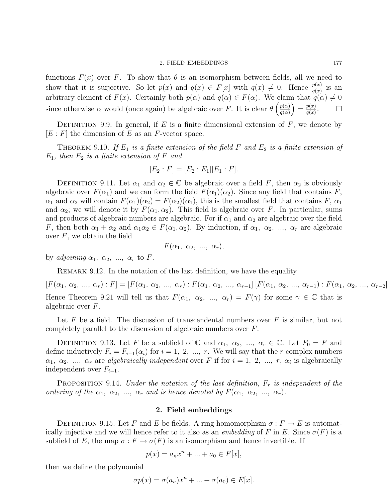#### 2. FIELD EMBEDDINGS 177

functions  $F(x)$  over F. To show that  $\theta$  is an isomorphism between fields, all we need to show that it is surjective. So let  $p(x)$  and  $q(x) \in F[x]$  with  $q(x) \neq 0$ . Hence  $\frac{p(x)}{q(x)}$  is an arbitrary element of  $F(x)$ . Certainly both  $p(\alpha)$  and  $q(\alpha) \in F(\alpha)$ . We claim that  $q(\alpha) \neq 0$ since otherwise  $\alpha$  would (once again) be algebraic over F. It is clear  $\theta \left( \frac{p(\alpha)}{q(\alpha)} \right)$  $\frac{p(\alpha)}{q(\alpha)}\Big)=\frac{p(x)}{q(x)}$  $q(x)$  $\Box$ 

DEFINITION 9.9. In general, if E is a finite dimensional extension of  $F$ , we denote by  $|E : F|$  the dimension of E as an F-vector space.

THEOREM 9.10. If  $E_1$  is a finite extension of the field F and  $E_2$  is a finite extension of  $E_1$ , then  $E_2$  is a finite extension of F and

$$
[E_2 : F] = [E_2 : E_1][E_1 : F].
$$

DEFINITION 9.11. Let  $\alpha_1$  and  $\alpha_2 \in \mathbb{C}$  be algebraic over a field F, then  $\alpha_2$  is obviously algebraic over  $F(\alpha_1)$  and we can form the field  $F(\alpha_1)(\alpha_2)$ . Since any field that contains F,  $\alpha_1$  and  $\alpha_2$  will contain  $F(\alpha_1)(\alpha_2) = F(\alpha_2)(\alpha_1)$ , this is the smallest field that contains F,  $\alpha_1$ and  $\alpha_2$ ; we will denote it by  $F(\alpha_1, \alpha_2)$ . This field is algebraic over F. In particular, sums and products of algebraic numbers are algebraic. For if  $\alpha_1$  and  $\alpha_2$  are algebraic over the field F, then both  $\alpha_1 + \alpha_2$  and  $\alpha_1 \alpha_2 \in F(\alpha_1, \alpha_2)$ . By induction, if  $\alpha_1$ ,  $\alpha_2$ , ...,  $\alpha_r$  are algebraic over  $F$ , we obtain the field

$$
F(\alpha_1, \alpha_2, \ldots, \alpha_r),
$$

by adjoining  $\alpha_1$ ,  $\alpha_2$ , ...,  $\alpha_r$  to F.

REMARK 9.12. In the notation of the last definition, we have the equality

 $[F(\alpha_1, \alpha_2, ..., \alpha_r):F] = [F(\alpha_1, \alpha_2, ..., \alpha_r):F(\alpha_1, \alpha_2, ..., \alpha_{r-1}] [F(\alpha_1, \alpha_2, ..., \alpha_{r-1}):F(\alpha_1, \alpha_2, ..., \alpha_{r-2}]$ Hence Theorem 9.21 will tell us that  $F(\alpha_1, \alpha_2, ..., \alpha_r) = F(\gamma)$  for some  $\gamma \in \mathbb{C}$  that is algebraic over F.

Let  $F$  be a field. The discussion of transcendental numbers over  $F$  is similar, but not completely parallel to the discussion of algebraic numbers over F.

DEFINITION 9.13. Let F be a subfield of C and  $\alpha_1, \alpha_2, ..., \alpha_r \in \mathbb{C}$ . Let  $F_0 = F$  and define inductively  $F_i = F_{i-1}(\alpha_i)$  for  $i = 1, 2, ..., r$ . We will say that the r complex numbers  $\alpha_1, \alpha_2, \ldots, \alpha_r$  are algebraically independent over F if for  $i = 1, 2, \ldots, r, \alpha_i$  is algebraically independent over  $F_{i-1}$ .

**PROPOSITION** 9.14. Under the notation of the last definition,  $F_r$  is independent of the ordering of the  $\alpha_1, \alpha_2, \ldots, \alpha_r$  and is hence denoted by  $F(\alpha_1, \alpha_2, \ldots, \alpha_r)$ .

#### 2. Field embeddings

DEFINITION 9.15. Let F and E be fields. A ring homomorphism  $\sigma : F \to E$  is automatically injective and we will hence refer to it also as an *embedding* of F in E. Since  $\sigma(F)$  is a subfield of E, the map  $\sigma : F \to \sigma(F)$  is an isomorphism and hence invertible. If

$$
p(x) = a_n x^n + \dots + a_0 \in F[x],
$$

then we define the polynomial

$$
\sigma p(x) = \sigma(a_n)x^n + \dots + \sigma(a_0) \in E[x].
$$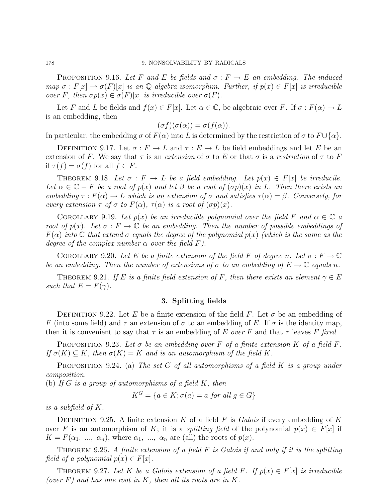PROPOSITION 9.16. Let F and E be fields and  $\sigma : F \to E$  an embedding. The induced map  $\sigma : F[x] \to \sigma(F)[x]$  is an Q-algebra isomorphim. Further, if  $p(x) \in F[x]$  is irreducible over F, then  $\sigma p(x) \in \sigma(F)[x]$  is irreducible over  $\sigma(F)$ .

Let F and L be fields and  $f(x) \in F[x]$ . Let  $\alpha \in \mathbb{C}$ , be algebraic over F. If  $\sigma : F(\alpha) \to L$ is an embedding, then

$$
(\sigma f)(\sigma(\alpha)) = \sigma(f(\alpha)).
$$

In particular, the embedding  $\sigma$  of  $F(\alpha)$  into L is determined by the restriction of  $\sigma$  to  $F \cup {\alpha}$ .

DEFINITION 9.17. Let  $\sigma : F \to L$  and  $\tau : E \to L$  be field embeddings and let E be an extension of F. We say that  $\tau$  is an extension of  $\sigma$  to E or that  $\sigma$  is a restriction of  $\tau$  to F if  $\tau(f) = \sigma(f)$  for all  $f \in F$ .

THEOREM 9.18. Let  $\sigma : F \to L$  be a field embedding. Let  $p(x) \in F[x]$  be irreducile. Let  $\alpha \in \mathbb{C} - F$  be a root of  $p(x)$  and let  $\beta$  be a root of  $(\sigma p)(x)$  in L. Then there exists an embedding  $\tau : F(\alpha) \to L$  which is an extension of  $\sigma$  and satisfies  $\tau(\alpha) = \beta$ . Conversely, for every extension  $\tau$  of  $\sigma$  to  $F(\alpha)$ ,  $\tau(\alpha)$  is a root of  $(\sigma p)(x)$ .

COROLLARY 9.19. Let  $p(x)$  be an irreducible polynomial over the field F and  $\alpha \in \mathbb{C}$  a root of  $p(x)$ . Let  $\sigma : F \to \mathbb{C}$  be an embedding. Then the number of possible embeddings of  $F(\alpha)$  into  $\mathbb C$  that extend  $\sigma$  equals the degree of the polynomial  $p(x)$  (which is the same as the degree of the complex number  $\alpha$  over the field F).

COROLLARY 9.20. Let E be a finite extension of the field F of degree n. Let  $\sigma : F \to \mathbb{C}$ be an embedding. Then the number of extensions of  $\sigma$  to an embedding of  $E \to \mathbb{C}$  equals n.

THEOREM 9.21. If E is a finite field extension of F, then there exists an element  $\gamma \in E$ such that  $E = F(\gamma)$ .

### 3. Splitting fields

DEFINITION 9.22. Let E be a finite extension of the field F. Let  $\sigma$  be an embedding of F (into some field) and  $\tau$  an extension of  $\sigma$  to an embedding of E. If  $\sigma$  is the identity map, then it is convenient to say that  $\tau$  is an embedding of E over F and that  $\tau$  leaves F fixed.

PROPOSITION 9.23. Let  $\sigma$  be an embedding over F of a finite extension K of a field F. If  $\sigma(K) \subseteq K$ , then  $\sigma(K) = K$  and is an automorphism of the field K.

**PROPOSITION** 9.24. (a) The set G of all automorphisms of a field K is a group under composition.

(b) If  $G$  is a group of automorphisms of a field  $K$ , then

$$
K^G = \{ a \in K; \sigma(a) = a \text{ for all } g \in G \}
$$

is a subfield of K.

DEFINITION 9.25. A finite extension K of a field F is Galois if every embedding of K over F is an automorphism of K; it is a *splitting field* of the polynomial  $p(x) \in F[x]$  if  $K = F(\alpha_1, \ldots, \alpha_n)$ , where  $\alpha_1, \ldots, \alpha_n$  are (all) the roots of  $p(x)$ .

THEOREM 9.26. A finite extension of a field  $F$  is Galois if and only if it is the splitting field of a polynomial  $p(x) \in F[x]$ .

THEOREM 9.27. Let K be a Galois extension of a field F. If  $p(x) \in F[x]$  is irreducible (over  $F$ ) and has one root in K, then all its roots are in K.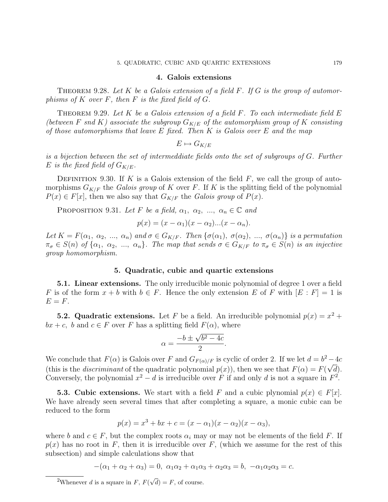#### 4. Galois extensions

THEOREM 9.28. Let K be a Galois extension of a field  $F$ . If G is the group of automorphisms of K over F, then F is the fixed field of  $G$ .

THEOREM 9.29. Let K be a Galois extension of a field  $F$ . To each intermediate field  $E$ (between F snd K) associate the subgroup  $G_{K/E}$  of the automorphism group of K consisting of those automorphisms that leave  $E$  fixed. Then  $K$  is Galois over  $E$  and the map

$$
E\mapsto G_{K/E}
$$

is a bijection between the set of intermeddiate fields onto the set of subgroups of G. Further E is the fixed field of  $G_{K/E}$ .

DEFINITION 9.30. If K is a Galois extension of the field  $F$ , we call the group of automorphisms  $G_{K/F}$  the Galois group of K over F. If K is the splitting field of the polynomial  $P(x) \in F[x]$ , then we also say that  $G_{K/F}$  the Galois group of  $P(x)$ .

PROPOSITION 9.31. Let F be a field,  $\alpha_1, \alpha_2, ..., \alpha_n \in \mathbb{C}$  and

$$
p(x) = (x - \alpha_1)(x - \alpha_2)...(x - \alpha_n).
$$

Let  $K = F(\alpha_1, \alpha_2, ..., \alpha_n)$  and  $\sigma \in G_{K/F}$ . Then  $\{\sigma(\alpha_1), \sigma(\alpha_2), ..., \sigma(\alpha_n)\}\)$  is a permutation  $\pi_{\sigma} \in S(n)$  of  $\{\alpha_1, \alpha_2, ..., \alpha_n\}$ . The map that sends  $\sigma \in G_{K/F}$  to  $\pi_{\sigma} \in S(n)$  is an injective group homomorphism.

#### 5. Quadratic, cubic and quartic extensions

**5.1. Linear extensions.** The only irreducible monic polynomial of degree 1 over a field F is of the form  $x + b$  with  $b \in F$ . Hence the only extension E of F with  $[E : F] = 1$  is  $E = F$ .

**5.2. Quadratic extensions.** Let F be a field. An irreducible polynomial  $p(x) = x^2 + y^2$  $bx + c$ , b and  $c \in F$  over F has a splitting field  $F(\alpha)$ , where

$$
\alpha = \frac{-b \pm \sqrt{b^2 - 4c}}{2}.
$$

We conclude that  $F(\alpha)$  is Galois over F and  $G_{F(\alpha)/F}$  is cyclic of order 2. If we let  $d = b^2 - 4c$ (this is the *discriminant* of the quadratic polynomial  $p(x)$ ), then we see that  $F(\alpha) = F(\sqrt{d})$ . Conversely, the polynomial  $x^2 - d$  is irreducible over F if and only d is not a square in  $F^2$ .

**5.3. Cubic extensions.** We start with a field F and a cubic plynomial  $p(x) \in F[x]$ . We have already seen several times that after completing a square, a monic cubic can be reduced to the form

$$
p(x) = x3 + bx + c = (x - \alpha1)(x - \alpha2)(x - \alpha3),
$$

where b and  $c \in F$ , but the complex roots  $\alpha_i$  may or may not be elements of the field F. If  $p(x)$  has no root in F, then it is irreducible over F, (which we assume for the rest of this subsection) and simple calculations show that

$$
-(\alpha_1 + \alpha_2 + \alpha_3) = 0, \ \alpha_1 \alpha_2 + \alpha_1 \alpha_3 + \alpha_2 \alpha_3 = b, \ -\alpha_1 \alpha_2 \alpha_3 = c.
$$

<sup>&</sup>lt;sup>2</sup>Whenever *d* is a square in *F*,  $F(\sqrt{d}) = F$ , of course.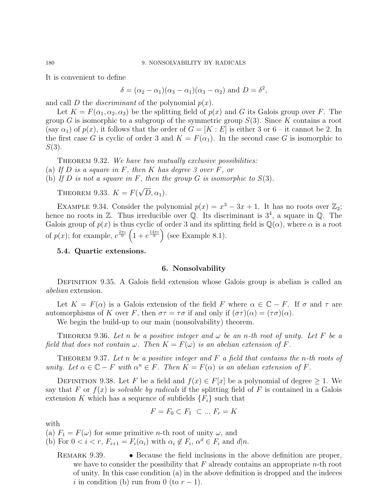It is convenient to define

$$
\delta = (\alpha_2 - \alpha_1)(\alpha_3 - \alpha_1)(\alpha_3 - \alpha_2)
$$
 and  $D = \delta^2$ ,

and call D the *discriminant* of the polynomial  $p(x)$ .

Let  $K = F(\alpha_1, \alpha_2, \alpha_3)$  be the splitting field of  $p(x)$  and G its Galois group over F. The group G is isomorphic to a subgroup of the symmetric group  $S(3)$ . Since K contains a root (say  $\alpha_1$ ) of  $p(x)$ , it follows that the order of  $G = [K : E]$  is either 3 or 6 – it cannot be 2. In the first case G is cyclic of order 3 and  $K = F(\alpha_1)$ . In the second case G is isomorphic to  $S(3)$ .

THEOREM 9.32. We have two mutually exclusive possibilities: (a) If D is a square in F, then K has degree 3 over F, or (b) If D is not a square in F, then the group G is isomorphic to  $S(3)$ .

THEOREM 9.33.  $K = F(\sqrt{D}, \alpha_1)$ .

EXAMPLE 9.34. Consider the polynomial  $p(x) = x^3 - 3x + 1$ . It has no roots over  $\mathbb{Z}_2$ ; hence no roots in  $\mathbb{Z}$ . Thus irreducible over  $\mathbb{Q}$ . Its discriminant is  $3^4$ , a square in  $\mathbb{Q}$ . The Galois group of  $p(x)$  is thus cyclic of order 3 and its splitting field is  $\mathbb{Q}(\alpha)$ , where  $\alpha$  is a root of  $p(x)$ ; for example,  $e^{\frac{2\pi i}{9}}\left(1+e^{\frac{14\pi i}{9}}\right)$  (see Example 8.1).

### 5.4. Quartic extensions.

#### 6. Nonsolvability

DEFINITION 9.35. A Galois field extension whose Galois group is abelian is called an abelian extension.

Let  $K = F(\alpha)$  is a Galois extension of the field F where  $\alpha \in \mathbb{C} - F$ . If  $\sigma$  and  $\tau$  are automorphisms of K over F, then  $\sigma\tau = \tau\sigma$  if and only if  $(\sigma\tau)(\alpha) = (\tau\sigma)(\alpha)$ .

We begin the build-up to our main (nonsolvability) theorem.

THEOREM 9.36. Let n be a positive integer and  $\omega$  be an n-th root of unity. Let F be a field that does not contain  $\omega$ . Then  $K = F(\omega)$  is an abelian extension of F.

THEOREM 9.37. Let n be a positive integer and  $F$  a field that contains the n-th roots of unity. Let  $\alpha \in \mathbb{C} - F$  with  $\alpha^n \in F$ . Then  $K = F(\alpha)$  is an abelian extension of F.

DEFINITION 9.38. Let F be a field and  $f(x) \in F[x]$  be a polynomial of degree  $\geq 1$ . We say that F or  $f(x)$  is solvable by radicals if the splitting field of F is contained in a Galois extension K which has a sequence of subfields  $\{F_i\}$  such that

$$
F = F_0 \subset F_1 \subset \dots F_r = K
$$

with

- (a)  $F_1 = F(\omega)$  for some primitive *n*-th root of unity  $\omega$ , and
- (b) For  $0 < i < r$ ,  $F_{i+1} = F_i(\alpha_i)$  with  $\alpha_i \notin F_i$ ,  $\alpha^d \in F_i$  and  $d|n$ .
	- REMARK 9.39. Because the field inclusions in the above definition are proper, we have to consider the possibility that  $F$  already contains an appropriate n-th root of unity. In this case condition (a) in the above definition is dropped and the indeces i in condition (b) run from 0 (to  $r-1$ ).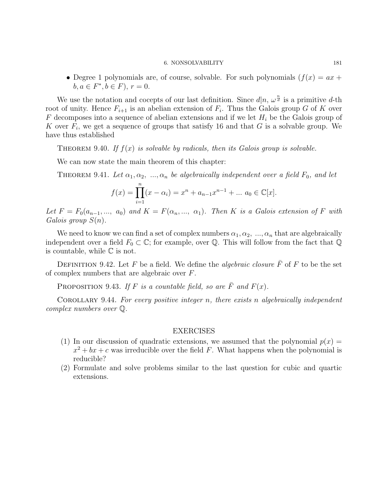• Degree 1 polynomials are, of course, solvable. For such polynomials  $(f(x) = ax +$  $b, a \in F^*, b \in F$ ,  $r = 0$ .

We use the notation and cocepts of our last definition. Since  $d|n, \omega^{\frac{n}{d}}$  is a primitive d-th root of unity. Hence  $F_{i+1}$  is an abelian extension of  $F_i$ . Thus the Galois group G of K over F decomposes into a sequence of abelian extensions and if we let  $H_i$  be the Galois group of K over  $F_i$ , we get a sequence of groups that satisfy 16 and that G is a solvable group. We have thus established

THEOREM 9.40. If  $f(x)$  is solvable by radicals, then its Galois group is solvable.

We can now state the main theorem of this chapter:

THEOREM 9.41. Let  $\alpha_1, \alpha_2, ..., \alpha_n$  be algebraically independent over a field  $F_0$ , and let

$$
f(x) = \prod_{i=1}^{n} (x - \alpha_i) = x^n + a_{n-1}x^{n-1} + \dots \, a_0 \in \mathbb{C}[x].
$$

Let  $F = F_0(a_{n-1},..., a_0)$  and  $K = F(\alpha_n,..., \alpha_1)$ . Then K is a Galois extension of F with Galois group  $S(n)$ .

We need to know we can find a set of complex numbers  $\alpha_1, \alpha_2, ..., \alpha_n$  that are algebraically independent over a field  $F_0 \subset \mathbb{C}$ ; for example, over Q. This will follow from the fact that Q is countable, while  $\mathbb C$  is not.

DEFINITION 9.42. Let F be a field. We define the *algebraic closure*  $\bar{F}$  of F to be the set of complex numbers that are algebraic over F.

PROPOSITION 9.43. If F is a countable field, so are  $\overline{F}$  and  $F(x)$ .

COROLLARY 9.44. For every positive integer n, there exists n algebraically independent complex numbers over Q.

## EXERCISES

- (1) In our discussion of quadratic extensions, we assumed that the polynomial  $p(x) =$  $x^2 + bx + c$  was irreducible over the field F. What happens when the polynomial is reducible?
- (2) Formulate and solve problems similar to the last question for cubic and quartic extensions.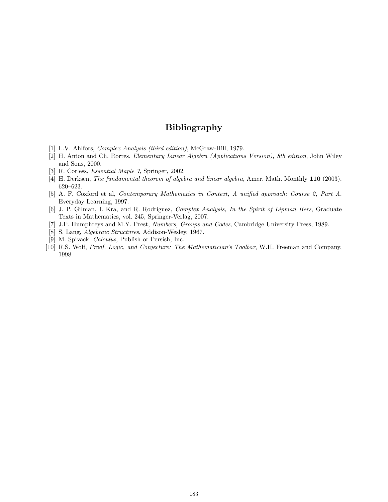# Bibliography

- [1] L.V. Ahlfors, Complex Analysis (third edition), McGraw-Hill, 1979.
- [2] H. Anton and Ch. Rorres, Elementary Linear Algebra (Applications Version), 8th edition, John Wiley and Sons, 2000.
- [3] R. Corless, Essential Maple 7, Springer, 2002.
- [4] H. Derksen, *The fundamental theorem of algebra and linear algebra*, Amer. Math. Monthly **110** (2003), 620–623.
- [5] A. F. Coxford et al, Contemporary Mathematics in Context, A unified approach; Course 2, Part A, Everyday Learning, 1997.
- [6] J. P. Gilman, I. Kra, and R. Rodriguez, Complex Analysis, In the Spirit of Lipman Bers, Graduate Texts in Mathematics, vol. 245, Springer-Verlag, 2007.
- [7] J.F. Humphreys and M.Y. Prest, Numbers, Groups and Codes, Cambridge University Press, 1989.
- [8] S. Lang, Algebraic Structures, Addison-Wesley, 1967.
- [9] M. Spivack, Calculus, Publish or Persish, Inc.
- [10] R.S. Wolf, Proof, Logic, and Conjecture: The Mathematician's Toolbox, W.H. Freeman and Company, 1998.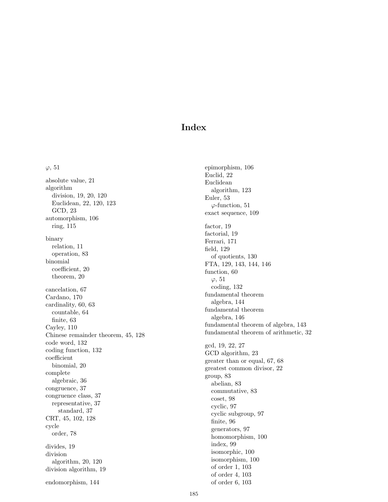## Index

#### $\varphi$ , 51

absolute value, 21 algorithm division, 19, 20, 120 Euclidean, 22, 120, 123 GCD, 23 automorphism, 106 ring, 115 binary relation, 11 operation, 83 binomial coefficient, 20 theorem, 20 cancelation, 67 Cardano, 170 cardinality, 60, 63 countable, 64 finite, 63 Cayley, 110 Chinese remainder theorem, 45, 128 code word, 132 coding function, 132 coefficient binomial, 20 complete algebraic, 36 congruence, 37 congruence class, 37 representative, 37 standard, 37 CRT, 45, 102, 128 cycle order, 78 divides, 19 division algorithm, 20, 120 division algorithm, 19

endomorphism, 144

epimorphism, 106 Euclid, 22 Euclidean algorithm, 123 Euler, 53  $\varphi$ -function, 51 exact sequence, 109 factor, 19 factorial, 19 Ferrari, 171 field, 129 of quotients, 130 FTA, 129, 143, 144, 146 function, 60  $\varphi$ , 51 coding, 132 fundamental theorem algebra, 144 fundamental theorem algebra, 146 fundamental theorem of algebra, 143 fundamental theorem of arithmetic, 32 gcd, 19, 22, 27 GCD algorithm, 23 greater than or equal, 67, 68 greatest common divisor, 22 group, 83 abelian, 83 commutative, 83 coset, 98 cyclic, 97 cyclic subgroup, 97 finite, 96 generators, 97 homomorphism, 100 index, 99 isomorphic, 100 isomorphism, 100 of order 1, 103 of order 4, 103 of order 6, 103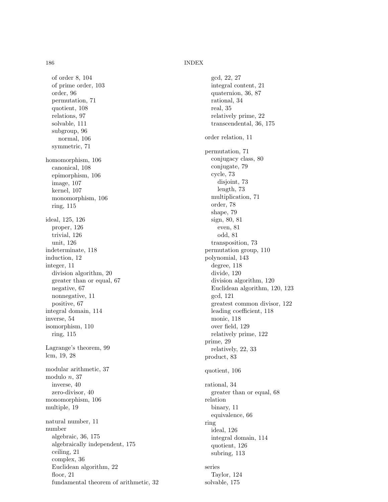of order 8, 104

## of prime order, 103 order, 96 permutation, 71 quotient, 108 relations, 97 solvable, 111 subgroup, 96 normal, 106 symmetric, 71 homomorphism, 106 canonical, 108 epimorphism, 106 image, 107 kernel, 107 monomorphism, 106 ring, 115 ideal, 125, 126 proper, 126 trivial, 126 unit, 126 indeterminate, 118 induction, 12 integer, 11 division algorithm, 20 greater than or equal, 67 negative, 67 nonnegative, 11 positive, 67 integral domain, 114 inverse, 54 isomorphism, 110 ring, 115 Lagrange's theorem, 99 lcm, 19, 28 modular arithmetic, 37 modulo n, 37 inverse, 40 zero-divisor, 40 monomorphism, 106 multiple, 19 natural number, 11 number algebraic, 36, 175 algebraically independent, 175 ceiling, 21 complex, 36 Euclidean algorithm, 22

floor, 21

fundamental theorem of arithmetic, 32

### 186 INDEX

gcd, 22, 27 integral content, 21 quaternion, 36, 87 rational, 34 real, 35 relatively prime, 22 transcendental, 36, 175 order relation, 11 permutation, 71 conjugacy class, 80 conjugate, 79 cycle, 73 disjoint, 73 length, 73 multiplication, 71 order, 78 shape, 79 sign, 80, 81 even, 81 odd, 81 transposition, 73 permutation group, 110 polynomial, 143 degree, 118 divide, 120 division algorithm, 120 Euclidean algorithm, 120, 123 gcd, 121 greatest common divisor, 122 leading coefficient, 118 monic, 118 over field, 129 relatively prime, 122 prime, 29 relatively, 22, 33 product, 83 quotient, 106 rational, 34 greater than or equal, 68 relation binary, 11 equivalence, 66 ring ideal, 126 integral domain, 114 quotient, 126 subring, 113 series Taylor, 124 solvable, 175